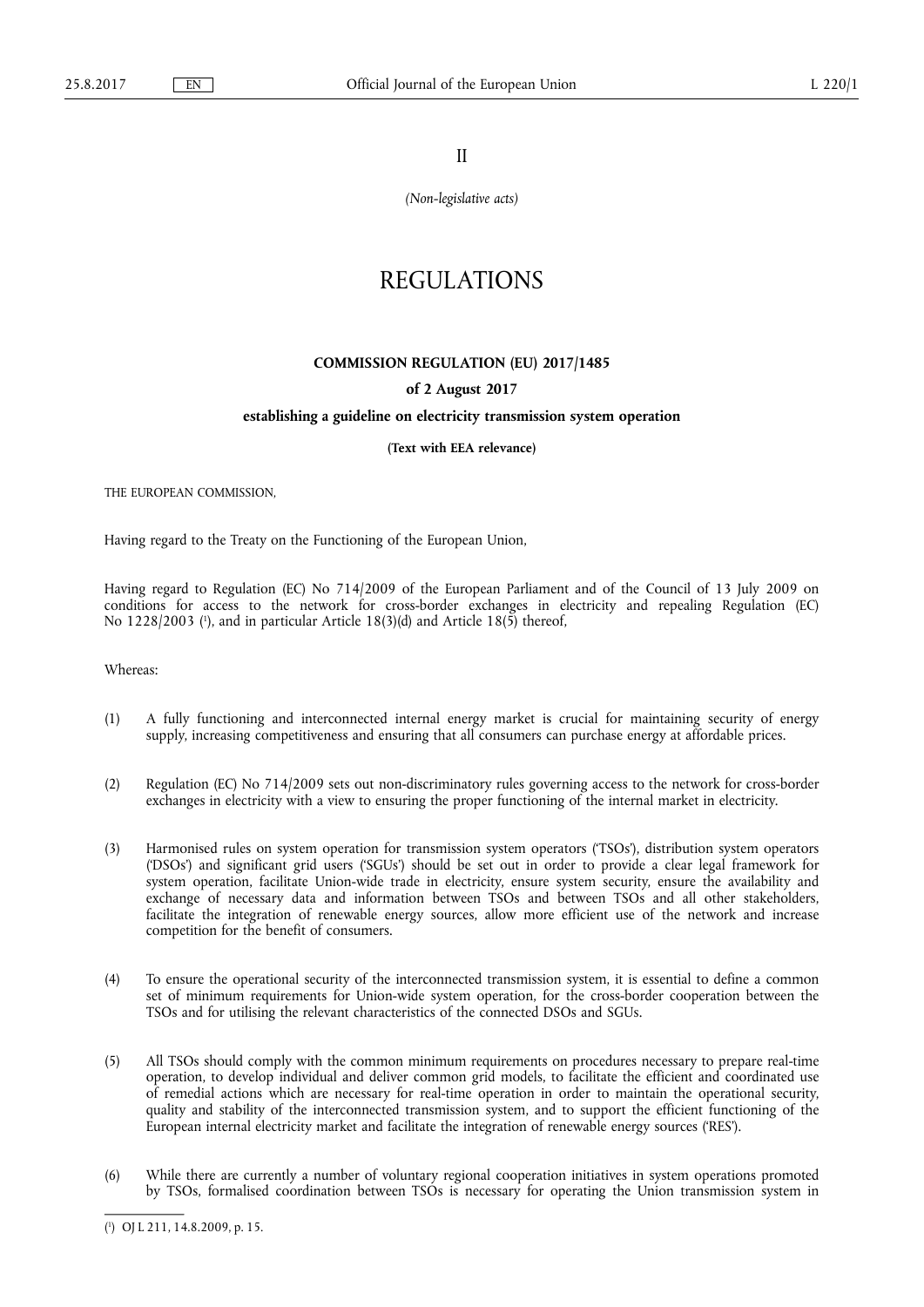II

*(Non-legislative acts)* 

# REGULATIONS

# **COMMISSION REGULATION (EU) 2017/1485**

# **of 2 August 2017**

# **establishing a guideline on electricity transmission system operation**

**(Text with EEA relevance)** 

THE EUROPEAN COMMISSION,

Having regard to the Treaty on the Functioning of the European Union,

Having regard to Regulation (EC) No 714/2009 of the European Parliament and of the Council of 13 July 2009 on conditions for access to the network for cross-border exchanges in electricity and repealing Regulation (EC) No 1228/2003 ( 1 ), and in particular Article 18(3)(d) and Article 18(5) thereof,

Whereas:

- (1) A fully functioning and interconnected internal energy market is crucial for maintaining security of energy supply, increasing competitiveness and ensuring that all consumers can purchase energy at affordable prices.
- (2) Regulation (EC) No 714/2009 sets out non-discriminatory rules governing access to the network for cross-border exchanges in electricity with a view to ensuring the proper functioning of the internal market in electricity.
- (3) Harmonised rules on system operation for transmission system operators ('TSOs'), distribution system operators ('DSOs') and significant grid users ('SGUs') should be set out in order to provide a clear legal framework for system operation, facilitate Union-wide trade in electricity, ensure system security, ensure the availability and exchange of necessary data and information between TSOs and between TSOs and all other stakeholders, facilitate the integration of renewable energy sources, allow more efficient use of the network and increase competition for the benefit of consumers.
- (4) To ensure the operational security of the interconnected transmission system, it is essential to define a common set of minimum requirements for Union-wide system operation, for the cross-border cooperation between the TSOs and for utilising the relevant characteristics of the connected DSOs and SGUs.
- (5) All TSOs should comply with the common minimum requirements on procedures necessary to prepare real-time operation, to develop individual and deliver common grid models, to facilitate the efficient and coordinated use of remedial actions which are necessary for real-time operation in order to maintain the operational security, quality and stability of the interconnected transmission system, and to support the efficient functioning of the European internal electricity market and facilitate the integration of renewable energy sources ('RES').
- (6) While there are currently a number of voluntary regional cooperation initiatives in system operations promoted by TSOs, formalised coordination between TSOs is necessary for operating the Union transmission system in

<sup>(</sup> 1 ) OJ L 211, 14.8.2009, p. 15.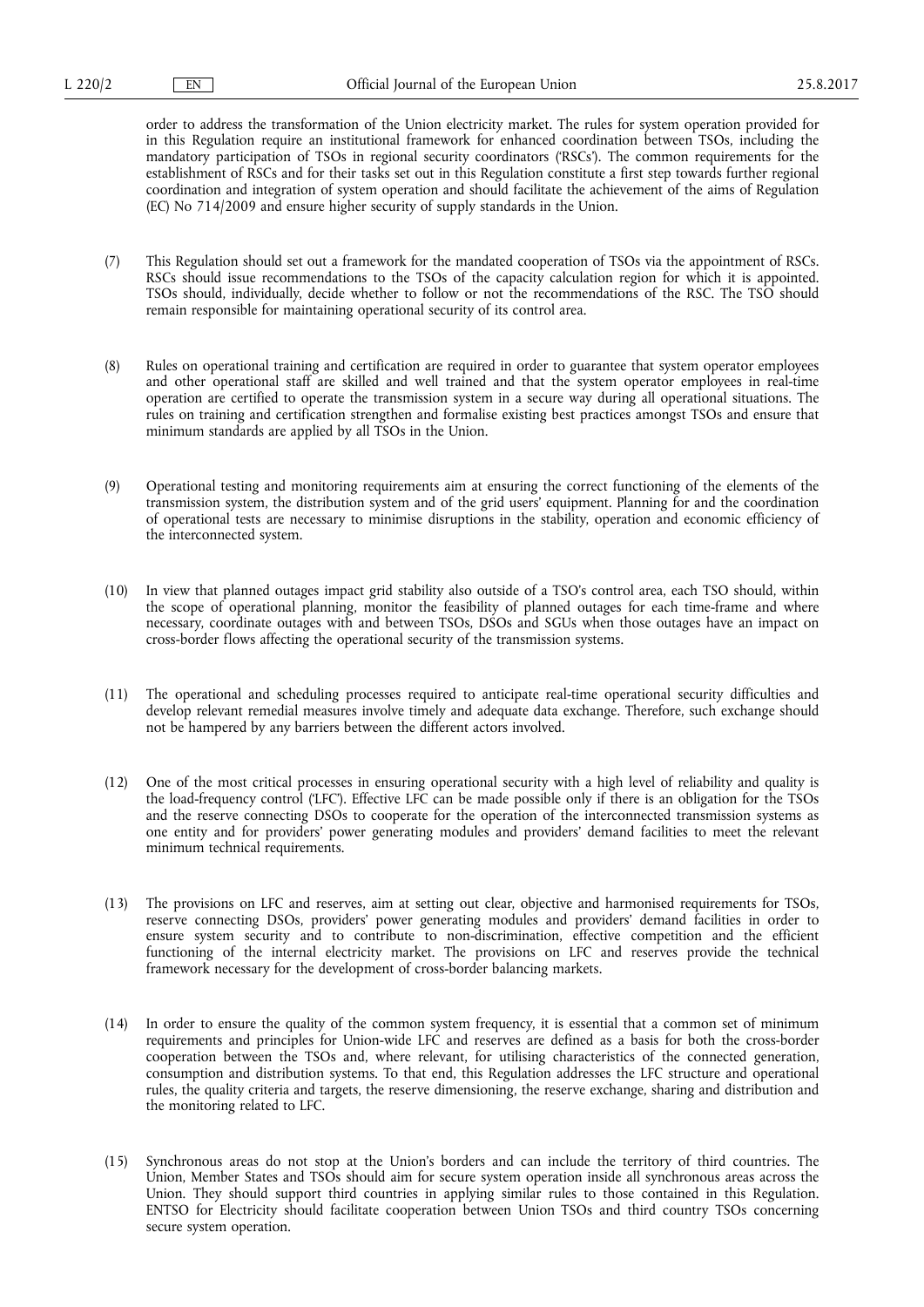order to address the transformation of the Union electricity market. The rules for system operation provided for in this Regulation require an institutional framework for enhanced coordination between TSOs, including the mandatory participation of TSOs in regional security coordinators ('RSCs'). The common requirements for the establishment of RSCs and for their tasks set out in this Regulation constitute a first step towards further regional coordination and integration of system operation and should facilitate the achievement of the aims of Regulation (EC) No 714/2009 and ensure higher security of supply standards in the Union.

- (7) This Regulation should set out a framework for the mandated cooperation of TSOs via the appointment of RSCs. RSCs should issue recommendations to the TSOs of the capacity calculation region for which it is appointed. TSOs should, individually, decide whether to follow or not the recommendations of the RSC. The TSO should remain responsible for maintaining operational security of its control area.
- (8) Rules on operational training and certification are required in order to guarantee that system operator employees and other operational staff are skilled and well trained and that the system operator employees in real-time operation are certified to operate the transmission system in a secure way during all operational situations. The rules on training and certification strengthen and formalise existing best practices amongst TSOs and ensure that minimum standards are applied by all TSOs in the Union.
- (9) Operational testing and monitoring requirements aim at ensuring the correct functioning of the elements of the transmission system, the distribution system and of the grid users' equipment. Planning for and the coordination of operational tests are necessary to minimise disruptions in the stability, operation and economic efficiency of the interconnected system.
- (10) In view that planned outages impact grid stability also outside of a TSO's control area, each TSO should, within the scope of operational planning, monitor the feasibility of planned outages for each time-frame and where necessary, coordinate outages with and between TSOs, DSOs and SGUs when those outages have an impact on cross-border flows affecting the operational security of the transmission systems.
- (11) The operational and scheduling processes required to anticipate real-time operational security difficulties and develop relevant remedial measures involve timely and adequate data exchange. Therefore, such exchange should not be hampered by any barriers between the different actors involved.
- (12) One of the most critical processes in ensuring operational security with a high level of reliability and quality is the load-frequency control ('LFC'). Effective LFC can be made possible only if there is an obligation for the TSOs and the reserve connecting DSOs to cooperate for the operation of the interconnected transmission systems as one entity and for providers' power generating modules and providers' demand facilities to meet the relevant minimum technical requirements.
- (13) The provisions on LFC and reserves, aim at setting out clear, objective and harmonised requirements for TSOs, reserve connecting DSOs, providers' power generating modules and providers' demand facilities in order to ensure system security and to contribute to non-discrimination, effective competition and the efficient functioning of the internal electricity market. The provisions on LFC and reserves provide the technical framework necessary for the development of cross-border balancing markets.
- (14) In order to ensure the quality of the common system frequency, it is essential that a common set of minimum requirements and principles for Union-wide LFC and reserves are defined as a basis for both the cross-border cooperation between the TSOs and, where relevant, for utilising characteristics of the connected generation, consumption and distribution systems. To that end, this Regulation addresses the LFC structure and operational rules, the quality criteria and targets, the reserve dimensioning, the reserve exchange, sharing and distribution and the monitoring related to LFC.
- (15) Synchronous areas do not stop at the Union's borders and can include the territory of third countries. The Union, Member States and TSOs should aim for secure system operation inside all synchronous areas across the Union. They should support third countries in applying similar rules to those contained in this Regulation. ENTSO for Electricity should facilitate cooperation between Union TSOs and third country TSOs concerning secure system operation.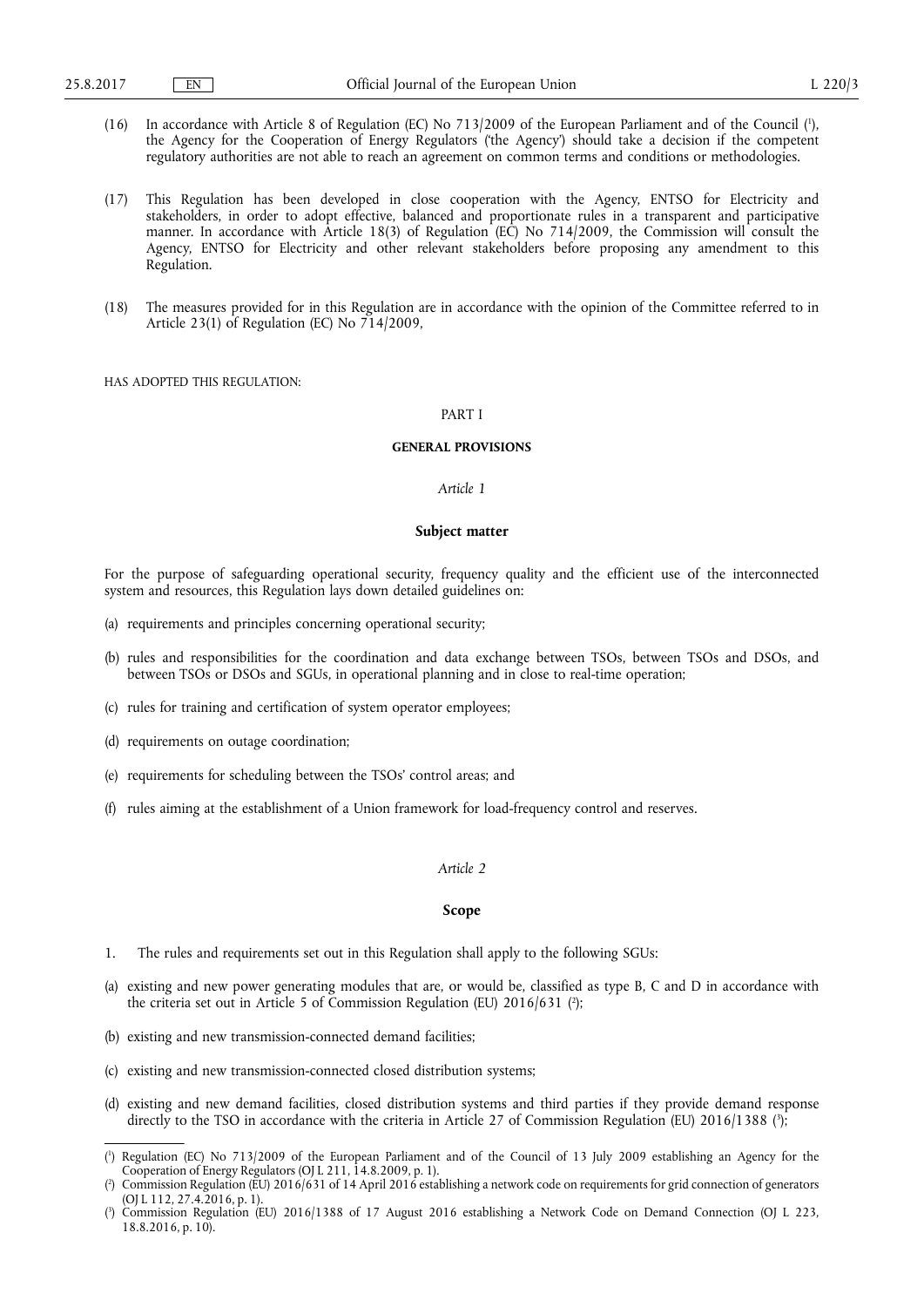- (16) In accordance with Article 8 of Regulation (EC) No 713/2009 of the European Parliament and of the Council ( 1 ), the Agency for the Cooperation of Energy Regulators ('the Agency') should take a decision if the competent regulatory authorities are not able to reach an agreement on common terms and conditions or methodologies.
- (17) This Regulation has been developed in close cooperation with the Agency, ENTSO for Electricity and stakeholders, in order to adopt effective, balanced and proportionate rules in a transparent and participative manner. In accordance with Article 18(3) of Regulation (EC) No 714/2009, the Commission will consult the Agency, ENTSO for Electricity and other relevant stakeholders before proposing any amendment to this Regulation.
- (18) The measures provided for in this Regulation are in accordance with the opinion of the Committee referred to in Article 23(1) of Regulation (EC) No 714/2009,

HAS ADOPTED THIS REGULATION:

# PART I

## **GENERAL PROVISIONS**

# *Article 1*

#### **Subject matter**

For the purpose of safeguarding operational security, frequency quality and the efficient use of the interconnected system and resources, this Regulation lays down detailed guidelines on:

- (a) requirements and principles concerning operational security;
- (b) rules and responsibilities for the coordination and data exchange between TSOs, between TSOs and DSOs, and between TSOs or DSOs and SGUs, in operational planning and in close to real-time operation;
- (c) rules for training and certification of system operator employees;
- (d) requirements on outage coordination;
- (e) requirements for scheduling between the TSOs' control areas; and
- (f) rules aiming at the establishment of a Union framework for load-frequency control and reserves.

# *Article 2*

# **Scope**

- 1. The rules and requirements set out in this Regulation shall apply to the following SGUs:
- (a) existing and new power generating modules that are, or would be, classified as type B, C and D in accordance with the criteria set out in Article 5 of Commission Regulation (EU) 2016/631 (?);
- (b) existing and new transmission-connected demand facilities;
- (c) existing and new transmission-connected closed distribution systems;
- (d) existing and new demand facilities, closed distribution systems and third parties if they provide demand response directly to the TSO in accordance with the criteria in Article 27 of Commission Regulation (EU) 2016/1388 ( 3 );

<sup>(</sup> 1 ) Regulation (EC) No 713/2009 of the European Parliament and of the Council of 13 July 2009 establishing an Agency for the Cooperation of Energy Regulators (OJ L 211, 14.8.2009, p. 1).

<sup>(</sup> 2 Commission Regulation (EU) 2016/631 of 14 April 2016 establishing a network code on requirements for grid connection of generators (OJ L 112, 27.4.2016, p. 1).

<sup>(</sup> 3 ) Commission Regulation (EU) 2016/1388 of 17 August 2016 establishing a Network Code on Demand Connection (OJ L 223, 18.8.2016, p. 10).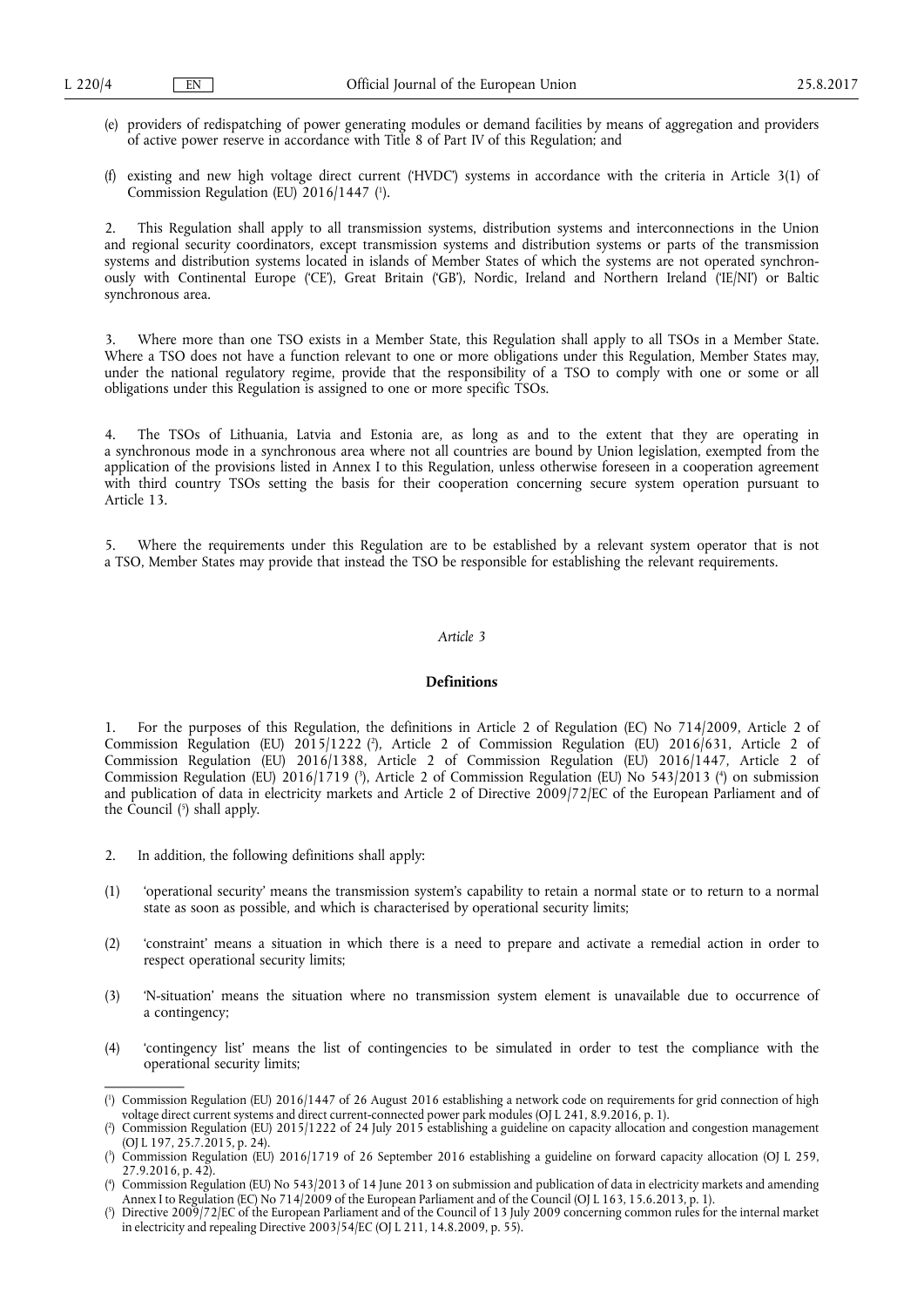- (e) providers of redispatching of power generating modules or demand facilities by means of aggregation and providers of active power reserve in accordance with Title 8 of Part IV of this Regulation; and
- (f) existing and new high voltage direct current ('HVDC') systems in accordance with the criteria in Article 3(1) of Commission Regulation (EU) 2016/1447 ( 1 ).

2. This Regulation shall apply to all transmission systems, distribution systems and interconnections in the Union and regional security coordinators, except transmission systems and distribution systems or parts of the transmission systems and distribution systems located in islands of Member States of which the systems are not operated synchronously with Continental Europe ('CE'), Great Britain ('GB'), Nordic, Ireland and Northern Ireland ('IE/NI') or Baltic synchronous area.

3. Where more than one TSO exists in a Member State, this Regulation shall apply to all TSOs in a Member State. Where a TSO does not have a function relevant to one or more obligations under this Regulation, Member States may, under the national regulatory regime, provide that the responsibility of a TSO to comply with one or some or all obligations under this Regulation is assigned to one or more specific TSOs.

4. The TSOs of Lithuania, Latvia and Estonia are, as long as and to the extent that they are operating in a synchronous mode in a synchronous area where not all countries are bound by Union legislation, exempted from the application of the provisions listed in Annex I to this Regulation, unless otherwise foreseen in a cooperation agreement with third country TSOs setting the basis for their cooperation concerning secure system operation pursuant to Article 13.

5. Where the requirements under this Regulation are to be established by a relevant system operator that is not a TSO, Member States may provide that instead the TSO be responsible for establishing the relevant requirements.

# *Article 3*

# **Definitions**

1. For the purposes of this Regulation, the definitions in Article 2 of Regulation (EC) No 714/2009, Article 2 of Commission Regulation (EU) 2015/1222 ( 2 ), Article 2 of Commission Regulation (EU) 2016/631, Article 2 of Commission Regulation (EU) 2016/1388, Article 2 of Commission Regulation (EU) 2016/1447, Article 2 of Commission Regulation (EU) 2016/1719 (<sup>3</sup>), Article 2 of Commission Regulation (EU) No 543/2013 (<sup>4</sup>) on submission and publication of data in electricity markets and Article 2 of Directive 2009/72/EC of the European Parliament and of the Council ( 5 ) shall apply.

- 2. In addition, the following definitions shall apply:
- (1) 'operational security' means the transmission system's capability to retain a normal state or to return to a normal state as soon as possible, and which is characterised by operational security limits;
- (2) 'constraint' means a situation in which there is a need to prepare and activate a remedial action in order to respect operational security limits;
- (3) 'N-situation' means the situation where no transmission system element is unavailable due to occurrence of a contingency;
- (4) 'contingency list' means the list of contingencies to be simulated in order to test the compliance with the operational security limits;

<sup>(</sup> 1 ) Commission Regulation (EU) 2016/1447 of 26 August 2016 establishing a network code on requirements for grid connection of high voltage direct current systems and direct current-connected power park modules (OJ L 241, 8.9.2016, p. 1).

<sup>(</sup> 2 ) Commission Regulation (EU) 2015/1222 of 24 July 2015 establishing a guideline on capacity allocation and congestion management (OJ L 197, 25.7.2015, p. 24).

<sup>(</sup> 3 ) Commission Regulation (EU) 2016/1719 of 26 September 2016 establishing a guideline on forward capacity allocation (OJ L 259, 27.9.2016, p. 42).

<sup>(</sup> 4 ) Commission Regulation (EU) No 543/2013 of 14 June 2013 on submission and publication of data in electricity markets and amending Annex I to Regulation (EC) No 714/2009 of the European Parliament and of the Council (OJ L 163, 15.6.2013, p. 1).

<sup>(</sup> 5 ) Directive 2009/72/EC of the European Parliament and of the Council of 13 July 2009 concerning common rules for the internal market in electricity and repealing Directive 2003/54/EC (OJ L 211, 14.8.2009, p. 55).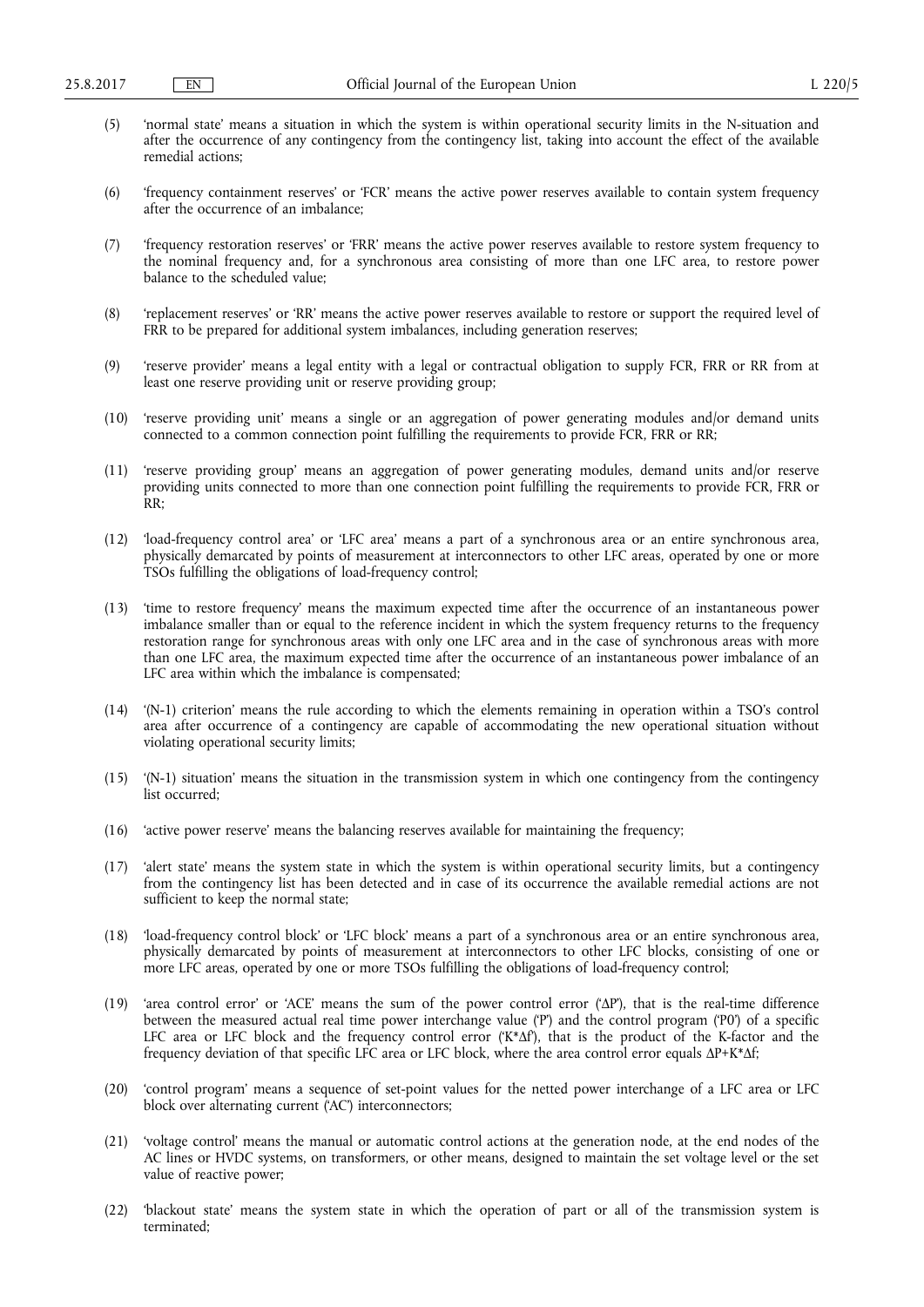- (5) 'normal state' means a situation in which the system is within operational security limits in the N-situation and after the occurrence of any contingency from the contingency list, taking into account the effect of the available remedial actions;
- (6) 'frequency containment reserves' or 'FCR' means the active power reserves available to contain system frequency after the occurrence of an imbalance;
- (7) 'frequency restoration reserves' or 'FRR' means the active power reserves available to restore system frequency to the nominal frequency and, for a synchronous area consisting of more than one LFC area, to restore power balance to the scheduled value;
- (8) 'replacement reserves' or 'RR' means the active power reserves available to restore or support the required level of FRR to be prepared for additional system imbalances, including generation reserves;
- (9) 'reserve provider' means a legal entity with a legal or contractual obligation to supply FCR, FRR or RR from at least one reserve providing unit or reserve providing group;
- (10) 'reserve providing unit' means a single or an aggregation of power generating modules and/or demand units connected to a common connection point fulfilling the requirements to provide FCR, FRR or RR;
- (11) 'reserve providing group' means an aggregation of power generating modules, demand units and/or reserve providing units connected to more than one connection point fulfilling the requirements to provide FCR, FRR or RR;
- (12) 'load-frequency control area' or 'LFC area' means a part of a synchronous area or an entire synchronous area, physically demarcated by points of measurement at interconnectors to other LFC areas, operated by one or more TSOs fulfilling the obligations of load-frequency control;
- (13) 'time to restore frequency' means the maximum expected time after the occurrence of an instantaneous power imbalance smaller than or equal to the reference incident in which the system frequency returns to the frequency restoration range for synchronous areas with only one LFC area and in the case of synchronous areas with more than one LFC area, the maximum expected time after the occurrence of an instantaneous power imbalance of an LFC area within which the imbalance is compensated;
- (14) '(N-1) criterion' means the rule according to which the elements remaining in operation within a TSO's control area after occurrence of a contingency are capable of accommodating the new operational situation without violating operational security limits;
- (15) '(N-1) situation' means the situation in the transmission system in which one contingency from the contingency list occurred:
- (16) 'active power reserve' means the balancing reserves available for maintaining the frequency;
- (17) 'alert state' means the system state in which the system is within operational security limits, but a contingency from the contingency list has been detected and in case of its occurrence the available remedial actions are not sufficient to keep the normal state;
- (18) 'load-frequency control block' or 'LFC block' means a part of a synchronous area or an entire synchronous area, physically demarcated by points of measurement at interconnectors to other LFC blocks, consisting of one or more LFC areas, operated by one or more TSOs fulfilling the obligations of load-frequency control;
- (19) 'area control error' or 'ACE' means the sum of the power control error ('ΔP'), that is the real-time difference between the measured actual real time power interchange value ('P') and the control program ('P0') of a specific LFC area or LFC block and the frequency control error ('K\*Δf'), that is the product of the K-factor and the frequency deviation of that specific LFC area or LFC block, where the area control error equals ΔP+K\*Δf;
- (20) 'control program' means a sequence of set-point values for the netted power interchange of a LFC area or LFC block over alternating current ('AC') interconnectors;
- (21) 'voltage control' means the manual or automatic control actions at the generation node, at the end nodes of the AC lines or HVDC systems, on transformers, or other means, designed to maintain the set voltage level or the set value of reactive power;
- (22) 'blackout state' means the system state in which the operation of part or all of the transmission system is terminated;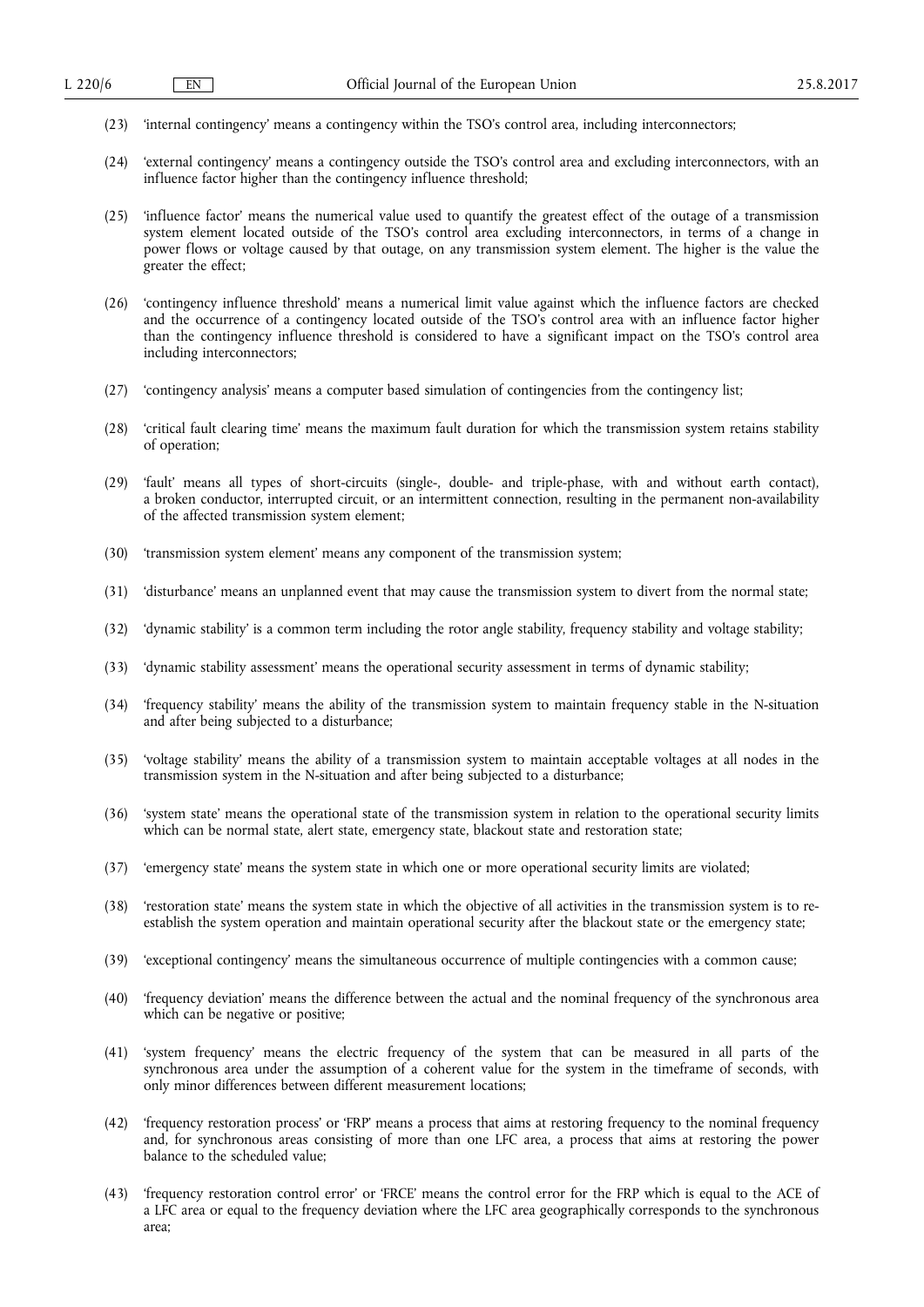- (23) 'internal contingency' means a contingency within the TSO's control area, including interconnectors;
- (24) 'external contingency' means a contingency outside the TSO's control area and excluding interconnectors, with an influence factor higher than the contingency influence threshold;
- (25) 'influence factor' means the numerical value used to quantify the greatest effect of the outage of a transmission system element located outside of the TSO's control area excluding interconnectors, in terms of a change in power flows or voltage caused by that outage, on any transmission system element. The higher is the value the greater the effect;
- (26) 'contingency influence threshold' means a numerical limit value against which the influence factors are checked and the occurrence of a contingency located outside of the TSO's control area with an influence factor higher than the contingency influence threshold is considered to have a significant impact on the TSO's control area including interconnectors;
- (27) 'contingency analysis' means a computer based simulation of contingencies from the contingency list;
- (28) 'critical fault clearing time' means the maximum fault duration for which the transmission system retains stability of operation;
- (29) 'fault' means all types of short-circuits (single-, double- and triple-phase, with and without earth contact), a broken conductor, interrupted circuit, or an intermittent connection, resulting in the permanent non-availability of the affected transmission system element;
- (30) 'transmission system element' means any component of the transmission system;
- (31) 'disturbance' means an unplanned event that may cause the transmission system to divert from the normal state;
- (32) 'dynamic stability' is a common term including the rotor angle stability, frequency stability and voltage stability;
- (33) 'dynamic stability assessment' means the operational security assessment in terms of dynamic stability;
- (34) 'frequency stability' means the ability of the transmission system to maintain frequency stable in the N-situation and after being subjected to a disturbance;
- (35) 'voltage stability' means the ability of a transmission system to maintain acceptable voltages at all nodes in the transmission system in the N-situation and after being subjected to a disturbance;
- (36) 'system state' means the operational state of the transmission system in relation to the operational security limits which can be normal state, alert state, emergency state, blackout state and restoration state;
- (37) 'emergency state' means the system state in which one or more operational security limits are violated;
- (38) 'restoration state' means the system state in which the objective of all activities in the transmission system is to reestablish the system operation and maintain operational security after the blackout state or the emergency state;
- (39) 'exceptional contingency' means the simultaneous occurrence of multiple contingencies with a common cause;
- (40) 'frequency deviation' means the difference between the actual and the nominal frequency of the synchronous area which can be negative or positive;
- (41) 'system frequency' means the electric frequency of the system that can be measured in all parts of the synchronous area under the assumption of a coherent value for the system in the timeframe of seconds, with only minor differences between different measurement locations;
- (42) 'frequency restoration process' or 'FRP' means a process that aims at restoring frequency to the nominal frequency and, for synchronous areas consisting of more than one LFC area, a process that aims at restoring the power balance to the scheduled value;
- (43) 'frequency restoration control error' or 'FRCE' means the control error for the FRP which is equal to the ACE of a LFC area or equal to the frequency deviation where the LFC area geographically corresponds to the synchronous area;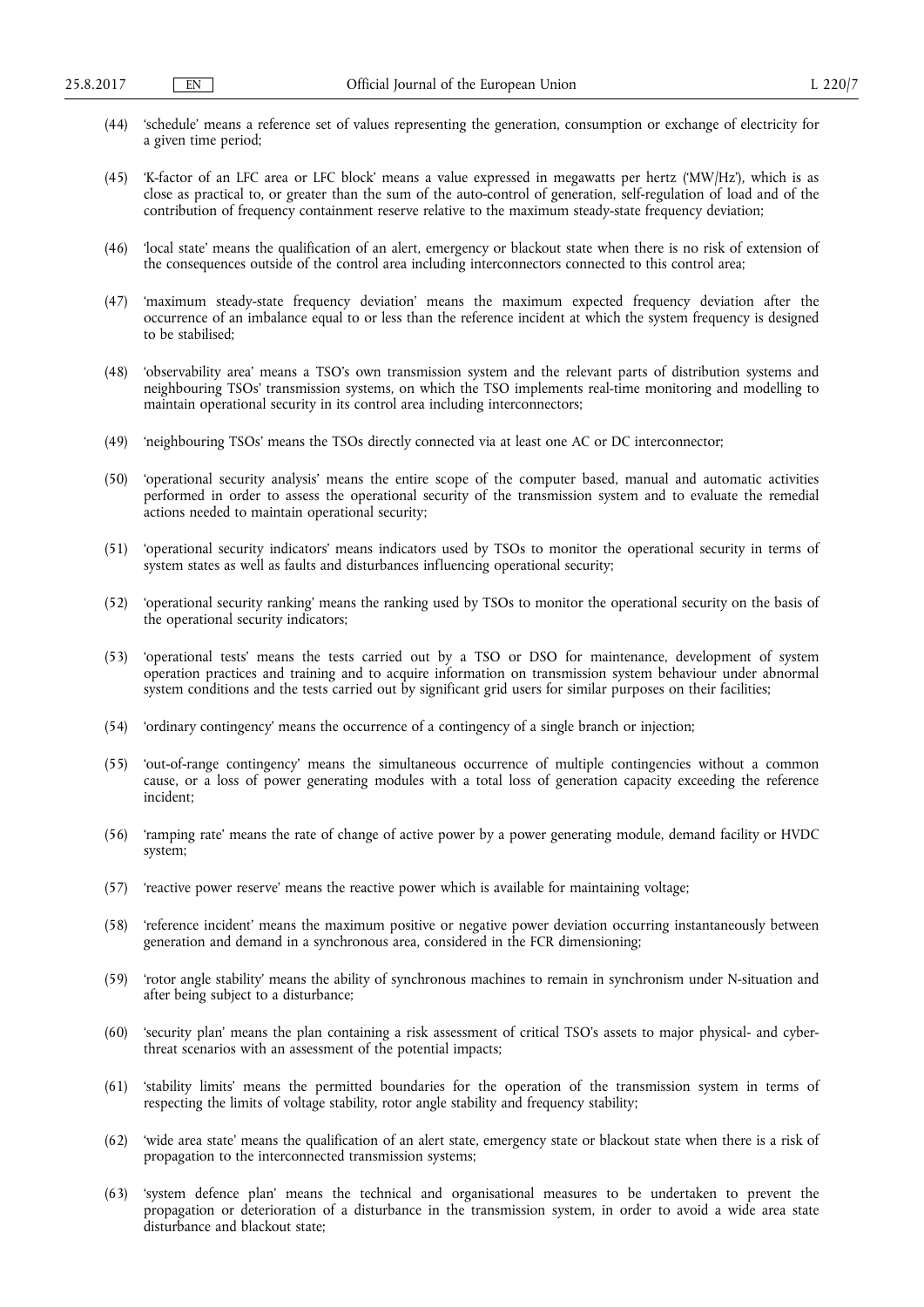- (44) 'schedule' means a reference set of values representing the generation, consumption or exchange of electricity for a given time period;
- (45) 'K-factor of an LFC area or LFC block' means a value expressed in megawatts per hertz ('MW/Hz'), which is as close as practical to, or greater than the sum of the auto-control of generation, self-regulation of load and of the contribution of frequency containment reserve relative to the maximum steady-state frequency deviation;
- (46) 'local state' means the qualification of an alert, emergency or blackout state when there is no risk of extension of the consequences outside of the control area including interconnectors connected to this control area;
- (47) 'maximum steady-state frequency deviation' means the maximum expected frequency deviation after the occurrence of an imbalance equal to or less than the reference incident at which the system frequency is designed to be stabilised;
- (48) 'observability area' means a TSO's own transmission system and the relevant parts of distribution systems and neighbouring TSOs' transmission systems, on which the TSO implements real-time monitoring and modelling to maintain operational security in its control area including interconnectors;
- (49) 'neighbouring TSOs' means the TSOs directly connected via at least one AC or DC interconnector;
- (50) 'operational security analysis' means the entire scope of the computer based, manual and automatic activities performed in order to assess the operational security of the transmission system and to evaluate the remedial actions needed to maintain operational security;
- (51) 'operational security indicators' means indicators used by TSOs to monitor the operational security in terms of system states as well as faults and disturbances influencing operational security;
- (52) 'operational security ranking' means the ranking used by TSOs to monitor the operational security on the basis of the operational security indicators;
- (53) 'operational tests' means the tests carried out by a TSO or DSO for maintenance, development of system operation practices and training and to acquire information on transmission system behaviour under abnormal system conditions and the tests carried out by significant grid users for similar purposes on their facilities;
- (54) 'ordinary contingency' means the occurrence of a contingency of a single branch or injection;
- (55) 'out-of-range contingency' means the simultaneous occurrence of multiple contingencies without a common cause, or a loss of power generating modules with a total loss of generation capacity exceeding the reference incident;
- (56) 'ramping rate' means the rate of change of active power by a power generating module, demand facility or HVDC system;
- (57) 'reactive power reserve' means the reactive power which is available for maintaining voltage;
- (58) 'reference incident' means the maximum positive or negative power deviation occurring instantaneously between generation and demand in a synchronous area, considered in the FCR dimensioning;
- (59) 'rotor angle stability' means the ability of synchronous machines to remain in synchronism under N-situation and after being subject to a disturbance;
- (60) 'security plan' means the plan containing a risk assessment of critical TSO's assets to major physical- and cyberthreat scenarios with an assessment of the potential impacts;
- (61) 'stability limits' means the permitted boundaries for the operation of the transmission system in terms of respecting the limits of voltage stability, rotor angle stability and frequency stability;
- (62) 'wide area state' means the qualification of an alert state, emergency state or blackout state when there is a risk of propagation to the interconnected transmission systems;
- (63) 'system defence plan' means the technical and organisational measures to be undertaken to prevent the propagation or deterioration of a disturbance in the transmission system, in order to avoid a wide area state disturbance and blackout state;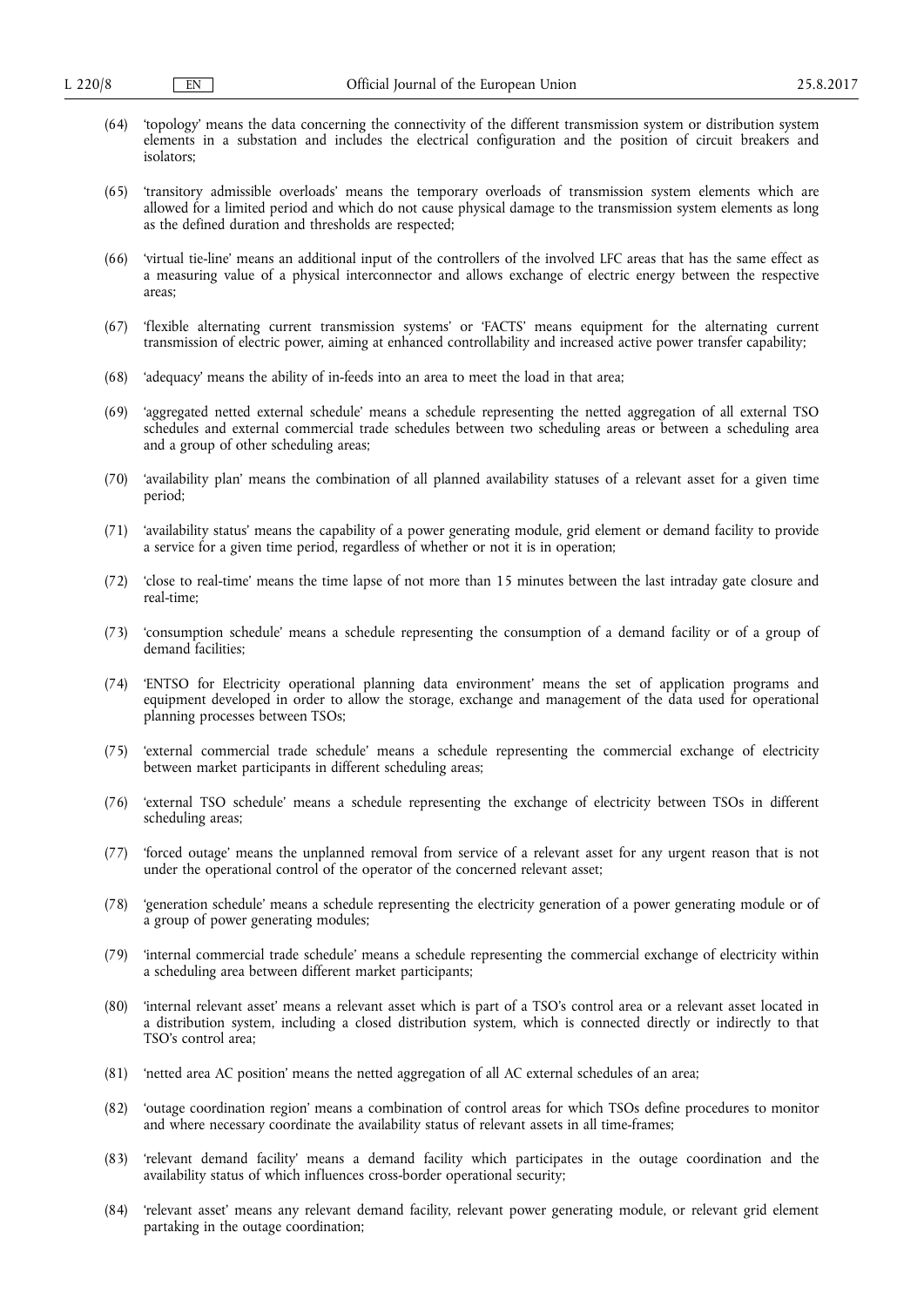- (64) 'topology' means the data concerning the connectivity of the different transmission system or distribution system elements in a substation and includes the electrical configuration and the position of circuit breakers and isolators;
- (65) 'transitory admissible overloads' means the temporary overloads of transmission system elements which are allowed for a limited period and which do not cause physical damage to the transmission system elements as long as the defined duration and thresholds are respected;
- (66) 'virtual tie-line' means an additional input of the controllers of the involved LFC areas that has the same effect as a measuring value of a physical interconnector and allows exchange of electric energy between the respective areas;
- (67) 'flexible alternating current transmission systems' or 'FACTS' means equipment for the alternating current transmission of electric power, aiming at enhanced controllability and increased active power transfer capability;
- (68) 'adequacy' means the ability of in-feeds into an area to meet the load in that area;
- (69) 'aggregated netted external schedule' means a schedule representing the netted aggregation of all external TSO schedules and external commercial trade schedules between two scheduling areas or between a scheduling area and a group of other scheduling areas;
- (70) 'availability plan' means the combination of all planned availability statuses of a relevant asset for a given time period;
- (71) 'availability status' means the capability of a power generating module, grid element or demand facility to provide a service for a given time period, regardless of whether or not it is in operation;
- (72) 'close to real-time' means the time lapse of not more than 15 minutes between the last intraday gate closure and real-time;
- (73) 'consumption schedule' means a schedule representing the consumption of a demand facility or of a group of demand facilities;
- (74) 'ENTSO for Electricity operational planning data environment' means the set of application programs and equipment developed in order to allow the storage, exchange and management of the data used for operational planning processes between TSOs;
- (75) 'external commercial trade schedule' means a schedule representing the commercial exchange of electricity between market participants in different scheduling areas;
- (76) 'external TSO schedule' means a schedule representing the exchange of electricity between TSOs in different scheduling areas;
- (77) 'forced outage' means the unplanned removal from service of a relevant asset for any urgent reason that is not under the operational control of the operator of the concerned relevant asset;
- (78) 'generation schedule' means a schedule representing the electricity generation of a power generating module or of a group of power generating modules;
- (79) 'internal commercial trade schedule' means a schedule representing the commercial exchange of electricity within a scheduling area between different market participants;
- (80) 'internal relevant asset' means a relevant asset which is part of a TSO's control area or a relevant asset located in a distribution system, including a closed distribution system, which is connected directly or indirectly to that TSO's control area;
- (81) 'netted area AC position' means the netted aggregation of all AC external schedules of an area;
- (82) 'outage coordination region' means a combination of control areas for which TSOs define procedures to monitor and where necessary coordinate the availability status of relevant assets in all time-frames;
- (83) 'relevant demand facility' means a demand facility which participates in the outage coordination and the availability status of which influences cross-border operational security;
- (84) 'relevant asset' means any relevant demand facility, relevant power generating module, or relevant grid element partaking in the outage coordination;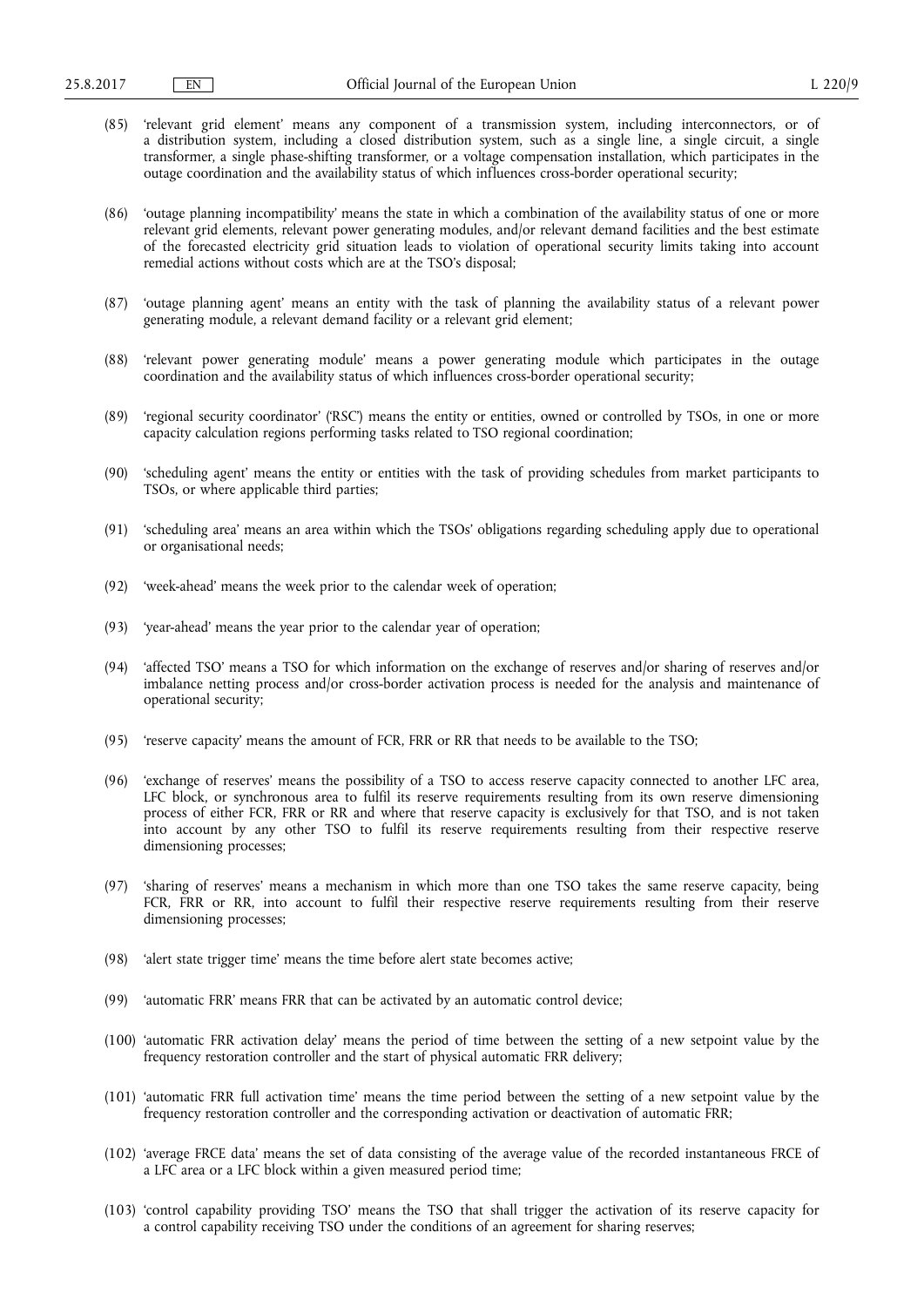- (85) 'relevant grid element' means any component of a transmission system, including interconnectors, or of a distribution system, including a closed distribution system, such as a single line, a single circuit, a single transformer, a single phase-shifting transformer, or a voltage compensation installation, which participates in the outage coordination and the availability status of which influences cross-border operational security;
- (86) 'outage planning incompatibility' means the state in which a combination of the availability status of one or more relevant grid elements, relevant power generating modules, and/or relevant demand facilities and the best estimate of the forecasted electricity grid situation leads to violation of operational security limits taking into account remedial actions without costs which are at the TSO's disposal;
- (87) 'outage planning agent' means an entity with the task of planning the availability status of a relevant power generating module, a relevant demand facility or a relevant grid element;
- (88) 'relevant power generating module' means a power generating module which participates in the outage coordination and the availability status of which influences cross-border operational security;
- (89) 'regional security coordinator' ('RSC') means the entity or entities, owned or controlled by TSOs, in one or more capacity calculation regions performing tasks related to TSO regional coordination;
- (90) 'scheduling agent' means the entity or entities with the task of providing schedules from market participants to TSOs, or where applicable third parties;
- (91) 'scheduling area' means an area within which the TSOs' obligations regarding scheduling apply due to operational or organisational needs;
- (92) 'week-ahead' means the week prior to the calendar week of operation;
- (93) 'year-ahead' means the year prior to the calendar year of operation;
- (94) 'affected TSO' means a TSO for which information on the exchange of reserves and/or sharing of reserves and/or imbalance netting process and/or cross-border activation process is needed for the analysis and maintenance of operational security;
- (95) 'reserve capacity' means the amount of FCR, FRR or RR that needs to be available to the TSO;
- (96) 'exchange of reserves' means the possibility of a TSO to access reserve capacity connected to another LFC area, LFC block, or synchronous area to fulfil its reserve requirements resulting from its own reserve dimensioning process of either FCR, FRR or RR and where that reserve capacity is exclusively for that TSO, and is not taken into account by any other TSO to fulfil its reserve requirements resulting from their respective reserve dimensioning processes;
- (97) 'sharing of reserves' means a mechanism in which more than one TSO takes the same reserve capacity, being FCR, FRR or RR, into account to fulfil their respective reserve requirements resulting from their reserve dimensioning processes;
- (98) 'alert state trigger time' means the time before alert state becomes active;
- (99) 'automatic FRR' means FRR that can be activated by an automatic control device;
- (100) 'automatic FRR activation delay' means the period of time between the setting of a new setpoint value by the frequency restoration controller and the start of physical automatic FRR delivery;
- (101) 'automatic FRR full activation time' means the time period between the setting of a new setpoint value by the frequency restoration controller and the corresponding activation or deactivation of automatic FRR;
- (102) 'average FRCE data' means the set of data consisting of the average value of the recorded instantaneous FRCE of a LFC area or a LFC block within a given measured period time;
- (103) 'control capability providing TSO' means the TSO that shall trigger the activation of its reserve capacity for a control capability receiving TSO under the conditions of an agreement for sharing reserves;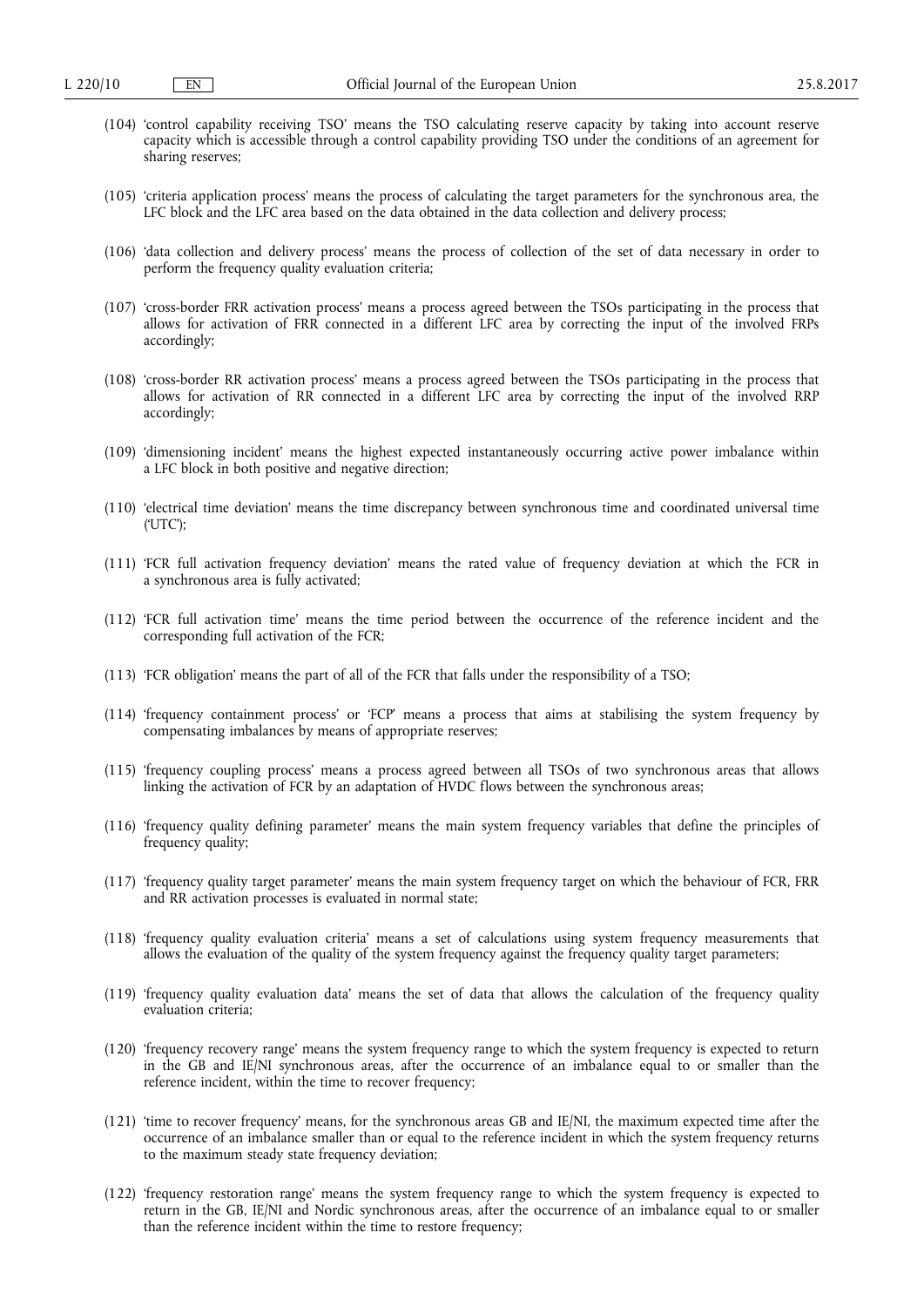- (104) 'control capability receiving TSO' means the TSO calculating reserve capacity by taking into account reserve capacity which is accessible through a control capability providing TSO under the conditions of an agreement for sharing reserves;
- (105) 'criteria application process' means the process of calculating the target parameters for the synchronous area, the LFC block and the LFC area based on the data obtained in the data collection and delivery process;
- (106) 'data collection and delivery process' means the process of collection of the set of data necessary in order to perform the frequency quality evaluation criteria;
- (107) 'cross-border FRR activation process' means a process agreed between the TSOs participating in the process that allows for activation of FRR connected in a different LFC area by correcting the input of the involved FRPs accordingly;
- (108) 'cross-border RR activation process' means a process agreed between the TSOs participating in the process that allows for activation of RR connected in a different LFC area by correcting the input of the involved RRP accordingly;
- (109) 'dimensioning incident' means the highest expected instantaneously occurring active power imbalance within a LFC block in both positive and negative direction;
- (110) 'electrical time deviation' means the time discrepancy between synchronous time and coordinated universal time ('UTC');
- (111) 'FCR full activation frequency deviation' means the rated value of frequency deviation at which the FCR in a synchronous area is fully activated;
- (112) 'FCR full activation time' means the time period between the occurrence of the reference incident and the corresponding full activation of the FCR;
- (113) 'FCR obligation' means the part of all of the FCR that falls under the responsibility of a TSO;
- (114) 'frequency containment process' or 'FCP' means a process that aims at stabilising the system frequency by compensating imbalances by means of appropriate reserves;
- (115) 'frequency coupling process' means a process agreed between all TSOs of two synchronous areas that allows linking the activation of FCR by an adaptation of HVDC flows between the synchronous areas;
- (116) 'frequency quality defining parameter' means the main system frequency variables that define the principles of frequency quality;
- (117) 'frequency quality target parameter' means the main system frequency target on which the behaviour of FCR, FRR and RR activation processes is evaluated in normal state;
- (118) 'frequency quality evaluation criteria' means a set of calculations using system frequency measurements that allows the evaluation of the quality of the system frequency against the frequency quality target parameters;
- (119) 'frequency quality evaluation data' means the set of data that allows the calculation of the frequency quality evaluation criteria;
- (120) 'frequency recovery range' means the system frequency range to which the system frequency is expected to return in the GB and IE/NI synchronous areas, after the occurrence of an imbalance equal to or smaller than the reference incident, within the time to recover frequency;
- (121) 'time to recover frequency' means, for the synchronous areas GB and IE/NI, the maximum expected time after the occurrence of an imbalance smaller than or equal to the reference incident in which the system frequency returns to the maximum steady state frequency deviation;
- (122) 'frequency restoration range' means the system frequency range to which the system frequency is expected to return in the GB, IE/NI and Nordic synchronous areas, after the occurrence of an imbalance equal to or smaller than the reference incident within the time to restore frequency;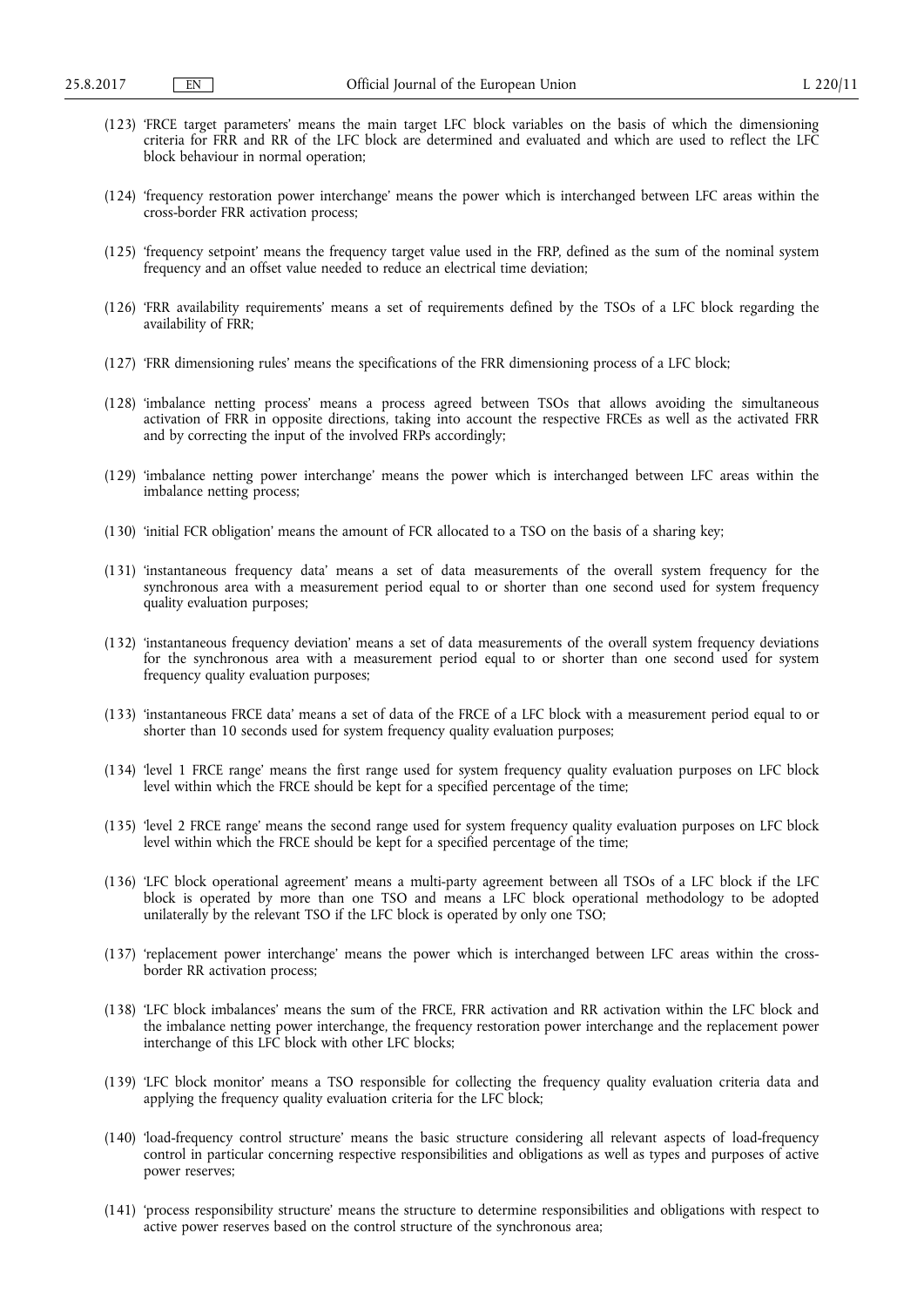- (123) 'FRCE target parameters' means the main target LFC block variables on the basis of which the dimensioning criteria for FRR and RR of the LFC block are determined and evaluated and which are used to reflect the LFC block behaviour in normal operation;
- (124) 'frequency restoration power interchange' means the power which is interchanged between LFC areas within the cross-border FRR activation process;
- (125) 'frequency setpoint' means the frequency target value used in the FRP, defined as the sum of the nominal system frequency and an offset value needed to reduce an electrical time deviation;
- (126) 'FRR availability requirements' means a set of requirements defined by the TSOs of a LFC block regarding the availability of FRR;
- (127) 'FRR dimensioning rules' means the specifications of the FRR dimensioning process of a LFC block;
- (128) 'imbalance netting process' means a process agreed between TSOs that allows avoiding the simultaneous activation of FRR in opposite directions, taking into account the respective FRCEs as well as the activated FRR and by correcting the input of the involved FRPs accordingly;
- (129) 'imbalance netting power interchange' means the power which is interchanged between LFC areas within the imbalance netting process;
- (130) 'initial FCR obligation' means the amount of FCR allocated to a TSO on the basis of a sharing key;
- (131) 'instantaneous frequency data' means a set of data measurements of the overall system frequency for the synchronous area with a measurement period equal to or shorter than one second used for system frequency quality evaluation purposes;
- (132) 'instantaneous frequency deviation' means a set of data measurements of the overall system frequency deviations for the synchronous area with a measurement period equal to or shorter than one second used for system frequency quality evaluation purposes:
- (133) 'instantaneous FRCE data' means a set of data of the FRCE of a LFC block with a measurement period equal to or shorter than 10 seconds used for system frequency quality evaluation purposes;
- (134) 'level 1 FRCE range' means the first range used for system frequency quality evaluation purposes on LFC block level within which the FRCE should be kept for a specified percentage of the time;
- (135) 'level 2 FRCE range' means the second range used for system frequency quality evaluation purposes on LFC block level within which the FRCE should be kept for a specified percentage of the time;
- (136) 'LFC block operational agreement' means a multi-party agreement between all TSOs of a LFC block if the LFC block is operated by more than one TSO and means a LFC block operational methodology to be adopted unilaterally by the relevant TSO if the LFC block is operated by only one TSO;
- (137) 'replacement power interchange' means the power which is interchanged between LFC areas within the crossborder RR activation process;
- (138) 'LFC block imbalances' means the sum of the FRCE, FRR activation and RR activation within the LFC block and the imbalance netting power interchange, the frequency restoration power interchange and the replacement power interchange of this LFC block with other LFC blocks;
- (139) 'LFC block monitor' means a TSO responsible for collecting the frequency quality evaluation criteria data and applying the frequency quality evaluation criteria for the LFC block;
- (140) 'load-frequency control structure' means the basic structure considering all relevant aspects of load-frequency control in particular concerning respective responsibilities and obligations as well as types and purposes of active power reserves;
- (141) 'process responsibility structure' means the structure to determine responsibilities and obligations with respect to active power reserves based on the control structure of the synchronous area;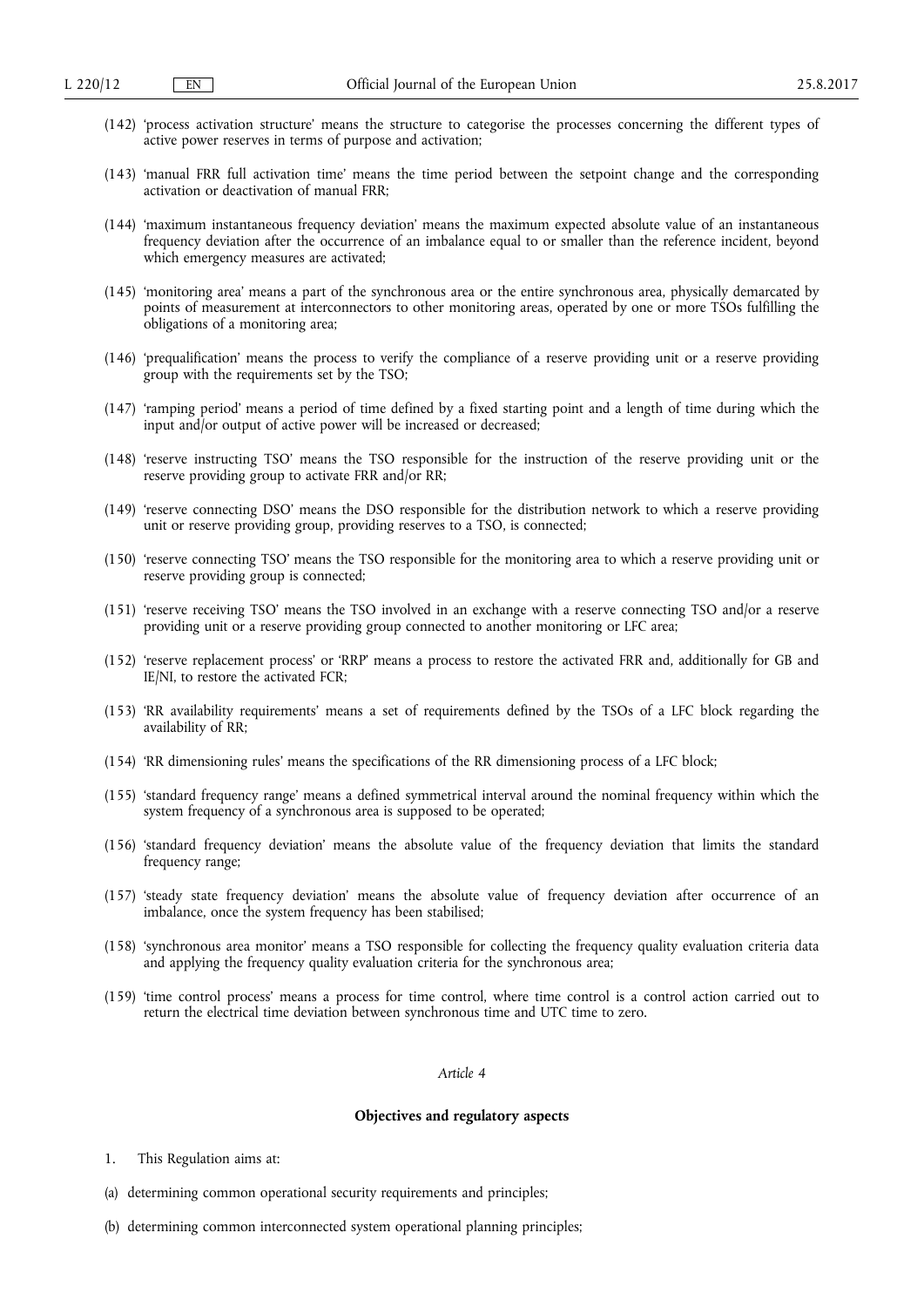- (142) 'process activation structure' means the structure to categorise the processes concerning the different types of active power reserves in terms of purpose and activation;
- (143) 'manual FRR full activation time' means the time period between the setpoint change and the corresponding activation or deactivation of manual FRR;
- (144) 'maximum instantaneous frequency deviation' means the maximum expected absolute value of an instantaneous frequency deviation after the occurrence of an imbalance equal to or smaller than the reference incident, beyond which emergency measures are activated;
- (145) 'monitoring area' means a part of the synchronous area or the entire synchronous area, physically demarcated by points of measurement at interconnectors to other monitoring areas, operated by one or more TSOs fulfilling the obligations of a monitoring area;
- (146) 'prequalification' means the process to verify the compliance of a reserve providing unit or a reserve providing group with the requirements set by the TSO;
- (147) 'ramping period' means a period of time defined by a fixed starting point and a length of time during which the input and/or output of active power will be increased or decreased;
- (148) 'reserve instructing TSO' means the TSO responsible for the instruction of the reserve providing unit or the reserve providing group to activate FRR and/or RR;
- (149) 'reserve connecting DSO' means the DSO responsible for the distribution network to which a reserve providing unit or reserve providing group, providing reserves to a TSO, is connected;
- (150) 'reserve connecting TSO' means the TSO responsible for the monitoring area to which a reserve providing unit or reserve providing group is connected;
- (151) 'reserve receiving TSO' means the TSO involved in an exchange with a reserve connecting TSO and/or a reserve providing unit or a reserve providing group connected to another monitoring or LFC area;
- (152) 'reserve replacement process' or 'RRP' means a process to restore the activated FRR and, additionally for GB and IE/NI, to restore the activated FCR;
- (153) 'RR availability requirements' means a set of requirements defined by the TSOs of a LFC block regarding the availability of RR;
- (154) 'RR dimensioning rules' means the specifications of the RR dimensioning process of a LFC block;
- (155) 'standard frequency range' means a defined symmetrical interval around the nominal frequency within which the system frequency of a synchronous area is supposed to be operated;
- (156) 'standard frequency deviation' means the absolute value of the frequency deviation that limits the standard frequency range;
- (157) 'steady state frequency deviation' means the absolute value of frequency deviation after occurrence of an imbalance, once the system frequency has been stabilised;
- (158) 'synchronous area monitor' means a TSO responsible for collecting the frequency quality evaluation criteria data and applying the frequency quality evaluation criteria for the synchronous area;
- (159) 'time control process' means a process for time control, where time control is a control action carried out to return the electrical time deviation between synchronous time and UTC time to zero.

# **Objectives and regulatory aspects**

- 1. This Regulation aims at:
- (a) determining common operational security requirements and principles;
- (b) determining common interconnected system operational planning principles;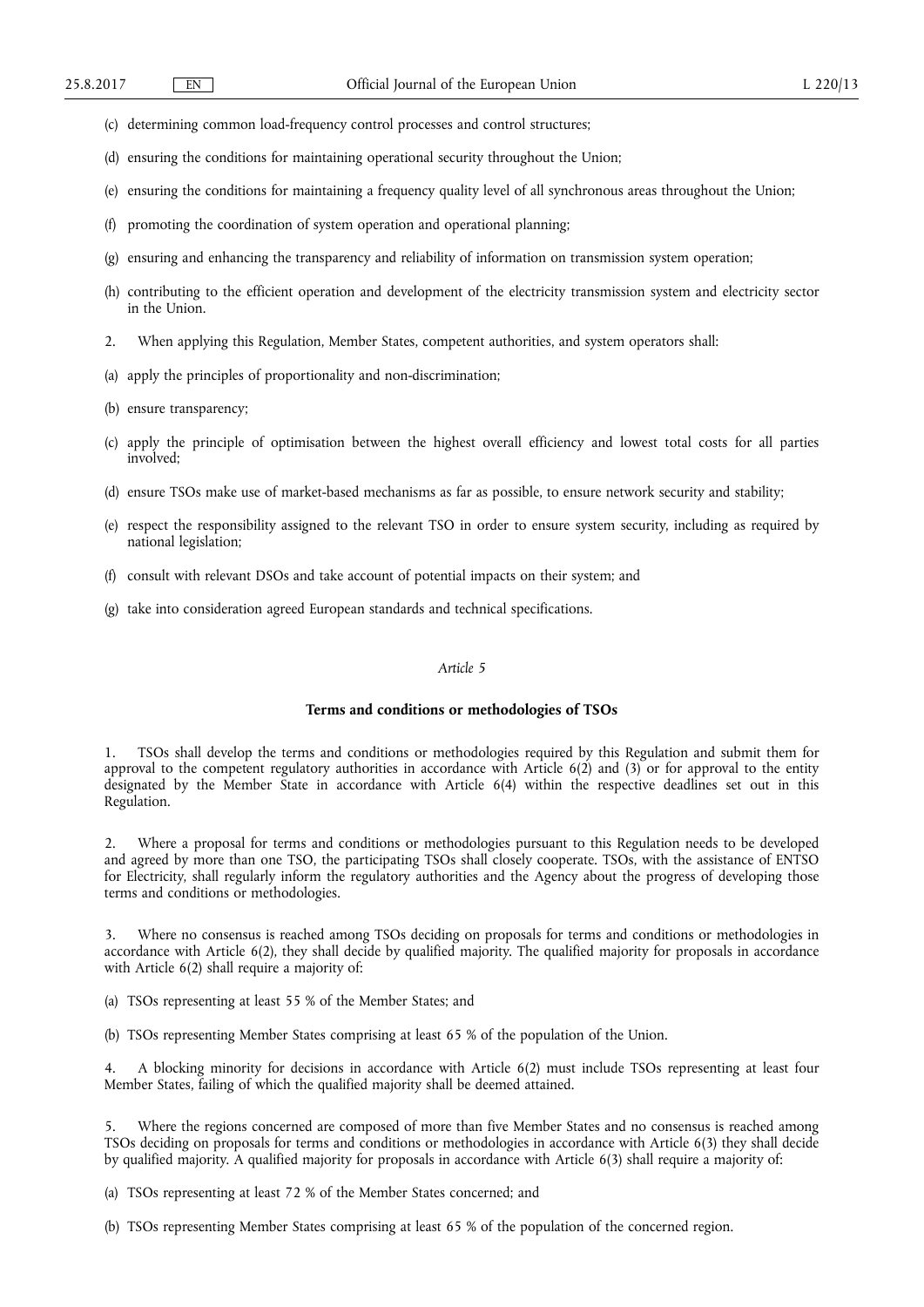- (c) determining common load-frequency control processes and control structures;
- (d) ensuring the conditions for maintaining operational security throughout the Union;
- (e) ensuring the conditions for maintaining a frequency quality level of all synchronous areas throughout the Union;
- (f) promoting the coordination of system operation and operational planning;
- (g) ensuring and enhancing the transparency and reliability of information on transmission system operation;
- (h) contributing to the efficient operation and development of the electricity transmission system and electricity sector in the Union.
- 2. When applying this Regulation, Member States, competent authorities, and system operators shall:
- (a) apply the principles of proportionality and non-discrimination;
- (b) ensure transparency;
- (c) apply the principle of optimisation between the highest overall efficiency and lowest total costs for all parties involved;
- (d) ensure TSOs make use of market-based mechanisms as far as possible, to ensure network security and stability;
- (e) respect the responsibility assigned to the relevant TSO in order to ensure system security, including as required by national legislation;
- (f) consult with relevant DSOs and take account of potential impacts on their system; and
- (g) take into consideration agreed European standards and technical specifications.

## **Terms and conditions or methodologies of TSOs**

1. TSOs shall develop the terms and conditions or methodologies required by this Regulation and submit them for approval to the competent regulatory authorities in accordance with Article 6(2) and (3) or for approval to the entity designated by the Member State in accordance with Article 6(4) within the respective deadlines set out in this Regulation.

2. Where a proposal for terms and conditions or methodologies pursuant to this Regulation needs to be developed and agreed by more than one TSO, the participating TSOs shall closely cooperate. TSOs, with the assistance of ENTSO for Electricity, shall regularly inform the regulatory authorities and the Agency about the progress of developing those terms and conditions or methodologies.

3. Where no consensus is reached among TSOs deciding on proposals for terms and conditions or methodologies in accordance with Article 6(2), they shall decide by qualified majority. The qualified majority for proposals in accordance with Article 6(2) shall require a majority of:

(a) TSOs representing at least 55 % of the Member States; and

(b) TSOs representing Member States comprising at least 65 % of the population of the Union.

4. A blocking minority for decisions in accordance with Article 6(2) must include TSOs representing at least four Member States, failing of which the qualified majority shall be deemed attained.

5. Where the regions concerned are composed of more than five Member States and no consensus is reached among TSOs deciding on proposals for terms and conditions or methodologies in accordance with Article 6(3) they shall decide by qualified majority. A qualified majority for proposals in accordance with Article 6(3) shall require a majority of:

(a) TSOs representing at least 72 % of the Member States concerned; and

(b) TSOs representing Member States comprising at least 65 % of the population of the concerned region.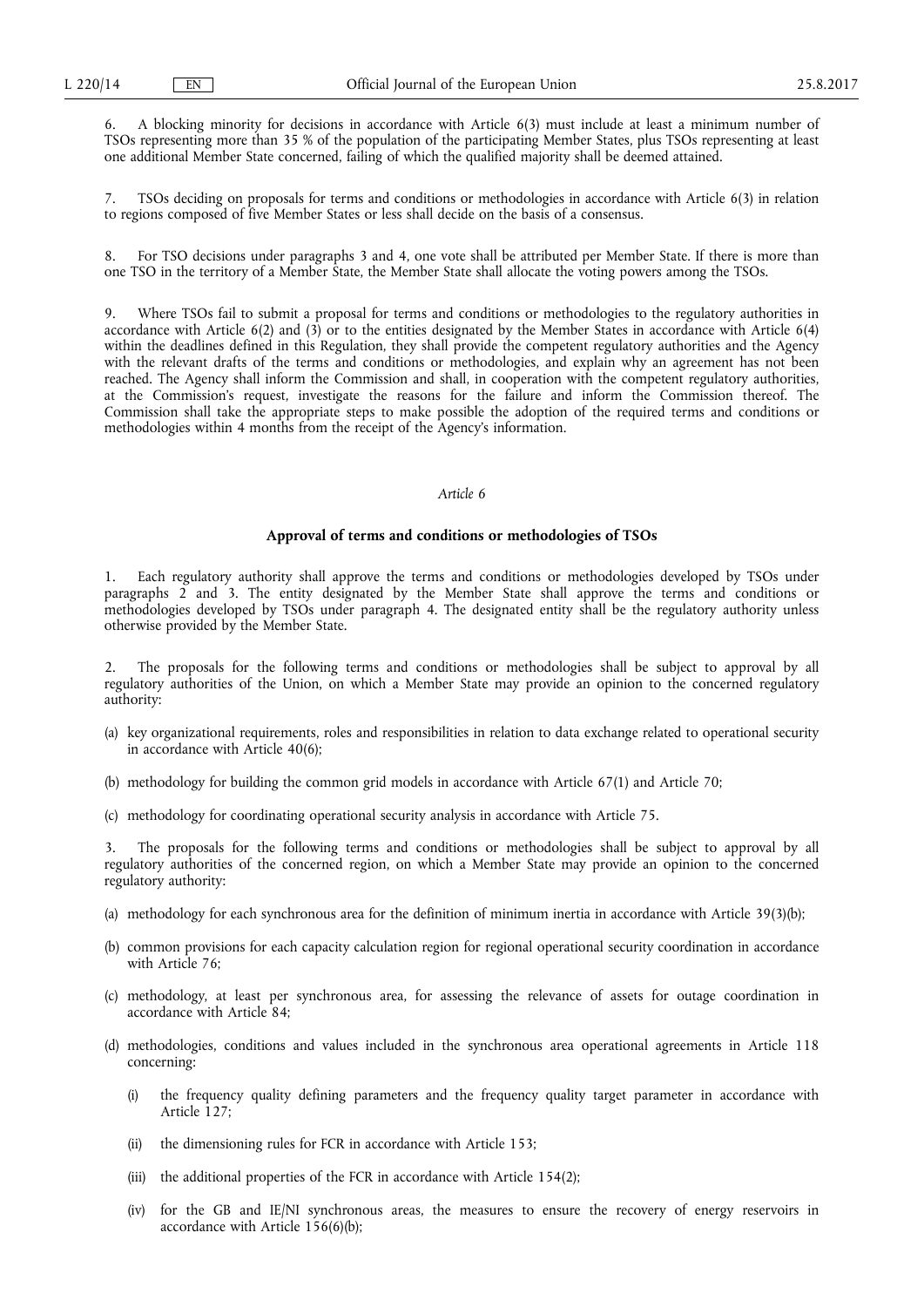6. A blocking minority for decisions in accordance with Article 6(3) must include at least a minimum number of TSOs representing more than 35 % of the population of the participating Member States, plus TSOs representing at least one additional Member State concerned, failing of which the qualified majority shall be deemed attained.

7. TSOs deciding on proposals for terms and conditions or methodologies in accordance with Article 6(3) in relation to regions composed of five Member States or less shall decide on the basis of a consensus.

8. For TSO decisions under paragraphs 3 and 4, one vote shall be attributed per Member State. If there is more than one TSO in the territory of a Member State, the Member State shall allocate the voting powers among the TSOs.

9. Where TSOs fail to submit a proposal for terms and conditions or methodologies to the regulatory authorities in accordance with Article 6(2) and (3) or to the entities designated by the Member States in accordance with Article 6(4) within the deadlines defined in this Regulation, they shall provide the competent regulatory authorities and the Agency with the relevant drafts of the terms and conditions or methodologies, and explain why an agreement has not been reached. The Agency shall inform the Commission and shall, in cooperation with the competent regulatory authorities, at the Commission's request, investigate the reasons for the failure and inform the Commission thereof. The Commission shall take the appropriate steps to make possible the adoption of the required terms and conditions or methodologies within 4 months from the receipt of the Agency's information.

# *Article 6*

#### **Approval of terms and conditions or methodologies of TSOs**

1. Each regulatory authority shall approve the terms and conditions or methodologies developed by TSOs under paragraphs 2 and 3. The entity designated by the Member State shall approve the terms and conditions or methodologies developed by TSOs under paragraph 4. The designated entity shall be the regulatory authority unless otherwise provided by the Member State.

2. The proposals for the following terms and conditions or methodologies shall be subject to approval by all regulatory authorities of the Union, on which a Member State may provide an opinion to the concerned regulatory authority:

- (a) key organizational requirements, roles and responsibilities in relation to data exchange related to operational security in accordance with Article 40(6);
- (b) methodology for building the common grid models in accordance with Article 67(1) and Article 70;
- (c) methodology for coordinating operational security analysis in accordance with Article 75.

The proposals for the following terms and conditions or methodologies shall be subject to approval by all regulatory authorities of the concerned region, on which a Member State may provide an opinion to the concerned regulatory authority:

- (a) methodology for each synchronous area for the definition of minimum inertia in accordance with Article 39(3)(b);
- (b) common provisions for each capacity calculation region for regional operational security coordination in accordance with Article 76:
- (c) methodology, at least per synchronous area, for assessing the relevance of assets for outage coordination in accordance with Article 84;
- (d) methodologies, conditions and values included in the synchronous area operational agreements in Article 118 concerning:
	- (i) the frequency quality defining parameters and the frequency quality target parameter in accordance with Article 127;
	- (ii) the dimensioning rules for FCR in accordance with Article 153;
	- (iii) the additional properties of the FCR in accordance with Article 154(2);
	- (iv) for the GB and IE/NI synchronous areas, the measures to ensure the recovery of energy reservoirs in accordance with Article 156(6)(b);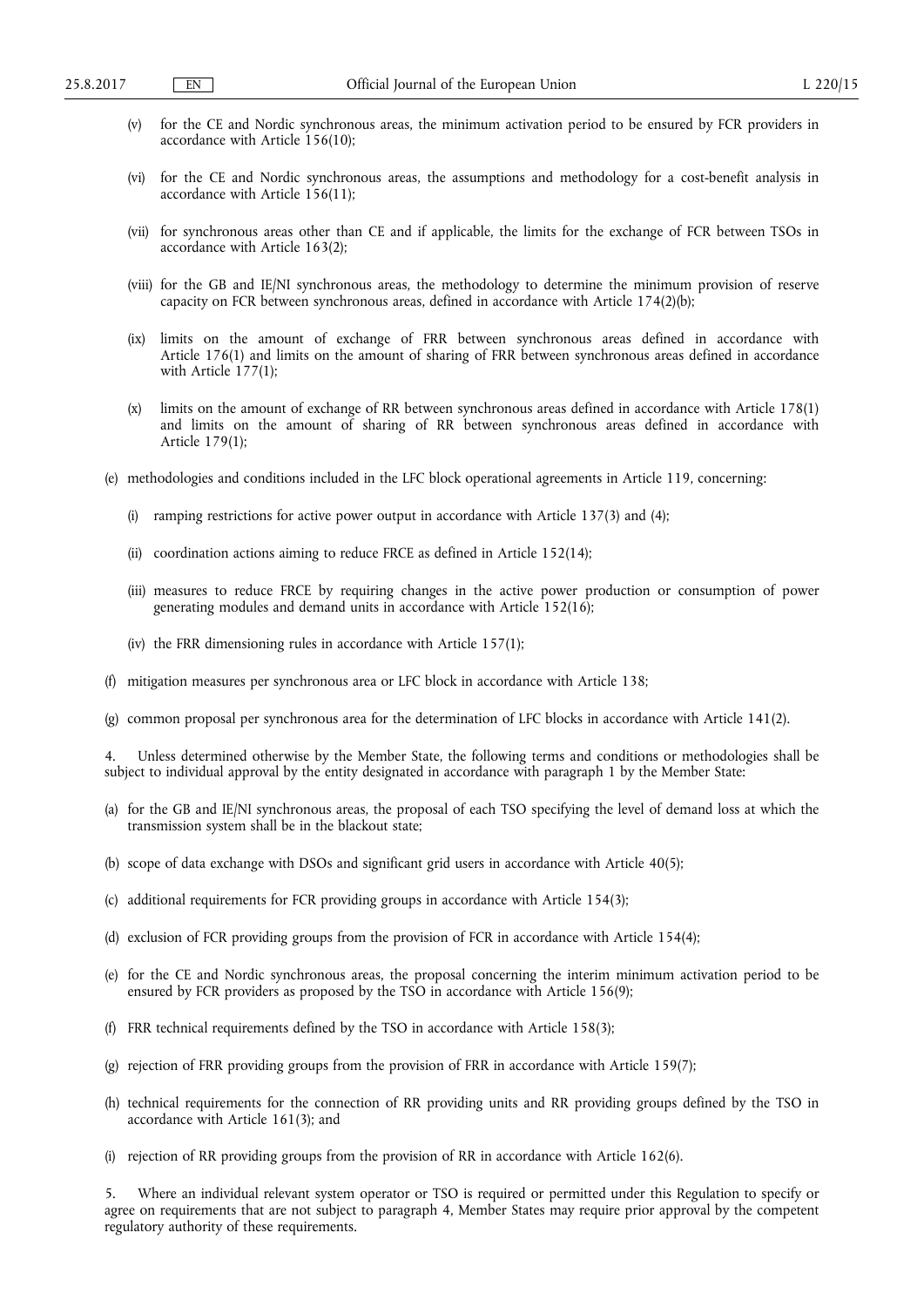- (v) for the CE and Nordic synchronous areas, the minimum activation period to be ensured by FCR providers in accordance with Article 156(10);
- (vi) for the CE and Nordic synchronous areas, the assumptions and methodology for a cost-benefit analysis in accordance with Article 156(11);
- (vii) for synchronous areas other than CE and if applicable, the limits for the exchange of FCR between TSOs in accordance with Article 163(2);
- (viii) for the GB and IE/NI synchronous areas, the methodology to determine the minimum provision of reserve capacity on FCR between synchronous areas, defined in accordance with Article 174(2)(b);
- (ix) limits on the amount of exchange of FRR between synchronous areas defined in accordance with Article 176(1) and limits on the amount of sharing of FRR between synchronous areas defined in accordance with Article 177(1);
- (x) limits on the amount of exchange of RR between synchronous areas defined in accordance with Article 178(1) and limits on the amount of sharing of RR between synchronous areas defined in accordance with Article 179(1);
- (e) methodologies and conditions included in the LFC block operational agreements in Article 119, concerning:
	- (i) ramping restrictions for active power output in accordance with Article 137(3) and (4);
	- (ii) coordination actions aiming to reduce FRCE as defined in Article 152(14);
	- (iii) measures to reduce FRCE by requiring changes in the active power production or consumption of power generating modules and demand units in accordance with Article 152(16);
	- (iv) the FRR dimensioning rules in accordance with Article 157(1);
- (f) mitigation measures per synchronous area or LFC block in accordance with Article 138;
- (g) common proposal per synchronous area for the determination of LFC blocks in accordance with Article 141(2).

Unless determined otherwise by the Member State, the following terms and conditions or methodologies shall be subject to individual approval by the entity designated in accordance with paragraph 1 by the Member State:

- (a) for the GB and IE/NI synchronous areas, the proposal of each TSO specifying the level of demand loss at which the transmission system shall be in the blackout state;
- (b) scope of data exchange with DSOs and significant grid users in accordance with Article 40(5);
- (c) additional requirements for FCR providing groups in accordance with Article 154(3);
- (d) exclusion of FCR providing groups from the provision of FCR in accordance with Article 154(4);
- (e) for the CE and Nordic synchronous areas, the proposal concerning the interim minimum activation period to be ensured by FCR providers as proposed by the TSO in accordance with Article 156(9);
- (f) FRR technical requirements defined by the TSO in accordance with Article 158(3);
- (g) rejection of FRR providing groups from the provision of FRR in accordance with Article 159(7);
- (h) technical requirements for the connection of RR providing units and RR providing groups defined by the TSO in accordance with Article 161(3); and
- (i) rejection of RR providing groups from the provision of RR in accordance with Article 162(6).

5. Where an individual relevant system operator or TSO is required or permitted under this Regulation to specify or agree on requirements that are not subject to paragraph 4, Member States may require prior approval by the competent regulatory authority of these requirements.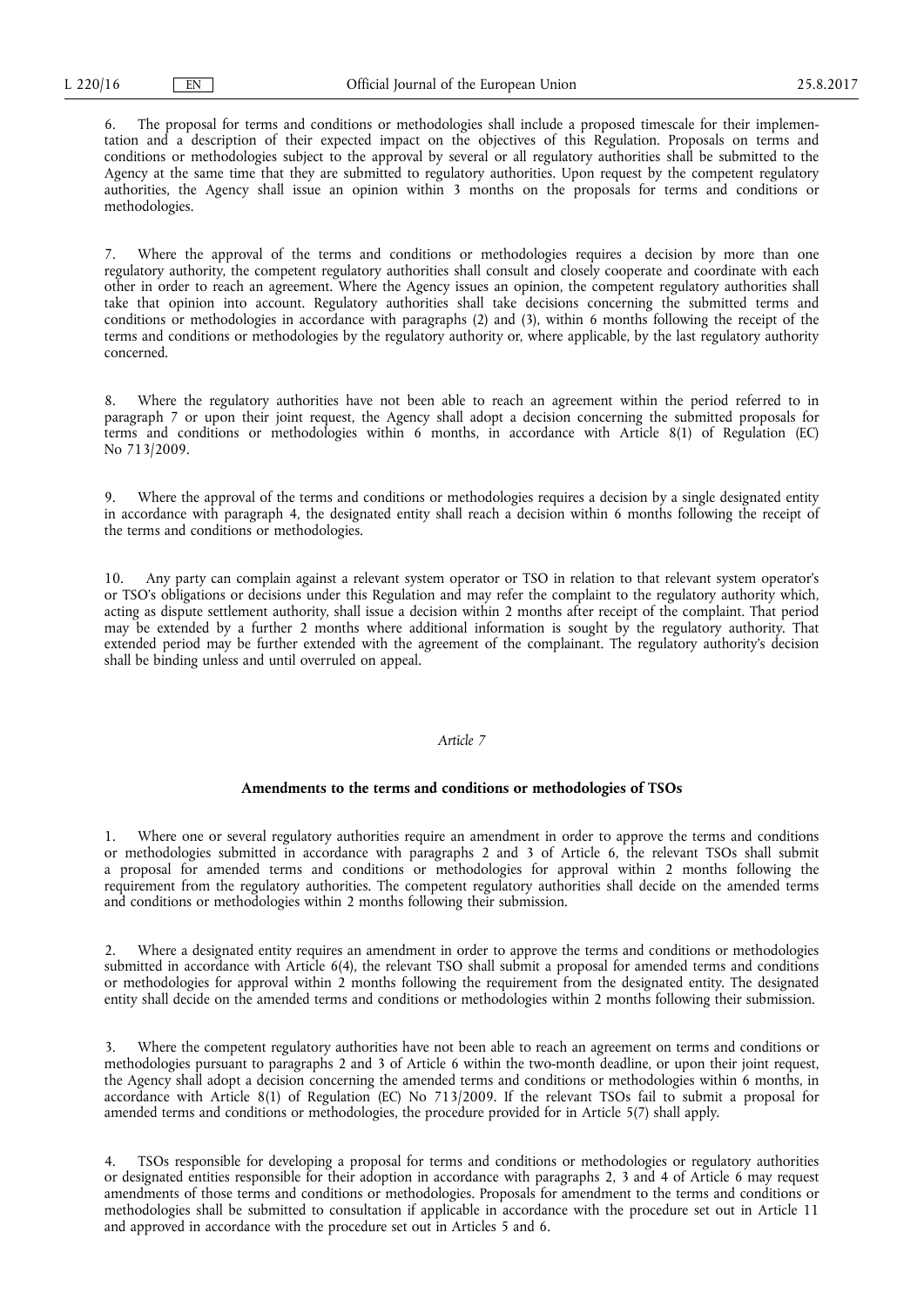6. The proposal for terms and conditions or methodologies shall include a proposed timescale for their implementation and a description of their expected impact on the objectives of this Regulation. Proposals on terms and conditions or methodologies subject to the approval by several or all regulatory authorities shall be submitted to the Agency at the same time that they are submitted to regulatory authorities. Upon request by the competent regulatory authorities, the Agency shall issue an opinion within 3 months on the proposals for terms and conditions or methodologies.

7. Where the approval of the terms and conditions or methodologies requires a decision by more than one regulatory authority, the competent regulatory authorities shall consult and closely cooperate and coordinate with each other in order to reach an agreement. Where the Agency issues an opinion, the competent regulatory authorities shall take that opinion into account. Regulatory authorities shall take decisions concerning the submitted terms and conditions or methodologies in accordance with paragraphs (2) and (3), within 6 months following the receipt of the terms and conditions or methodologies by the regulatory authority or, where applicable, by the last regulatory authority concerned.

Where the regulatory authorities have not been able to reach an agreement within the period referred to in paragraph 7 or upon their joint request, the Agency shall adopt a decision concerning the submitted proposals for terms and conditions or methodologies within 6 months, in accordance with Article 8(1) of Regulation (EC) No 713/2009.

9. Where the approval of the terms and conditions or methodologies requires a decision by a single designated entity in accordance with paragraph 4, the designated entity shall reach a decision within 6 months following the receipt of the terms and conditions or methodologies.

10. Any party can complain against a relevant system operator or TSO in relation to that relevant system operator's or TSO's obligations or decisions under this Regulation and may refer the complaint to the regulatory authority which, acting as dispute settlement authority, shall issue a decision within 2 months after receipt of the complaint. That period may be extended by a further 2 months where additional information is sought by the regulatory authority. That extended period may be further extended with the agreement of the complainant. The regulatory authority's decision shall be binding unless and until overruled on appeal.

# *Article 7*

# **Amendments to the terms and conditions or methodologies of TSOs**

1. Where one or several regulatory authorities require an amendment in order to approve the terms and conditions or methodologies submitted in accordance with paragraphs 2 and 3 of Article 6, the relevant TSOs shall submit a proposal for amended terms and conditions or methodologies for approval within 2 months following the requirement from the regulatory authorities. The competent regulatory authorities shall decide on the amended terms and conditions or methodologies within 2 months following their submission.

2. Where a designated entity requires an amendment in order to approve the terms and conditions or methodologies submitted in accordance with Article 6(4), the relevant TSO shall submit a proposal for amended terms and conditions or methodologies for approval within 2 months following the requirement from the designated entity. The designated entity shall decide on the amended terms and conditions or methodologies within 2 months following their submission.

3. Where the competent regulatory authorities have not been able to reach an agreement on terms and conditions or methodologies pursuant to paragraphs 2 and 3 of Article 6 within the two-month deadline, or upon their joint request, the Agency shall adopt a decision concerning the amended terms and conditions or methodologies within 6 months, in accordance with Article 8(1) of Regulation (EC) No 713/2009. If the relevant TSOs fail to submit a proposal for amended terms and conditions or methodologies, the procedure provided for in Article 5(7) shall apply.

4. TSOs responsible for developing a proposal for terms and conditions or methodologies or regulatory authorities or designated entities responsible for their adoption in accordance with paragraphs 2, 3 and 4 of Article 6 may request amendments of those terms and conditions or methodologies. Proposals for amendment to the terms and conditions or methodologies shall be submitted to consultation if applicable in accordance with the procedure set out in Article 11 and approved in accordance with the procedure set out in Articles 5 and 6.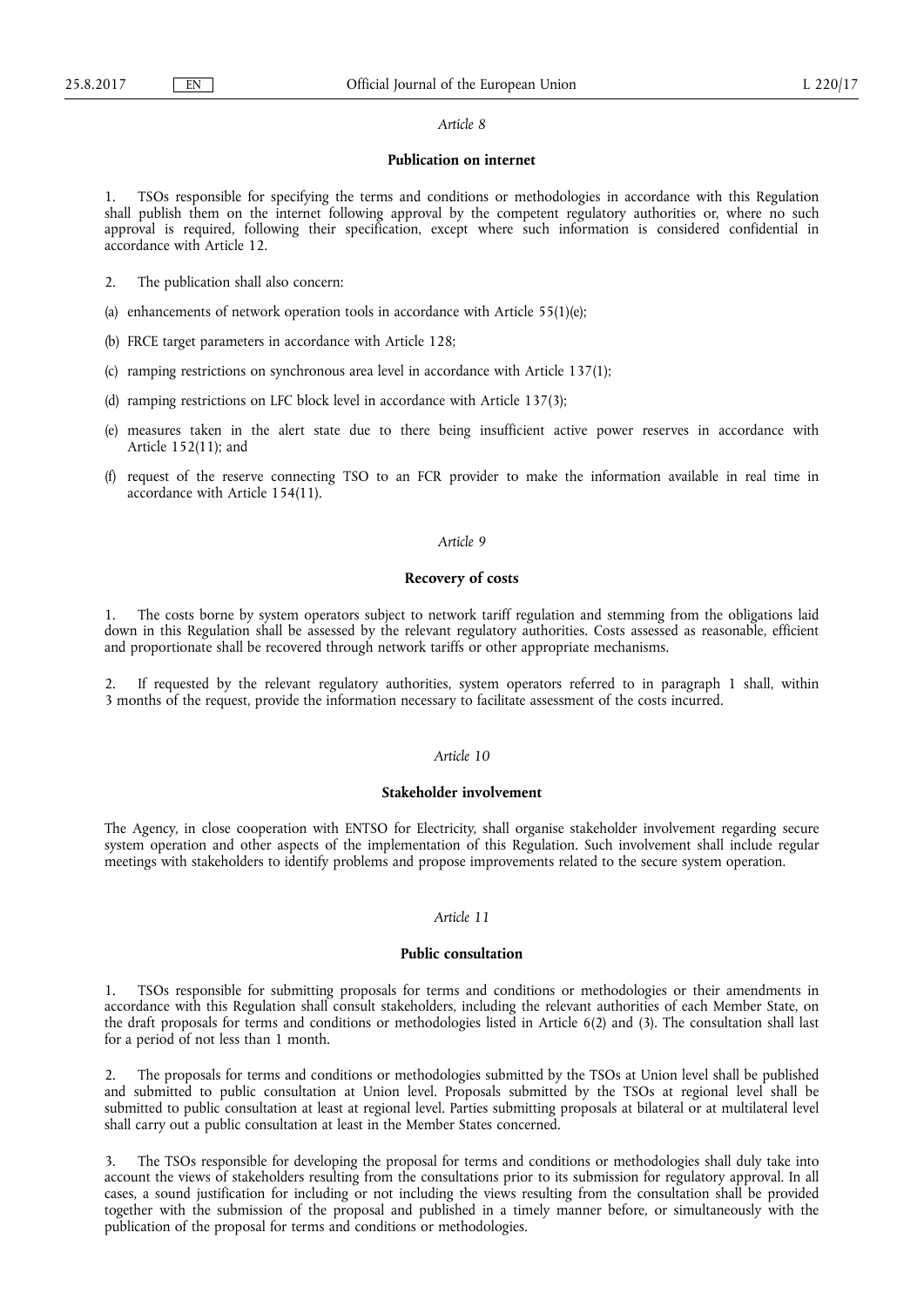# **Publication on internet**

1. TSOs responsible for specifying the terms and conditions or methodologies in accordance with this Regulation shall publish them on the internet following approval by the competent regulatory authorities or, where no such approval is required, following their specification, except where such information is considered confidential in accordance with Article 12.

- 2. The publication shall also concern:
- (a) enhancements of network operation tools in accordance with Article 55(1)(e);
- (b) FRCE target parameters in accordance with Article 128;
- (c) ramping restrictions on synchronous area level in accordance with Article 137(1);
- (d) ramping restrictions on LFC block level in accordance with Article 137(3);
- (e) measures taken in the alert state due to there being insufficient active power reserves in accordance with Article 152(11); and
- (f) request of the reserve connecting TSO to an FCR provider to make the information available in real time in accordance with Article 154(11).

#### *Article 9*

## **Recovery of costs**

1. The costs borne by system operators subject to network tariff regulation and stemming from the obligations laid down in this Regulation shall be assessed by the relevant regulatory authorities. Costs assessed as reasonable, efficient and proportionate shall be recovered through network tariffs or other appropriate mechanisms.

2. If requested by the relevant regulatory authorities, system operators referred to in paragraph 1 shall, within 3 months of the request, provide the information necessary to facilitate assessment of the costs incurred.

# *Article 10*

#### **Stakeholder involvement**

The Agency, in close cooperation with ENTSO for Electricity, shall organise stakeholder involvement regarding secure system operation and other aspects of the implementation of this Regulation. Such involvement shall include regular meetings with stakeholders to identify problems and propose improvements related to the secure system operation.

# *Article 11*

## **Public consultation**

1. TSOs responsible for submitting proposals for terms and conditions or methodologies or their amendments in accordance with this Regulation shall consult stakeholders, including the relevant authorities of each Member State, on the draft proposals for terms and conditions or methodologies listed in Article 6(2) and (3). The consultation shall last for a period of not less than 1 month.

2. The proposals for terms and conditions or methodologies submitted by the TSOs at Union level shall be published and submitted to public consultation at Union level. Proposals submitted by the TSOs at regional level shall be submitted to public consultation at least at regional level. Parties submitting proposals at bilateral or at multilateral level shall carry out a public consultation at least in the Member States concerned.

3. The TSOs responsible for developing the proposal for terms and conditions or methodologies shall duly take into account the views of stakeholders resulting from the consultations prior to its submission for regulatory approval. In all cases, a sound justification for including or not including the views resulting from the consultation shall be provided together with the submission of the proposal and published in a timely manner before, or simultaneously with the publication of the proposal for terms and conditions or methodologies.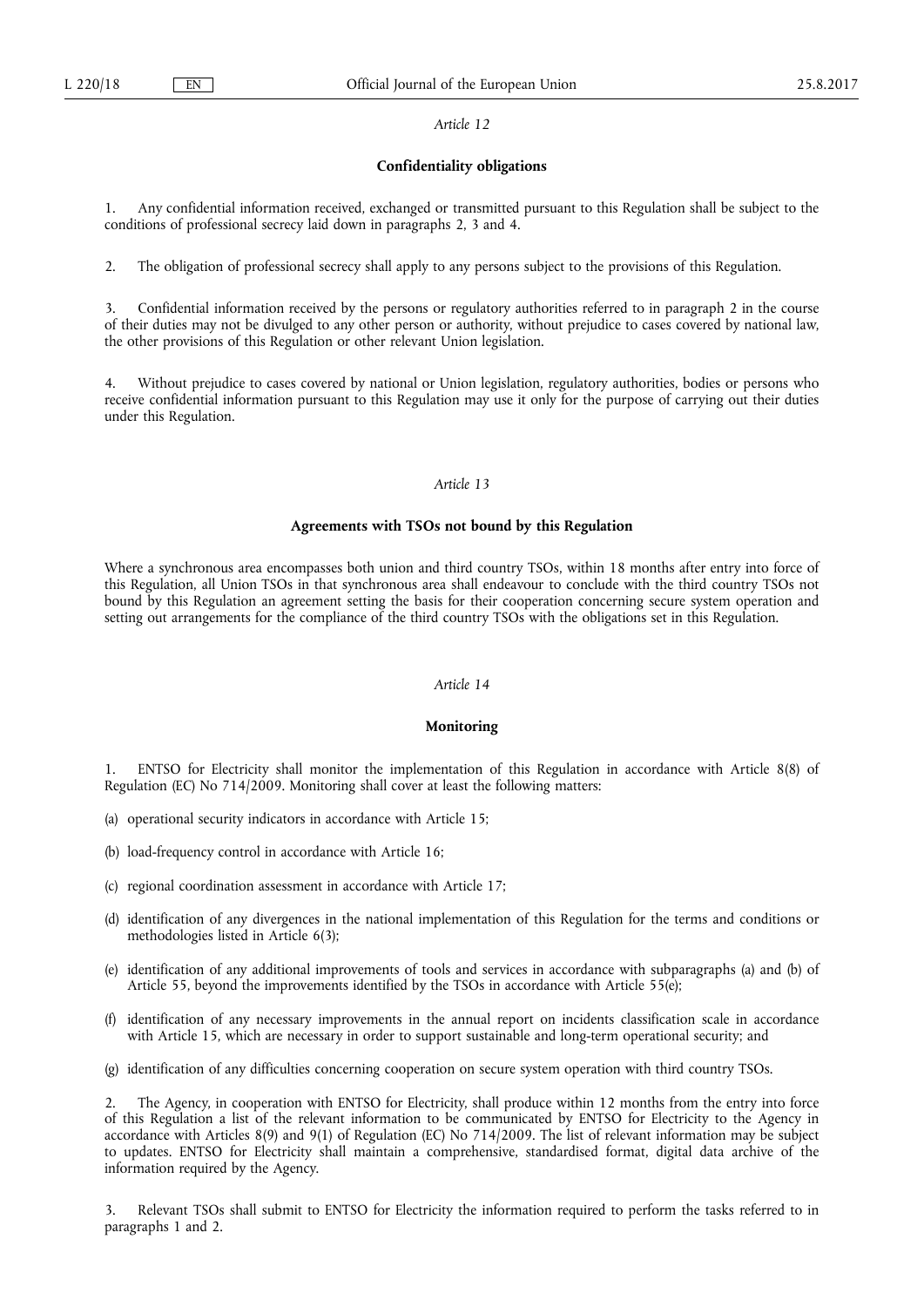## **Confidentiality obligations**

1. Any confidential information received, exchanged or transmitted pursuant to this Regulation shall be subject to the conditions of professional secrecy laid down in paragraphs 2, 3 and 4.

2. The obligation of professional secrecy shall apply to any persons subject to the provisions of this Regulation.

3. Confidential information received by the persons or regulatory authorities referred to in paragraph 2 in the course of their duties may not be divulged to any other person or authority, without prejudice to cases covered by national law, the other provisions of this Regulation or other relevant Union legislation.

4. Without prejudice to cases covered by national or Union legislation, regulatory authorities, bodies or persons who receive confidential information pursuant to this Regulation may use it only for the purpose of carrying out their duties under this Regulation.

# *Article 13*

# **Agreements with TSOs not bound by this Regulation**

Where a synchronous area encompasses both union and third country TSOs, within 18 months after entry into force of this Regulation, all Union TSOs in that synchronous area shall endeavour to conclude with the third country TSOs not bound by this Regulation an agreement setting the basis for their cooperation concerning secure system operation and setting out arrangements for the compliance of the third country TSOs with the obligations set in this Regulation.

# *Article 14*

#### **Monitoring**

1. ENTSO for Electricity shall monitor the implementation of this Regulation in accordance with Article 8(8) of Regulation (EC) No 714/2009. Monitoring shall cover at least the following matters:

(a) operational security indicators in accordance with Article 15;

- (b) load-frequency control in accordance with Article 16;
- (c) regional coordination assessment in accordance with Article 17;
- (d) identification of any divergences in the national implementation of this Regulation for the terms and conditions or methodologies listed in Article 6(3);
- (e) identification of any additional improvements of tools and services in accordance with subparagraphs (a) and (b) of Article 55, beyond the improvements identified by the TSOs in accordance with Article 55(e);
- (f) identification of any necessary improvements in the annual report on incidents classification scale in accordance with Article 15, which are necessary in order to support sustainable and long-term operational security; and
- (g) identification of any difficulties concerning cooperation on secure system operation with third country TSOs.

The Agency, in cooperation with ENTSO for Electricity, shall produce within 12 months from the entry into force of this Regulation a list of the relevant information to be communicated by ENTSO for Electricity to the Agency in accordance with Articles 8(9) and 9(1) of Regulation (EC) No 714/2009. The list of relevant information may be subject to updates. ENTSO for Electricity shall maintain a comprehensive, standardised format, digital data archive of the information required by the Agency.

Relevant TSOs shall submit to ENTSO for Electricity the information required to perform the tasks referred to in paragraphs 1 and 2.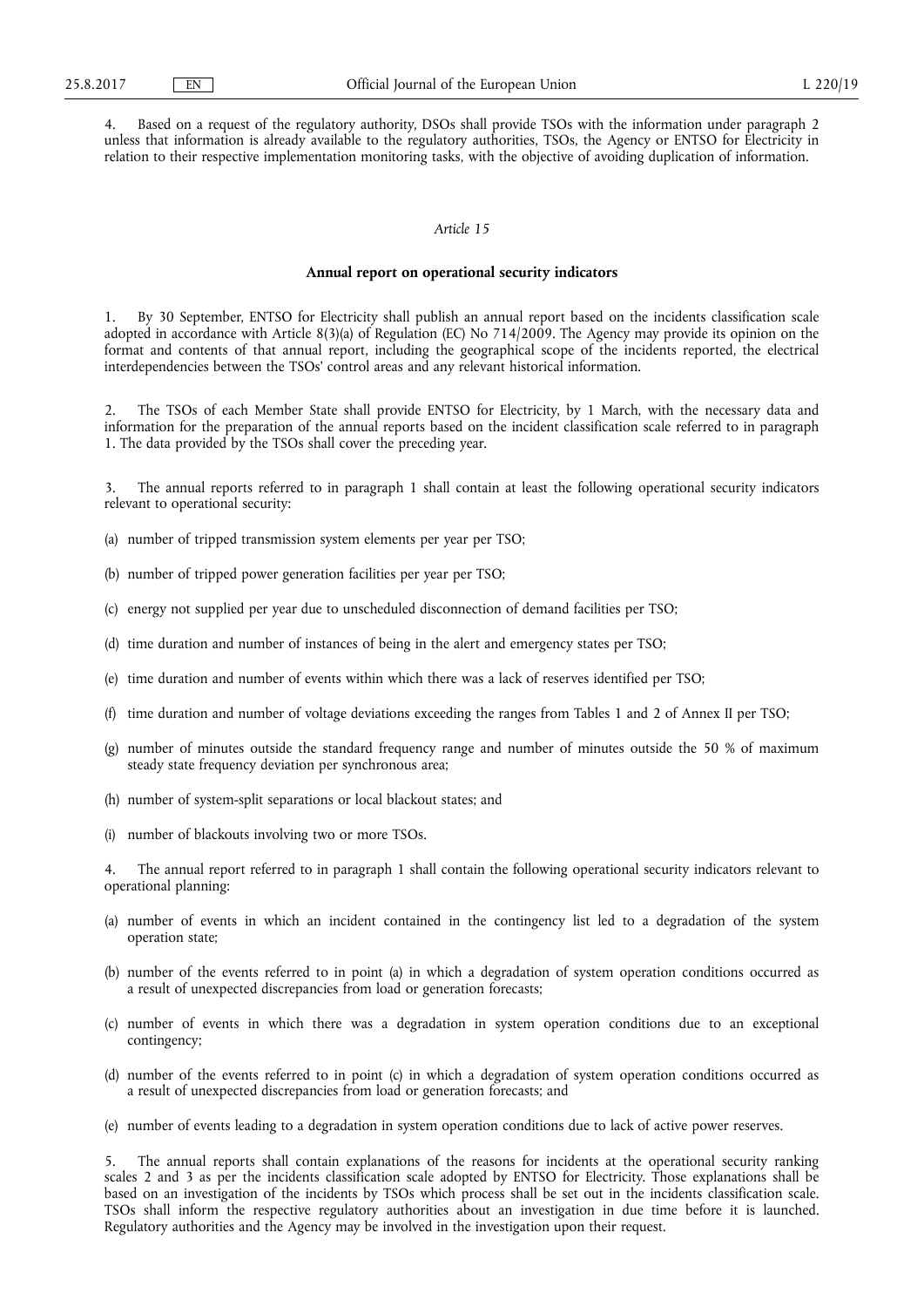4. Based on a request of the regulatory authority, DSOs shall provide TSOs with the information under paragraph 2 unless that information is already available to the regulatory authorities, TSOs, the Agency or ENTSO for Electricity in relation to their respective implementation monitoring tasks, with the objective of avoiding duplication of information.

# *Article 15*

#### **Annual report on operational security indicators**

1. By 30 September, ENTSO for Electricity shall publish an annual report based on the incidents classification scale adopted in accordance with Article 8(3)(a) of Regulation (EC) No 714/2009. The Agency may provide its opinion on the format and contents of that annual report, including the geographical scope of the incidents reported, the electrical interdependencies between the TSOs' control areas and any relevant historical information.

2. The TSOs of each Member State shall provide ENTSO for Electricity, by 1 March, with the necessary data and information for the preparation of the annual reports based on the incident classification scale referred to in paragraph 1. The data provided by the TSOs shall cover the preceding year.

3. The annual reports referred to in paragraph 1 shall contain at least the following operational security indicators relevant to operational security:

- (a) number of tripped transmission system elements per year per TSO;
- (b) number of tripped power generation facilities per year per TSO;
- (c) energy not supplied per year due to unscheduled disconnection of demand facilities per TSO;
- (d) time duration and number of instances of being in the alert and emergency states per TSO;
- (e) time duration and number of events within which there was a lack of reserves identified per TSO;
- time duration and number of voltage deviations exceeding the ranges from Tables 1 and 2 of Annex II per TSO;
- (g) number of minutes outside the standard frequency range and number of minutes outside the 50 % of maximum steady state frequency deviation per synchronous area;
- (h) number of system-split separations or local blackout states; and
- (i) number of blackouts involving two or more TSOs.

The annual report referred to in paragraph 1 shall contain the following operational security indicators relevant to operational planning:

- (a) number of events in which an incident contained in the contingency list led to a degradation of the system operation state;
- (b) number of the events referred to in point (a) in which a degradation of system operation conditions occurred as a result of unexpected discrepancies from load or generation forecasts;
- (c) number of events in which there was a degradation in system operation conditions due to an exceptional contingency;
- (d) number of the events referred to in point (c) in which a degradation of system operation conditions occurred as a result of unexpected discrepancies from load or generation forecasts; and
- (e) number of events leading to a degradation in system operation conditions due to lack of active power reserves.

5. The annual reports shall contain explanations of the reasons for incidents at the operational security ranking scales 2 and 3 as per the incidents classification scale adopted by ENTSO for Electricity. Those explanations shall be based on an investigation of the incidents by TSOs which process shall be set out in the incidents classification scale. TSOs shall inform the respective regulatory authorities about an investigation in due time before it is launched. Regulatory authorities and the Agency may be involved in the investigation upon their request.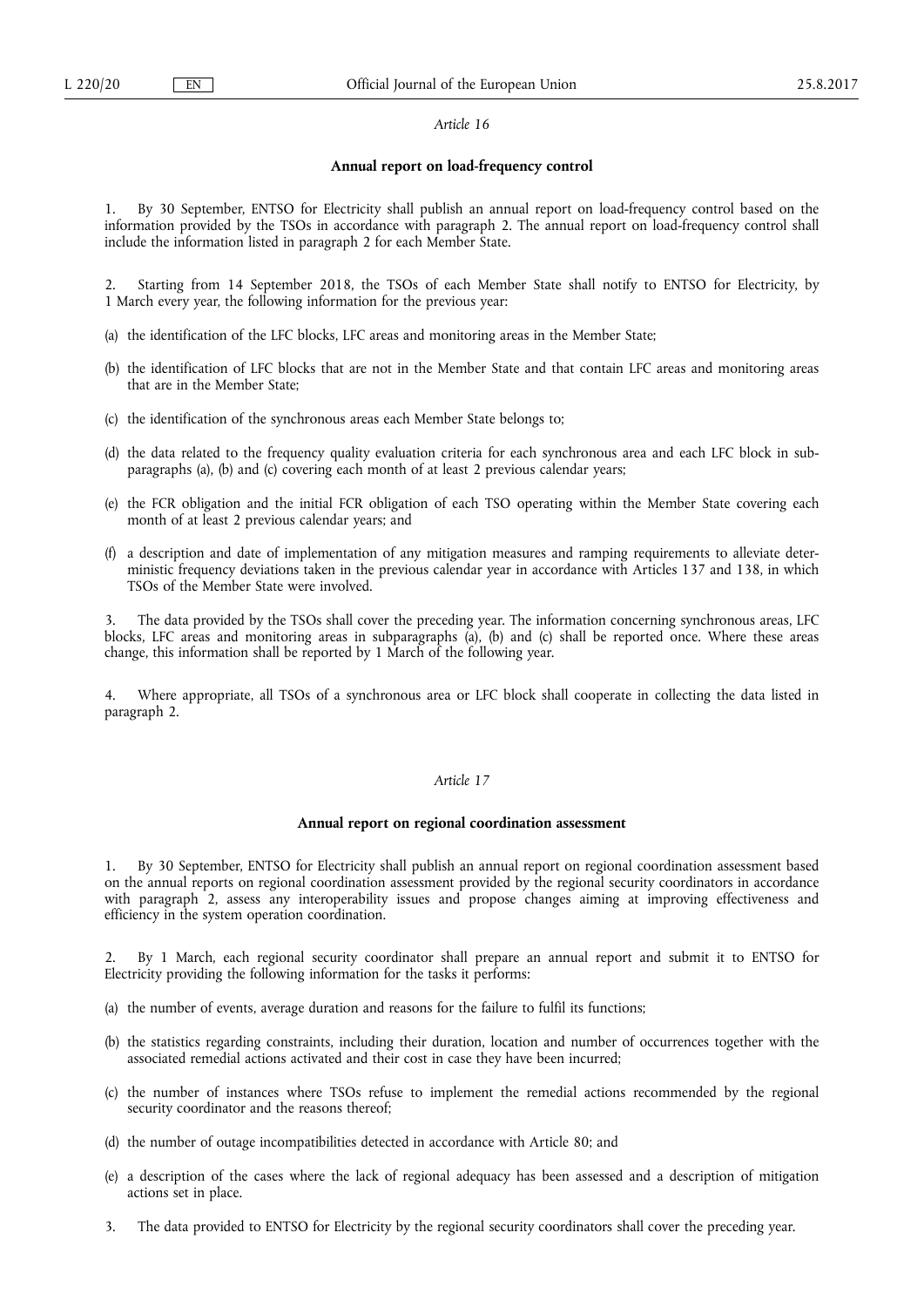# **Annual report on load-frequency control**

1. By 30 September, ENTSO for Electricity shall publish an annual report on load-frequency control based on the information provided by the TSOs in accordance with paragraph 2. The annual report on load-frequency control shall include the information listed in paragraph 2 for each Member State.

2. Starting from 14 September 2018, the TSOs of each Member State shall notify to ENTSO for Electricity, by 1 March every year, the following information for the previous year:

- (a) the identification of the LFC blocks, LFC areas and monitoring areas in the Member State;
- (b) the identification of LFC blocks that are not in the Member State and that contain LFC areas and monitoring areas that are in the Member State;
- (c) the identification of the synchronous areas each Member State belongs to;
- (d) the data related to the frequency quality evaluation criteria for each synchronous area and each LFC block in subparagraphs (a), (b) and (c) covering each month of at least 2 previous calendar years;
- (e) the FCR obligation and the initial FCR obligation of each TSO operating within the Member State covering each month of at least 2 previous calendar years; and
- (f) a description and date of implementation of any mitigation measures and ramping requirements to alleviate deterministic frequency deviations taken in the previous calendar year in accordance with Articles 137 and 138, in which TSOs of the Member State were involved.

3. The data provided by the TSOs shall cover the preceding year. The information concerning synchronous areas, LFC blocks, LFC areas and monitoring areas in subparagraphs (a), (b) and (c) shall be reported once. Where these areas change, this information shall be reported by 1 March of the following year.

4. Where appropriate, all TSOs of a synchronous area or LFC block shall cooperate in collecting the data listed in paragraph 2.

# *Article 17*

## **Annual report on regional coordination assessment**

By 30 September, ENTSO for Electricity shall publish an annual report on regional coordination assessment based on the annual reports on regional coordination assessment provided by the regional security coordinators in accordance with paragraph 2, assess any interoperability issues and propose changes aiming at improving effectiveness and efficiency in the system operation coordination.

2. By 1 March, each regional security coordinator shall prepare an annual report and submit it to ENTSO for Electricity providing the following information for the tasks it performs:

- (a) the number of events, average duration and reasons for the failure to fulfil its functions;
- (b) the statistics regarding constraints, including their duration, location and number of occurrences together with the associated remedial actions activated and their cost in case they have been incurred;
- (c) the number of instances where TSOs refuse to implement the remedial actions recommended by the regional security coordinator and the reasons thereof;
- (d) the number of outage incompatibilities detected in accordance with Article 80; and
- (e) a description of the cases where the lack of regional adequacy has been assessed and a description of mitigation actions set in place.
- 3. The data provided to ENTSO for Electricity by the regional security coordinators shall cover the preceding year.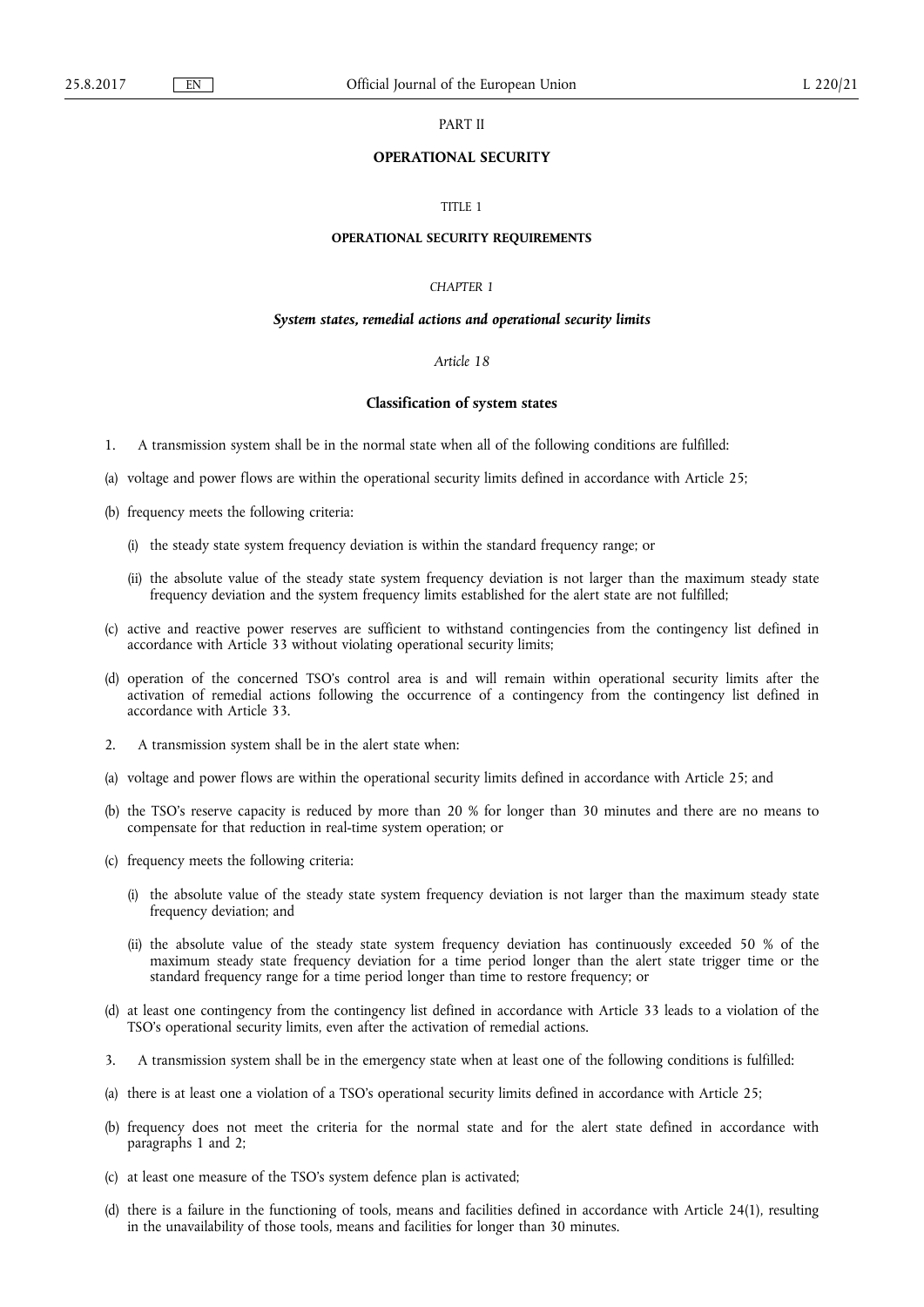# PART II

# **OPERATIONAL SECURITY**

# TITLE 1

#### **OPERATIONAL SECURITY REQUIREMENTS**

# *CHAPTER 1*

#### *System states, remedial actions and operational security limits*

#### *Article 18*

## **Classification of system states**

- 1. A transmission system shall be in the normal state when all of the following conditions are fulfilled:
- (a) voltage and power flows are within the operational security limits defined in accordance with Article 25;
- (b) frequency meets the following criteria:
	- (i) the steady state system frequency deviation is within the standard frequency range; or
	- (ii) the absolute value of the steady state system frequency deviation is not larger than the maximum steady state frequency deviation and the system frequency limits established for the alert state are not fulfilled;
- (c) active and reactive power reserves are sufficient to withstand contingencies from the contingency list defined in accordance with Article 33 without violating operational security limits;
- (d) operation of the concerned TSO's control area is and will remain within operational security limits after the activation of remedial actions following the occurrence of a contingency from the contingency list defined in accordance with Article 33.
- 2. A transmission system shall be in the alert state when:
- (a) voltage and power flows are within the operational security limits defined in accordance with Article 25; and
- (b) the TSO's reserve capacity is reduced by more than 20 % for longer than 30 minutes and there are no means to compensate for that reduction in real-time system operation; or
- (c) frequency meets the following criteria:
	- (i) the absolute value of the steady state system frequency deviation is not larger than the maximum steady state frequency deviation; and
	- (ii) the absolute value of the steady state system frequency deviation has continuously exceeded 50 % of the maximum steady state frequency deviation for a time period longer than the alert state trigger time or the standard frequency range for a time period longer than time to restore frequency; or
- (d) at least one contingency from the contingency list defined in accordance with Article 33 leads to a violation of the TSO's operational security limits, even after the activation of remedial actions.
- 3. A transmission system shall be in the emergency state when at least one of the following conditions is fulfilled:
- (a) there is at least one a violation of a TSO's operational security limits defined in accordance with Article 25;
- (b) frequency does not meet the criteria for the normal state and for the alert state defined in accordance with paragraphs 1 and 2;
- (c) at least one measure of the TSO's system defence plan is activated;
- (d) there is a failure in the functioning of tools, means and facilities defined in accordance with Article 24(1), resulting in the unavailability of those tools, means and facilities for longer than 30 minutes.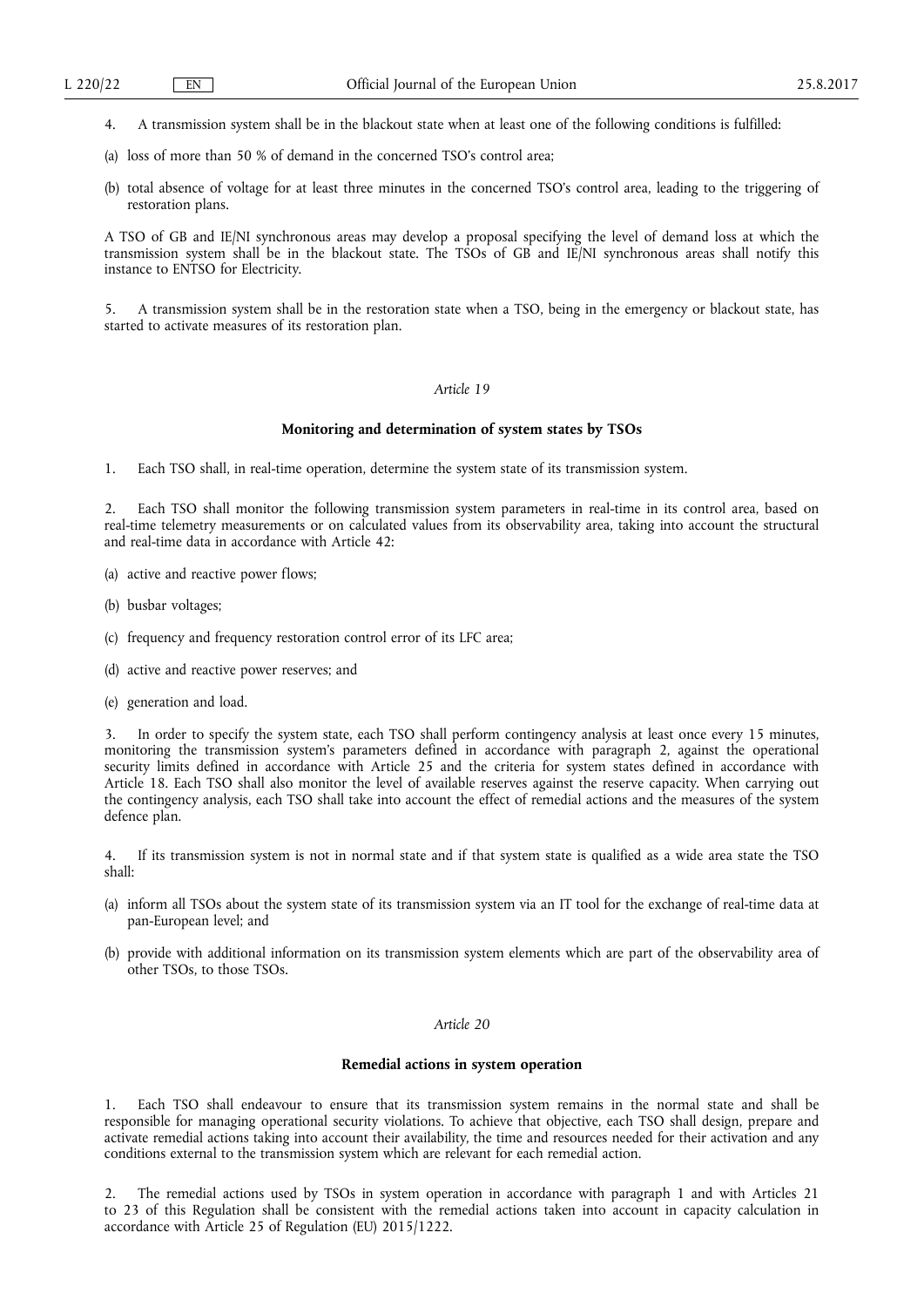- 4. A transmission system shall be in the blackout state when at least one of the following conditions is fulfilled:
- (a) loss of more than 50 % of demand in the concerned TSO's control area;
- (b) total absence of voltage for at least three minutes in the concerned TSO's control area, leading to the triggering of restoration plans.

A TSO of GB and IE/NI synchronous areas may develop a proposal specifying the level of demand loss at which the transmission system shall be in the blackout state. The TSOs of GB and IE/NI synchronous areas shall notify this instance to ENTSO for Electricity.

5. A transmission system shall be in the restoration state when a TSO, being in the emergency or blackout state, has started to activate measures of its restoration plan.

# *Article 19*

## **Monitoring and determination of system states by TSOs**

1. Each TSO shall, in real-time operation, determine the system state of its transmission system.

2. Each TSO shall monitor the following transmission system parameters in real-time in its control area, based on real-time telemetry measurements or on calculated values from its observability area, taking into account the structural and real-time data in accordance with Article 42:

- (a) active and reactive power flows;
- (b) busbar voltages;
- (c) frequency and frequency restoration control error of its LFC area;
- (d) active and reactive power reserves; and
- (e) generation and load.

3. In order to specify the system state, each TSO shall perform contingency analysis at least once every 15 minutes, monitoring the transmission system's parameters defined in accordance with paragraph 2, against the operational security limits defined in accordance with Article 25 and the criteria for system states defined in accordance with Article 18. Each TSO shall also monitor the level of available reserves against the reserve capacity. When carrying out the contingency analysis, each TSO shall take into account the effect of remedial actions and the measures of the system defence plan.

4. If its transmission system is not in normal state and if that system state is qualified as a wide area state the TSO shall:

- (a) inform all TSOs about the system state of its transmission system via an IT tool for the exchange of real-time data at pan-European level; and
- (b) provide with additional information on its transmission system elements which are part of the observability area of other TSOs, to those TSOs.

#### *Article 20*

# **Remedial actions in system operation**

1. Each TSO shall endeavour to ensure that its transmission system remains in the normal state and shall be responsible for managing operational security violations. To achieve that objective, each TSO shall design, prepare and activate remedial actions taking into account their availability, the time and resources needed for their activation and any conditions external to the transmission system which are relevant for each remedial action.

2. The remedial actions used by TSOs in system operation in accordance with paragraph 1 and with Articles 21 to 23 of this Regulation shall be consistent with the remedial actions taken into account in capacity calculation in accordance with Article 25 of Regulation (EU) 2015/1222.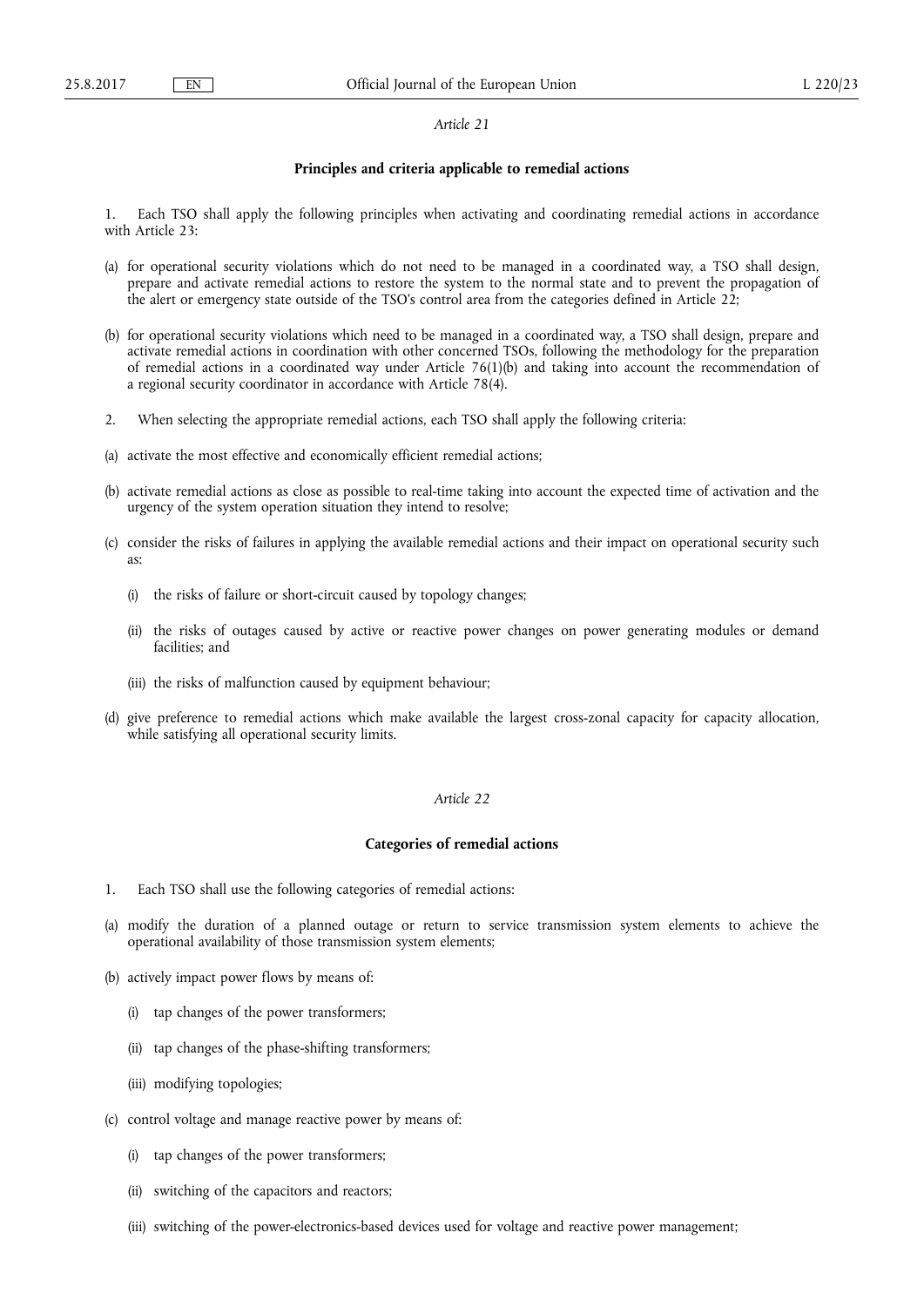# **Principles and criteria applicable to remedial actions**

1. Each TSO shall apply the following principles when activating and coordinating remedial actions in accordance with Article 23:

- (a) for operational security violations which do not need to be managed in a coordinated way, a TSO shall design, prepare and activate remedial actions to restore the system to the normal state and to prevent the propagation of the alert or emergency state outside of the TSO's control area from the categories defined in Article 22;
- (b) for operational security violations which need to be managed in a coordinated way, a TSO shall design, prepare and activate remedial actions in coordination with other concerned TSOs, following the methodology for the preparation of remedial actions in a coordinated way under Article 76(1)(b) and taking into account the recommendation of a regional security coordinator in accordance with Article 78(4).
- 2. When selecting the appropriate remedial actions, each TSO shall apply the following criteria:
- (a) activate the most effective and economically efficient remedial actions;
- (b) activate remedial actions as close as possible to real-time taking into account the expected time of activation and the urgency of the system operation situation they intend to resolve;
- (c) consider the risks of failures in applying the available remedial actions and their impact on operational security such as:
	- (i) the risks of failure or short-circuit caused by topology changes;
	- (ii) the risks of outages caused by active or reactive power changes on power generating modules or demand facilities; and
	- (iii) the risks of malfunction caused by equipment behaviour;
- (d) give preference to remedial actions which make available the largest cross-zonal capacity for capacity allocation, while satisfying all operational security limits.

# *Article 22*

# **Categories of remedial actions**

- 1. Each TSO shall use the following categories of remedial actions:
- (a) modify the duration of a planned outage or return to service transmission system elements to achieve the operational availability of those transmission system elements;
- (b) actively impact power flows by means of:
	- (i) tap changes of the power transformers;
	- (ii) tap changes of the phase-shifting transformers;
	- (iii) modifying topologies;
- (c) control voltage and manage reactive power by means of:
	- (i) tap changes of the power transformers;
	- (ii) switching of the capacitors and reactors;
	- (iii) switching of the power-electronics-based devices used for voltage and reactive power management;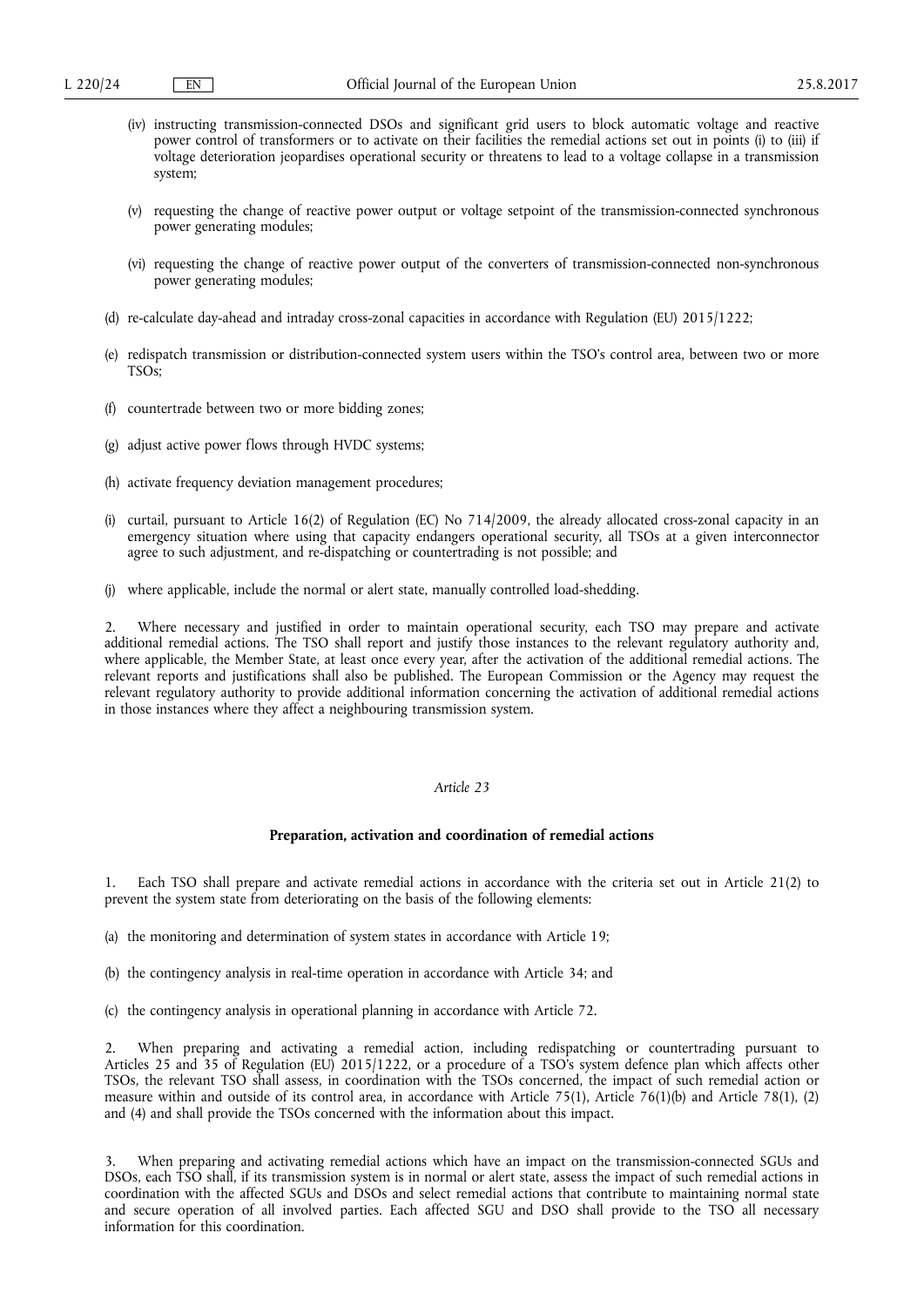- (iv) instructing transmission-connected DSOs and significant grid users to block automatic voltage and reactive power control of transformers or to activate on their facilities the remedial actions set out in points (i) to (iii) if voltage deterioration jeopardises operational security or threatens to lead to a voltage collapse in a transmission system;
- (v) requesting the change of reactive power output or voltage setpoint of the transmission-connected synchronous power generating modules;
- (vi) requesting the change of reactive power output of the converters of transmission-connected non-synchronous power generating modules;
- (d) re-calculate day-ahead and intraday cross-zonal capacities in accordance with Regulation (EU) 2015/1222;
- (e) redispatch transmission or distribution-connected system users within the TSO's control area, between two or more TSOs;
- (f) countertrade between two or more bidding zones;
- (g) adjust active power flows through HVDC systems;
- (h) activate frequency deviation management procedures;
- (i) curtail, pursuant to Article 16(2) of Regulation (EC) No 714/2009, the already allocated cross-zonal capacity in an emergency situation where using that capacity endangers operational security, all TSOs at a given interconnector agree to such adjustment, and re-dispatching or countertrading is not possible; and
- (j) where applicable, include the normal or alert state, manually controlled load-shedding.

2. Where necessary and justified in order to maintain operational security, each TSO may prepare and activate additional remedial actions. The TSO shall report and justify those instances to the relevant regulatory authority and, where applicable, the Member State, at least once every year, after the activation of the additional remedial actions. The relevant reports and justifications shall also be published. The European Commission or the Agency may request the relevant regulatory authority to provide additional information concerning the activation of additional remedial actions in those instances where they affect a neighbouring transmission system.

## *Article 23*

#### **Preparation, activation and coordination of remedial actions**

1. Each TSO shall prepare and activate remedial actions in accordance with the criteria set out in Article 21(2) to prevent the system state from deteriorating on the basis of the following elements:

- (a) the monitoring and determination of system states in accordance with Article 19;
- (b) the contingency analysis in real-time operation in accordance with Article 34; and
- (c) the contingency analysis in operational planning in accordance with Article 72.

2. When preparing and activating a remedial action, including redispatching or countertrading pursuant to Articles 25 and 35 of Regulation (EU) 2015/1222, or a procedure of a TSO's system defence plan which affects other TSOs, the relevant TSO shall assess, in coordination with the TSOs concerned, the impact of such remedial action or measure within and outside of its control area, in accordance with Article 75(1), Article 76(1)(b) and Article 78(1), (2) and (4) and shall provide the TSOs concerned with the information about this impact.

3. When preparing and activating remedial actions which have an impact on the transmission-connected SGUs and DSOs, each TSO shall, if its transmission system is in normal or alert state, assess the impact of such remedial actions in coordination with the affected SGUs and DSOs and select remedial actions that contribute to maintaining normal state and secure operation of all involved parties. Each affected SGU and DSO shall provide to the TSO all necessary information for this coordination.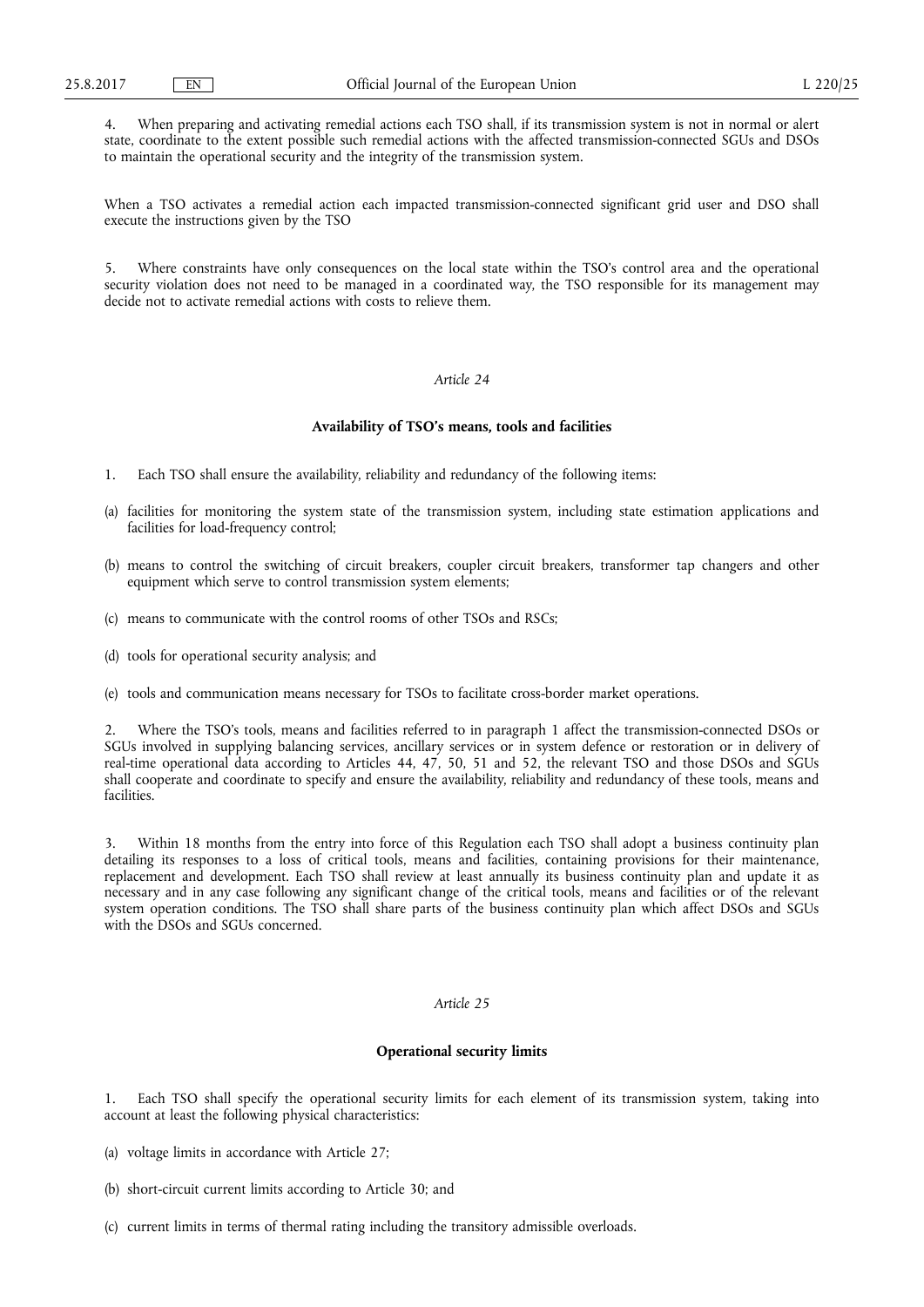4. When preparing and activating remedial actions each TSO shall, if its transmission system is not in normal or alert state, coordinate to the extent possible such remedial actions with the affected transmission-connected SGUs and DSOs to maintain the operational security and the integrity of the transmission system.

When a TSO activates a remedial action each impacted transmission-connected significant grid user and DSO shall execute the instructions given by the TSO

5. Where constraints have only consequences on the local state within the TSO's control area and the operational security violation does not need to be managed in a coordinated way, the TSO responsible for its management may decide not to activate remedial actions with costs to relieve them.

# *Article 24*

## **Availability of TSO's means, tools and facilities**

- 1. Each TSO shall ensure the availability, reliability and redundancy of the following items:
- (a) facilities for monitoring the system state of the transmission system, including state estimation applications and facilities for load-frequency control;
- (b) means to control the switching of circuit breakers, coupler circuit breakers, transformer tap changers and other equipment which serve to control transmission system elements;
- (c) means to communicate with the control rooms of other TSOs and RSCs;
- (d) tools for operational security analysis; and
- (e) tools and communication means necessary for TSOs to facilitate cross-border market operations.

2. Where the TSO's tools, means and facilities referred to in paragraph 1 affect the transmission-connected DSOs or SGUs involved in supplying balancing services, ancillary services or in system defence or restoration or in delivery of real-time operational data according to Articles 44, 47, 50, 51 and 52, the relevant TSO and those DSOs and SGUs shall cooperate and coordinate to specify and ensure the availability, reliability and redundancy of these tools, means and facilities.

Within 18 months from the entry into force of this Regulation each TSO shall adopt a business continuity plan detailing its responses to a loss of critical tools, means and facilities, containing provisions for their maintenance, replacement and development. Each TSO shall review at least annually its business continuity plan and update it as necessary and in any case following any significant change of the critical tools, means and facilities or of the relevant system operation conditions. The TSO shall share parts of the business continuity plan which affect DSOs and SGUs with the DSOs and SGUs concerned.

### *Article 25*

### **Operational security limits**

1. Each TSO shall specify the operational security limits for each element of its transmission system, taking into account at least the following physical characteristics:

- (a) voltage limits in accordance with Article 27;
- (b) short-circuit current limits according to Article 30; and
- (c) current limits in terms of thermal rating including the transitory admissible overloads.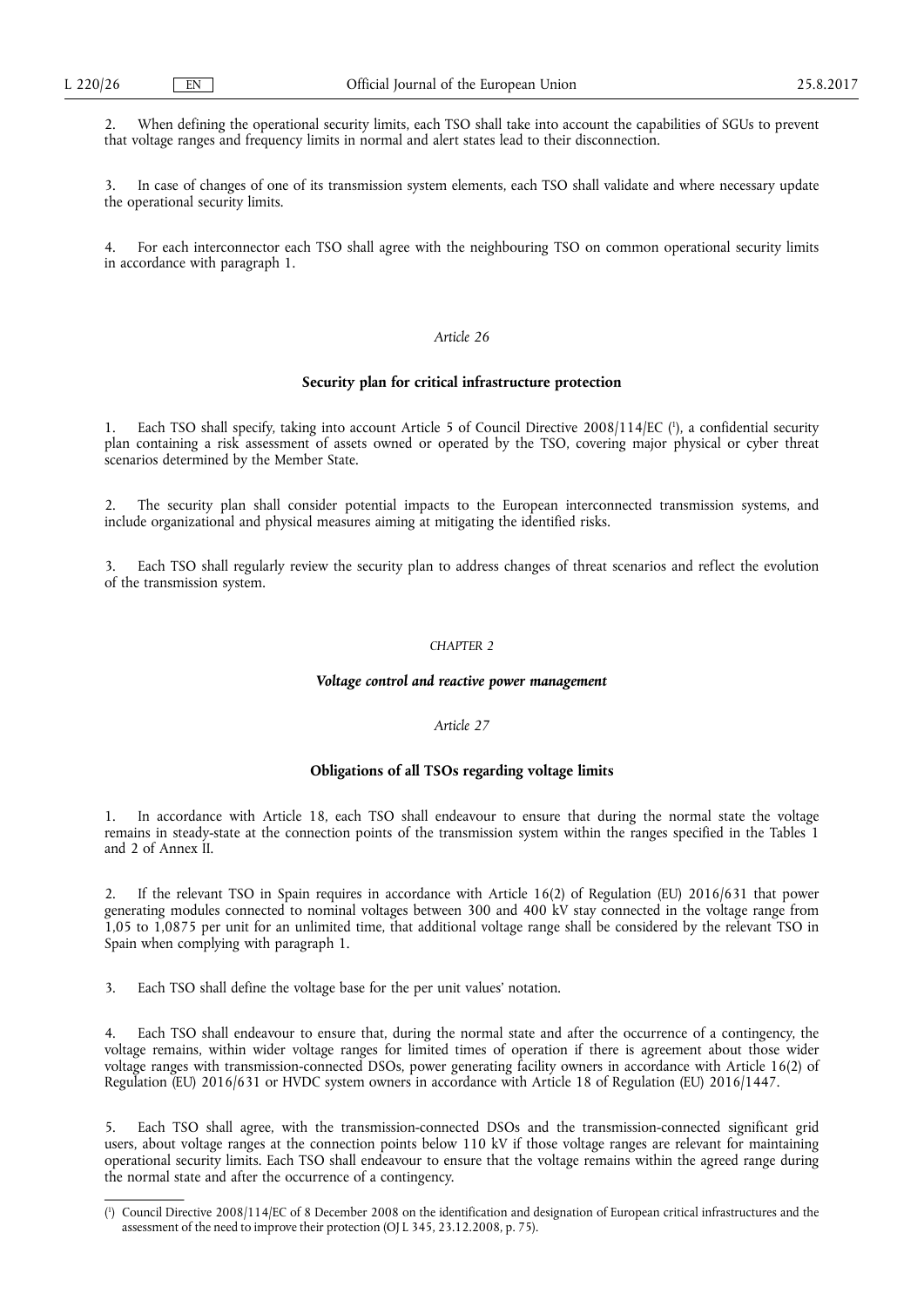2. When defining the operational security limits, each TSO shall take into account the capabilities of SGUs to prevent that voltage ranges and frequency limits in normal and alert states lead to their disconnection.

3. In case of changes of one of its transmission system elements, each TSO shall validate and where necessary update the operational security limits.

4. For each interconnector each TSO shall agree with the neighbouring TSO on common operational security limits in accordance with paragraph 1.

# *Article 26*

## **Security plan for critical infrastructure protection**

1. Each TSO shall specify, taking into account Article 5 of Council Directive 2008/114/EC (<sup>1</sup>), a confidential security plan containing a risk assessment of assets owned or operated by the TSO, covering major physical or cyber threat scenarios determined by the Member State.

2. The security plan shall consider potential impacts to the European interconnected transmission systems, and include organizational and physical measures aiming at mitigating the identified risks.

3. Each TSO shall regularly review the security plan to address changes of threat scenarios and reflect the evolution of the transmission system.

#### *CHAPTER 2*

# *Voltage control and reactive power management*

# *Article 27*

# **Obligations of all TSOs regarding voltage limits**

1. In accordance with Article 18, each TSO shall endeavour to ensure that during the normal state the voltage remains in steady-state at the connection points of the transmission system within the ranges specified in the Tables 1 and 2 of Annex II.

2. If the relevant TSO in Spain requires in accordance with Article 16(2) of Regulation (EU) 2016/631 that power generating modules connected to nominal voltages between 300 and 400 kV stay connected in the voltage range from 1,05 to 1,0875 per unit for an unlimited time, that additional voltage range shall be considered by the relevant TSO in Spain when complying with paragraph 1.

3. Each TSO shall define the voltage base for the per unit values' notation.

4. Each TSO shall endeavour to ensure that, during the normal state and after the occurrence of a contingency, the voltage remains, within wider voltage ranges for limited times of operation if there is agreement about those wider voltage ranges with transmission-connected DSOs, power generating facility owners in accordance with Article 16(2) of Regulation (EU) 2016/631 or HVDC system owners in accordance with Article 18 of Regulation (EU) 2016/1447.

5. Each TSO shall agree, with the transmission-connected DSOs and the transmission-connected significant grid users, about voltage ranges at the connection points below 110 kV if those voltage ranges are relevant for maintaining operational security limits. Each TSO shall endeavour to ensure that the voltage remains within the agreed range during the normal state and after the occurrence of a contingency.

<sup>(</sup> 1 ) Council Directive 2008/114/EC of 8 December 2008 on the identification and designation of European critical infrastructures and the assessment of the need to improve their protection (OJ L 345, 23.12.2008, p. 75).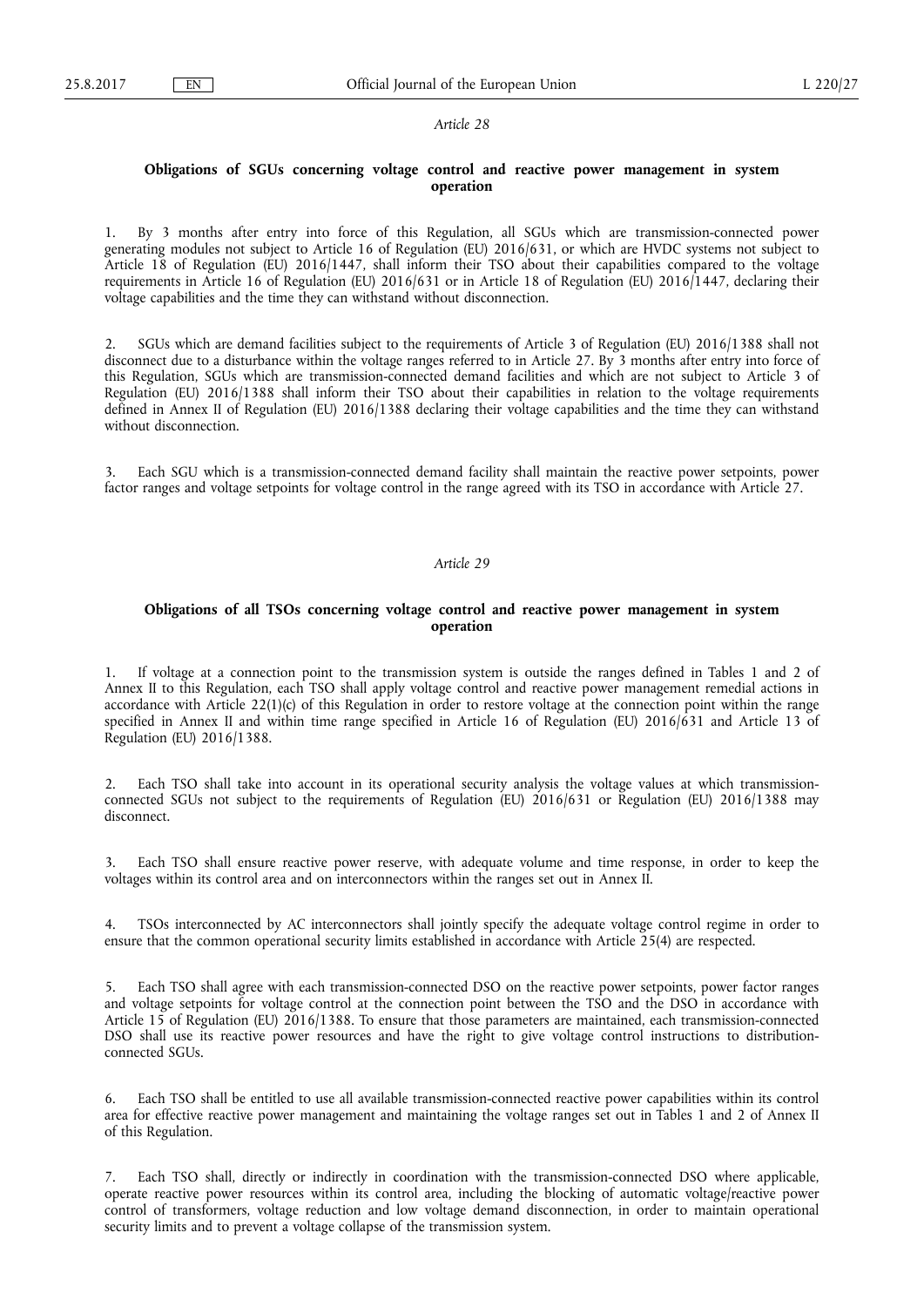# **Obligations of SGUs concerning voltage control and reactive power management in system operation**

1. By 3 months after entry into force of this Regulation, all SGUs which are transmission-connected power generating modules not subject to Article 16 of Regulation (EU) 2016/631, or which are HVDC systems not subject to Article 18 of Regulation (EU) 2016/1447, shall inform their TSO about their capabilities compared to the voltage requirements in Article 16 of Regulation (EU) 2016/631 or in Article 18 of Regulation (EU) 2016/1447, declaring their voltage capabilities and the time they can withstand without disconnection.

2. SGUs which are demand facilities subject to the requirements of Article 3 of Regulation (EU) 2016/1388 shall not disconnect due to a disturbance within the voltage ranges referred to in Article 27. By 3 months after entry into force of this Regulation, SGUs which are transmission-connected demand facilities and which are not subject to Article 3 of Regulation (EU) 2016/1388 shall inform their TSO about their capabilities in relation to the voltage requirements defined in Annex II of Regulation (EU) 2016/1388 declaring their voltage capabilities and the time they can withstand without disconnection.

3. Each SGU which is a transmission-connected demand facility shall maintain the reactive power setpoints, power factor ranges and voltage setpoints for voltage control in the range agreed with its TSO in accordance with Article 27.

#### *Article 29*

# **Obligations of all TSOs concerning voltage control and reactive power management in system operation**

1. If voltage at a connection point to the transmission system is outside the ranges defined in Tables 1 and 2 of Annex II to this Regulation, each TSO shall apply voltage control and reactive power management remedial actions in accordance with Article 22(1)(c) of this Regulation in order to restore voltage at the connection point within the range specified in Annex II and within time range specified in Article 16 of Regulation (EU)  $2016/631$  and Article 13 of Regulation (EU) 2016/1388.

2. Each TSO shall take into account in its operational security analysis the voltage values at which transmissionconnected SGUs not subject to the requirements of Regulation (EU) 2016/631 or Regulation (EU) 2016/1388 may disconnect.

Each TSO shall ensure reactive power reserve, with adequate volume and time response, in order to keep the voltages within its control area and on interconnectors within the ranges set out in Annex II.

4. TSOs interconnected by AC interconnectors shall jointly specify the adequate voltage control regime in order to ensure that the common operational security limits established in accordance with Article 25(4) are respected.

5. Each TSO shall agree with each transmission-connected DSO on the reactive power setpoints, power factor ranges and voltage setpoints for voltage control at the connection point between the TSO and the DSO in accordance with Article 15 of Regulation (EU) 2016/1388. To ensure that those parameters are maintained, each transmission-connected DSO shall use its reactive power resources and have the right to give voltage control instructions to distributionconnected SGUs.

6. Each TSO shall be entitled to use all available transmission-connected reactive power capabilities within its control area for effective reactive power management and maintaining the voltage ranges set out in Tables 1 and 2 of Annex II of this Regulation.

7. Each TSO shall, directly or indirectly in coordination with the transmission-connected DSO where applicable, operate reactive power resources within its control area, including the blocking of automatic voltage/reactive power control of transformers, voltage reduction and low voltage demand disconnection, in order to maintain operational security limits and to prevent a voltage collapse of the transmission system.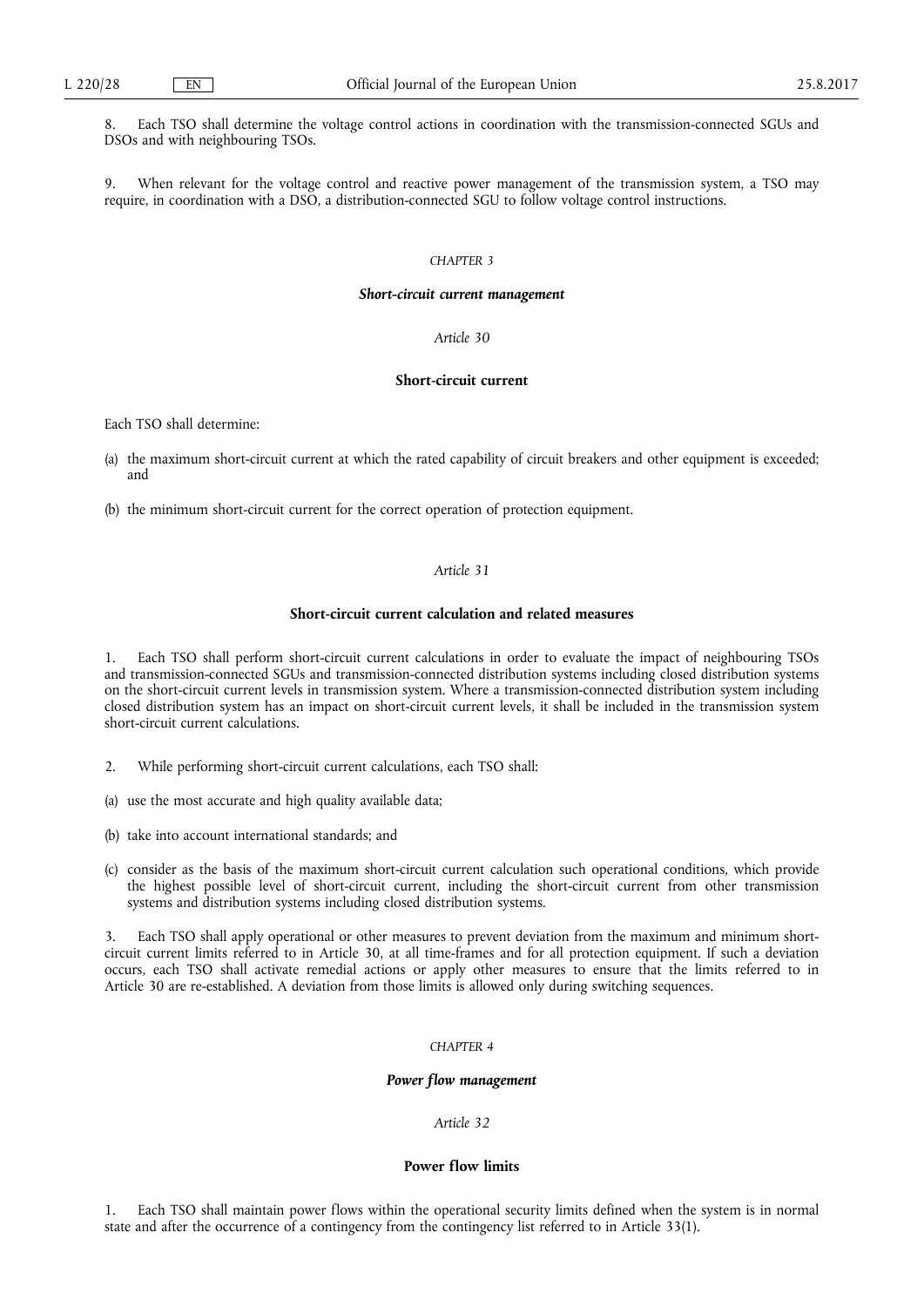8. Each TSO shall determine the voltage control actions in coordination with the transmission-connected SGUs and DSOs and with neighbouring TSOs.

9. When relevant for the voltage control and reactive power management of the transmission system, a TSO may require, in coordination with a DSO, a distribution-connected SGU to follow voltage control instructions.

## *CHAPTER 3*

#### *Short-circuit current management*

# *Article 30*

# **Short-circuit current**

Each TSO shall determine:

- (a) the maximum short-circuit current at which the rated capability of circuit breakers and other equipment is exceeded; and
- (b) the minimum short-circuit current for the correct operation of protection equipment.

# *Article 31*

## **Short-circuit current calculation and related measures**

1. Each TSO shall perform short-circuit current calculations in order to evaluate the impact of neighbouring TSOs and transmission-connected SGUs and transmission-connected distribution systems including closed distribution systems on the short-circuit current levels in transmission system. Where a transmission-connected distribution system including closed distribution system has an impact on short-circuit current levels, it shall be included in the transmission system short-circuit current calculations.

- 2. While performing short-circuit current calculations, each TSO shall:
- (a) use the most accurate and high quality available data;
- (b) take into account international standards; and
- (c) consider as the basis of the maximum short-circuit current calculation such operational conditions, which provide the highest possible level of short-circuit current, including the short-circuit current from other transmission systems and distribution systems including closed distribution systems.

3. Each TSO shall apply operational or other measures to prevent deviation from the maximum and minimum shortcircuit current limits referred to in Article 30, at all time-frames and for all protection equipment. If such a deviation occurs, each TSO shall activate remedial actions or apply other measures to ensure that the limits referred to in Article 30 are re-established. A deviation from those limits is allowed only during switching sequences.

# *CHAPTER 4*

#### *Power flow management*

*Article 32* 

# **Power flow limits**

1. Each TSO shall maintain power flows within the operational security limits defined when the system is in normal state and after the occurrence of a contingency from the contingency list referred to in Article 33(1).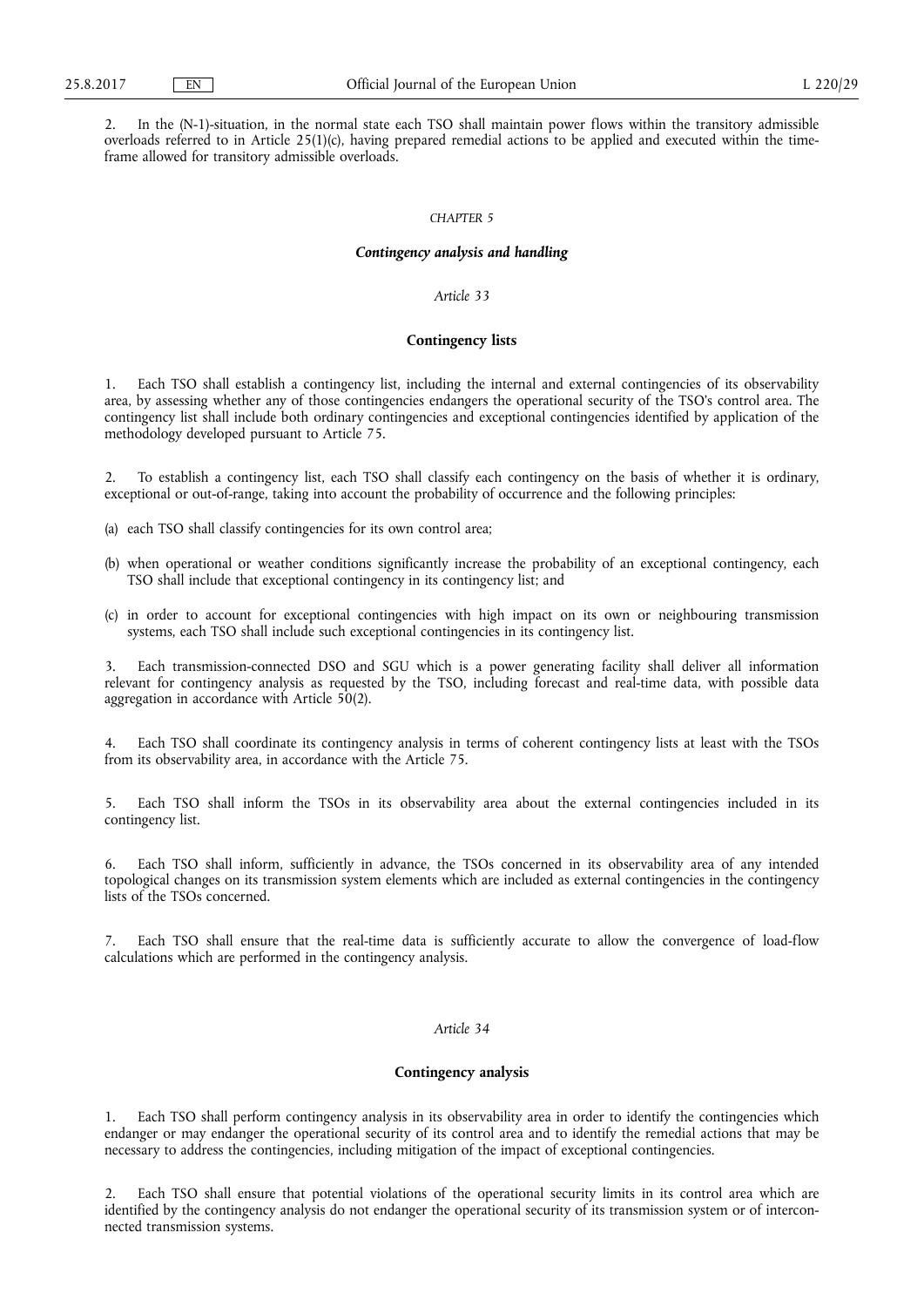2. In the (N-1)-situation, in the normal state each TSO shall maintain power flows within the transitory admissible overloads referred to in Article 25(1)(c), having prepared remedial actions to be applied and executed within the timeframe allowed for transitory admissible overloads.

## *CHAPTER 5*

#### *Contingency analysis and handling*

# *Article 33*

#### **Contingency lists**

1. Each TSO shall establish a contingency list, including the internal and external contingencies of its observability area, by assessing whether any of those contingencies endangers the operational security of the TSO's control area. The contingency list shall include both ordinary contingencies and exceptional contingencies identified by application of the methodology developed pursuant to Article 75.

2. To establish a contingency list, each TSO shall classify each contingency on the basis of whether it is ordinary, exceptional or out-of-range, taking into account the probability of occurrence and the following principles:

- (a) each TSO shall classify contingencies for its own control area;
- (b) when operational or weather conditions significantly increase the probability of an exceptional contingency, each TSO shall include that exceptional contingency in its contingency list; and
- (c) in order to account for exceptional contingencies with high impact on its own or neighbouring transmission systems, each TSO shall include such exceptional contingencies in its contingency list.

3. Each transmission-connected DSO and SGU which is a power generating facility shall deliver all information relevant for contingency analysis as requested by the TSO, including forecast and real-time data, with possible data aggregation in accordance with Article 50(2).

4. Each TSO shall coordinate its contingency analysis in terms of coherent contingency lists at least with the TSOs from its observability area, in accordance with the Article 75.

5. Each TSO shall inform the TSOs in its observability area about the external contingencies included in its contingency list.

6. Each TSO shall inform, sufficiently in advance, the TSOs concerned in its observability area of any intended topological changes on its transmission system elements which are included as external contingencies in the contingency lists of the TSOs concerned.

7. Each TSO shall ensure that the real-time data is sufficiently accurate to allow the convergence of load-flow calculations which are performed in the contingency analysis.

# *Article 34*

#### **Contingency analysis**

1. Each TSO shall perform contingency analysis in its observability area in order to identify the contingencies which endanger or may endanger the operational security of its control area and to identify the remedial actions that may be necessary to address the contingencies, including mitigation of the impact of exceptional contingencies.

2. Each TSO shall ensure that potential violations of the operational security limits in its control area which are identified by the contingency analysis do not endanger the operational security of its transmission system or of interconnected transmission systems.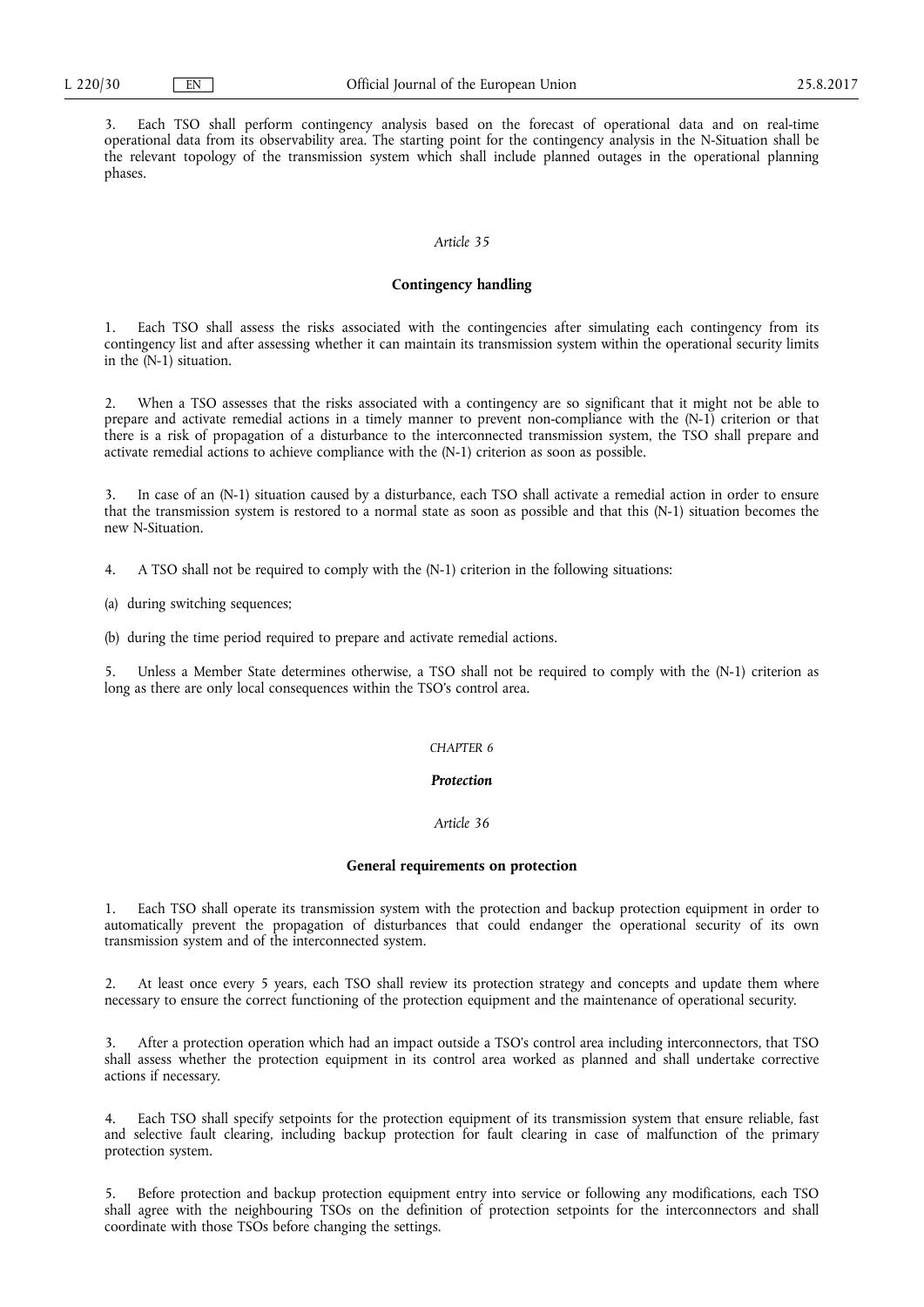3. Each TSO shall perform contingency analysis based on the forecast of operational data and on real-time operational data from its observability area. The starting point for the contingency analysis in the N-Situation shall be the relevant topology of the transmission system which shall include planned outages in the operational planning phases.

#### *Article 35*

# **Contingency handling**

1. Each TSO shall assess the risks associated with the contingencies after simulating each contingency from its contingency list and after assessing whether it can maintain its transmission system within the operational security limits in the (N-1) situation.

2. When a TSO assesses that the risks associated with a contingency are so significant that it might not be able to prepare and activate remedial actions in a timely manner to prevent non-compliance with the (N-1) criterion or that there is a risk of propagation of a disturbance to the interconnected transmission system, the TSO shall prepare and activate remedial actions to achieve compliance with the (N-1) criterion as soon as possible.

In case of an (N-1) situation caused by a disturbance, each TSO shall activate a remedial action in order to ensure that the transmission system is restored to a normal state as soon as possible and that this (N-1) situation becomes the new N-Situation.

4. A TSO shall not be required to comply with the (N-1) criterion in the following situations:

(a) during switching sequences;

(b) during the time period required to prepare and activate remedial actions.

5. Unless a Member State determines otherwise, a TSO shall not be required to comply with the (N-1) criterion as long as there are only local consequences within the TSO's control area.

# *CHAPTER 6*

# *Protection*

## *Article 36*

#### **General requirements on protection**

1. Each TSO shall operate its transmission system with the protection and backup protection equipment in order to automatically prevent the propagation of disturbances that could endanger the operational security of its own transmission system and of the interconnected system.

2. At least once every 5 years, each TSO shall review its protection strategy and concepts and update them where necessary to ensure the correct functioning of the protection equipment and the maintenance of operational security.

3. After a protection operation which had an impact outside a TSO's control area including interconnectors, that TSO shall assess whether the protection equipment in its control area worked as planned and shall undertake corrective actions if necessary.

4. Each TSO shall specify setpoints for the protection equipment of its transmission system that ensure reliable, fast and selective fault clearing, including backup protection for fault clearing in case of malfunction of the primary protection system.

5. Before protection and backup protection equipment entry into service or following any modifications, each TSO shall agree with the neighbouring TSOs on the definition of protection setpoints for the interconnectors and shall coordinate with those TSOs before changing the settings.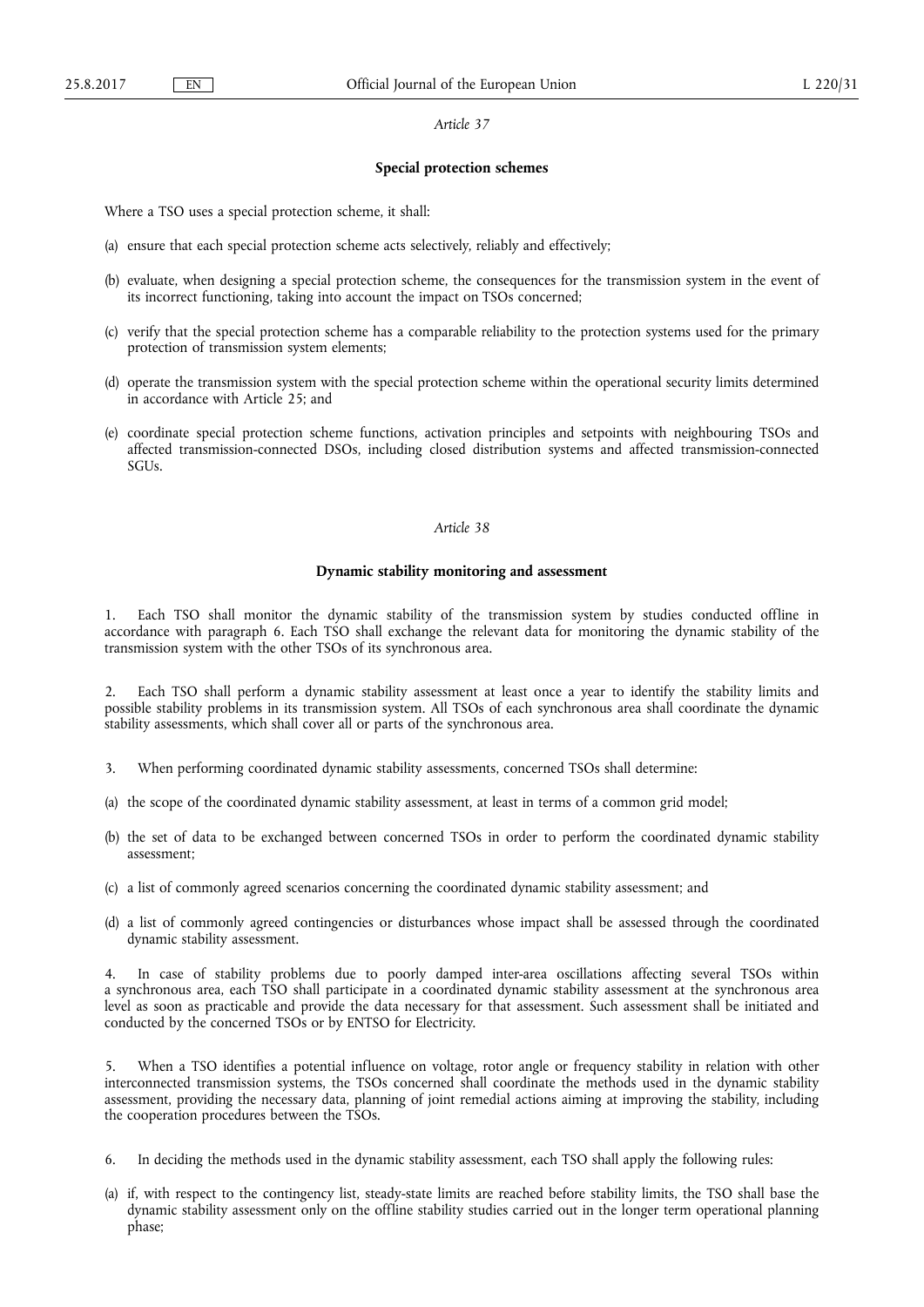#### **Special protection schemes**

Where a TSO uses a special protection scheme, it shall:

- (a) ensure that each special protection scheme acts selectively, reliably and effectively;
- (b) evaluate, when designing a special protection scheme, the consequences for the transmission system in the event of its incorrect functioning, taking into account the impact on TSOs concerned;
- (c) verify that the special protection scheme has a comparable reliability to the protection systems used for the primary protection of transmission system elements;
- (d) operate the transmission system with the special protection scheme within the operational security limits determined in accordance with Article 25; and
- (e) coordinate special protection scheme functions, activation principles and setpoints with neighbouring TSOs and affected transmission-connected DSOs, including closed distribution systems and affected transmission-connected SGUs.

#### *Article 38*

# **Dynamic stability monitoring and assessment**

1. Each TSO shall monitor the dynamic stability of the transmission system by studies conducted offline in accordance with paragraph 6. Each TSO shall exchange the relevant data for monitoring the dynamic stability of the transmission system with the other TSOs of its synchronous area.

2. Each TSO shall perform a dynamic stability assessment at least once a year to identify the stability limits and possible stability problems in its transmission system. All TSOs of each synchronous area shall coordinate the dynamic stability assessments, which shall cover all or parts of the synchronous area.

- 3. When performing coordinated dynamic stability assessments, concerned TSOs shall determine:
- (a) the scope of the coordinated dynamic stability assessment, at least in terms of a common grid model;
- (b) the set of data to be exchanged between concerned TSOs in order to perform the coordinated dynamic stability assessment;
- (c) a list of commonly agreed scenarios concerning the coordinated dynamic stability assessment; and
- (d) a list of commonly agreed contingencies or disturbances whose impact shall be assessed through the coordinated dynamic stability assessment.

4. In case of stability problems due to poorly damped inter-area oscillations affecting several TSOs within a synchronous area, each TSO shall participate in a coordinated dynamic stability assessment at the synchronous area level as soon as practicable and provide the data necessary for that assessment. Such assessment shall be initiated and conducted by the concerned TSOs or by ENTSO for Electricity.

5. When a TSO identifies a potential influence on voltage, rotor angle or frequency stability in relation with other interconnected transmission systems, the TSOs concerned shall coordinate the methods used in the dynamic stability assessment, providing the necessary data, planning of joint remedial actions aiming at improving the stability, including the cooperation procedures between the TSOs.

- 6. In deciding the methods used in the dynamic stability assessment, each TSO shall apply the following rules:
- (a) if, with respect to the contingency list, steady-state limits are reached before stability limits, the TSO shall base the dynamic stability assessment only on the offline stability studies carried out in the longer term operational planning phase;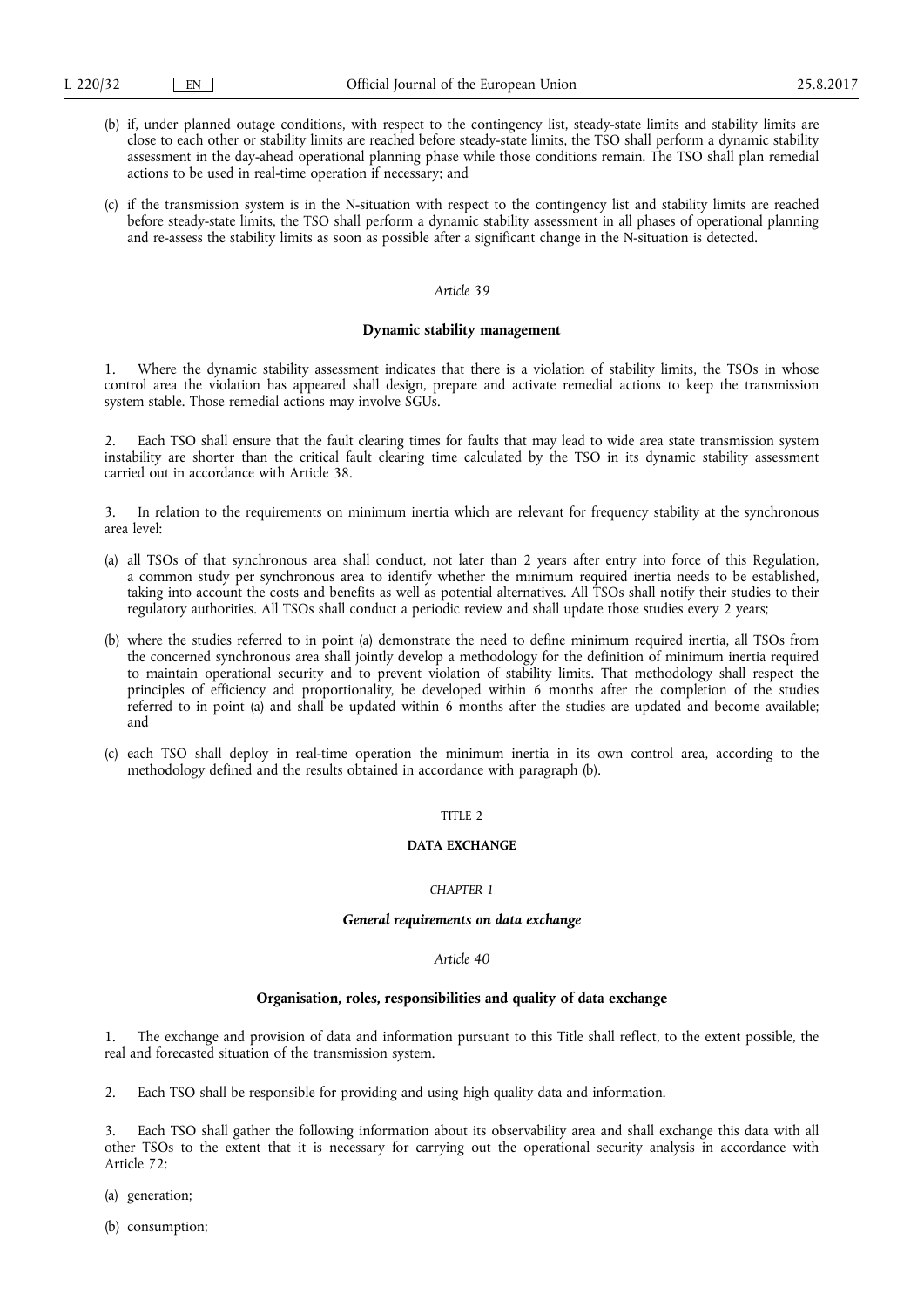- (b) if, under planned outage conditions, with respect to the contingency list, steady-state limits and stability limits are close to each other or stability limits are reached before steady-state limits, the TSO shall perform a dynamic stability assessment in the day-ahead operational planning phase while those conditions remain. The TSO shall plan remedial actions to be used in real-time operation if necessary; and
- (c) if the transmission system is in the N-situation with respect to the contingency list and stability limits are reached before steady-state limits, the TSO shall perform a dynamic stability assessment in all phases of operational planning and re-assess the stability limits as soon as possible after a significant change in the N-situation is detected.

#### **Dynamic stability management**

1. Where the dynamic stability assessment indicates that there is a violation of stability limits, the TSOs in whose control area the violation has appeared shall design, prepare and activate remedial actions to keep the transmission system stable. Those remedial actions may involve SGUs.

Each TSO shall ensure that the fault clearing times for faults that may lead to wide area state transmission system instability are shorter than the critical fault clearing time calculated by the TSO in its dynamic stability assessment carried out in accordance with Article 38.

3. In relation to the requirements on minimum inertia which are relevant for frequency stability at the synchronous area level:

- (a) all TSOs of that synchronous area shall conduct, not later than 2 years after entry into force of this Regulation, a common study per synchronous area to identify whether the minimum required inertia needs to be established, taking into account the costs and benefits as well as potential alternatives. All TSOs shall notify their studies to their regulatory authorities. All TSOs shall conduct a periodic review and shall update those studies every 2 years;
- (b) where the studies referred to in point (a) demonstrate the need to define minimum required inertia, all TSOs from the concerned synchronous area shall jointly develop a methodology for the definition of minimum inertia required to maintain operational security and to prevent violation of stability limits. That methodology shall respect the principles of efficiency and proportionality, be developed within 6 months after the completion of the studies referred to in point (a) and shall be updated within 6 months after the studies are updated and become available; and
- (c) each TSO shall deploy in real-time operation the minimum inertia in its own control area, according to the methodology defined and the results obtained in accordance with paragraph (b).

# TITLE 2

# **DATA EXCHANGE**

## *CHAPTER 1*

#### *General requirements on data exchange*

## *Article 40*

## **Organisation, roles, responsibilities and quality of data exchange**

1. The exchange and provision of data and information pursuant to this Title shall reflect, to the extent possible, the real and forecasted situation of the transmission system.

2. Each TSO shall be responsible for providing and using high quality data and information.

Each TSO shall gather the following information about its observability area and shall exchange this data with all other TSOs to the extent that it is necessary for carrying out the operational security analysis in accordance with Article 72:

(a) generation;

(b) consumption;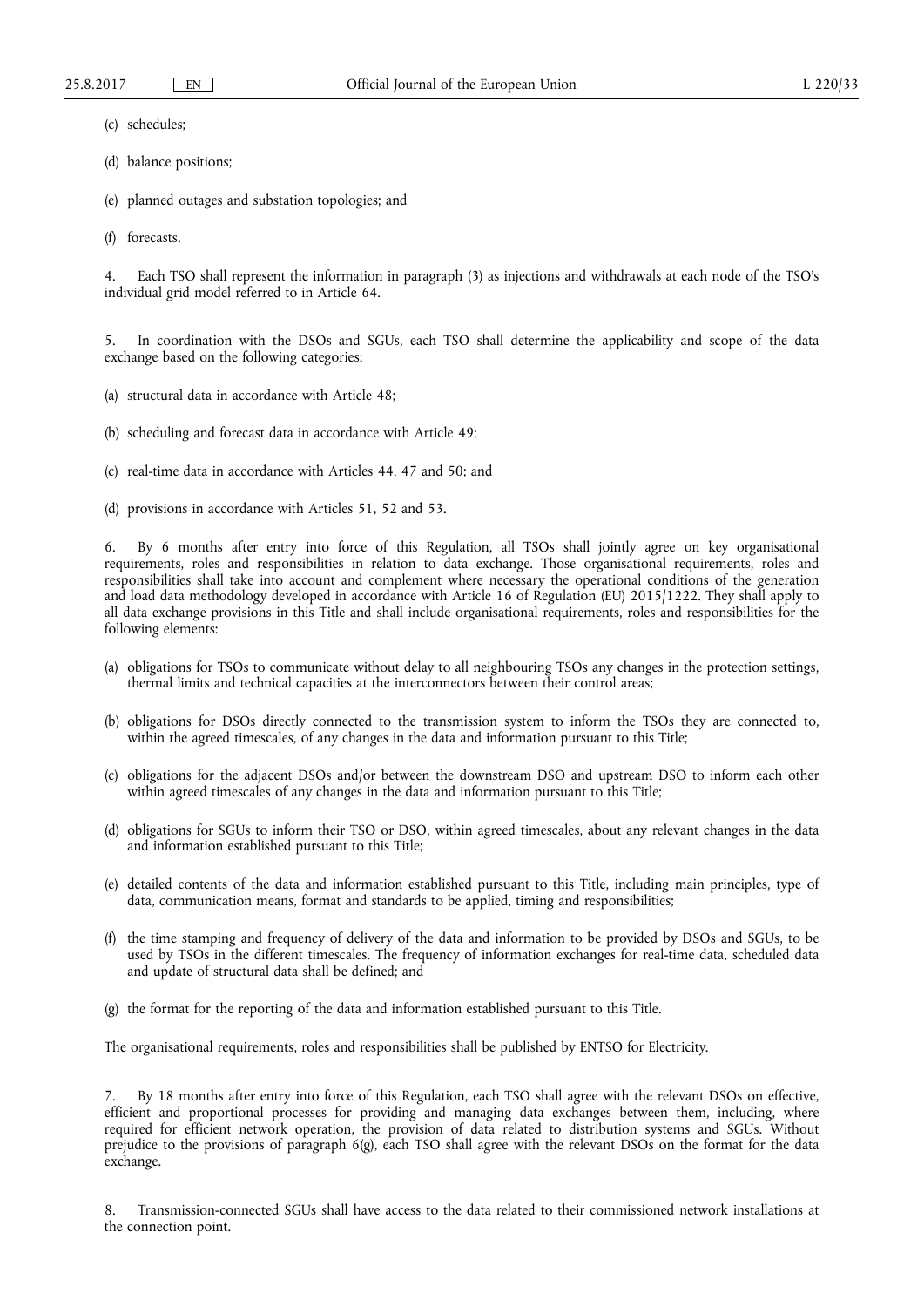(c) schedules;

- (d) balance positions;
- (e) planned outages and substation topologies; and
- (f) forecasts.

4. Each TSO shall represent the information in paragraph (3) as injections and withdrawals at each node of the TSO's individual grid model referred to in Article 64.

5. In coordination with the DSOs and SGUs, each TSO shall determine the applicability and scope of the data exchange based on the following categories:

- (a) structural data in accordance with Article 48;
- (b) scheduling and forecast data in accordance with Article 49;
- (c) real-time data in accordance with Articles 44, 47 and 50; and
- (d) provisions in accordance with Articles 51, 52 and 53.

6. By 6 months after entry into force of this Regulation, all TSOs shall jointly agree on key organisational requirements, roles and responsibilities in relation to data exchange. Those organisational requirements, roles and responsibilities shall take into account and complement where necessary the operational conditions of the generation and load data methodology developed in accordance with Article 16 of Regulation (EU) 2015/1222. They shall apply to all data exchange provisions in this Title and shall include organisational requirements, roles and responsibilities for the following elements:

- (a) obligations for TSOs to communicate without delay to all neighbouring TSOs any changes in the protection settings, thermal limits and technical capacities at the interconnectors between their control areas;
- (b) obligations for DSOs directly connected to the transmission system to inform the TSOs they are connected to, within the agreed timescales, of any changes in the data and information pursuant to this Title;
- (c) obligations for the adjacent DSOs and/or between the downstream DSO and upstream DSO to inform each other within agreed timescales of any changes in the data and information pursuant to this Title;
- (d) obligations for SGUs to inform their TSO or DSO, within agreed timescales, about any relevant changes in the data and information established pursuant to this Title;
- (e) detailed contents of the data and information established pursuant to this Title, including main principles, type of data, communication means, format and standards to be applied, timing and responsibilities;
- (f) the time stamping and frequency of delivery of the data and information to be provided by DSOs and SGUs, to be used by TSOs in the different timescales. The frequency of information exchanges for real-time data, scheduled data and update of structural data shall be defined; and
- (g) the format for the reporting of the data and information established pursuant to this Title.

The organisational requirements, roles and responsibilities shall be published by ENTSO for Electricity.

7. By 18 months after entry into force of this Regulation, each TSO shall agree with the relevant DSOs on effective, efficient and proportional processes for providing and managing data exchanges between them, including, where required for efficient network operation, the provision of data related to distribution systems and SGUs. Without prejudice to the provisions of paragraph 6(g), each TSO shall agree with the relevant DSOs on the format for the data exchange.

8. Transmission-connected SGUs shall have access to the data related to their commissioned network installations at the connection point.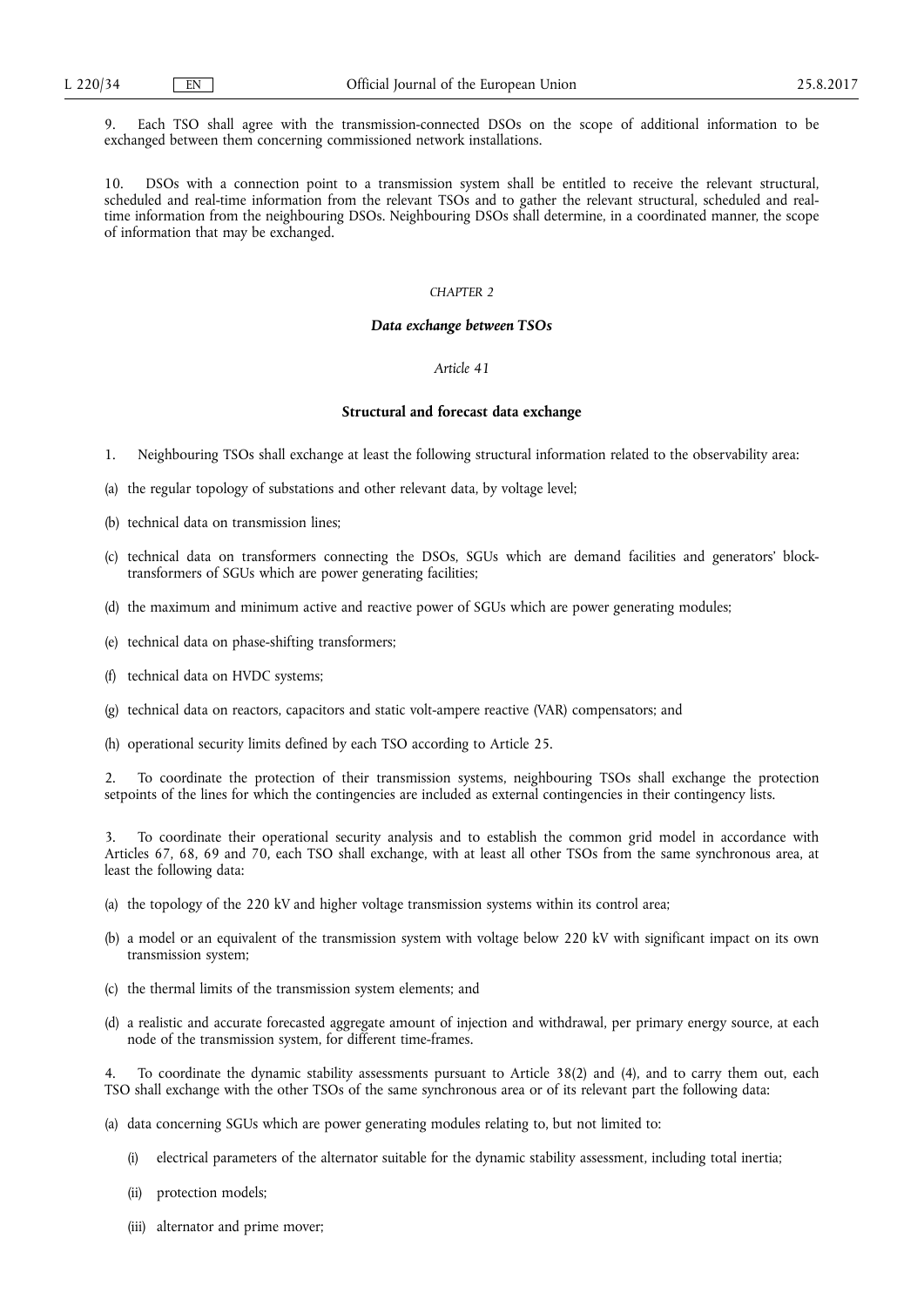9. Each TSO shall agree with the transmission-connected DSOs on the scope of additional information to be exchanged between them concerning commissioned network installations.

10. DSOs with a connection point to a transmission system shall be entitled to receive the relevant structural, scheduled and real-time information from the relevant TSOs and to gather the relevant structural, scheduled and realtime information from the neighbouring DSOs. Neighbouring DSOs shall determine, in a coordinated manner, the scope of information that may be exchanged.

# *CHAPTER 2*

#### *Data exchange between TSOs*

# *Article 41*

# **Structural and forecast data exchange**

- 1. Neighbouring TSOs shall exchange at least the following structural information related to the observability area:
- (a) the regular topology of substations and other relevant data, by voltage level;
- (b) technical data on transmission lines;
- (c) technical data on transformers connecting the DSOs, SGUs which are demand facilities and generators' blocktransformers of SGUs which are power generating facilities;
- (d) the maximum and minimum active and reactive power of SGUs which are power generating modules;
- (e) technical data on phase-shifting transformers;
- (f) technical data on HVDC systems;
- (g) technical data on reactors, capacitors and static volt-ampere reactive (VAR) compensators; and
- (h) operational security limits defined by each TSO according to Article 25.

2. To coordinate the protection of their transmission systems, neighbouring TSOs shall exchange the protection setpoints of the lines for which the contingencies are included as external contingencies in their contingency lists.

3. To coordinate their operational security analysis and to establish the common grid model in accordance with Articles 67, 68, 69 and 70, each TSO shall exchange, with at least all other TSOs from the same synchronous area, at least the following data:

- (a) the topology of the 220 kV and higher voltage transmission systems within its control area;
- (b) a model or an equivalent of the transmission system with voltage below 220 kV with significant impact on its own transmission system;
- (c) the thermal limits of the transmission system elements; and
- (d) a realistic and accurate forecasted aggregate amount of injection and withdrawal, per primary energy source, at each node of the transmission system, for different time-frames.

To coordinate the dynamic stability assessments pursuant to Article 38(2) and (4), and to carry them out, each TSO shall exchange with the other TSOs of the same synchronous area or of its relevant part the following data:

- (a) data concerning SGUs which are power generating modules relating to, but not limited to:
	- (i) electrical parameters of the alternator suitable for the dynamic stability assessment, including total inertia;
	- (ii) protection models;
	- (iii) alternator and prime mover;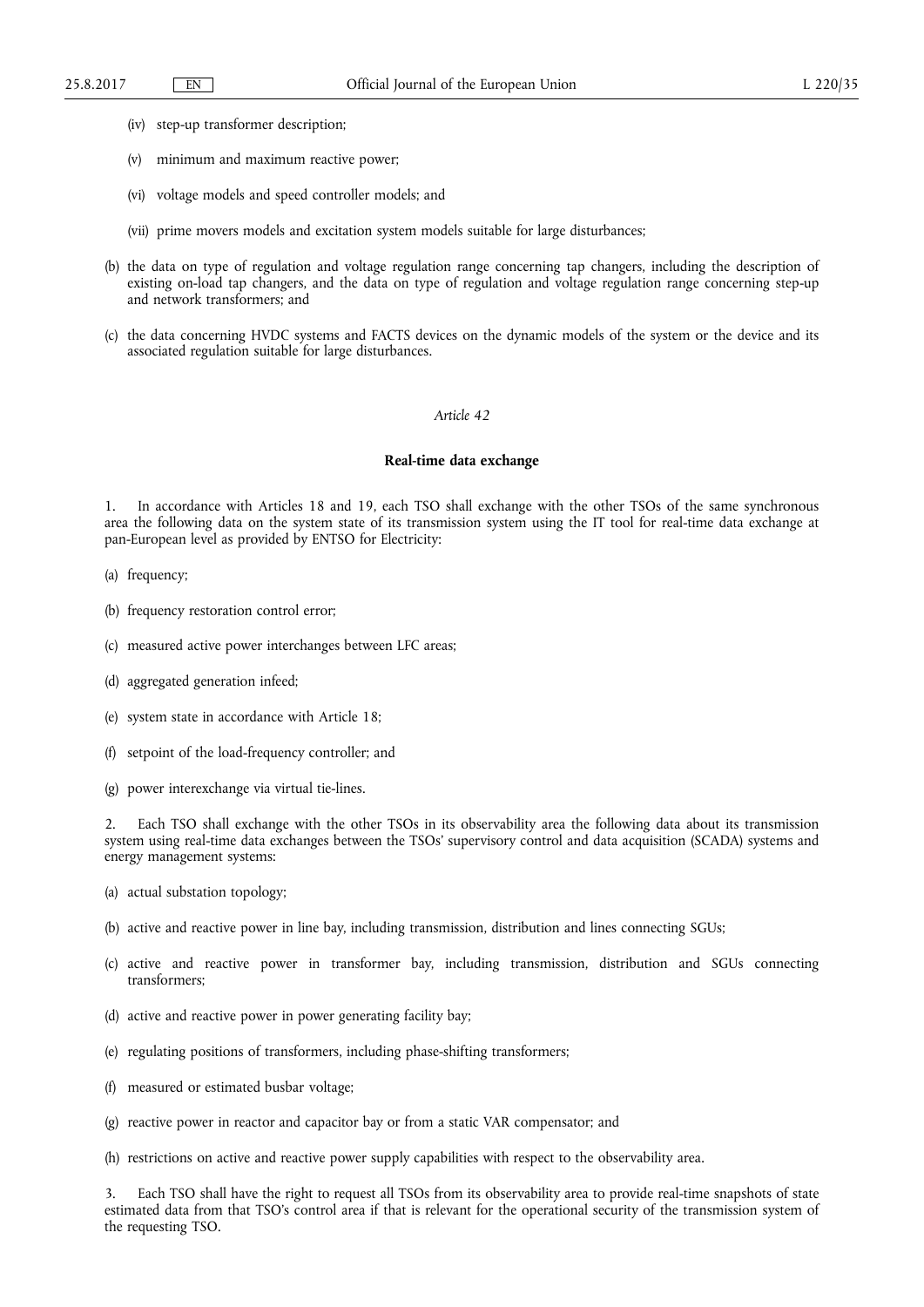- (iv) step-up transformer description;
- (v) minimum and maximum reactive power;
- (vi) voltage models and speed controller models; and
- (vii) prime movers models and excitation system models suitable for large disturbances;
- (b) the data on type of regulation and voltage regulation range concerning tap changers, including the description of existing on-load tap changers, and the data on type of regulation and voltage regulation range concerning step-up and network transformers; and
- (c) the data concerning HVDC systems and FACTS devices on the dynamic models of the system or the device and its associated regulation suitable for large disturbances.

#### **Real-time data exchange**

1. In accordance with Articles 18 and 19, each TSO shall exchange with the other TSOs of the same synchronous area the following data on the system state of its transmission system using the IT tool for real-time data exchange at pan-European level as provided by ENTSO for Electricity:

- (a) frequency;
- (b) frequency restoration control error;
- (c) measured active power interchanges between LFC areas;
- (d) aggregated generation infeed;
- (e) system state in accordance with Article 18;
- (f) setpoint of the load-frequency controller; and
- (g) power interexchange via virtual tie-lines.

Each TSO shall exchange with the other TSOs in its observability area the following data about its transmission system using real-time data exchanges between the TSOs' supervisory control and data acquisition (SCADA) systems and energy management systems:

- (a) actual substation topology;
- (b) active and reactive power in line bay, including transmission, distribution and lines connecting SGUs;
- (c) active and reactive power in transformer bay, including transmission, distribution and SGUs connecting transformers;
- (d) active and reactive power in power generating facility bay;
- (e) regulating positions of transformers, including phase-shifting transformers;
- (f) measured or estimated busbar voltage;
- (g) reactive power in reactor and capacitor bay or from a static VAR compensator; and
- (h) restrictions on active and reactive power supply capabilities with respect to the observability area.

3. Each TSO shall have the right to request all TSOs from its observability area to provide real-time snapshots of state estimated data from that TSO's control area if that is relevant for the operational security of the transmission system of the requesting TSO.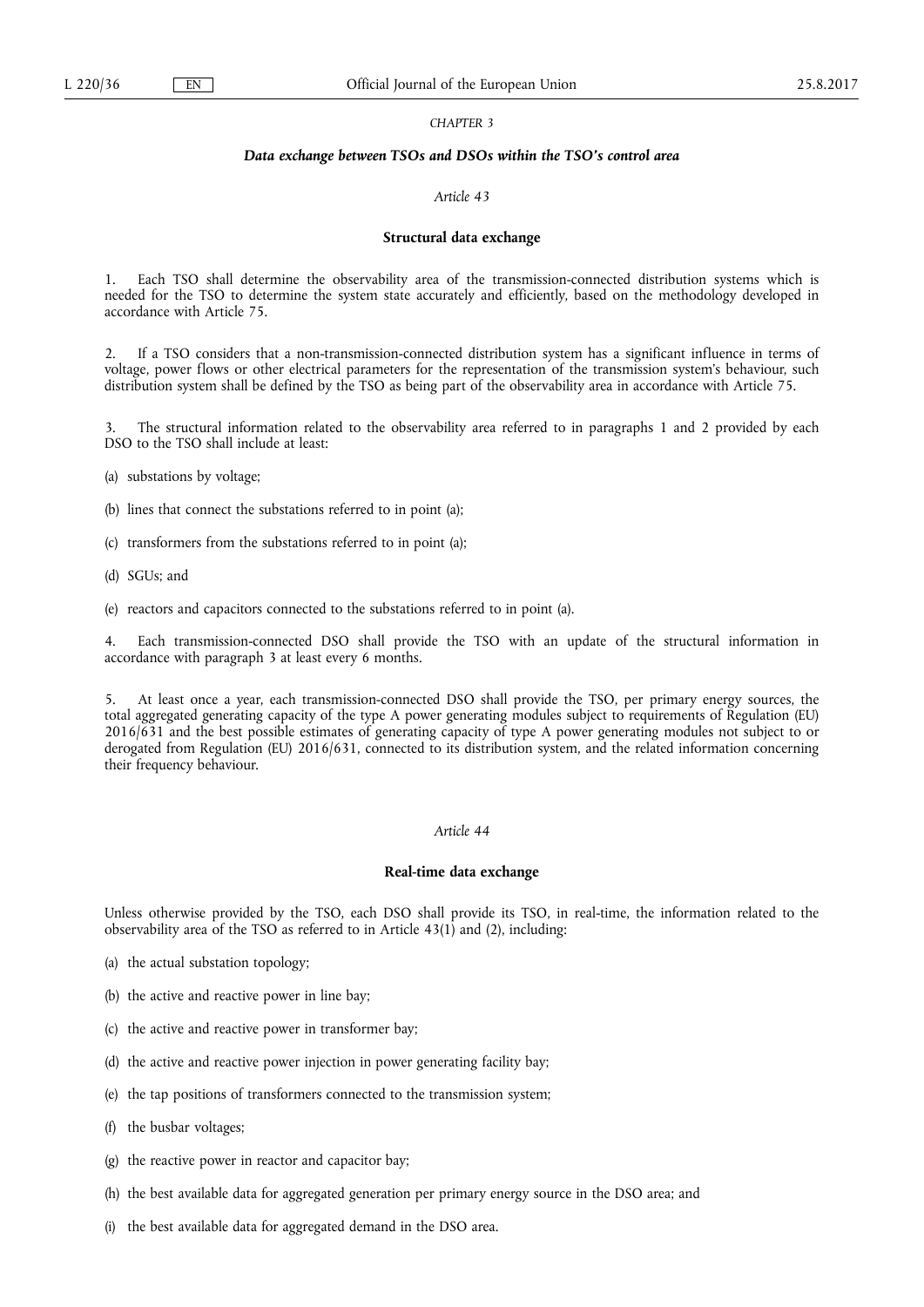## *CHAPTER 3*

#### *Data exchange between TSOs and DSOs within the TSO's control area*

# *Article 43*

#### **Structural data exchange**

1. Each TSO shall determine the observability area of the transmission-connected distribution systems which is needed for the TSO to determine the system state accurately and efficiently, based on the methodology developed in accordance with Article 75.

2. If a TSO considers that a non-transmission-connected distribution system has a significant influence in terms of voltage, power flows or other electrical parameters for the representation of the transmission system's behaviour, such distribution system shall be defined by the TSO as being part of the observability area in accordance with Article 75.

3. The structural information related to the observability area referred to in paragraphs 1 and 2 provided by each DSO to the TSO shall include at least:

- (a) substations by voltage;
- (b) lines that connect the substations referred to in point (a);
- (c) transformers from the substations referred to in point (a);
- (d) SGUs; and
- (e) reactors and capacitors connected to the substations referred to in point (a).

4. Each transmission-connected DSO shall provide the TSO with an update of the structural information in accordance with paragraph 3 at least every 6 months.

5. At least once a year, each transmission-connected DSO shall provide the TSO, per primary energy sources, the total aggregated generating capacity of the type A power generating modules subject to requirements of Regulation (EU) 2016/631 and the best possible estimates of generating capacity of type A power generating modules not subject to or derogated from Regulation (EU) 2016/631, connected to its distribution system, and the related information concerning their frequency behaviour.

# *Article 44*

# **Real-time data exchange**

Unless otherwise provided by the TSO, each DSO shall provide its TSO, in real-time, the information related to the observability area of the TSO as referred to in Article  $43(1)$  and (2), including:

- (a) the actual substation topology;
- (b) the active and reactive power in line bay;
- (c) the active and reactive power in transformer bay;
- (d) the active and reactive power injection in power generating facility bay;
- (e) the tap positions of transformers connected to the transmission system;
- (f) the busbar voltages;
- (g) the reactive power in reactor and capacitor bay;
- (h) the best available data for aggregated generation per primary energy source in the DSO area; and
- (i) the best available data for aggregated demand in the DSO area.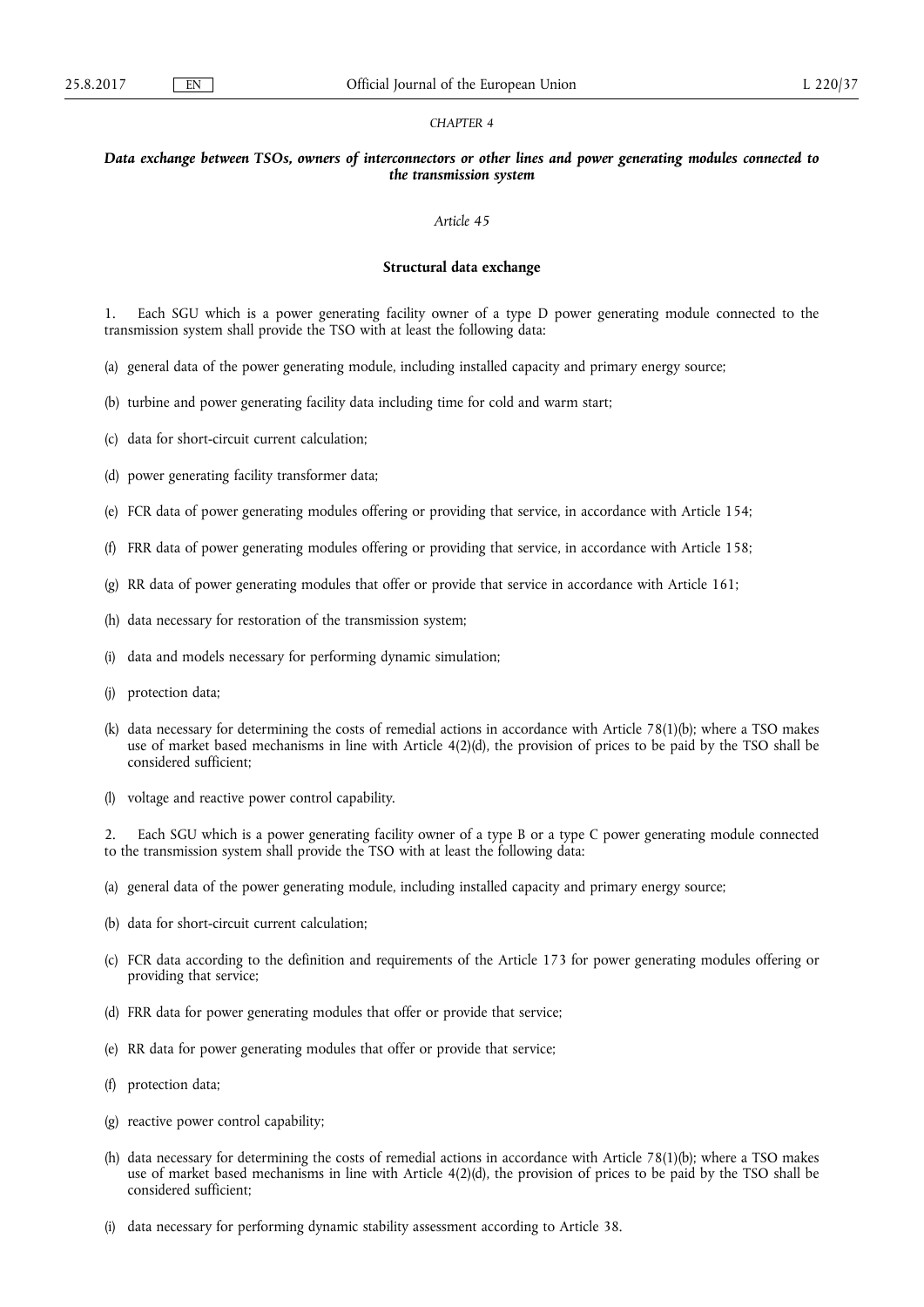### *CHAPTER 4*

## *Data exchange between TSOs, owners of interconnectors or other lines and power generating modules connected to the transmission system*

### *Article 45*

## **Structural data exchange**

1. Each SGU which is a power generating facility owner of a type D power generating module connected to the transmission system shall provide the TSO with at least the following data:

- (a) general data of the power generating module, including installed capacity and primary energy source;
- (b) turbine and power generating facility data including time for cold and warm start;
- (c) data for short-circuit current calculation;
- (d) power generating facility transformer data;
- (e) FCR data of power generating modules offering or providing that service, in accordance with Article 154;
- (f) FRR data of power generating modules offering or providing that service, in accordance with Article 158;
- (g) RR data of power generating modules that offer or provide that service in accordance with Article 161;
- (h) data necessary for restoration of the transmission system;
- (i) data and models necessary for performing dynamic simulation;
- (j) protection data;
- (k) data necessary for determining the costs of remedial actions in accordance with Article 78(1)(b); where a TSO makes use of market based mechanisms in line with Article 4(2)(d), the provision of prices to be paid by the TSO shall be considered sufficient;
- (l) voltage and reactive power control capability.

2. Each SGU which is a power generating facility owner of a type B or a type C power generating module connected to the transmission system shall provide the TSO with at least the following data:

- (a) general data of the power generating module, including installed capacity and primary energy source;
- (b) data for short-circuit current calculation;
- (c) FCR data according to the definition and requirements of the Article 173 for power generating modules offering or providing that service;
- (d) FRR data for power generating modules that offer or provide that service;
- (e) RR data for power generating modules that offer or provide that service;
- (f) protection data;
- (g) reactive power control capability;
- (h) data necessary for determining the costs of remedial actions in accordance with Article 78(1)(b); where a TSO makes use of market based mechanisms in line with Article 4(2)(d), the provision of prices to be paid by the TSO shall be considered sufficient;
- (i) data necessary for performing dynamic stability assessment according to Article 38.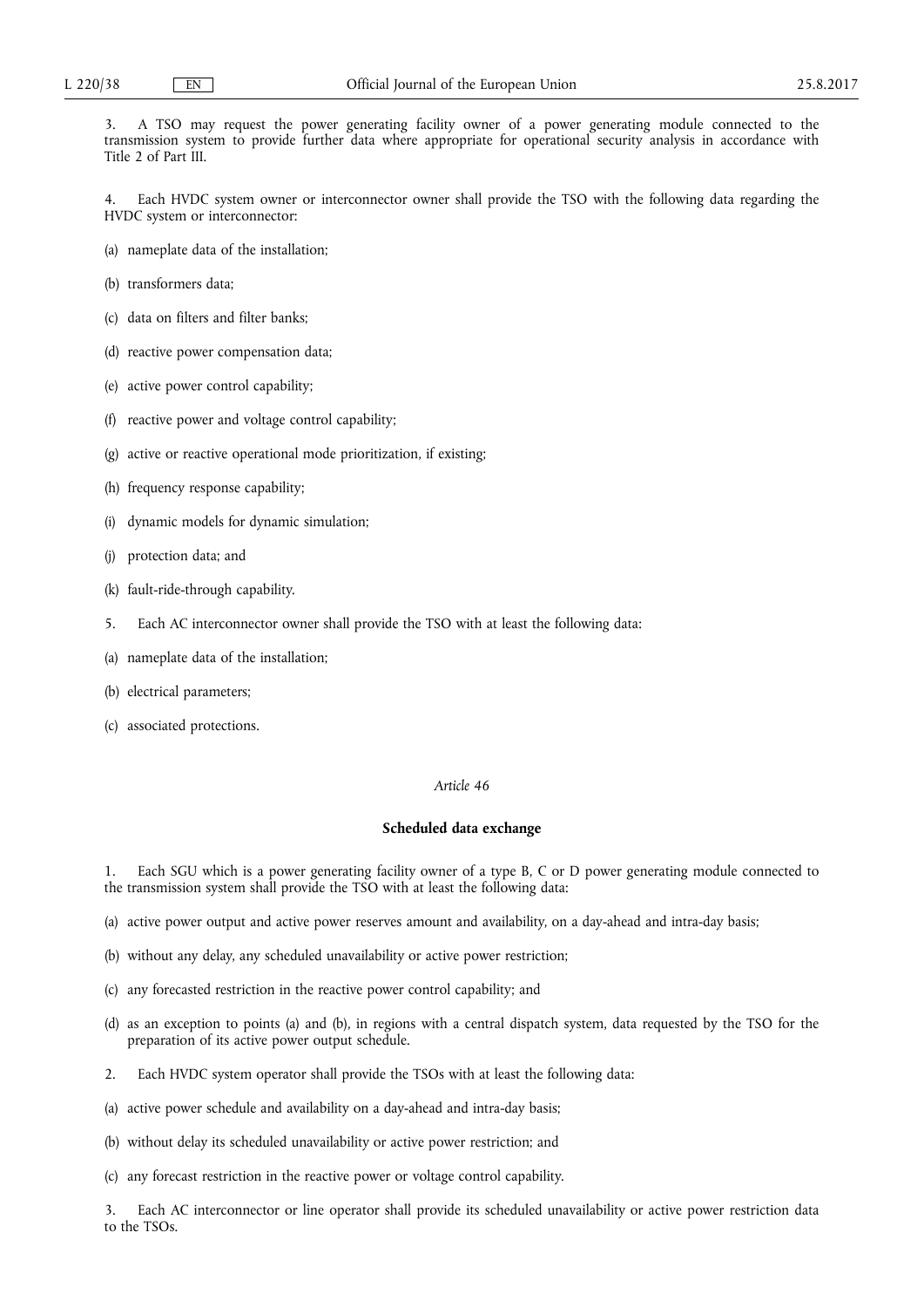3. A TSO may request the power generating facility owner of a power generating module connected to the transmission system to provide further data where appropriate for operational security analysis in accordance with Title 2 of Part III.

Each HVDC system owner or interconnector owner shall provide the TSO with the following data regarding the HVDC system or interconnector:

- (a) nameplate data of the installation;
- (b) transformers data;
- (c) data on filters and filter banks;
- (d) reactive power compensation data;
- (e) active power control capability;
- (f) reactive power and voltage control capability;
- (g) active or reactive operational mode prioritization, if existing;
- (h) frequency response capability;
- (i) dynamic models for dynamic simulation;
- (j) protection data; and
- (k) fault-ride-through capability.
- 5. Each AC interconnector owner shall provide the TSO with at least the following data:
- (a) nameplate data of the installation;
- (b) electrical parameters;
- (c) associated protections.

### *Article 46*

## **Scheduled data exchange**

1. Each SGU which is a power generating facility owner of a type B, C or D power generating module connected to the transmission system shall provide the TSO with at least the following data:

- (a) active power output and active power reserves amount and availability, on a day-ahead and intra-day basis;
- (b) without any delay, any scheduled unavailability or active power restriction;
- (c) any forecasted restriction in the reactive power control capability; and
- (d) as an exception to points (a) and (b), in regions with a central dispatch system, data requested by the TSO for the preparation of its active power output schedule.
- 2. Each HVDC system operator shall provide the TSOs with at least the following data:
- (a) active power schedule and availability on a day-ahead and intra-day basis;
- (b) without delay its scheduled unavailability or active power restriction; and
- (c) any forecast restriction in the reactive power or voltage control capability.

3. Each AC interconnector or line operator shall provide its scheduled unavailability or active power restriction data to the TSOs.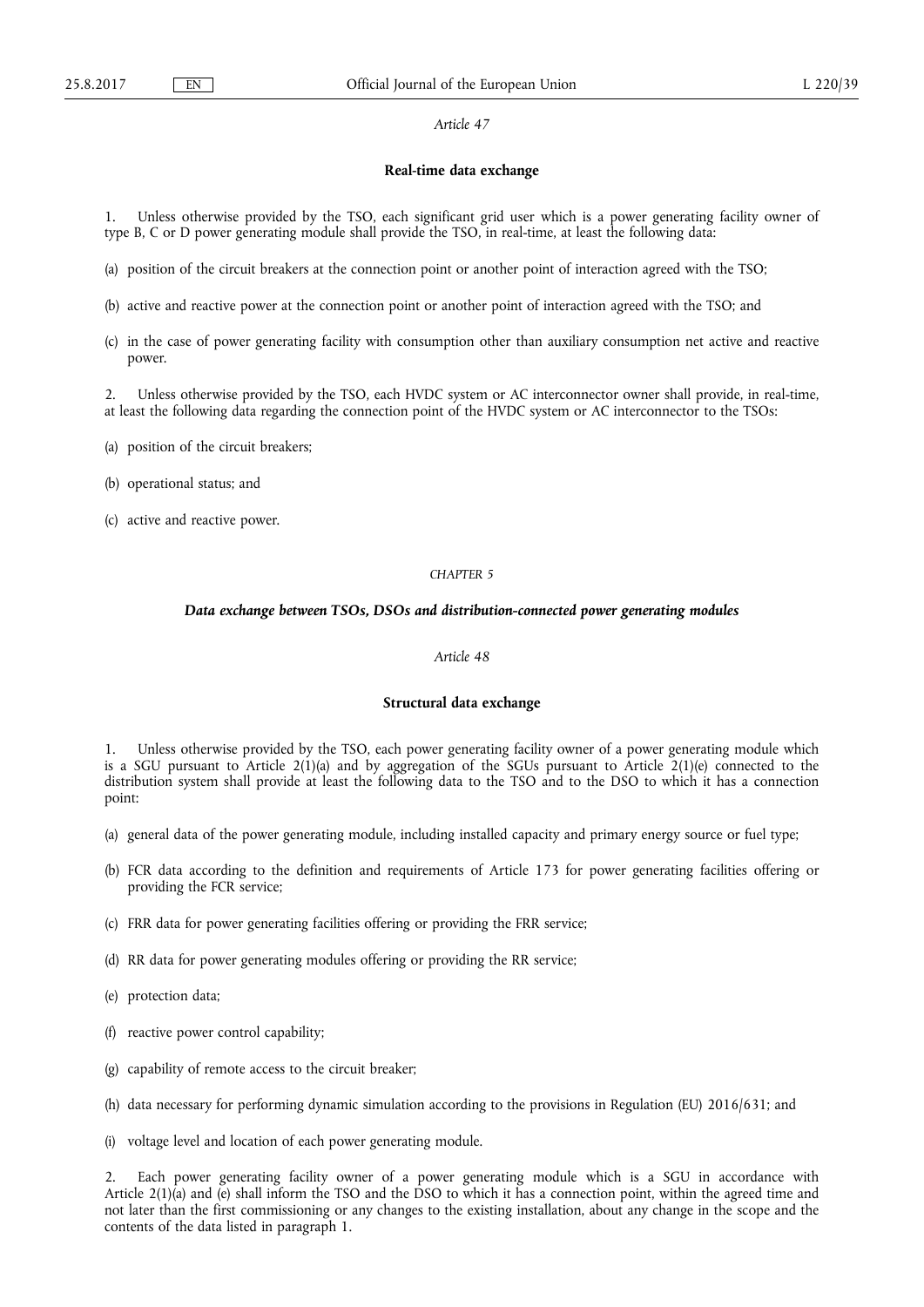### **Real-time data exchange**

Unless otherwise provided by the TSO, each significant grid user which is a power generating facility owner of type B, C or D power generating module shall provide the TSO, in real-time, at least the following data:

- (a) position of the circuit breakers at the connection point or another point of interaction agreed with the TSO;
- (b) active and reactive power at the connection point or another point of interaction agreed with the TSO; and
- (c) in the case of power generating facility with consumption other than auxiliary consumption net active and reactive power.

2. Unless otherwise provided by the TSO, each HVDC system or AC interconnector owner shall provide, in real-time, at least the following data regarding the connection point of the HVDC system or AC interconnector to the TSOs:

- (a) position of the circuit breakers;
- (b) operational status; and
- (c) active and reactive power.

## *CHAPTER 5*

## *Data exchange between TSOs, DSOs and distribution-connected power generating modules*

## *Article 48*

# **Structural data exchange**

1. Unless otherwise provided by the TSO, each power generating facility owner of a power generating module which is a SGU pursuant to Article  $2(1)(a)$  and by aggregation of the SGUs pursuant to Article  $2(1)(e)$  connected to the distribution system shall provide at least the following data to the TSO and to the DSO to which it has a connection point:

- (a) general data of the power generating module, including installed capacity and primary energy source or fuel type;
- (b) FCR data according to the definition and requirements of Article 173 for power generating facilities offering or providing the FCR service;
- (c) FRR data for power generating facilities offering or providing the FRR service;
- (d) RR data for power generating modules offering or providing the RR service;
- (e) protection data;
- (f) reactive power control capability;
- (g) capability of remote access to the circuit breaker;
- (h) data necessary for performing dynamic simulation according to the provisions in Regulation (EU) 2016/631; and
- (i) voltage level and location of each power generating module.

2. Each power generating facility owner of a power generating module which is a SGU in accordance with Article  $2(1)(a)$  and (e) shall inform the TSO and the DSO to which it has a connection point, within the agreed time and not later than the first commissioning or any changes to the existing installation, about any change in the scope and the contents of the data listed in paragraph 1.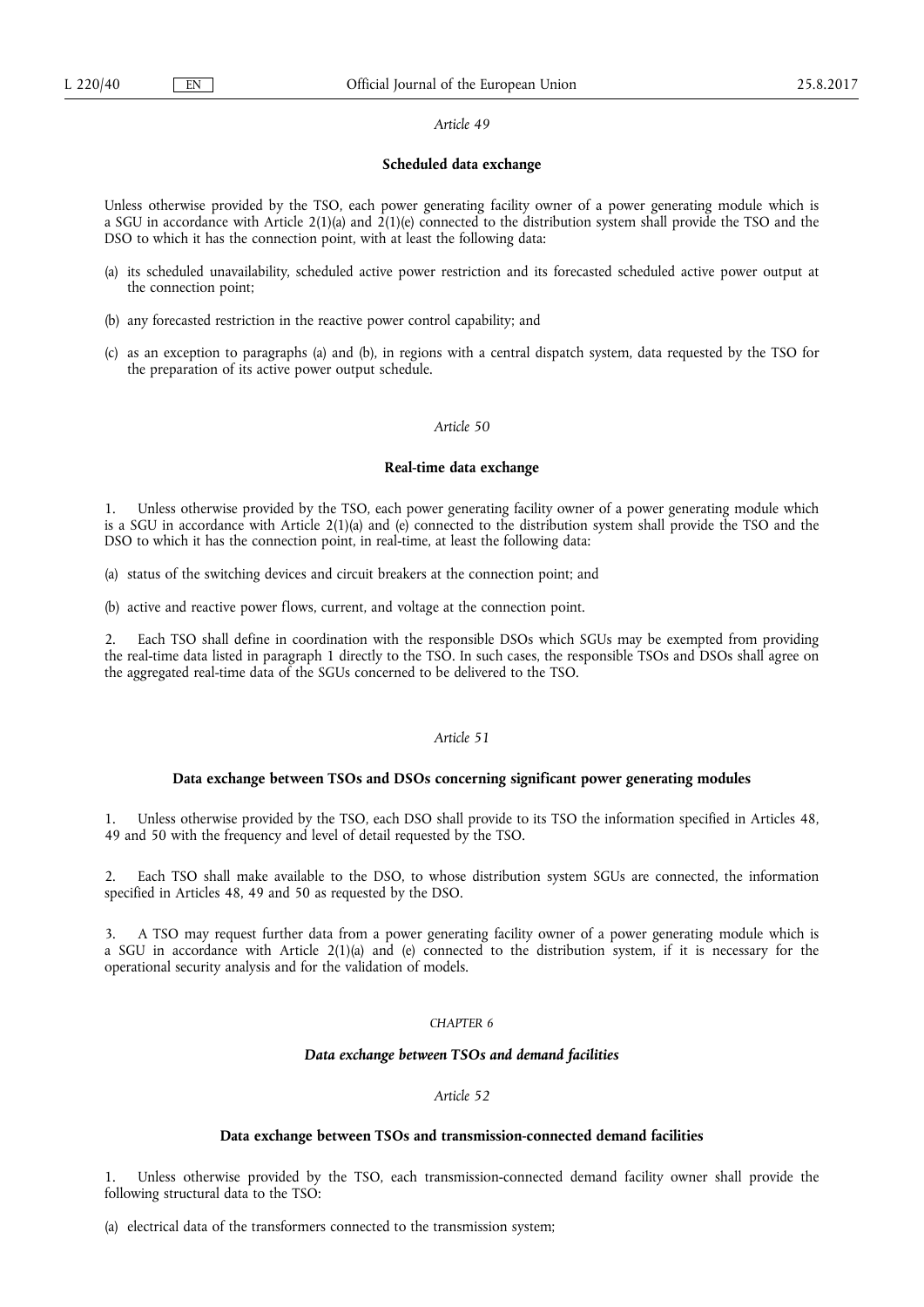## **Scheduled data exchange**

Unless otherwise provided by the TSO, each power generating facility owner of a power generating module which is a SGU in accordance with Article  $2(1)(a)$  and  $2(1)(e)$  connected to the distribution system shall provide the TSO and the DSO to which it has the connection point, with at least the following data:

- (a) its scheduled unavailability, scheduled active power restriction and its forecasted scheduled active power output at the connection point;
- (b) any forecasted restriction in the reactive power control capability; and
- (c) as an exception to paragraphs (a) and (b), in regions with a central dispatch system, data requested by the TSO for the preparation of its active power output schedule.

## *Article 50*

### **Real-time data exchange**

1. Unless otherwise provided by the TSO, each power generating facility owner of a power generating module which is a SGU in accordance with Article 2(1)(a) and (e) connected to the distribution system shall provide the TSO and the DSO to which it has the connection point, in real-time, at least the following data:

(a) status of the switching devices and circuit breakers at the connection point; and

(b) active and reactive power flows, current, and voltage at the connection point.

2. Each TSO shall define in coordination with the responsible DSOs which SGUs may be exempted from providing the real-time data listed in paragraph 1 directly to the TSO. In such cases, the responsible TSOs and DSOs shall agree on the aggregated real-time data of the SGUs concerned to be delivered to the TSO.

# *Article 51*

### **Data exchange between TSOs and DSOs concerning significant power generating modules**

1. Unless otherwise provided by the TSO, each DSO shall provide to its TSO the information specified in Articles 48, 49 and 50 with the frequency and level of detail requested by the TSO.

Each TSO shall make available to the DSO, to whose distribution system SGUs are connected, the information specified in Articles 48, 49 and 50 as requested by the DSO.

3. A TSO may request further data from a power generating facility owner of a power generating module which is a SGU in accordance with Article 2(1)(a) and (e) connected to the distribution system, if it is necessary for the operational security analysis and for the validation of models.

### *CHAPTER 6*

## *Data exchange between TSOs and demand facilities*

# *Article 52*

## **Data exchange between TSOs and transmission-connected demand facilities**

1. Unless otherwise provided by the TSO, each transmission-connected demand facility owner shall provide the following structural data to the TSO:

(a) electrical data of the transformers connected to the transmission system;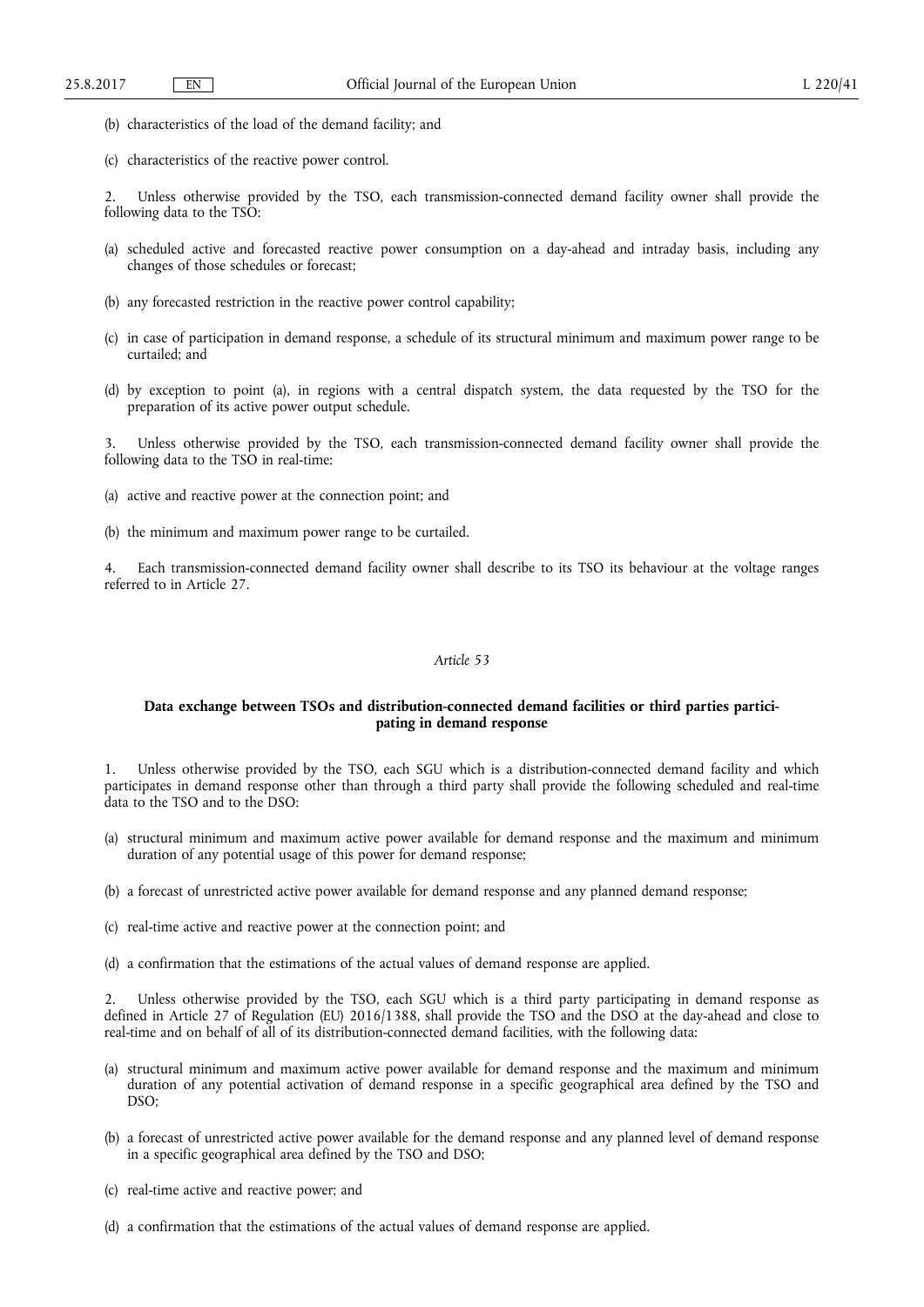- (b) characteristics of the load of the demand facility; and
- (c) characteristics of the reactive power control.

2. Unless otherwise provided by the TSO, each transmission-connected demand facility owner shall provide the following data to the TSO:

- (a) scheduled active and forecasted reactive power consumption on a day-ahead and intraday basis, including any changes of those schedules or forecast;
- (b) any forecasted restriction in the reactive power control capability;
- (c) in case of participation in demand response, a schedule of its structural minimum and maximum power range to be curtailed; and
- (d) by exception to point (a), in regions with a central dispatch system, the data requested by the TSO for the preparation of its active power output schedule.

Unless otherwise provided by the TSO, each transmission-connected demand facility owner shall provide the following data to the TSO in real-time:

- (a) active and reactive power at the connection point; and
- (b) the minimum and maximum power range to be curtailed.

4. Each transmission-connected demand facility owner shall describe to its TSO its behaviour at the voltage ranges referred to in Article 27.

## *Article 53*

## **Data exchange between TSOs and distribution-connected demand facilities or third parties participating in demand response**

1. Unless otherwise provided by the TSO, each SGU which is a distribution-connected demand facility and which participates in demand response other than through a third party shall provide the following scheduled and real-time data to the TSO and to the DSO:

- (a) structural minimum and maximum active power available for demand response and the maximum and minimum duration of any potential usage of this power for demand response;
- (b) a forecast of unrestricted active power available for demand response and any planned demand response;
- (c) real-time active and reactive power at the connection point; and
- (d) a confirmation that the estimations of the actual values of demand response are applied.

Unless otherwise provided by the TSO, each SGU which is a third party participating in demand response as defined in Article 27 of Regulation (EU) 2016/1388, shall provide the TSO and the DSO at the day-ahead and close to real-time and on behalf of all of its distribution-connected demand facilities, with the following data:

- (a) structural minimum and maximum active power available for demand response and the maximum and minimum duration of any potential activation of demand response in a specific geographical area defined by the TSO and DSO;
- (b) a forecast of unrestricted active power available for the demand response and any planned level of demand response in a specific geographical area defined by the TSO and DSO;
- (c) real-time active and reactive power; and
- (d) a confirmation that the estimations of the actual values of demand response are applied.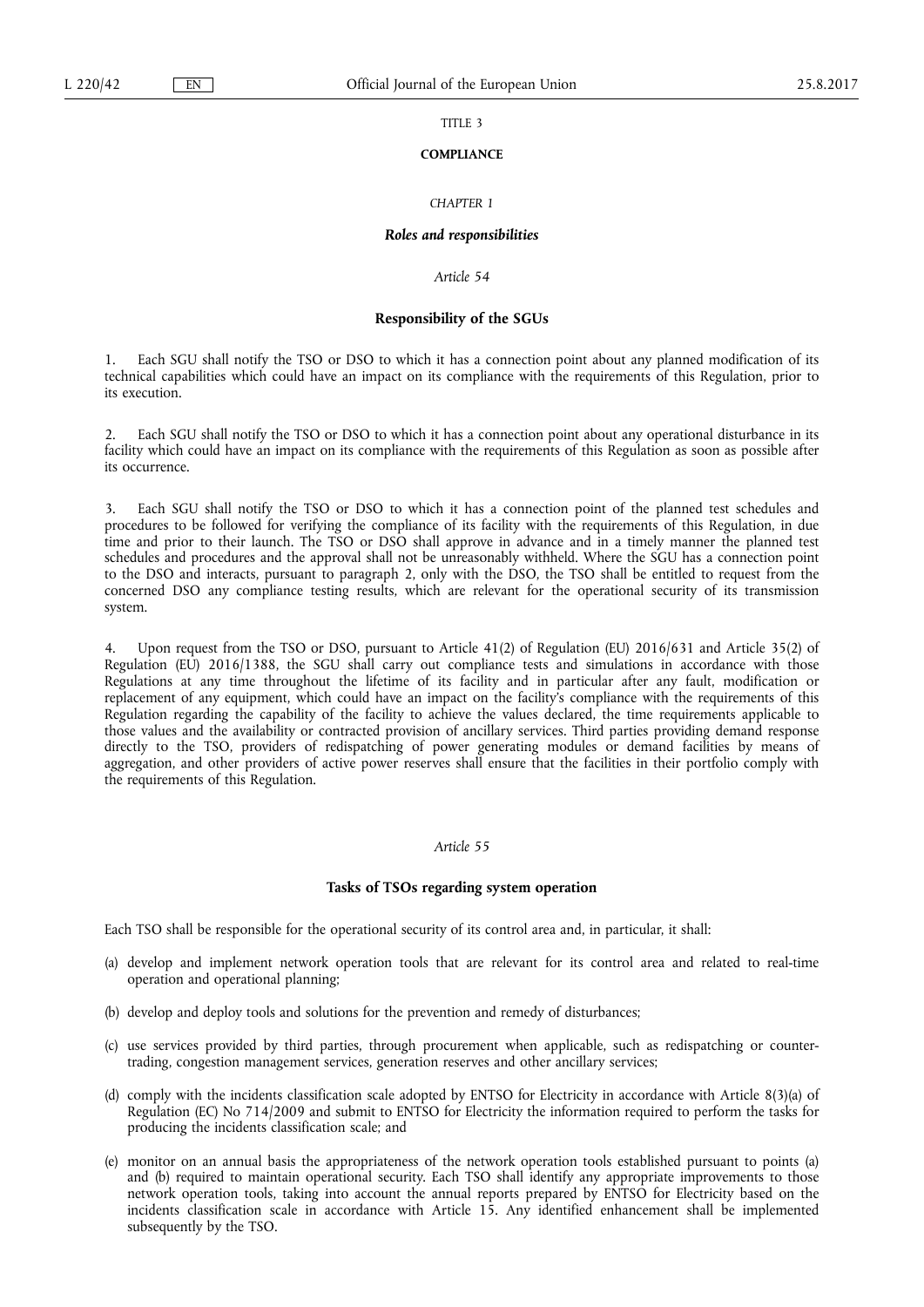## TITLE 3

#### **COMPLIANCE**

## *CHAPTER 1*

### *Roles and responsibilities*

## *Article 54*

## **Responsibility of the SGUs**

Each SGU shall notify the TSO or DSO to which it has a connection point about any planned modification of its technical capabilities which could have an impact on its compliance with the requirements of this Regulation, prior to its execution.

2. Each SGU shall notify the TSO or DSO to which it has a connection point about any operational disturbance in its facility which could have an impact on its compliance with the requirements of this Regulation as soon as possible after its occurrence.

3. Each SGU shall notify the TSO or DSO to which it has a connection point of the planned test schedules and procedures to be followed for verifying the compliance of its facility with the requirements of this Regulation, in due time and prior to their launch. The TSO or DSO shall approve in advance and in a timely manner the planned test schedules and procedures and the approval shall not be unreasonably withheld. Where the SGU has a connection point to the DSO and interacts, pursuant to paragraph 2, only with the DSO, the TSO shall be entitled to request from the concerned DSO any compliance testing results, which are relevant for the operational security of its transmission system.

4. Upon request from the TSO or DSO, pursuant to Article 41(2) of Regulation (EU) 2016/631 and Article 35(2) of Regulation (EU) 2016/1388, the SGU shall carry out compliance tests and simulations in accordance with those Regulations at any time throughout the lifetime of its facility and in particular after any fault, modification or replacement of any equipment, which could have an impact on the facility's compliance with the requirements of this Regulation regarding the capability of the facility to achieve the values declared, the time requirements applicable to those values and the availability or contracted provision of ancillary services. Third parties providing demand response directly to the TSO, providers of redispatching of power generating modules or demand facilities by means of aggregation, and other providers of active power reserves shall ensure that the facilities in their portfolio comply with the requirements of this Regulation.

# *Article 55*

#### **Tasks of TSOs regarding system operation**

Each TSO shall be responsible for the operational security of its control area and, in particular, it shall:

- (a) develop and implement network operation tools that are relevant for its control area and related to real-time operation and operational planning;
- (b) develop and deploy tools and solutions for the prevention and remedy of disturbances;
- (c) use services provided by third parties, through procurement when applicable, such as redispatching or countertrading, congestion management services, generation reserves and other ancillary services;
- (d) comply with the incidents classification scale adopted by ENTSO for Electricity in accordance with Article 8(3)(a) of Regulation (EC) No 714/2009 and submit to ENTSO for Electricity the information required to perform the tasks for producing the incidents classification scale; and
- (e) monitor on an annual basis the appropriateness of the network operation tools established pursuant to points (a) and (b) required to maintain operational security. Each TSO shall identify any appropriate improvements to those network operation tools, taking into account the annual reports prepared by ENTSO for Electricity based on the incidents classification scale in accordance with Article 15. Any identified enhancement shall be implemented subsequently by the TSO.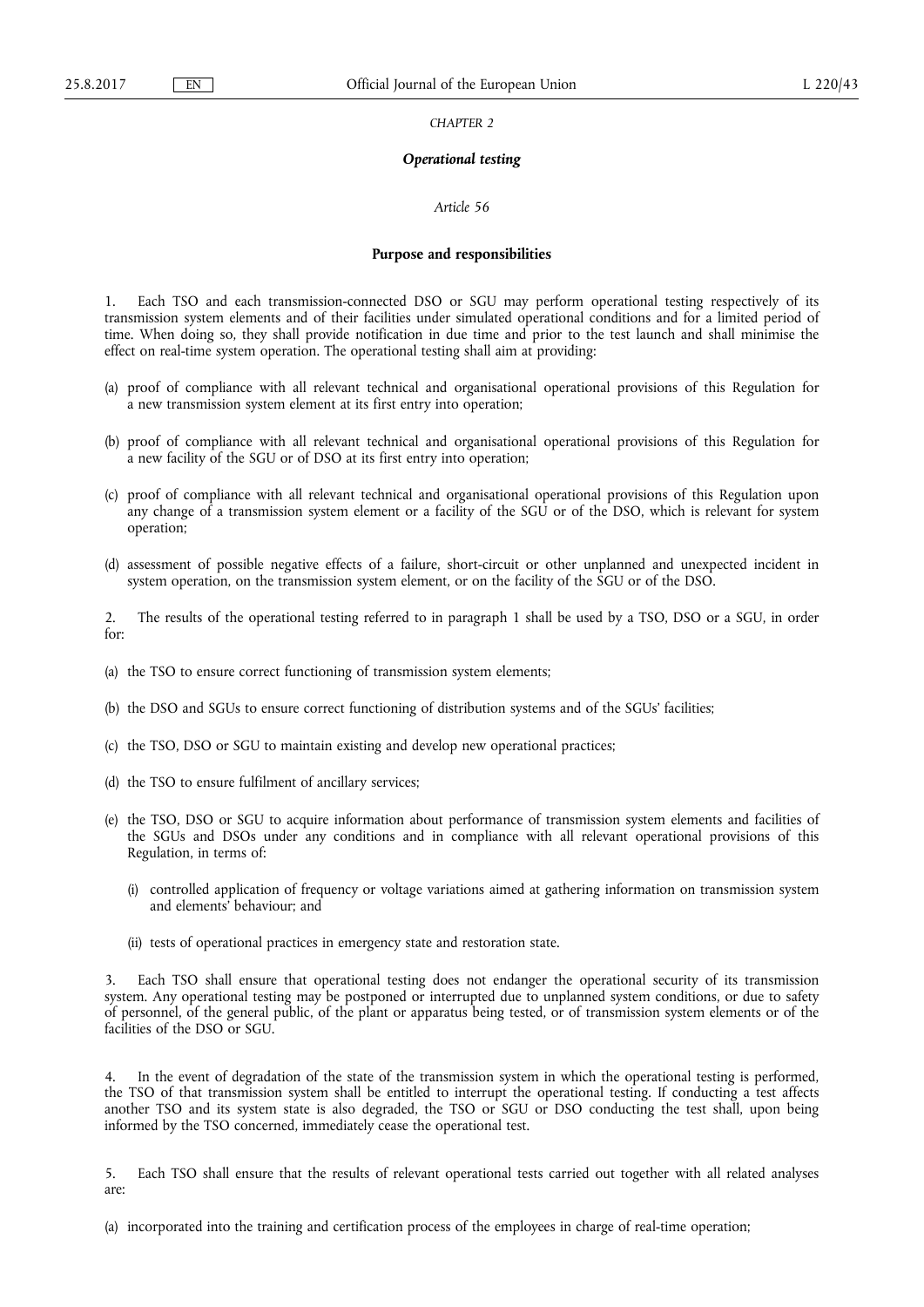*CHAPTER 2* 

## *Operational testing*

#### *Article 56*

#### **Purpose and responsibilities**

Each TSO and each transmission-connected DSO or SGU may perform operational testing respectively of its transmission system elements and of their facilities under simulated operational conditions and for a limited period of time. When doing so, they shall provide notification in due time and prior to the test launch and shall minimise the effect on real-time system operation. The operational testing shall aim at providing:

- (a) proof of compliance with all relevant technical and organisational operational provisions of this Regulation for a new transmission system element at its first entry into operation;
- (b) proof of compliance with all relevant technical and organisational operational provisions of this Regulation for a new facility of the SGU or of DSO at its first entry into operation;
- (c) proof of compliance with all relevant technical and organisational operational provisions of this Regulation upon any change of a transmission system element or a facility of the SGU or of the DSO, which is relevant for system operation;
- (d) assessment of possible negative effects of a failure, short-circuit or other unplanned and unexpected incident in system operation, on the transmission system element, or on the facility of the SGU or of the DSO.

2. The results of the operational testing referred to in paragraph 1 shall be used by a TSO, DSO or a SGU, in order for:

- (a) the TSO to ensure correct functioning of transmission system elements;
- (b) the DSO and SGUs to ensure correct functioning of distribution systems and of the SGUs' facilities;
- (c) the TSO, DSO or SGU to maintain existing and develop new operational practices;
- (d) the TSO to ensure fulfilment of ancillary services;
- (e) the TSO, DSO or SGU to acquire information about performance of transmission system elements and facilities of the SGUs and DSOs under any conditions and in compliance with all relevant operational provisions of this Regulation, in terms of:
	- (i) controlled application of frequency or voltage variations aimed at gathering information on transmission system and elements' behaviour; and
	- (ii) tests of operational practices in emergency state and restoration state.

Each TSO shall ensure that operational testing does not endanger the operational security of its transmission system. Any operational testing may be postponed or interrupted due to unplanned system conditions, or due to safety of personnel, of the general public, of the plant or apparatus being tested, or of transmission system elements or of the facilities of the DSO or SGU.

4. In the event of degradation of the state of the transmission system in which the operational testing is performed, the TSO of that transmission system shall be entitled to interrupt the operational testing. If conducting a test affects another TSO and its system state is also degraded, the TSO or SGU or DSO conducting the test shall, upon being informed by the TSO concerned, immediately cease the operational test.

5. Each TSO shall ensure that the results of relevant operational tests carried out together with all related analyses are:

(a) incorporated into the training and certification process of the employees in charge of real-time operation;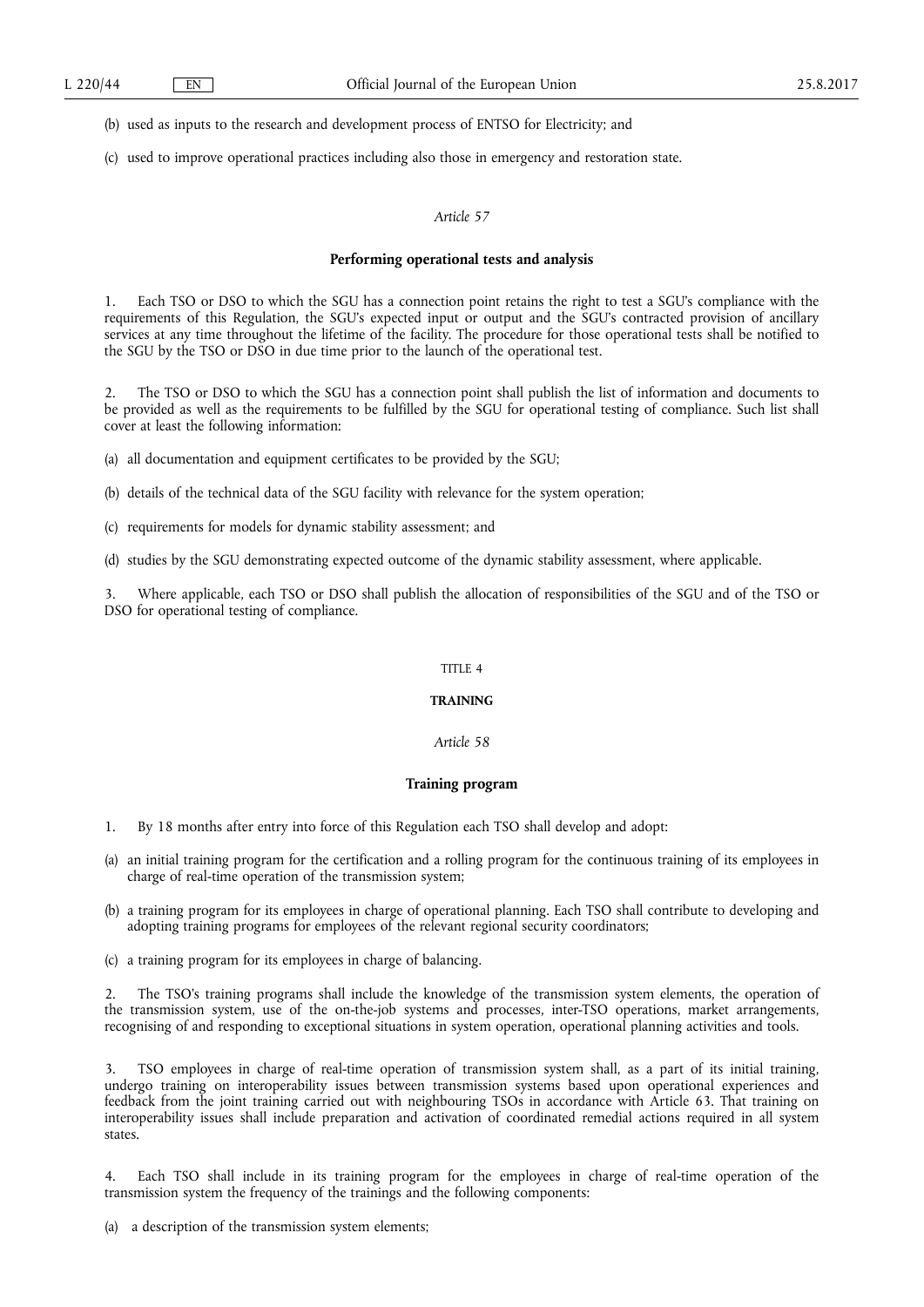(b) used as inputs to the research and development process of ENTSO for Electricity; and

(c) used to improve operational practices including also those in emergency and restoration state.

## *Article 57*

#### **Performing operational tests and analysis**

Each TSO or DSO to which the SGU has a connection point retains the right to test a SGU's compliance with the requirements of this Regulation, the SGU's expected input or output and the SGU's contracted provision of ancillary services at any time throughout the lifetime of the facility. The procedure for those operational tests shall be notified to the SGU by the TSO or DSO in due time prior to the launch of the operational test.

2. The TSO or DSO to which the SGU has a connection point shall publish the list of information and documents to be provided as well as the requirements to be fulfilled by the SGU for operational testing of compliance. Such list shall cover at least the following information:

(a) all documentation and equipment certificates to be provided by the SGU;

(b) details of the technical data of the SGU facility with relevance for the system operation;

- (c) requirements for models for dynamic stability assessment; and
- (d) studies by the SGU demonstrating expected outcome of the dynamic stability assessment, where applicable.

3. Where applicable, each TSO or DSO shall publish the allocation of responsibilities of the SGU and of the TSO or DSO for operational testing of compliance.

### TITLE 4

### **TRAINING**

## *Article 58*

### **Training program**

1. By 18 months after entry into force of this Regulation each TSO shall develop and adopt:

- (a) an initial training program for the certification and a rolling program for the continuous training of its employees in charge of real-time operation of the transmission system;
- (b) a training program for its employees in charge of operational planning. Each TSO shall contribute to developing and adopting training programs for employees of the relevant regional security coordinators;
- (c) a training program for its employees in charge of balancing.

2. The TSO's training programs shall include the knowledge of the transmission system elements, the operation of the transmission system, use of the on-the-job systems and processes, inter-TSO operations, market arrangements, recognising of and responding to exceptional situations in system operation, operational planning activities and tools.

3. TSO employees in charge of real-time operation of transmission system shall, as a part of its initial training, undergo training on interoperability issues between transmission systems based upon operational experiences and feedback from the joint training carried out with neighbouring TSOs in accordance with Article 63. That training on interoperability issues shall include preparation and activation of coordinated remedial actions required in all system states.

4. Each TSO shall include in its training program for the employees in charge of real-time operation of the transmission system the frequency of the trainings and the following components:

(a) a description of the transmission system elements;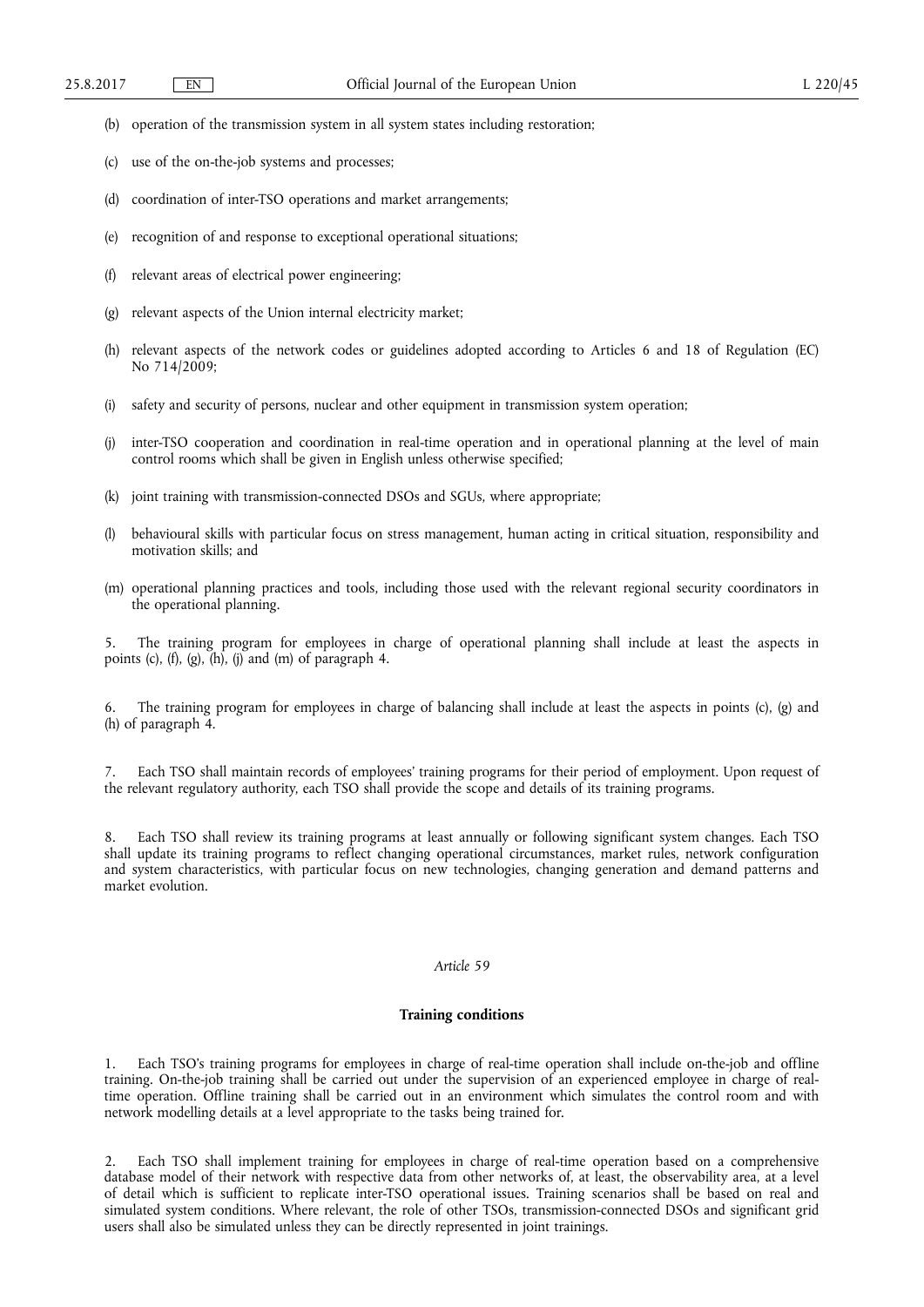- (b) operation of the transmission system in all system states including restoration;
- (c) use of the on-the-job systems and processes;
- (d) coordination of inter-TSO operations and market arrangements;
- (e) recognition of and response to exceptional operational situations;
- (f) relevant areas of electrical power engineering;
- (g) relevant aspects of the Union internal electricity market;
- (h) relevant aspects of the network codes or guidelines adopted according to Articles 6 and 18 of Regulation (EC) No 714/2009;
- (i) safety and security of persons, nuclear and other equipment in transmission system operation;
- (j) inter-TSO cooperation and coordination in real-time operation and in operational planning at the level of main control rooms which shall be given in English unless otherwise specified;
- (k) joint training with transmission-connected DSOs and SGUs, where appropriate;
- (l) behavioural skills with particular focus on stress management, human acting in critical situation, responsibility and motivation skills; and
- (m) operational planning practices and tools, including those used with the relevant regional security coordinators in the operational planning.

5. The training program for employees in charge of operational planning shall include at least the aspects in points (c),  $(f)$ ,  $(g)$ ,  $(h)$ ,  $(j)$  and  $(m)$  of paragraph 4.

6. The training program for employees in charge of balancing shall include at least the aspects in points (c), (g) and (h) of paragraph 4.

7. Each TSO shall maintain records of employees' training programs for their period of employment. Upon request of the relevant regulatory authority, each TSO shall provide the scope and details of its training programs.

8. Each TSO shall review its training programs at least annually or following significant system changes. Each TSO shall update its training programs to reflect changing operational circumstances, market rules, network configuration and system characteristics, with particular focus on new technologies, changing generation and demand patterns and market evolution.

## *Article 59*

### **Training conditions**

1. Each TSO's training programs for employees in charge of real-time operation shall include on-the-job and offline training. On-the-job training shall be carried out under the supervision of an experienced employee in charge of realtime operation. Offline training shall be carried out in an environment which simulates the control room and with network modelling details at a level appropriate to the tasks being trained for.

2. Each TSO shall implement training for employees in charge of real-time operation based on a comprehensive database model of their network with respective data from other networks of, at least, the observability area, at a level of detail which is sufficient to replicate inter-TSO operational issues. Training scenarios shall be based on real and simulated system conditions. Where relevant, the role of other TSOs, transmission-connected DSOs and significant grid users shall also be simulated unless they can be directly represented in joint trainings.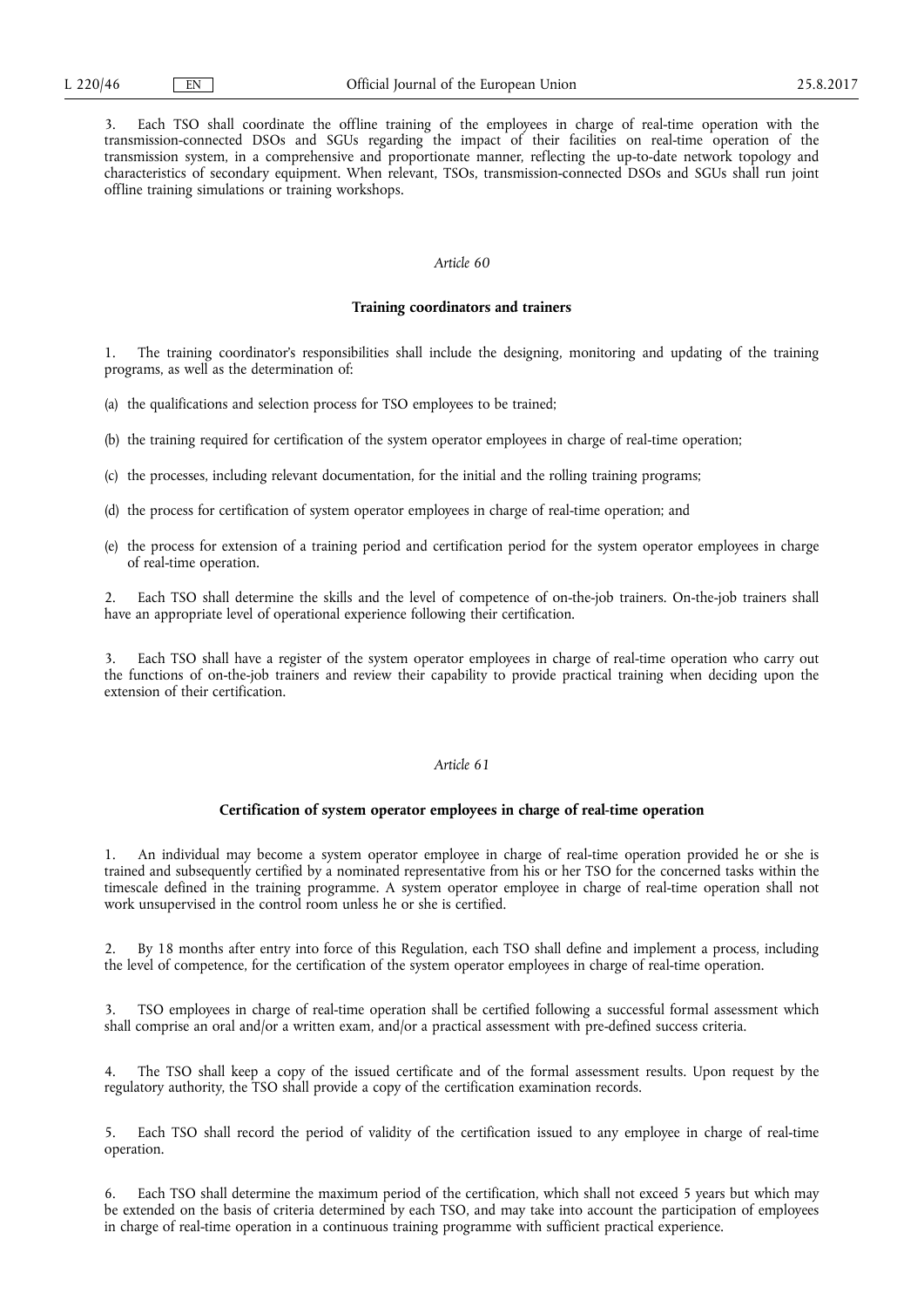3. Each TSO shall coordinate the offline training of the employees in charge of real-time operation with the transmission-connected DSOs and SGUs regarding the impact of their facilities on real-time operation of the transmission system, in a comprehensive and proportionate manner, reflecting the up-to-date network topology and characteristics of secondary equipment. When relevant, TSOs, transmission-connected DSOs and SGUs shall run joint offline training simulations or training workshops.

## *Article 60*

#### **Training coordinators and trainers**

1. The training coordinator's responsibilities shall include the designing, monitoring and updating of the training programs, as well as the determination of:

(a) the qualifications and selection process for TSO employees to be trained;

- (b) the training required for certification of the system operator employees in charge of real-time operation;
- (c) the processes, including relevant documentation, for the initial and the rolling training programs;
- (d) the process for certification of system operator employees in charge of real-time operation; and
- (e) the process for extension of a training period and certification period for the system operator employees in charge of real-time operation.

2. Each TSO shall determine the skills and the level of competence of on-the-job trainers. On-the-job trainers shall have an appropriate level of operational experience following their certification.

Each TSO shall have a register of the system operator employees in charge of real-time operation who carry out the functions of on-the-job trainers and review their capability to provide practical training when deciding upon the extension of their certification.

## *Article 61*

### **Certification of system operator employees in charge of real-time operation**

1. An individual may become a system operator employee in charge of real-time operation provided he or she is trained and subsequently certified by a nominated representative from his or her TSO for the concerned tasks within the timescale defined in the training programme. A system operator employee in charge of real-time operation shall not work unsupervised in the control room unless he or she is certified.

2. By 18 months after entry into force of this Regulation, each TSO shall define and implement a process, including the level of competence, for the certification of the system operator employees in charge of real-time operation.

TSO employees in charge of real-time operation shall be certified following a successful formal assessment which shall comprise an oral and/or a written exam, and/or a practical assessment with pre-defined success criteria.

4. The TSO shall keep a copy of the issued certificate and of the formal assessment results. Upon request by the regulatory authority, the TSO shall provide a copy of the certification examination records.

5. Each TSO shall record the period of validity of the certification issued to any employee in charge of real-time operation.

6. Each TSO shall determine the maximum period of the certification, which shall not exceed 5 years but which may be extended on the basis of criteria determined by each TSO, and may take into account the participation of employees in charge of real-time operation in a continuous training programme with sufficient practical experience.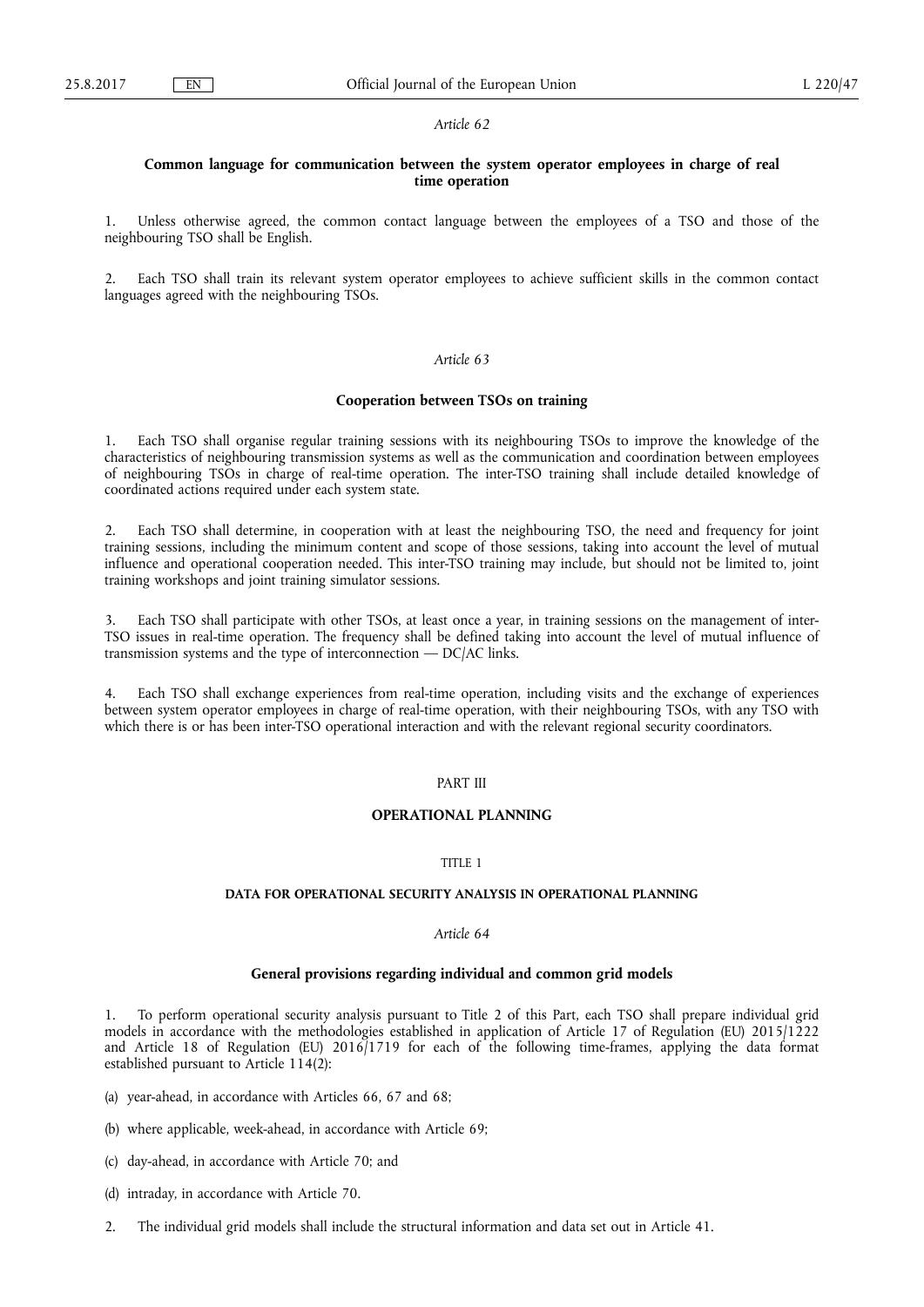## **Common language for communication between the system operator employees in charge of real time operation**

Unless otherwise agreed, the common contact language between the employees of a TSO and those of the neighbouring TSO shall be English.

2. Each TSO shall train its relevant system operator employees to achieve sufficient skills in the common contact languages agreed with the neighbouring TSOs.

#### *Article 63*

## **Cooperation between TSOs on training**

Each TSO shall organise regular training sessions with its neighbouring TSOs to improve the knowledge of the characteristics of neighbouring transmission systems as well as the communication and coordination between employees of neighbouring TSOs in charge of real-time operation. The inter-TSO training shall include detailed knowledge of coordinated actions required under each system state.

2. Each TSO shall determine, in cooperation with at least the neighbouring TSO, the need and frequency for joint training sessions, including the minimum content and scope of those sessions, taking into account the level of mutual influence and operational cooperation needed. This inter-TSO training may include, but should not be limited to, joint training workshops and joint training simulator sessions.

3. Each TSO shall participate with other TSOs, at least once a year, in training sessions on the management of inter-TSO issues in real-time operation. The frequency shall be defined taking into account the level of mutual influence of transmission systems and the type of interconnection  $-$  DC/AC links.

4. Each TSO shall exchange experiences from real-time operation, including visits and the exchange of experiences between system operator employees in charge of real-time operation, with their neighbouring TSOs, with any TSO with which there is or has been inter-TSO operational interaction and with the relevant regional security coordinators.

## PART III

## **OPERATIONAL PLANNING**

### TITLE 1

# **DATA FOR OPERATIONAL SECURITY ANALYSIS IN OPERATIONAL PLANNING**

## *Article 64*

## **General provisions regarding individual and common grid models**

1. To perform operational security analysis pursuant to Title 2 of this Part, each TSO shall prepare individual grid models in accordance with the methodologies established in application of Article 17 of Regulation (EU) 2015/1222 and Article 18 of Regulation (EU)  $2016/1719$  for each of the following time-frames, applying the data format established pursuant to Article  $114(2)$ :

(a) year-ahead, in accordance with Articles 66, 67 and 68;

- (b) where applicable, week-ahead, in accordance with Article 69;
- (c) day-ahead, in accordance with Article 70; and
- (d) intraday, in accordance with Article 70.
- 2. The individual grid models shall include the structural information and data set out in Article 41.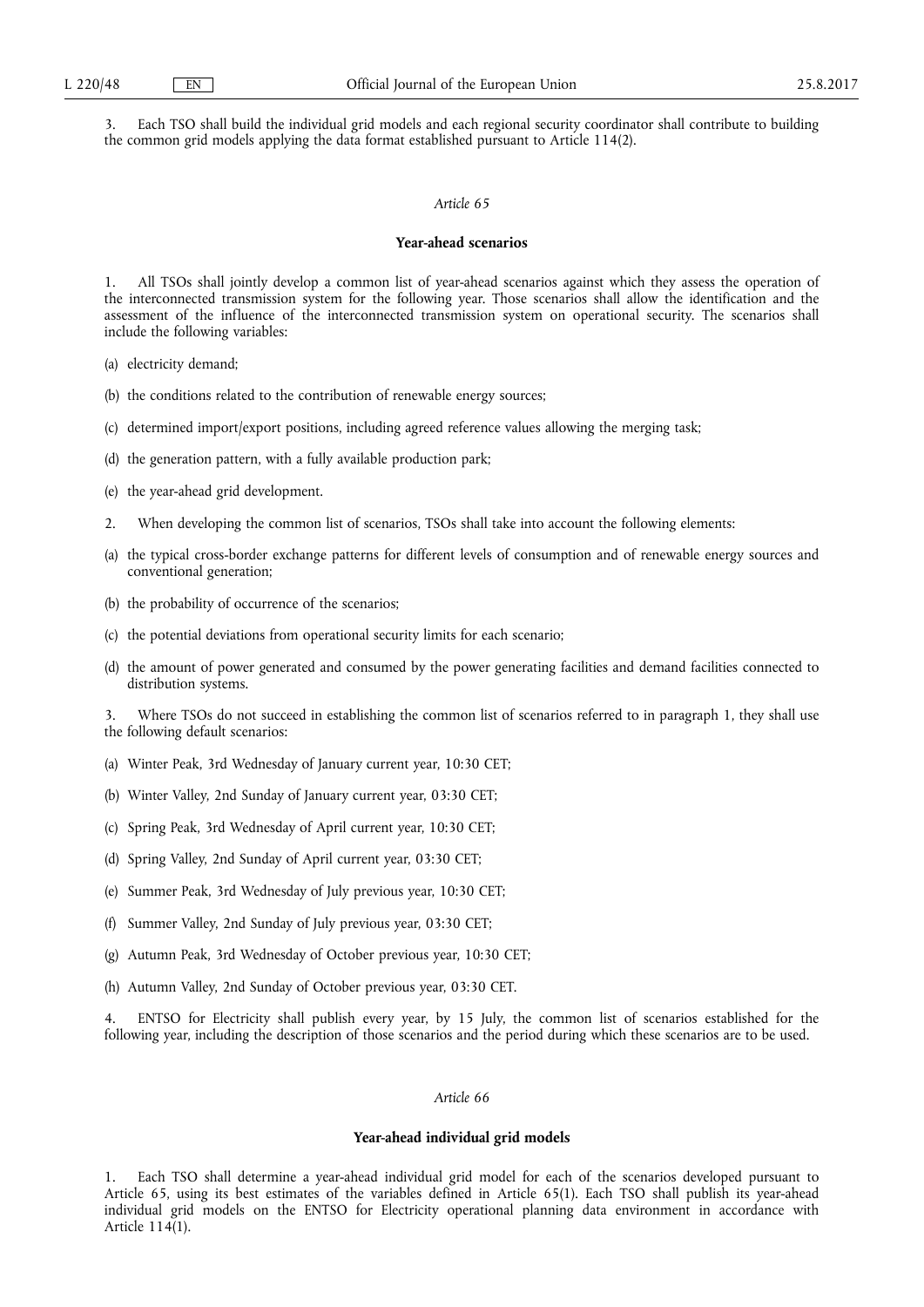3. Each TSO shall build the individual grid models and each regional security coordinator shall contribute to building the common grid models applying the data format established pursuant to Article 114(2).

### *Article 65*

### **Year-ahead scenarios**

1. All TSOs shall jointly develop a common list of year-ahead scenarios against which they assess the operation of the interconnected transmission system for the following year. Those scenarios shall allow the identification and the assessment of the influence of the interconnected transmission system on operational security. The scenarios shall include the following variables:

- (a) electricity demand;
- (b) the conditions related to the contribution of renewable energy sources;
- (c) determined import/export positions, including agreed reference values allowing the merging task;
- (d) the generation pattern, with a fully available production park;
- (e) the year-ahead grid development.
- 2. When developing the common list of scenarios, TSOs shall take into account the following elements:
- (a) the typical cross-border exchange patterns for different levels of consumption and of renewable energy sources and conventional generation;
- (b) the probability of occurrence of the scenarios;
- (c) the potential deviations from operational security limits for each scenario;
- (d) the amount of power generated and consumed by the power generating facilities and demand facilities connected to distribution systems.

3. Where TSOs do not succeed in establishing the common list of scenarios referred to in paragraph 1, they shall use the following default scenarios:

- (a) Winter Peak, 3rd Wednesday of January current year, 10:30 CET;
- (b) Winter Valley, 2nd Sunday of January current year, 03:30 CET;
- (c) Spring Peak, 3rd Wednesday of April current year, 10:30 CET;
- (d) Spring Valley, 2nd Sunday of April current year, 03:30 CET;
- (e) Summer Peak, 3rd Wednesday of July previous year, 10:30 CET;
- (f) Summer Valley, 2nd Sunday of July previous year, 03:30 CET;
- (g) Autumn Peak, 3rd Wednesday of October previous year, 10:30 CET;
- (h) Autumn Valley, 2nd Sunday of October previous year, 03:30 CET.

ENTSO for Electricity shall publish every year, by 15 July, the common list of scenarios established for the following year, including the description of those scenarios and the period during which these scenarios are to be used.

## *Article 66*

### **Year-ahead individual grid models**

1. Each TSO shall determine a year-ahead individual grid model for each of the scenarios developed pursuant to Article 65, using its best estimates of the variables defined in Article 65(1). Each TSO shall publish its year-ahead individual grid models on the ENTSO for Electricity operational planning data environment in accordance with Article 114(1).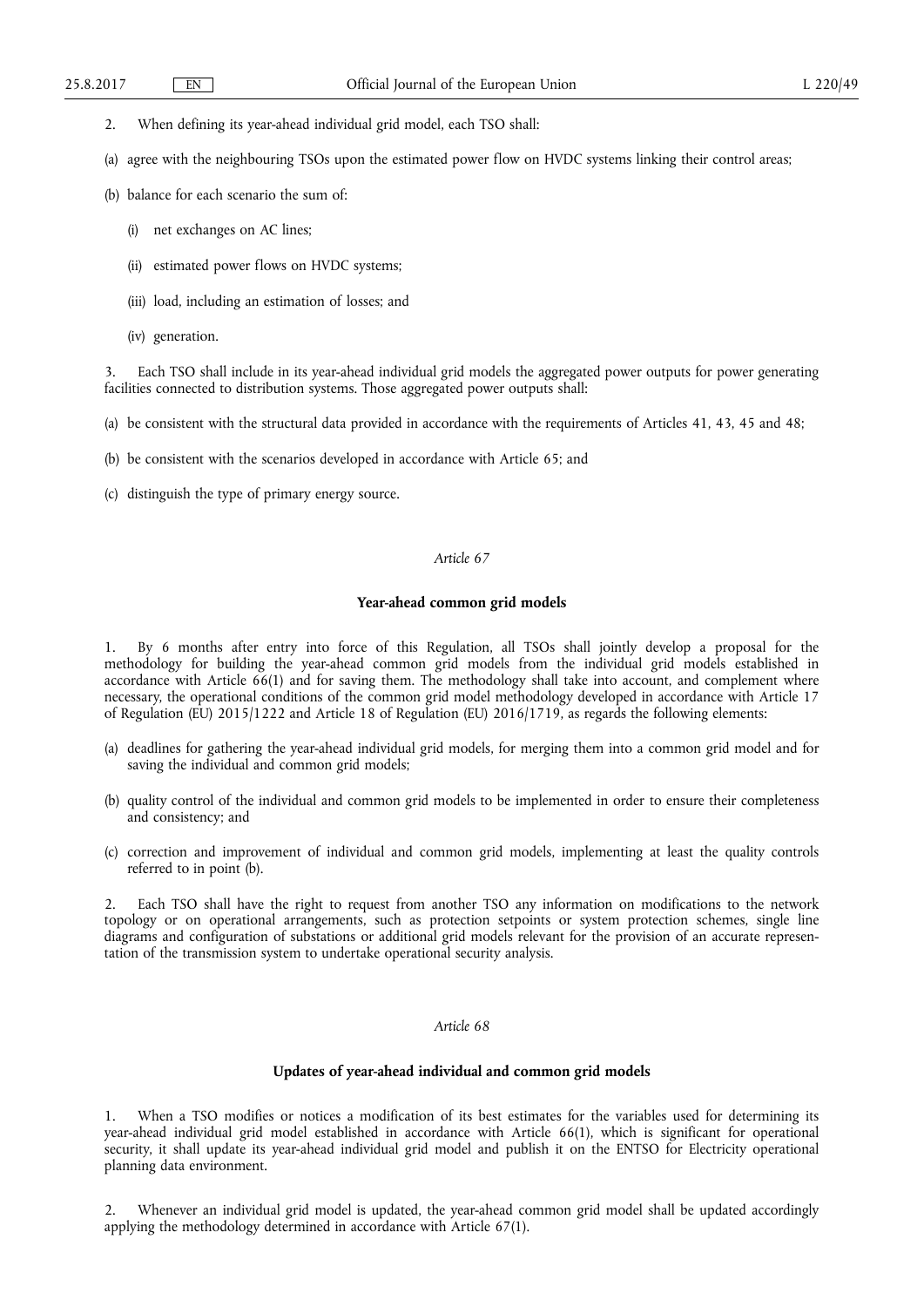- 2. When defining its year-ahead individual grid model, each TSO shall:
- (a) agree with the neighbouring TSOs upon the estimated power flow on HVDC systems linking their control areas;
- (b) balance for each scenario the sum of:
	- (i) net exchanges on AC lines;
	- (ii) estimated power flows on HVDC systems;
	- (iii) load, including an estimation of losses; and
	- (iv) generation.

Each TSO shall include in its year-ahead individual grid models the aggregated power outputs for power generating facilities connected to distribution systems. Those aggregated power outputs shall:

(a) be consistent with the structural data provided in accordance with the requirements of Articles 41, 43, 45 and 48;

- (b) be consistent with the scenarios developed in accordance with Article 65; and
- (c) distinguish the type of primary energy source.

# *Article 67*

# **Year-ahead common grid models**

1. By 6 months after entry into force of this Regulation, all TSOs shall jointly develop a proposal for the methodology for building the year-ahead common grid models from the individual grid models established in accordance with Article 66(1) and for saving them. The methodology shall take into account, and complement where necessary, the operational conditions of the common grid model methodology developed in accordance with Article 17 of Regulation (EU) 2015/1222 and Article 18 of Regulation (EU) 2016/1719, as regards the following elements:

- (a) deadlines for gathering the year-ahead individual grid models, for merging them into a common grid model and for saving the individual and common grid models;
- (b) quality control of the individual and common grid models to be implemented in order to ensure their completeness and consistency; and
- (c) correction and improvement of individual and common grid models, implementing at least the quality controls referred to in point (b).

2. Each TSO shall have the right to request from another TSO any information on modifications to the network topology or on operational arrangements, such as protection setpoints or system protection schemes, single line diagrams and configuration of substations or additional grid models relevant for the provision of an accurate representation of the transmission system to undertake operational security analysis.

# *Article 68*

## **Updates of year-ahead individual and common grid models**

1. When a TSO modifies or notices a modification of its best estimates for the variables used for determining its year-ahead individual grid model established in accordance with Article 66(1), which is significant for operational security, it shall update its year-ahead individual grid model and publish it on the ENTSO for Electricity operational planning data environment.

2. Whenever an individual grid model is updated, the year-ahead common grid model shall be updated accordingly applying the methodology determined in accordance with Article 67(1).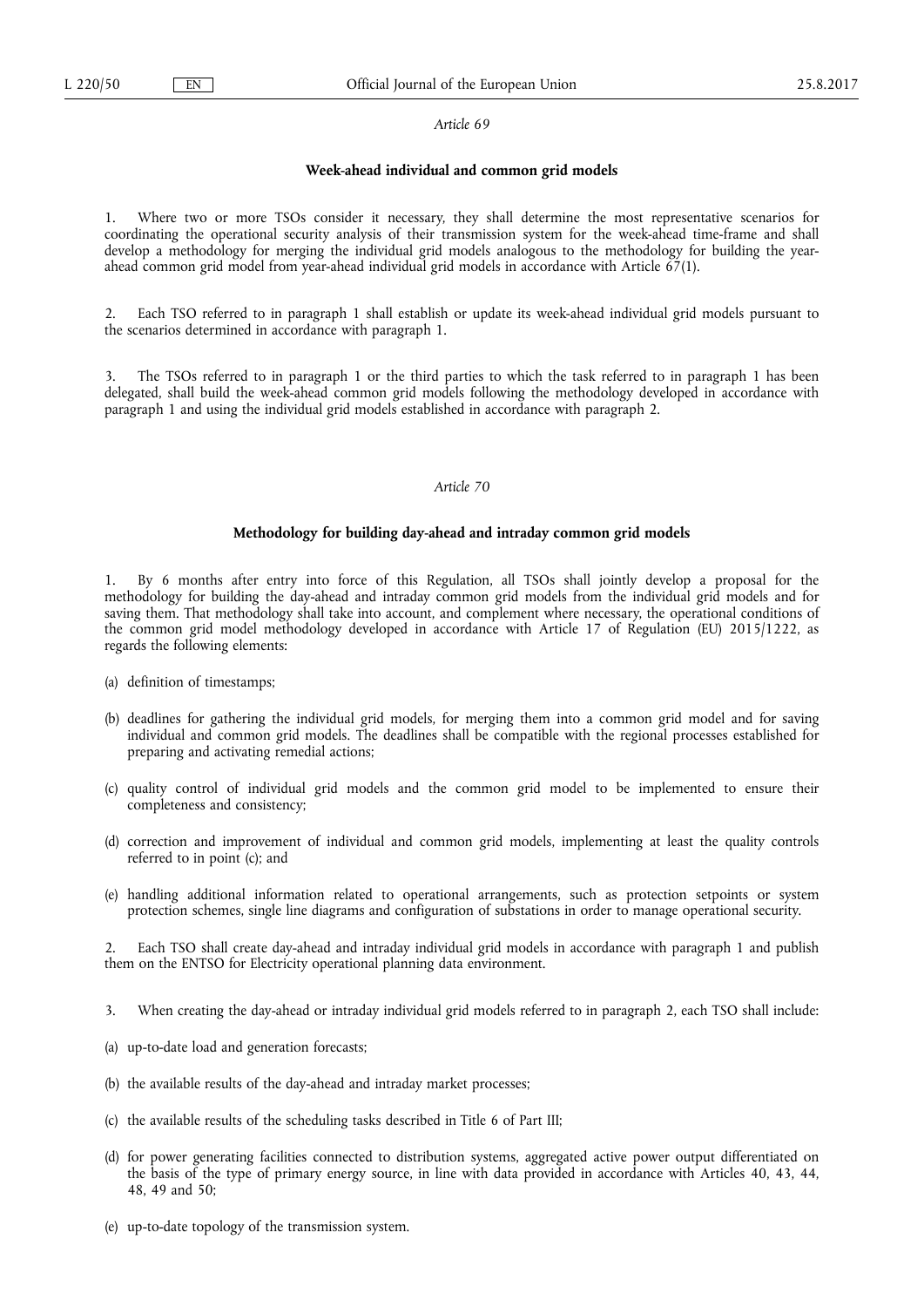### **Week-ahead individual and common grid models**

1. Where two or more TSOs consider it necessary, they shall determine the most representative scenarios for coordinating the operational security analysis of their transmission system for the week-ahead time-frame and shall develop a methodology for merging the individual grid models analogous to the methodology for building the yearahead common grid model from year-ahead individual grid models in accordance with Article  $\tilde{67}(1)$ .

2. Each TSO referred to in paragraph 1 shall establish or update its week-ahead individual grid models pursuant to the scenarios determined in accordance with paragraph 1.

The TSOs referred to in paragraph 1 or the third parties to which the task referred to in paragraph 1 has been delegated, shall build the week-ahead common grid models following the methodology developed in accordance with paragraph 1 and using the individual grid models established in accordance with paragraph 2.

### *Article 70*

## **Methodology for building day-ahead and intraday common grid models**

1. By 6 months after entry into force of this Regulation, all TSOs shall jointly develop a proposal for the methodology for building the day-ahead and intraday common grid models from the individual grid models and for saving them. That methodology shall take into account, and complement where necessary, the operational conditions of the common grid model methodology developed in accordance with Article 17 of Regulation (EU) 2015/1222, as regards the following elements:

- (a) definition of timestamps;
- (b) deadlines for gathering the individual grid models, for merging them into a common grid model and for saving individual and common grid models. The deadlines shall be compatible with the regional processes established for preparing and activating remedial actions;
- (c) quality control of individual grid models and the common grid model to be implemented to ensure their completeness and consistency;
- (d) correction and improvement of individual and common grid models, implementing at least the quality controls referred to in point (c); and
- (e) handling additional information related to operational arrangements, such as protection setpoints or system protection schemes, single line diagrams and configuration of substations in order to manage operational security.

Each TSO shall create day-ahead and intraday individual grid models in accordance with paragraph 1 and publish them on the ENTSO for Electricity operational planning data environment.

- 3. When creating the day-ahead or intraday individual grid models referred to in paragraph 2, each TSO shall include:
- (a) up-to-date load and generation forecasts;
- (b) the available results of the day-ahead and intraday market processes;
- (c) the available results of the scheduling tasks described in Title 6 of Part III;
- (d) for power generating facilities connected to distribution systems, aggregated active power output differentiated on the basis of the type of primary energy source, in line with data provided in accordance with Articles 40, 43, 44, 48, 49 and 50;
- (e) up-to-date topology of the transmission system.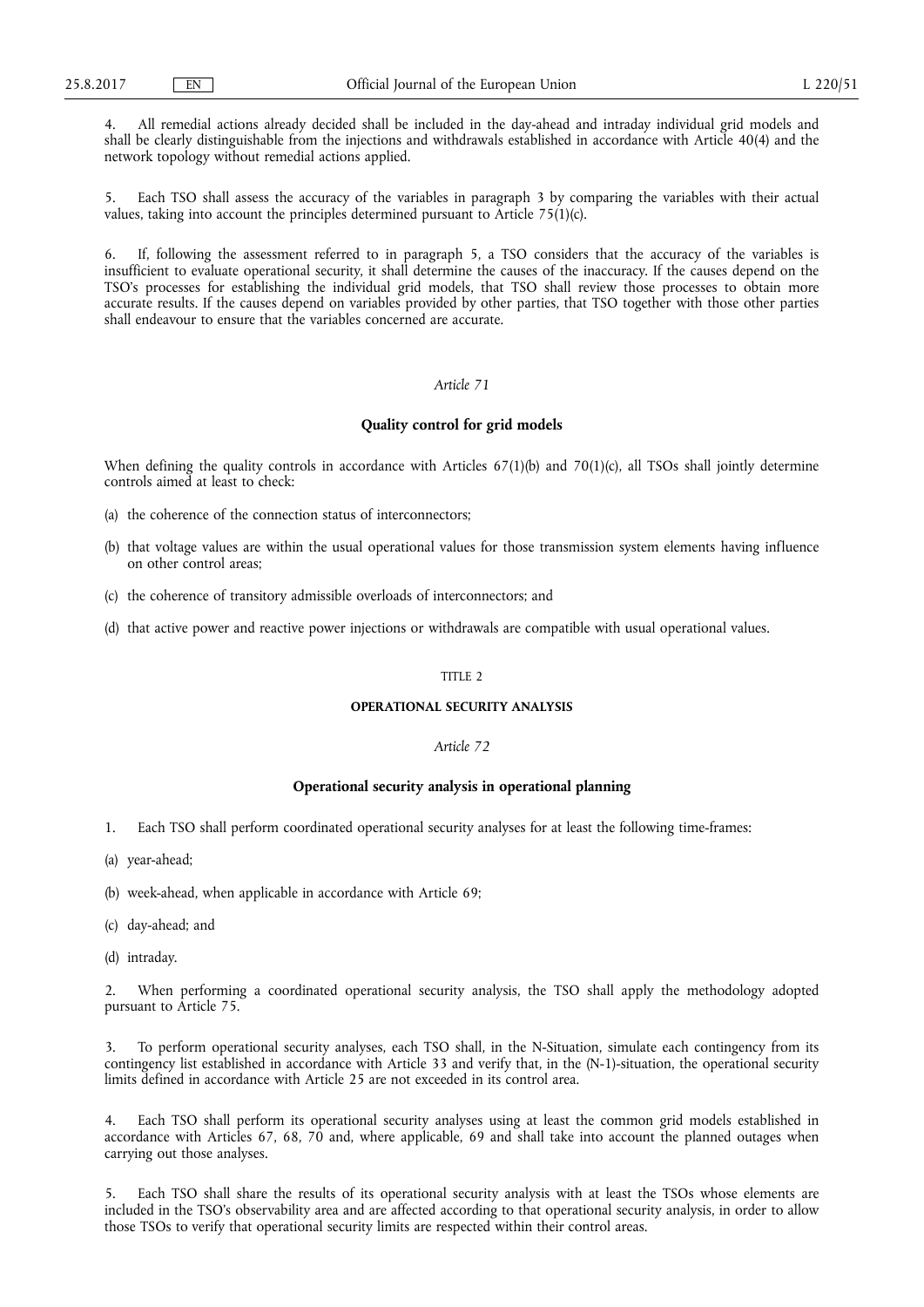4. All remedial actions already decided shall be included in the day-ahead and intraday individual grid models and shall be clearly distinguishable from the injections and withdrawals established in accordance with Article 40(4) and the network topology without remedial actions applied.

5. Each TSO shall assess the accuracy of the variables in paragraph 3 by comparing the variables with their actual values, taking into account the principles determined pursuant to Article  $75(1)(c)$ .

6. If, following the assessment referred to in paragraph 5, a TSO considers that the accuracy of the variables is insufficient to evaluate operational security, it shall determine the causes of the inaccuracy. If the causes depend on the TSO's processes for establishing the individual grid models, that TSO shall review those processes to obtain more accurate results. If the causes depend on variables provided by other parties, that TSO together with those other parties shall endeavour to ensure that the variables concerned are accurate.

## *Article 71*

#### **Quality control for grid models**

When defining the quality controls in accordance with Articles  $67(1)(b)$  and  $70(1)(c)$ , all TSOs shall jointly determine controls aimed at least to check:

- (a) the coherence of the connection status of interconnectors;
- (b) that voltage values are within the usual operational values for those transmission system elements having influence on other control areas;
- (c) the coherence of transitory admissible overloads of interconnectors; and
- (d) that active power and reactive power injections or withdrawals are compatible with usual operational values.

### TITLE 2

# **OPERATIONAL SECURITY ANALYSIS**

## *Article 72*

## **Operational security analysis in operational planning**

- 1. Each TSO shall perform coordinated operational security analyses for at least the following time-frames:
- (a) year-ahead;
- (b) week-ahead, when applicable in accordance with Article 69;
- (c) day-ahead; and
- (d) intraday.

2. When performing a coordinated operational security analysis, the TSO shall apply the methodology adopted pursuant to Article 75.

3. To perform operational security analyses, each TSO shall, in the N-Situation, simulate each contingency from its contingency list established in accordance with Article 33 and verify that, in the (N-1)-situation, the operational security limits defined in accordance with Article 25 are not exceeded in its control area.

4. Each TSO shall perform its operational security analyses using at least the common grid models established in accordance with Articles 67, 68, 70 and, where applicable, 69 and shall take into account the planned outages when carrying out those analyses.

5. Each TSO shall share the results of its operational security analysis with at least the TSOs whose elements are included in the TSO's observability area and are affected according to that operational security analysis, in order to allow those TSOs to verify that operational security limits are respected within their control areas.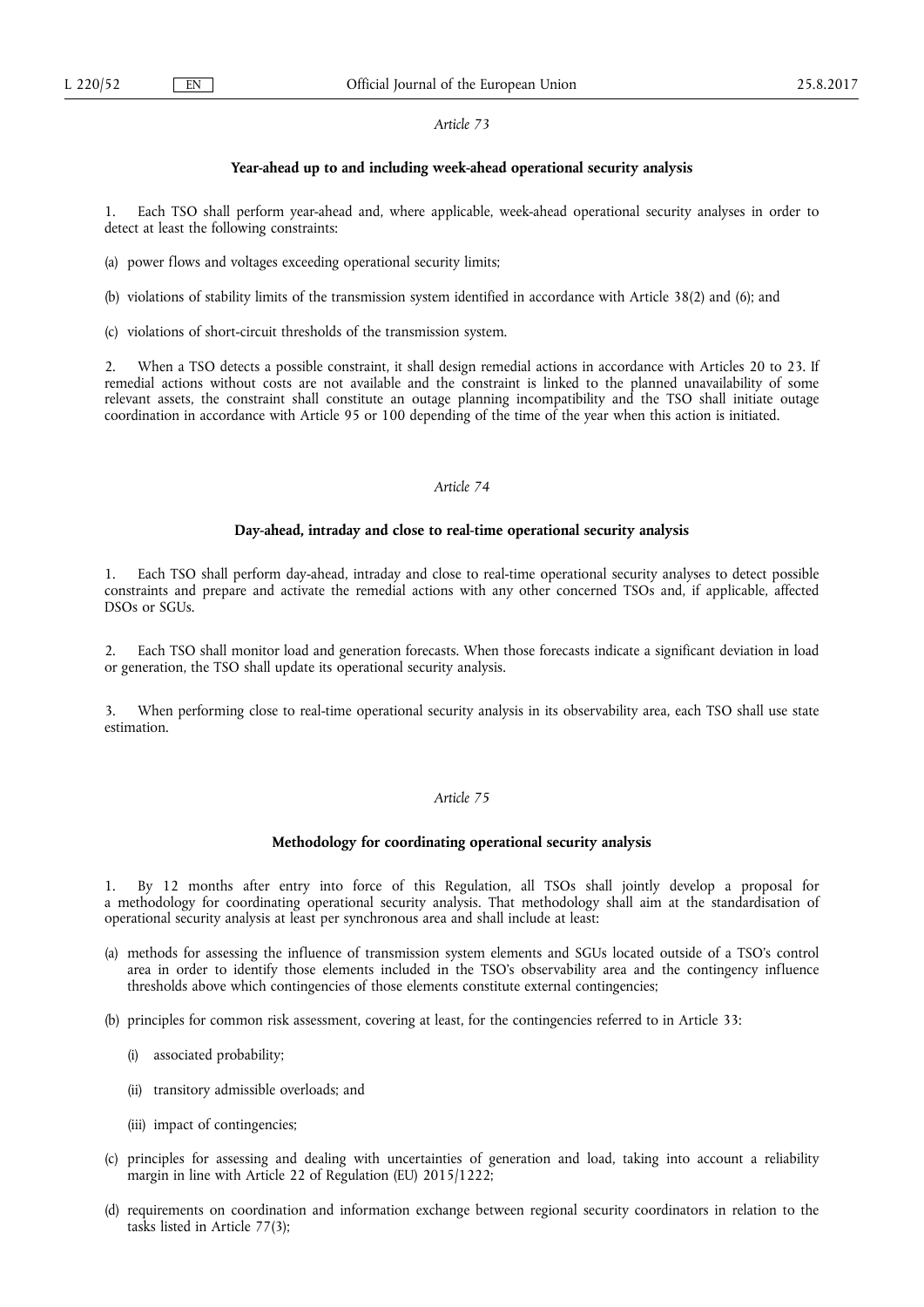### **Year-ahead up to and including week-ahead operational security analysis**

1. Each TSO shall perform year-ahead and, where applicable, week-ahead operational security analyses in order to detect at least the following constraints:

- (a) power flows and voltages exceeding operational security limits;
- (b) violations of stability limits of the transmission system identified in accordance with Article 38(2) and (6); and
- (c) violations of short-circuit thresholds of the transmission system.

2. When a TSO detects a possible constraint, it shall design remedial actions in accordance with Articles 20 to 23. If remedial actions without costs are not available and the constraint is linked to the planned unavailability of some relevant assets, the constraint shall constitute an outage planning incompatibility and the TSO shall initiate outage coordination in accordance with Article 95 or 100 depending of the time of the year when this action is initiated.

## *Article 74*

#### **Day-ahead, intraday and close to real-time operational security analysis**

1. Each TSO shall perform day-ahead, intraday and close to real-time operational security analyses to detect possible constraints and prepare and activate the remedial actions with any other concerned TSOs and, if applicable, affected DSOs or SGUs.

2. Each TSO shall monitor load and generation forecasts. When those forecasts indicate a significant deviation in load or generation, the TSO shall update its operational security analysis.

3. When performing close to real-time operational security analysis in its observability area, each TSO shall use state estimation.

## *Article 75*

### **Methodology for coordinating operational security analysis**

1. By 12 months after entry into force of this Regulation, all TSOs shall jointly develop a proposal for a methodology for coordinating operational security analysis. That methodology shall aim at the standardisation of operational security analysis at least per synchronous area and shall include at least:

- (a) methods for assessing the influence of transmission system elements and SGUs located outside of a TSO's control area in order to identify those elements included in the TSO's observability area and the contingency influence thresholds above which contingencies of those elements constitute external contingencies;
- (b) principles for common risk assessment, covering at least, for the contingencies referred to in Article 33:
	- (i) associated probability;
	- (ii) transitory admissible overloads; and
	- (iii) impact of contingencies;
- (c) principles for assessing and dealing with uncertainties of generation and load, taking into account a reliability margin in line with Article 22 of Regulation (EU) 2015/1222;
- (d) requirements on coordination and information exchange between regional security coordinators in relation to the tasks listed in Article 77(3);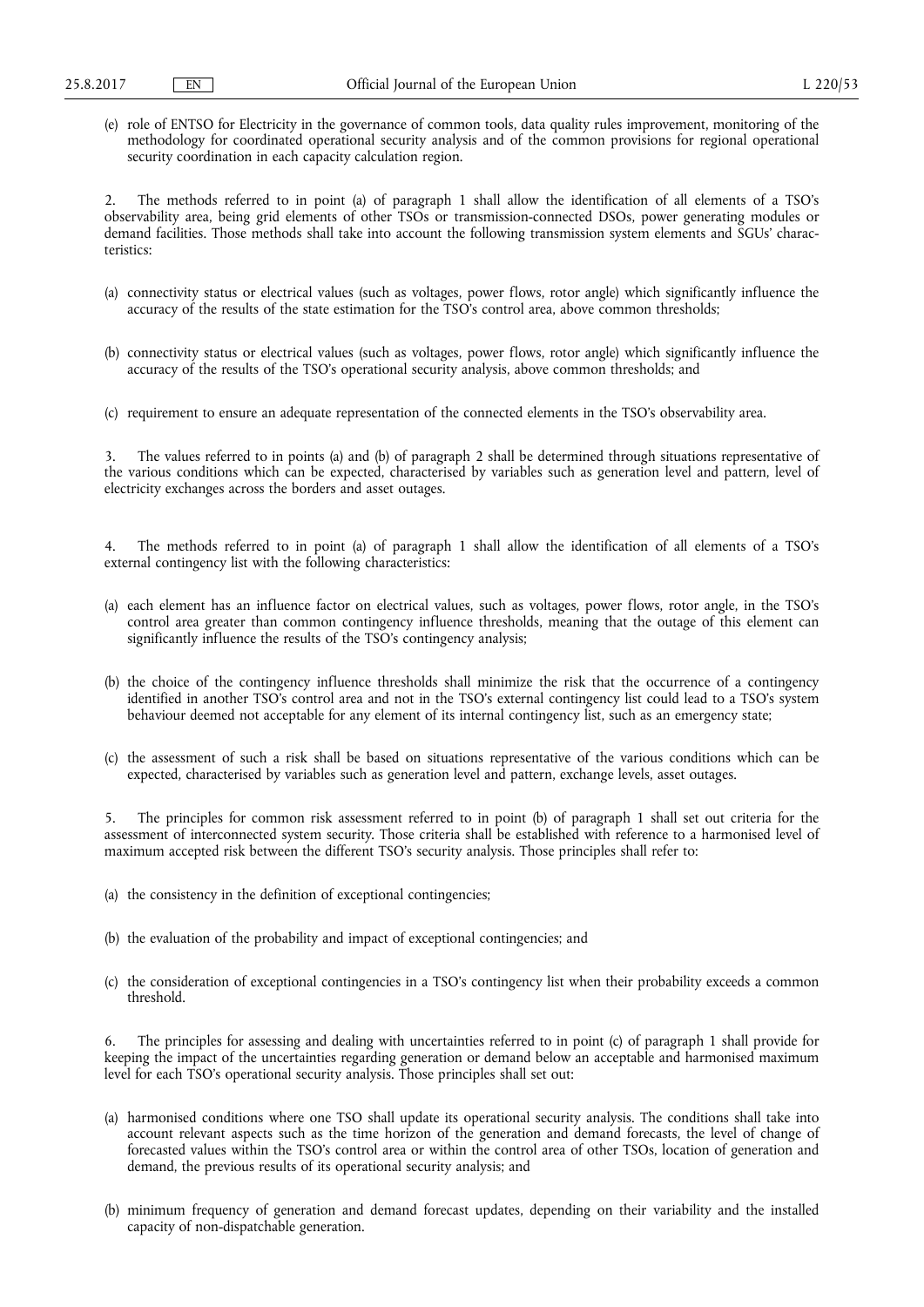(e) role of ENTSO for Electricity in the governance of common tools, data quality rules improvement, monitoring of the methodology for coordinated operational security analysis and of the common provisions for regional operational security coordination in each capacity calculation region.

2. The methods referred to in point (a) of paragraph 1 shall allow the identification of all elements of a TSO's observability area, being grid elements of other TSOs or transmission-connected DSOs, power generating modules or demand facilities. Those methods shall take into account the following transmission system elements and SGUs' characteristics:

- (a) connectivity status or electrical values (such as voltages, power flows, rotor angle) which significantly influence the accuracy of the results of the state estimation for the TSO's control area, above common thresholds;
- (b) connectivity status or electrical values (such as voltages, power flows, rotor angle) which significantly influence the accuracy of the results of the TSO's operational security analysis, above common thresholds; and
- (c) requirement to ensure an adequate representation of the connected elements in the TSO's observability area.

3. The values referred to in points (a) and (b) of paragraph 2 shall be determined through situations representative of the various conditions which can be expected, characterised by variables such as generation level and pattern, level of electricity exchanges across the borders and asset outages.

4. The methods referred to in point (a) of paragraph 1 shall allow the identification of all elements of a TSO's external contingency list with the following characteristics:

- (a) each element has an influence factor on electrical values, such as voltages, power flows, rotor angle, in the TSO's control area greater than common contingency influence thresholds, meaning that the outage of this element can significantly influence the results of the TSO's contingency analysis;
- (b) the choice of the contingency influence thresholds shall minimize the risk that the occurrence of a contingency identified in another TSO's control area and not in the TSO's external contingency list could lead to a TSO's system behaviour deemed not acceptable for any element of its internal contingency list, such as an emergency state;
- (c) the assessment of such a risk shall be based on situations representative of the various conditions which can be expected, characterised by variables such as generation level and pattern, exchange levels, asset outages.

5. The principles for common risk assessment referred to in point (b) of paragraph 1 shall set out criteria for the assessment of interconnected system security. Those criteria shall be established with reference to a harmonised level of maximum accepted risk between the different TSO's security analysis. Those principles shall refer to:

- (a) the consistency in the definition of exceptional contingencies;
- (b) the evaluation of the probability and impact of exceptional contingencies; and
- (c) the consideration of exceptional contingencies in a TSO's contingency list when their probability exceeds a common threshold.

6. The principles for assessing and dealing with uncertainties referred to in point (c) of paragraph 1 shall provide for keeping the impact of the uncertainties regarding generation or demand below an acceptable and harmonised maximum level for each TSO's operational security analysis. Those principles shall set out:

- (a) harmonised conditions where one TSO shall update its operational security analysis. The conditions shall take into account relevant aspects such as the time horizon of the generation and demand forecasts, the level of change of forecasted values within the TSO's control area or within the control area of other TSOs, location of generation and demand, the previous results of its operational security analysis; and
- (b) minimum frequency of generation and demand forecast updates, depending on their variability and the installed capacity of non-dispatchable generation.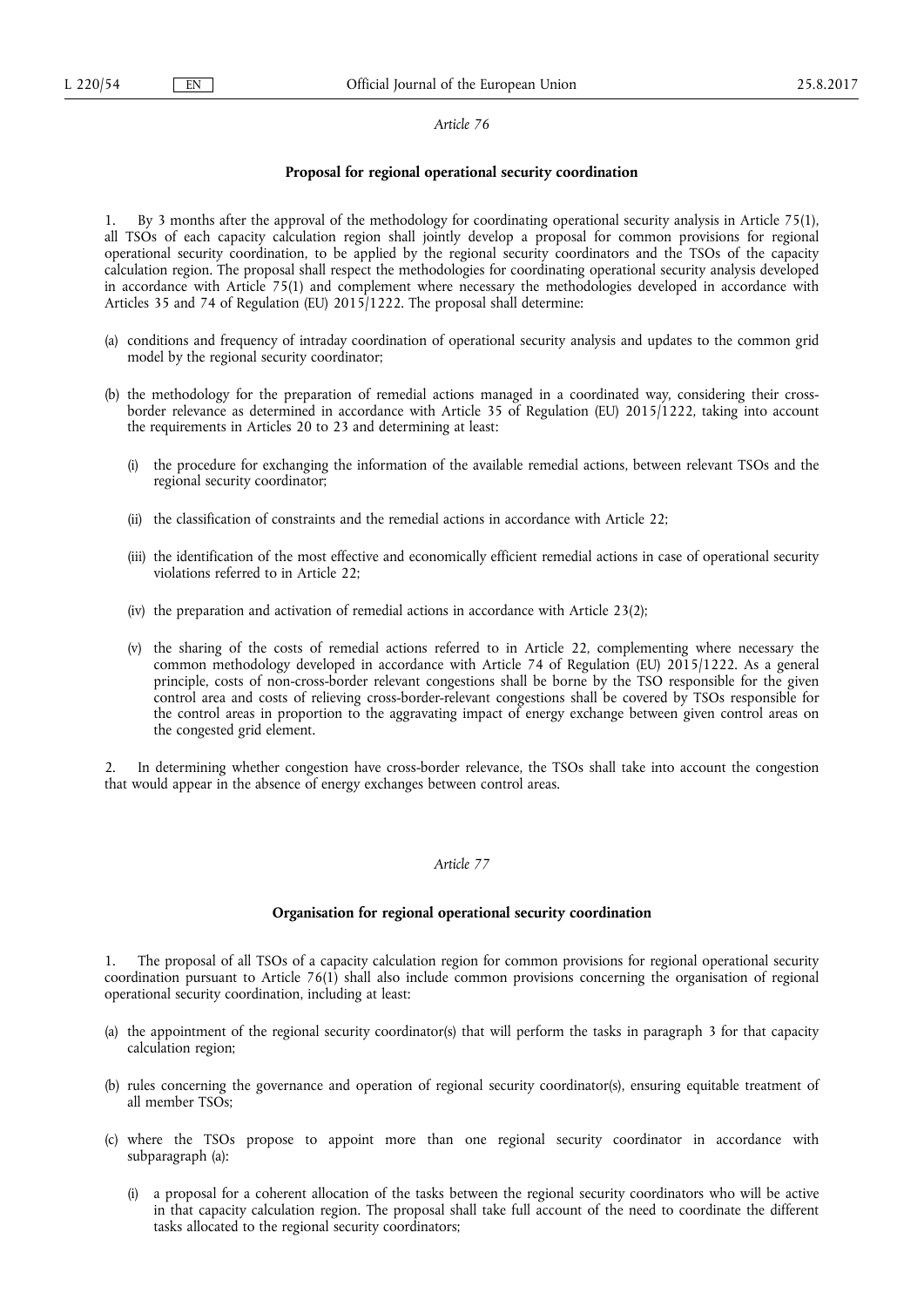#### **Proposal for regional operational security coordination**

1. By 3 months after the approval of the methodology for coordinating operational security analysis in Article 75(1), all TSOs of each capacity calculation region shall jointly develop a proposal for common provisions for regional operational security coordination, to be applied by the regional security coordinators and the TSOs of the capacity calculation region. The proposal shall respect the methodologies for coordinating operational security analysis developed in accordance with Article 75(1) and complement where necessary the methodologies developed in accordance with Articles 35 and 74 of Regulation (EU) 2015/1222. The proposal shall determine:

- (a) conditions and frequency of intraday coordination of operational security analysis and updates to the common grid model by the regional security coordinator;
- (b) the methodology for the preparation of remedial actions managed in a coordinated way, considering their crossborder relevance as determined in accordance with Article 35 of Regulation (EU) 2015/1222, taking into account the requirements in Articles 20 to 23 and determining at least:
	- (i) the procedure for exchanging the information of the available remedial actions, between relevant TSOs and the regional security coordinator;
	- (ii) the classification of constraints and the remedial actions in accordance with Article 22;
	- (iii) the identification of the most effective and economically efficient remedial actions in case of operational security violations referred to in Article 22;
	- (iv) the preparation and activation of remedial actions in accordance with Article 23(2);
	- (v) the sharing of the costs of remedial actions referred to in Article 22, complementing where necessary the common methodology developed in accordance with Article 74 of Regulation (EU) 2015/1222. As a general principle, costs of non-cross-border relevant congestions shall be borne by the TSO responsible for the given control area and costs of relieving cross-border-relevant congestions shall be covered by TSOs responsible for the control areas in proportion to the aggravating impact of energy exchange between given control areas on the congested grid element.

2. In determining whether congestion have cross-border relevance, the TSOs shall take into account the congestion that would appear in the absence of energy exchanges between control areas.

# *Article 77*

### **Organisation for regional operational security coordination**

1. The proposal of all TSOs of a capacity calculation region for common provisions for regional operational security coordination pursuant to Article 76(1) shall also include common provisions concerning the organisation of regional operational security coordination, including at least:

- (a) the appointment of the regional security coordinator(s) that will perform the tasks in paragraph 3 for that capacity calculation region;
- (b) rules concerning the governance and operation of regional security coordinator(s), ensuring equitable treatment of all member TSOs;
- (c) where the TSOs propose to appoint more than one regional security coordinator in accordance with subparagraph (a):
	- (i) a proposal for a coherent allocation of the tasks between the regional security coordinators who will be active in that capacity calculation region. The proposal shall take full account of the need to coordinate the different tasks allocated to the regional security coordinators;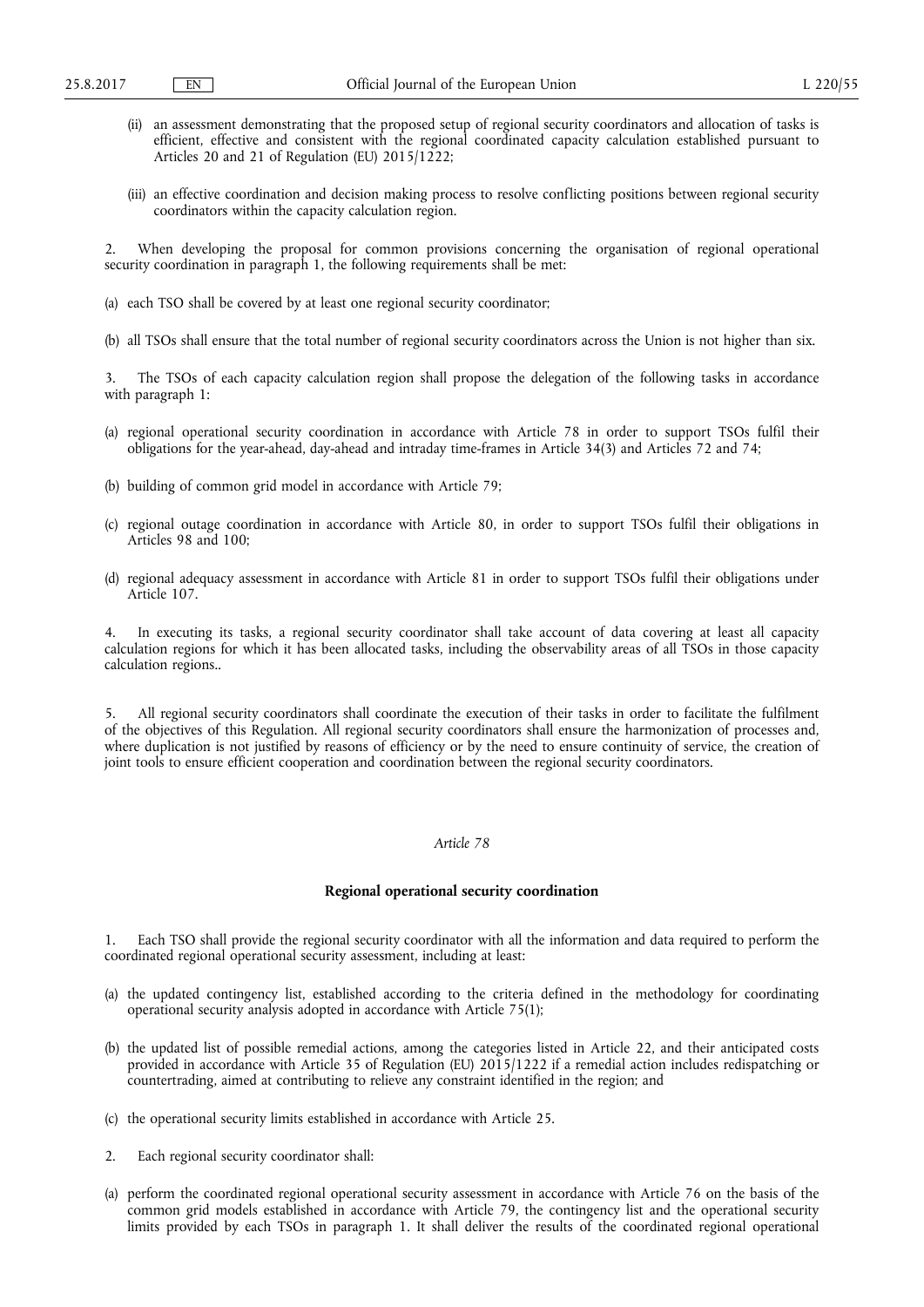- (ii) an assessment demonstrating that the proposed setup of regional security coordinators and allocation of tasks is efficient, effective and consistent with the regional coordinated capacity calculation established pursuant to Articles 20 and 21 of Regulation (EU) 2015/1222;
- (iii) an effective coordination and decision making process to resolve conflicting positions between regional security coordinators within the capacity calculation region.

2. When developing the proposal for common provisions concerning the organisation of regional operational security coordination in paragraph 1, the following requirements shall be met:

- (a) each TSO shall be covered by at least one regional security coordinator;
- (b) all TSOs shall ensure that the total number of regional security coordinators across the Union is not higher than six.

The TSOs of each capacity calculation region shall propose the delegation of the following tasks in accordance with paragraph 1:

- (a) regional operational security coordination in accordance with Article 78 in order to support TSOs fulfil their obligations for the year-ahead, day-ahead and intraday time-frames in Article 34(3) and Articles 72 and 74;
- (b) building of common grid model in accordance with Article 79;
- (c) regional outage coordination in accordance with Article 80, in order to support TSOs fulfil their obligations in Articles 98 and 100;
- (d) regional adequacy assessment in accordance with Article 81 in order to support TSOs fulfil their obligations under Article 107.

In executing its tasks, a regional security coordinator shall take account of data covering at least all capacity calculation regions for which it has been allocated tasks, including the observability areas of all TSOs in those capacity calculation regions..

5. All regional security coordinators shall coordinate the execution of their tasks in order to facilitate the fulfilment of the objectives of this Regulation. All regional security coordinators shall ensure the harmonization of processes and, where duplication is not justified by reasons of efficiency or by the need to ensure continuity of service, the creation of joint tools to ensure efficient cooperation and coordination between the regional security coordinators.

# *Article 78*

## **Regional operational security coordination**

1. Each TSO shall provide the regional security coordinator with all the information and data required to perform the coordinated regional operational security assessment, including at least:

- (a) the updated contingency list, established according to the criteria defined in the methodology for coordinating operational security analysis adopted in accordance with Article 75(1);
- (b) the updated list of possible remedial actions, among the categories listed in Article 22, and their anticipated costs provided in accordance with Article 35 of Regulation (EU) 2015/1222 if a remedial action includes redispatching or countertrading, aimed at contributing to relieve any constraint identified in the region; and
- (c) the operational security limits established in accordance with Article 25.
- 2. Each regional security coordinator shall:
- (a) perform the coordinated regional operational security assessment in accordance with Article 76 on the basis of the common grid models established in accordance with Article 79, the contingency list and the operational security limits provided by each TSOs in paragraph 1. It shall deliver the results of the coordinated regional operational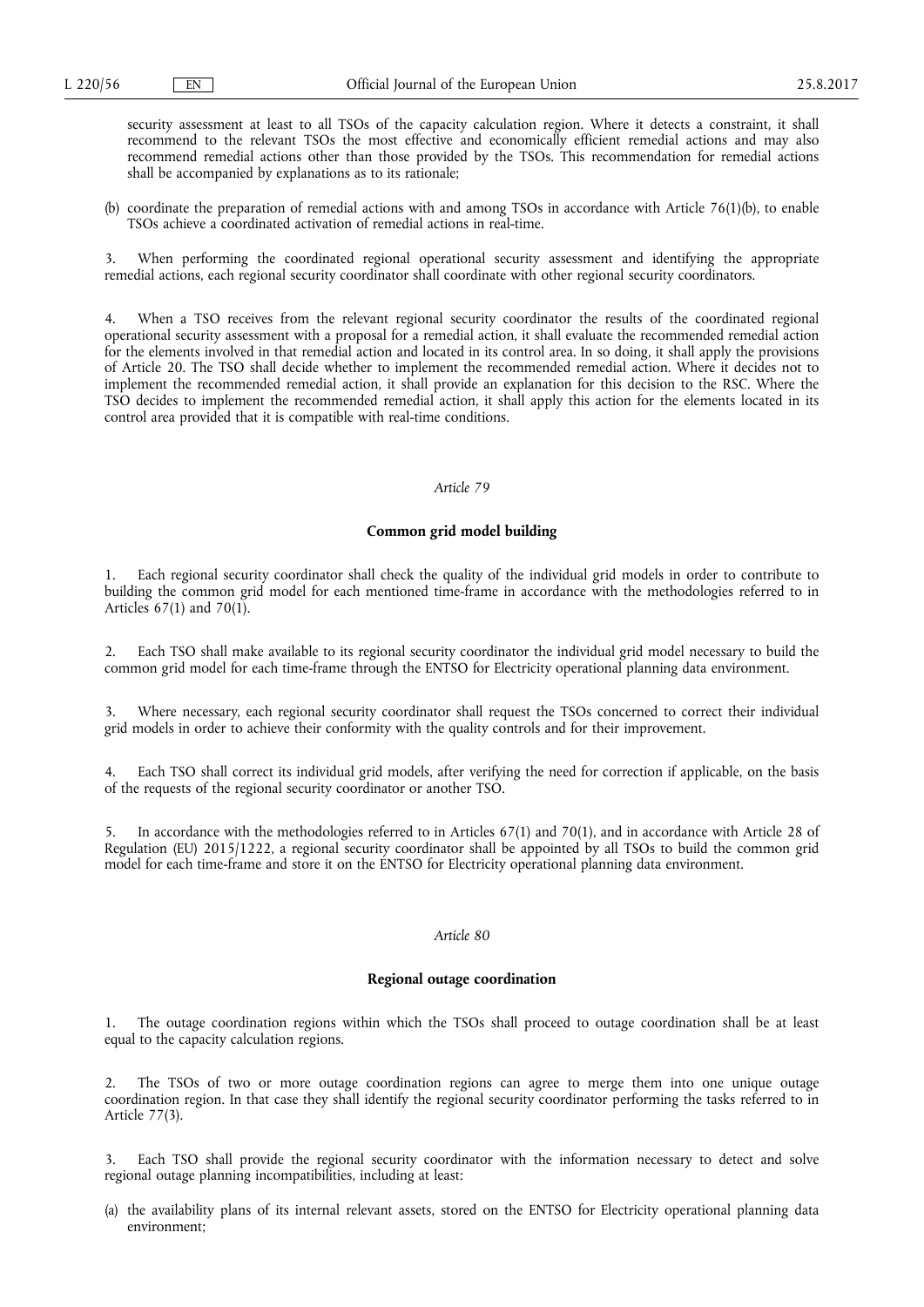security assessment at least to all TSOs of the capacity calculation region. Where it detects a constraint, it shall recommend to the relevant TSOs the most effective and economically efficient remedial actions and may also recommend remedial actions other than those provided by the TSOs. This recommendation for remedial actions shall be accompanied by explanations as to its rationale;

(b) coordinate the preparation of remedial actions with and among TSOs in accordance with Article 76(1)(b), to enable TSOs achieve a coordinated activation of remedial actions in real-time.

3. When performing the coordinated regional operational security assessment and identifying the appropriate remedial actions, each regional security coordinator shall coordinate with other regional security coordinators.

4. When a TSO receives from the relevant regional security coordinator the results of the coordinated regional operational security assessment with a proposal for a remedial action, it shall evaluate the recommended remedial action for the elements involved in that remedial action and located in its control area. In so doing, it shall apply the provisions of Article 20. The TSO shall decide whether to implement the recommended remedial action. Where it decides not to implement the recommended remedial action, it shall provide an explanation for this decision to the RSC. Where the TSO decides to implement the recommended remedial action, it shall apply this action for the elements located in its control area provided that it is compatible with real-time conditions.

## *Article 79*

### **Common grid model building**

1. Each regional security coordinator shall check the quality of the individual grid models in order to contribute to building the common grid model for each mentioned time-frame in accordance with the methodologies referred to in Articles 67(1) and 70(1).

2. Each TSO shall make available to its regional security coordinator the individual grid model necessary to build the common grid model for each time-frame through the ENTSO for Electricity operational planning data environment.

3. Where necessary, each regional security coordinator shall request the TSOs concerned to correct their individual grid models in order to achieve their conformity with the quality controls and for their improvement.

Each TSO shall correct its individual grid models, after verifying the need for correction if applicable, on the basis of the requests of the regional security coordinator or another TSO.

5. In accordance with the methodologies referred to in Articles 67(1) and 70(1), and in accordance with Article 28 of Regulation (EU) 2015/1222, a regional security coordinator shall be appointed by all TSOs to build the common grid model for each time-frame and store it on the ENTSO for Electricity operational planning data environment.

#### *Article 80*

## **Regional outage coordination**

1. The outage coordination regions within which the TSOs shall proceed to outage coordination shall be at least equal to the capacity calculation regions.

2. The TSOs of two or more outage coordination regions can agree to merge them into one unique outage coordination region. In that case they shall identify the regional security coordinator performing the tasks referred to in Article 77(3).

3. Each TSO shall provide the regional security coordinator with the information necessary to detect and solve regional outage planning incompatibilities, including at least:

(a) the availability plans of its internal relevant assets, stored on the ENTSO for Electricity operational planning data environment;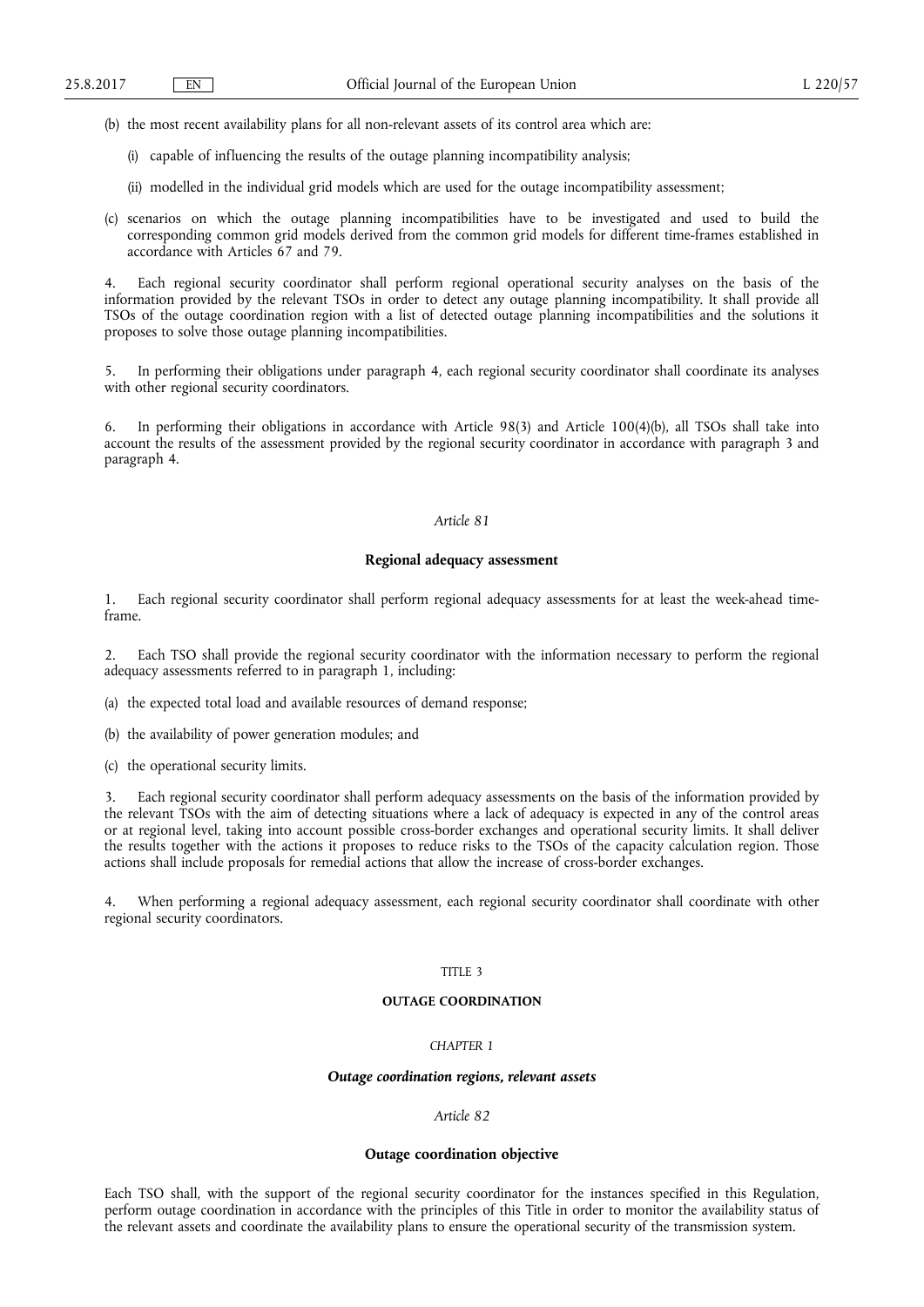- (b) the most recent availability plans for all non-relevant assets of its control area which are:
	- (i) capable of influencing the results of the outage planning incompatibility analysis;
	- (ii) modelled in the individual grid models which are used for the outage incompatibility assessment;
- (c) scenarios on which the outage planning incompatibilities have to be investigated and used to build the corresponding common grid models derived from the common grid models for different time-frames established in accordance with Articles 67 and 79.

4. Each regional security coordinator shall perform regional operational security analyses on the basis of the information provided by the relevant TSOs in order to detect any outage planning incompatibility. It shall provide all TSOs of the outage coordination region with a list of detected outage planning incompatibilities and the solutions it proposes to solve those outage planning incompatibilities.

5. In performing their obligations under paragraph 4, each regional security coordinator shall coordinate its analyses with other regional security coordinators.

6. In performing their obligations in accordance with Article 98(3) and Article 100(4)(b), all TSOs shall take into account the results of the assessment provided by the regional security coordinator in accordance with paragraph 3 and paragraph 4.

### *Article 81*

#### **Regional adequacy assessment**

1. Each regional security coordinator shall perform regional adequacy assessments for at least the week-ahead timeframe.

2. Each TSO shall provide the regional security coordinator with the information necessary to perform the regional adequacy assessments referred to in paragraph 1, including:

(a) the expected total load and available resources of demand response;

(b) the availability of power generation modules; and

(c) the operational security limits.

Each regional security coordinator shall perform adequacy assessments on the basis of the information provided by the relevant TSOs with the aim of detecting situations where a lack of adequacy is expected in any of the control areas or at regional level, taking into account possible cross-border exchanges and operational security limits. It shall deliver the results together with the actions it proposes to reduce risks to the TSOs of the capacity calculation region. Those actions shall include proposals for remedial actions that allow the increase of cross-border exchanges.

4. When performing a regional adequacy assessment, each regional security coordinator shall coordinate with other regional security coordinators.

#### TITLE 3

## **OUTAGE COORDINATION**

## *CHAPTER 1*

### *Outage coordination regions, relevant assets*

# *Article 82*

#### **Outage coordination objective**

Each TSO shall, with the support of the regional security coordinator for the instances specified in this Regulation, perform outage coordination in accordance with the principles of this Title in order to monitor the availability status of the relevant assets and coordinate the availability plans to ensure the operational security of the transmission system.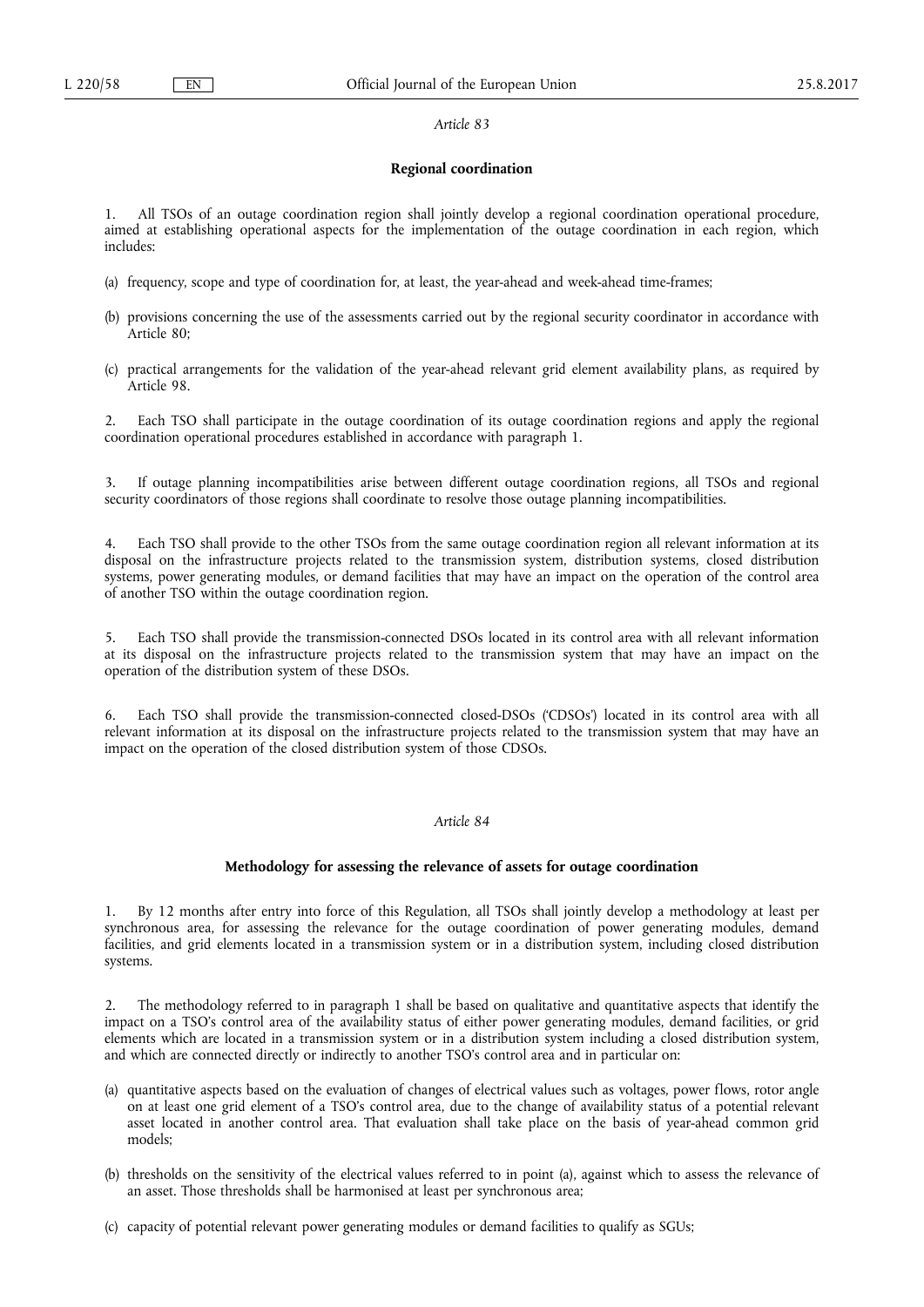#### **Regional coordination**

1. All TSOs of an outage coordination region shall jointly develop a regional coordination operational procedure, aimed at establishing operational aspects for the implementation of the outage coordination in each region, which includes:

- (a) frequency, scope and type of coordination for, at least, the year-ahead and week-ahead time-frames;
- (b) provisions concerning the use of the assessments carried out by the regional security coordinator in accordance with Article 80;
- (c) practical arrangements for the validation of the year-ahead relevant grid element availability plans, as required by Article 98.

2. Each TSO shall participate in the outage coordination of its outage coordination regions and apply the regional coordination operational procedures established in accordance with paragraph 1.

3. If outage planning incompatibilities arise between different outage coordination regions, all TSOs and regional security coordinators of those regions shall coordinate to resolve those outage planning incompatibilities.

Each TSO shall provide to the other TSOs from the same outage coordination region all relevant information at its disposal on the infrastructure projects related to the transmission system, distribution systems, closed distribution systems, power generating modules, or demand facilities that may have an impact on the operation of the control area of another TSO within the outage coordination region.

5. Each TSO shall provide the transmission-connected DSOs located in its control area with all relevant information at its disposal on the infrastructure projects related to the transmission system that may have an impact on the operation of the distribution system of these DSOs.

6. Each TSO shall provide the transmission-connected closed-DSOs ('CDSOs') located in its control area with all relevant information at its disposal on the infrastructure projects related to the transmission system that may have an impact on the operation of the closed distribution system of those CDSOs.

## *Article 84*

## **Methodology for assessing the relevance of assets for outage coordination**

1. By 12 months after entry into force of this Regulation, all TSOs shall jointly develop a methodology at least per synchronous area, for assessing the relevance for the outage coordination of power generating modules, demand facilities, and grid elements located in a transmission system or in a distribution system, including closed distribution systems.

2. The methodology referred to in paragraph 1 shall be based on qualitative and quantitative aspects that identify the impact on a TSO's control area of the availability status of either power generating modules, demand facilities, or grid elements which are located in a transmission system or in a distribution system including a closed distribution system, and which are connected directly or indirectly to another TSO's control area and in particular on:

- (a) quantitative aspects based on the evaluation of changes of electrical values such as voltages, power flows, rotor angle on at least one grid element of a TSO's control area, due to the change of availability status of a potential relevant asset located in another control area. That evaluation shall take place on the basis of year-ahead common grid models;
- (b) thresholds on the sensitivity of the electrical values referred to in point (a), against which to assess the relevance of an asset. Those thresholds shall be harmonised at least per synchronous area;
- (c) capacity of potential relevant power generating modules or demand facilities to qualify as SGUs;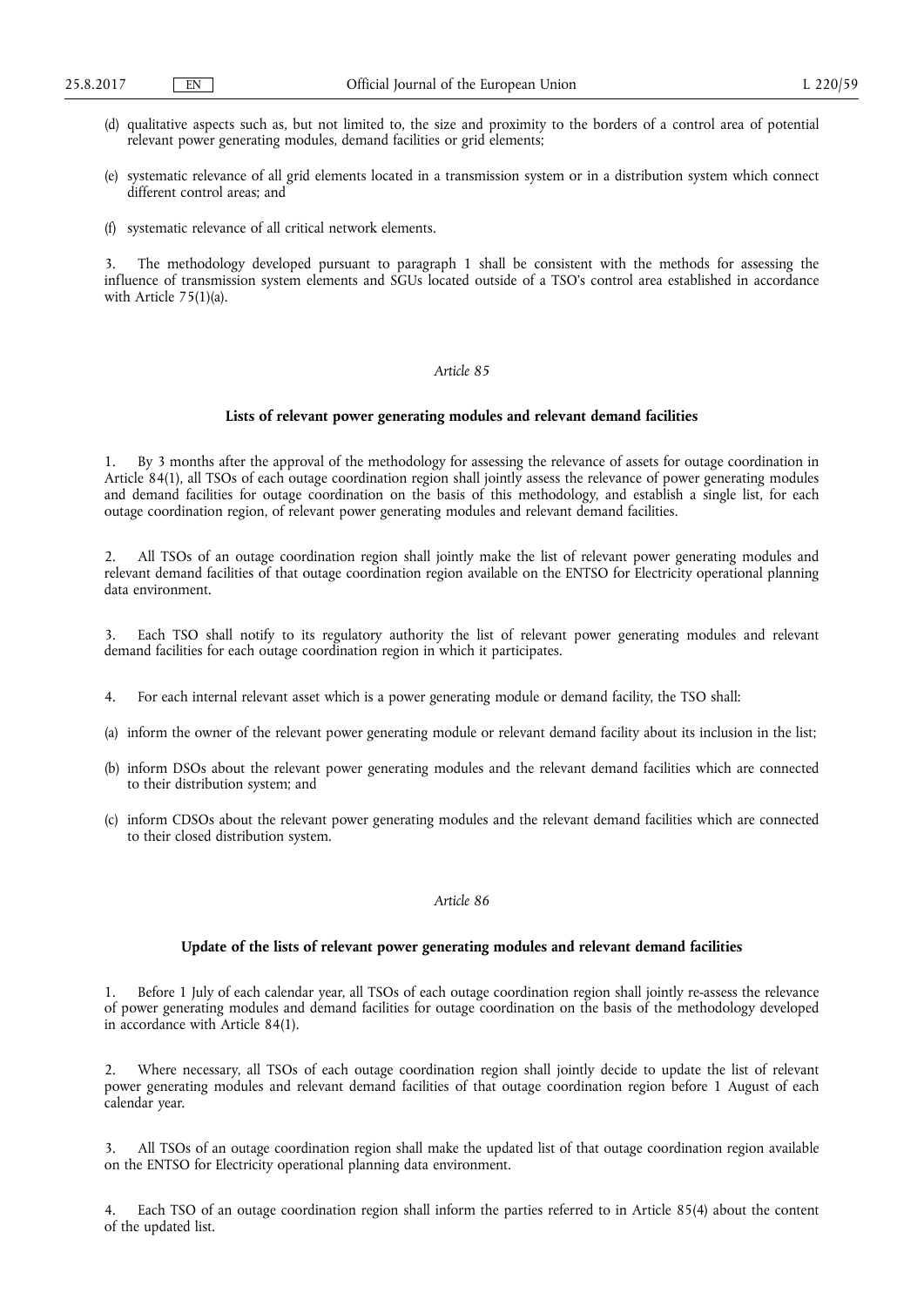- (d) qualitative aspects such as, but not limited to, the size and proximity to the borders of a control area of potential relevant power generating modules, demand facilities or grid elements;
- (e) systematic relevance of all grid elements located in a transmission system or in a distribution system which connect different control areas; and
- (f) systematic relevance of all critical network elements.

3. The methodology developed pursuant to paragraph 1 shall be consistent with the methods for assessing the influence of transmission system elements and SGUs located outside of a TSO's control area established in accordance with Article 75(1)(a).

### *Article 85*

## **Lists of relevant power generating modules and relevant demand facilities**

1. By 3 months after the approval of the methodology for assessing the relevance of assets for outage coordination in Article 84(1), all TSOs of each outage coordination region shall jointly assess the relevance of power generating modules and demand facilities for outage coordination on the basis of this methodology, and establish a single list, for each outage coordination region, of relevant power generating modules and relevant demand facilities.

2. All TSOs of an outage coordination region shall jointly make the list of relevant power generating modules and relevant demand facilities of that outage coordination region available on the ENTSO for Electricity operational planning data environment.

Each TSO shall notify to its regulatory authority the list of relevant power generating modules and relevant demand facilities for each outage coordination region in which it participates.

- 4. For each internal relevant asset which is a power generating module or demand facility, the TSO shall:
- (a) inform the owner of the relevant power generating module or relevant demand facility about its inclusion in the list;
- (b) inform DSOs about the relevant power generating modules and the relevant demand facilities which are connected to their distribution system; and
- (c) inform CDSOs about the relevant power generating modules and the relevant demand facilities which are connected to their closed distribution system.

### *Article 86*

## **Update of the lists of relevant power generating modules and relevant demand facilities**

1. Before 1 July of each calendar year, all TSOs of each outage coordination region shall jointly re-assess the relevance of power generating modules and demand facilities for outage coordination on the basis of the methodology developed in accordance with Article 84(1).

2. Where necessary, all TSOs of each outage coordination region shall jointly decide to update the list of relevant power generating modules and relevant demand facilities of that outage coordination region before 1 August of each calendar year.

3. All TSOs of an outage coordination region shall make the updated list of that outage coordination region available on the ENTSO for Electricity operational planning data environment.

4. Each TSO of an outage coordination region shall inform the parties referred to in Article 85(4) about the content of the updated list.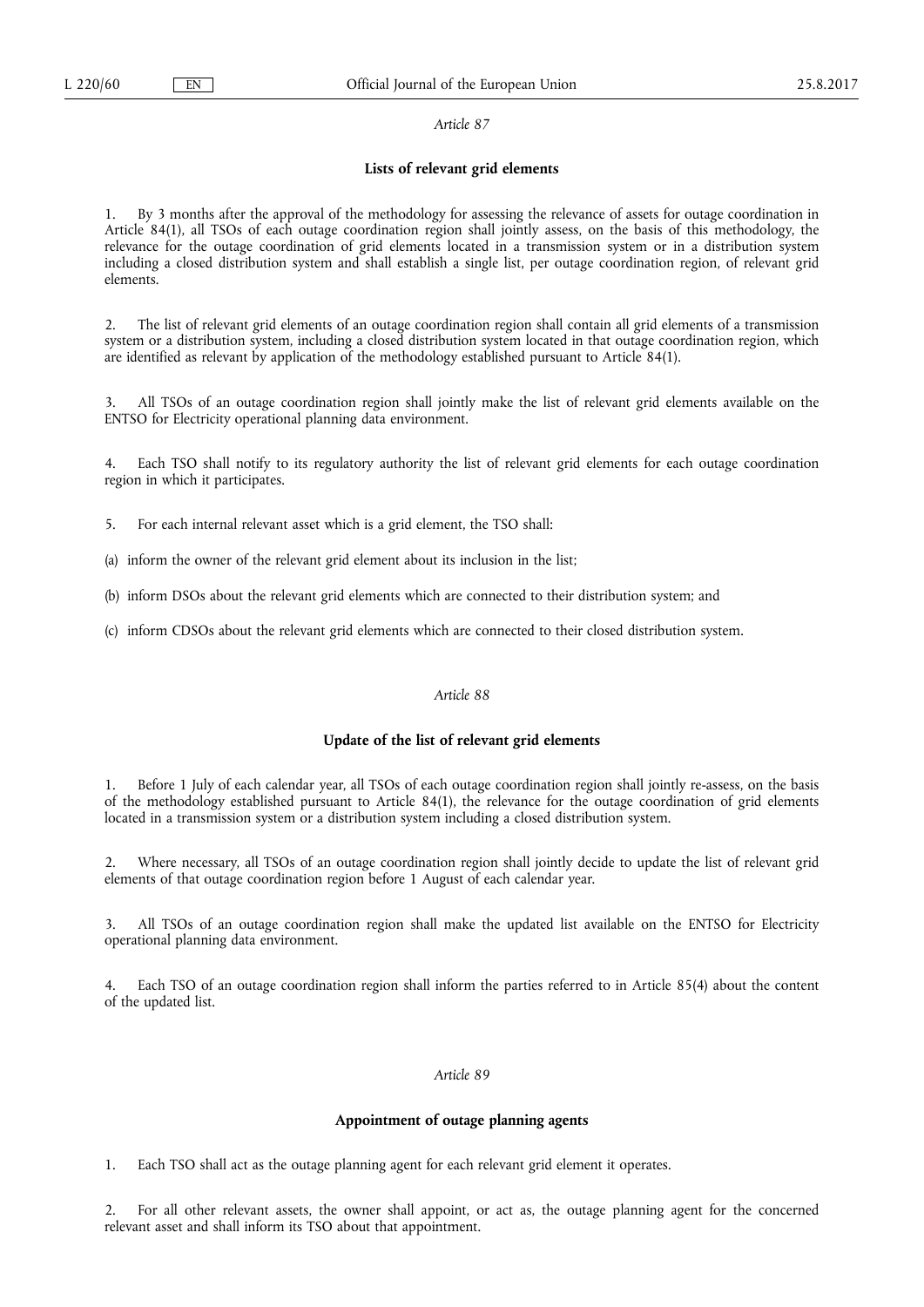#### **Lists of relevant grid elements**

1. By 3 months after the approval of the methodology for assessing the relevance of assets for outage coordination in Article 84(1), all TSOs of each outage coordination region shall jointly assess, on the basis of this methodology, the relevance for the outage coordination of grid elements located in a transmission system or in a distribution system including a closed distribution system and shall establish a single list, per outage coordination region, of relevant grid elements.

2. The list of relevant grid elements of an outage coordination region shall contain all grid elements of a transmission system or a distribution system, including a closed distribution system located in that outage coordination region, which are identified as relevant by application of the methodology established pursuant to Article 84(1).

3. All TSOs of an outage coordination region shall jointly make the list of relevant grid elements available on the ENTSO for Electricity operational planning data environment.

4. Each TSO shall notify to its regulatory authority the list of relevant grid elements for each outage coordination region in which it participates.

5. For each internal relevant asset which is a grid element, the TSO shall:

(a) inform the owner of the relevant grid element about its inclusion in the list;

(b) inform DSOs about the relevant grid elements which are connected to their distribution system; and

(c) inform CDSOs about the relevant grid elements which are connected to their closed distribution system.

### *Article 88*

## **Update of the list of relevant grid elements**

1. Before 1 July of each calendar year, all TSOs of each outage coordination region shall jointly re-assess, on the basis of the methodology established pursuant to Article 84(1), the relevance for the outage coordination of grid elements located in a transmission system or a distribution system including a closed distribution system.

2. Where necessary, all TSOs of an outage coordination region shall jointly decide to update the list of relevant grid elements of that outage coordination region before 1 August of each calendar year.

3. All TSOs of an outage coordination region shall make the updated list available on the ENTSO for Electricity operational planning data environment.

4. Each TSO of an outage coordination region shall inform the parties referred to in Article 85(4) about the content of the updated list.

### *Article 89*

### **Appointment of outage planning agents**

1. Each TSO shall act as the outage planning agent for each relevant grid element it operates.

2. For all other relevant assets, the owner shall appoint, or act as, the outage planning agent for the concerned relevant asset and shall inform its TSO about that appointment.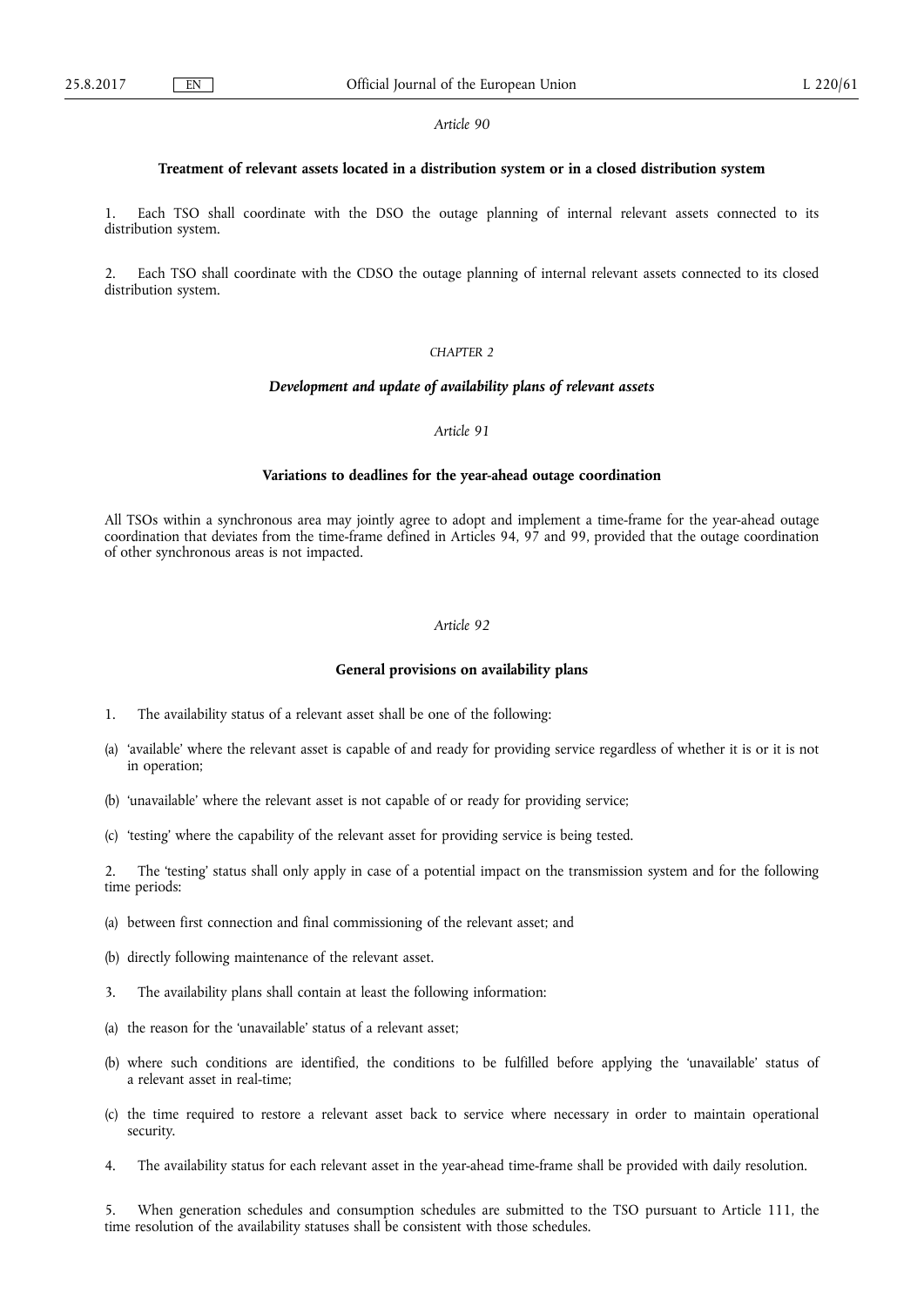### **Treatment of relevant assets located in a distribution system or in a closed distribution system**

Each TSO shall coordinate with the DSO the outage planning of internal relevant assets connected to its distribution system.

2. Each TSO shall coordinate with the CDSO the outage planning of internal relevant assets connected to its closed distribution system.

## *CHAPTER 2*

## *Development and update of availability plans of relevant assets*

## *Article 91*

### **Variations to deadlines for the year-ahead outage coordination**

All TSOs within a synchronous area may jointly agree to adopt and implement a time-frame for the year-ahead outage coordination that deviates from the time-frame defined in Articles 94, 97 and 99, provided that the outage coordination of other synchronous areas is not impacted.

# *Article 92*

### **General provisions on availability plans**

- 1. The availability status of a relevant asset shall be one of the following:
- (a) 'available' where the relevant asset is capable of and ready for providing service regardless of whether it is or it is not in operation;
- (b) 'unavailable' where the relevant asset is not capable of or ready for providing service;
- (c) 'testing' where the capability of the relevant asset for providing service is being tested.

2. The 'testing' status shall only apply in case of a potential impact on the transmission system and for the following time periods:

- (a) between first connection and final commissioning of the relevant asset; and
- (b) directly following maintenance of the relevant asset.
- 3. The availability plans shall contain at least the following information:
- (a) the reason for the 'unavailable' status of a relevant asset;
- (b) where such conditions are identified, the conditions to be fulfilled before applying the 'unavailable' status of a relevant asset in real-time;
- (c) the time required to restore a relevant asset back to service where necessary in order to maintain operational security.
- 4. The availability status for each relevant asset in the year-ahead time-frame shall be provided with daily resolution.

5. When generation schedules and consumption schedules are submitted to the TSO pursuant to Article 111, the time resolution of the availability statuses shall be consistent with those schedules.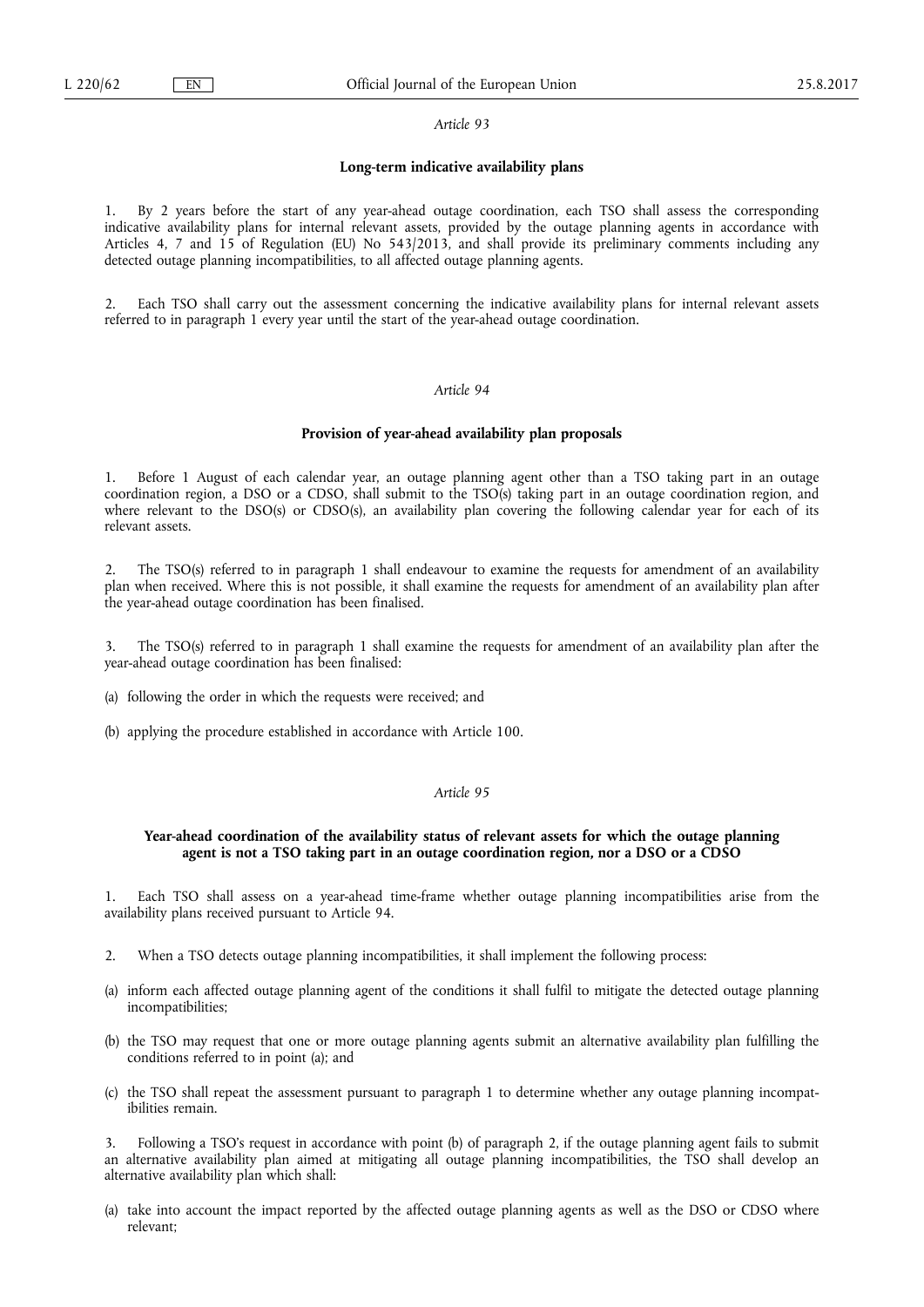### **Long-term indicative availability plans**

1. By 2 years before the start of any year-ahead outage coordination, each TSO shall assess the corresponding indicative availability plans for internal relevant assets, provided by the outage planning agents in accordance with Articles 4, 7 and 15 of Regulation (EU) No 543/2013, and shall provide its preliminary comments including any detected outage planning incompatibilities, to all affected outage planning agents.

2. Each TSO shall carry out the assessment concerning the indicative availability plans for internal relevant assets referred to in paragraph 1 every year until the start of the year-ahead outage coordination.

### *Article 94*

## **Provision of year-ahead availability plan proposals**

1. Before 1 August of each calendar year, an outage planning agent other than a TSO taking part in an outage coordination region, a DSO or a CDSO, shall submit to the TSO(s) taking part in an outage coordination region, and where relevant to the DSO(s) or CDSO(s), an availability plan covering the following calendar year for each of its relevant assets.

2. The TSO(s) referred to in paragraph 1 shall endeavour to examine the requests for amendment of an availability plan when received. Where this is not possible, it shall examine the requests for amendment of an availability plan after the year-ahead outage coordination has been finalised.

3. The TSO(s) referred to in paragraph 1 shall examine the requests for amendment of an availability plan after the year-ahead outage coordination has been finalised:

(a) following the order in which the requests were received; and

(b) applying the procedure established in accordance with Article 100.

## *Article 95*

## **Year-ahead coordination of the availability status of relevant assets for which the outage planning agent is not a TSO taking part in an outage coordination region, nor a DSO or a CDSO**

1. Each TSO shall assess on a year-ahead time-frame whether outage planning incompatibilities arise from the availability plans received pursuant to Article 94.

- 2. When a TSO detects outage planning incompatibilities, it shall implement the following process:
- (a) inform each affected outage planning agent of the conditions it shall fulfil to mitigate the detected outage planning incompatibilities;
- (b) the TSO may request that one or more outage planning agents submit an alternative availability plan fulfilling the conditions referred to in point (a); and
- (c) the TSO shall repeat the assessment pursuant to paragraph 1 to determine whether any outage planning incompatibilities remain.

3. Following a TSO's request in accordance with point (b) of paragraph 2, if the outage planning agent fails to submit an alternative availability plan aimed at mitigating all outage planning incompatibilities, the TSO shall develop an alternative availability plan which shall:

(a) take into account the impact reported by the affected outage planning agents as well as the DSO or CDSO where relevant;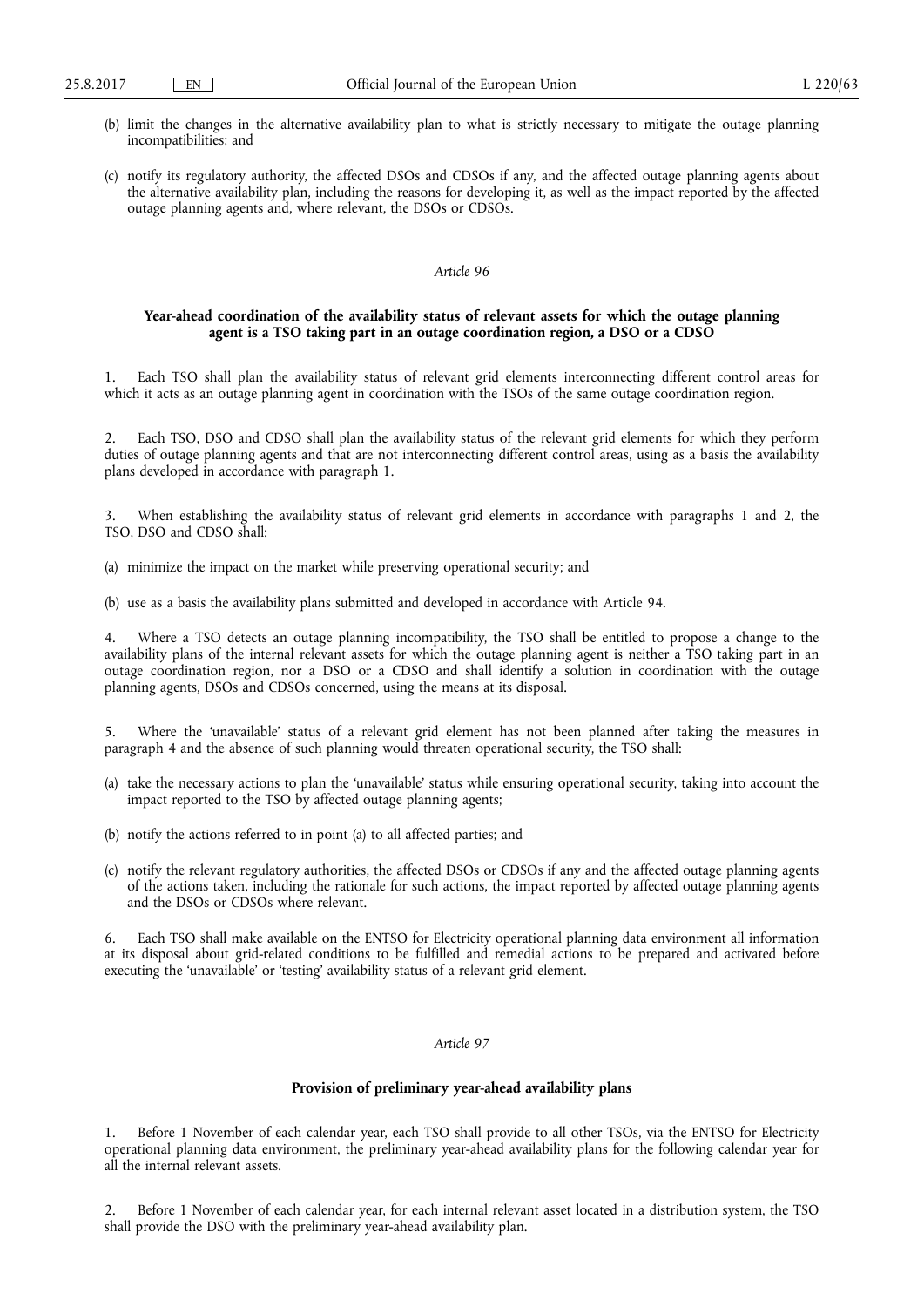- (b) limit the changes in the alternative availability plan to what is strictly necessary to mitigate the outage planning incompatibilities; and
- (c) notify its regulatory authority, the affected DSOs and CDSOs if any, and the affected outage planning agents about the alternative availability plan, including the reasons for developing it, as well as the impact reported by the affected outage planning agents and, where relevant, the DSOs or CDSOs.

## **Year-ahead coordination of the availability status of relevant assets for which the outage planning agent is a TSO taking part in an outage coordination region, a DSO or a CDSO**

1. Each TSO shall plan the availability status of relevant grid elements interconnecting different control areas for which it acts as an outage planning agent in coordination with the TSOs of the same outage coordination region.

2. Each TSO, DSO and CDSO shall plan the availability status of the relevant grid elements for which they perform duties of outage planning agents and that are not interconnecting different control areas, using as a basis the availability plans developed in accordance with paragraph 1.

3. When establishing the availability status of relevant grid elements in accordance with paragraphs 1 and 2, the TSO, DSO and CDSO shall:

(a) minimize the impact on the market while preserving operational security; and

(b) use as a basis the availability plans submitted and developed in accordance with Article 94.

4. Where a TSO detects an outage planning incompatibility, the TSO shall be entitled to propose a change to the availability plans of the internal relevant assets for which the outage planning agent is neither a TSO taking part in an outage coordination region, nor a DSO or a CDSO and shall identify a solution in coordination with the outage planning agents, DSOs and CDSOs concerned, using the means at its disposal.

5. Where the 'unavailable' status of a relevant grid element has not been planned after taking the measures in paragraph 4 and the absence of such planning would threaten operational security, the TSO shall:

- (a) take the necessary actions to plan the 'unavailable' status while ensuring operational security, taking into account the impact reported to the TSO by affected outage planning agents;
- (b) notify the actions referred to in point (a) to all affected parties; and
- (c) notify the relevant regulatory authorities, the affected DSOs or CDSOs if any and the affected outage planning agents of the actions taken, including the rationale for such actions, the impact reported by affected outage planning agents and the DSOs or CDSOs where relevant.

6. Each TSO shall make available on the ENTSO for Electricity operational planning data environment all information at its disposal about grid-related conditions to be fulfilled and remedial actions to be prepared and activated before executing the 'unavailable' or 'testing' availability status of a relevant grid element.

# *Article 97*

### **Provision of preliminary year-ahead availability plans**

1. Before 1 November of each calendar year, each TSO shall provide to all other TSOs, via the ENTSO for Electricity operational planning data environment, the preliminary year-ahead availability plans for the following calendar year for all the internal relevant assets.

2. Before 1 November of each calendar year, for each internal relevant asset located in a distribution system, the TSO shall provide the DSO with the preliminary year-ahead availability plan.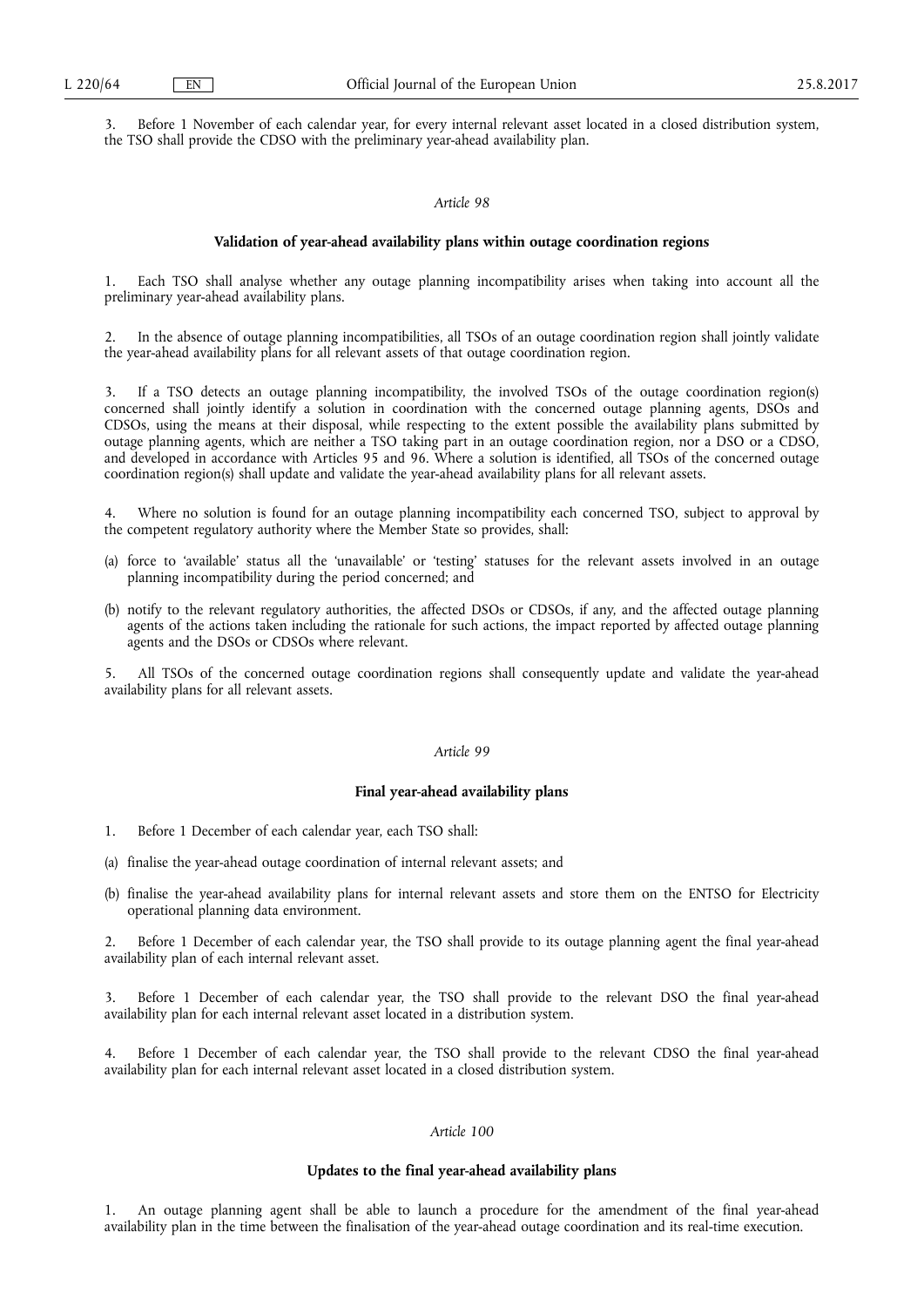3. Before 1 November of each calendar year, for every internal relevant asset located in a closed distribution system, the TSO shall provide the CDSO with the preliminary year-ahead availability plan.

#### *Article 98*

### **Validation of year-ahead availability plans within outage coordination regions**

1. Each TSO shall analyse whether any outage planning incompatibility arises when taking into account all the preliminary year-ahead availability plans.

2. In the absence of outage planning incompatibilities, all TSOs of an outage coordination region shall jointly validate the year-ahead availability plans for all relevant assets of that outage coordination region.

3. If a TSO detects an outage planning incompatibility, the involved TSOs of the outage coordination region(s) concerned shall jointly identify a solution in coordination with the concerned outage planning agents, DSOs and CDSOs, using the means at their disposal, while respecting to the extent possible the availability plans submitted by outage planning agents, which are neither a TSO taking part in an outage coordination region, nor a DSO or a CDSO, and developed in accordance with Articles 95 and 96. Where a solution is identified, all TSOs of the concerned outage coordination region(s) shall update and validate the year-ahead availability plans for all relevant assets.

Where no solution is found for an outage planning incompatibility each concerned TSO, subject to approval by the competent regulatory authority where the Member State so provides, shall:

- (a) force to 'available' status all the 'unavailable' or 'testing' statuses for the relevant assets involved in an outage planning incompatibility during the period concerned; and
- (b) notify to the relevant regulatory authorities, the affected DSOs or CDSOs, if any, and the affected outage planning agents of the actions taken including the rationale for such actions, the impact reported by affected outage planning agents and the DSOs or CDSOs where relevant.

5. All TSOs of the concerned outage coordination regions shall consequently update and validate the year-ahead availability plans for all relevant assets.

### *Article 99*

### **Final year-ahead availability plans**

- 1. Before 1 December of each calendar year, each TSO shall:
- (a) finalise the year-ahead outage coordination of internal relevant assets; and
- (b) finalise the year-ahead availability plans for internal relevant assets and store them on the ENTSO for Electricity operational planning data environment.

2. Before 1 December of each calendar year, the TSO shall provide to its outage planning agent the final year-ahead availability plan of each internal relevant asset.

3. Before 1 December of each calendar year, the TSO shall provide to the relevant DSO the final year-ahead availability plan for each internal relevant asset located in a distribution system.

Before 1 December of each calendar year, the TSO shall provide to the relevant CDSO the final year-ahead availability plan for each internal relevant asset located in a closed distribution system.

### *Article 100*

### **Updates to the final year-ahead availability plans**

1. An outage planning agent shall be able to launch a procedure for the amendment of the final year-ahead availability plan in the time between the finalisation of the year-ahead outage coordination and its real-time execution.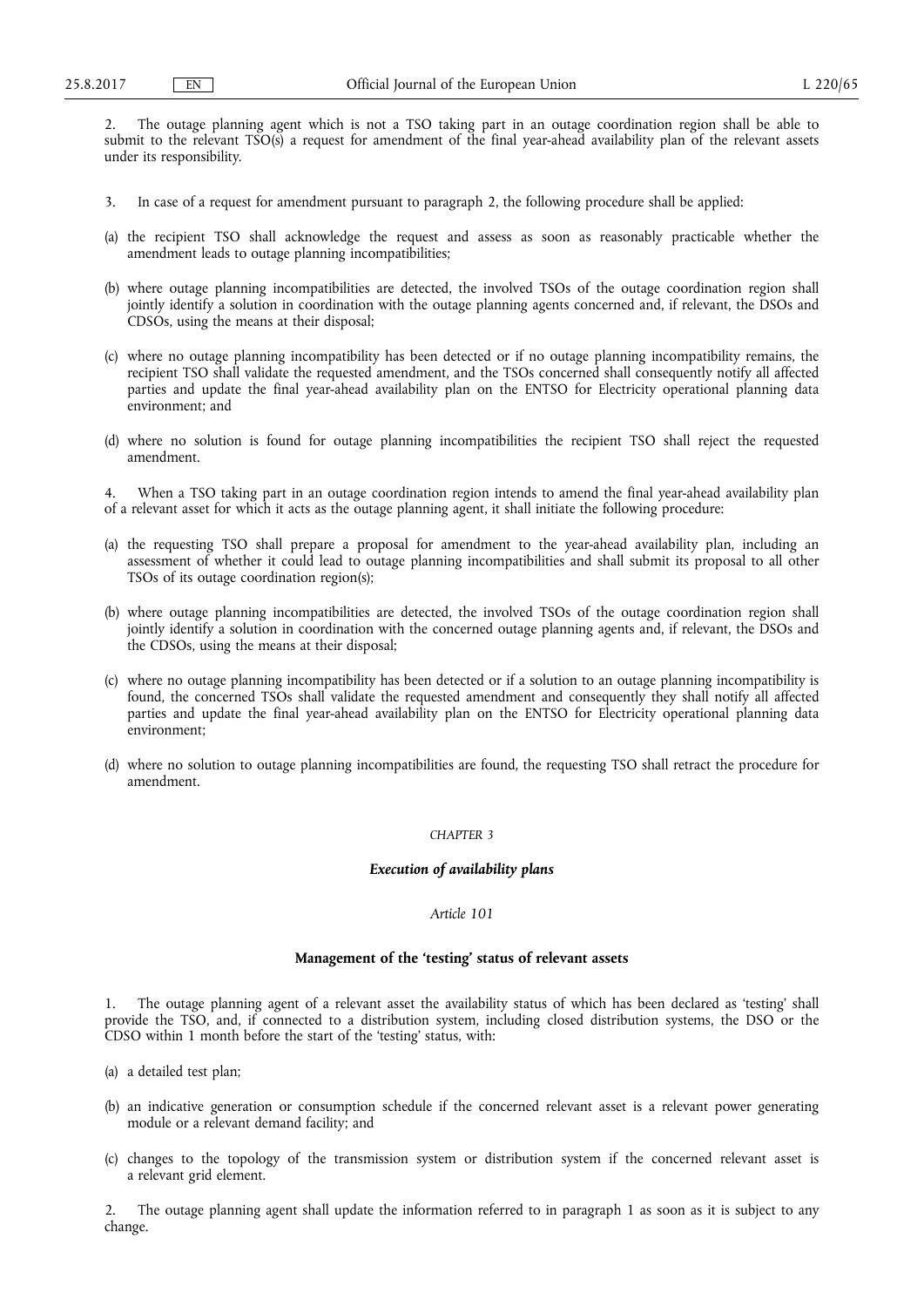2. The outage planning agent which is not a TSO taking part in an outage coordination region shall be able to submit to the relevant TSO(s) a request for amendment of the final year-ahead availability plan of the relevant assets under its responsibility.

- 3. In case of a request for amendment pursuant to paragraph 2, the following procedure shall be applied:
- (a) the recipient TSO shall acknowledge the request and assess as soon as reasonably practicable whether the amendment leads to outage planning incompatibilities;
- (b) where outage planning incompatibilities are detected, the involved TSOs of the outage coordination region shall jointly identify a solution in coordination with the outage planning agents concerned and, if relevant, the DSOs and CDSOs, using the means at their disposal;
- (c) where no outage planning incompatibility has been detected or if no outage planning incompatibility remains, the recipient TSO shall validate the requested amendment, and the TSOs concerned shall consequently notify all affected parties and update the final year-ahead availability plan on the ENTSO for Electricity operational planning data environment; and
- (d) where no solution is found for outage planning incompatibilities the recipient TSO shall reject the requested amendment.

4. When a TSO taking part in an outage coordination region intends to amend the final year-ahead availability plan of a relevant asset for which it acts as the outage planning agent, it shall initiate the following procedure:

- (a) the requesting TSO shall prepare a proposal for amendment to the year-ahead availability plan, including an assessment of whether it could lead to outage planning incompatibilities and shall submit its proposal to all other TSOs of its outage coordination region(s);
- (b) where outage planning incompatibilities are detected, the involved TSOs of the outage coordination region shall jointly identify a solution in coordination with the concerned outage planning agents and, if relevant, the DSOs and the CDSOs, using the means at their disposal;
- (c) where no outage planning incompatibility has been detected or if a solution to an outage planning incompatibility is found, the concerned TSOs shall validate the requested amendment and consequently they shall notify all affected parties and update the final year-ahead availability plan on the ENTSO for Electricity operational planning data environment;
- (d) where no solution to outage planning incompatibilities are found, the requesting TSO shall retract the procedure for amendment.

## *CHAPTER 3*

### *Execution of availability plans*

## *Article 101*

## **Management of the 'testing' status of relevant assets**

1. The outage planning agent of a relevant asset the availability status of which has been declared as 'testing' shall provide the TSO, and, if connected to a distribution system, including closed distribution systems, the DSO or the CDSO within 1 month before the start of the 'testing' status, with:

- (a) a detailed test plan;
- (b) an indicative generation or consumption schedule if the concerned relevant asset is a relevant power generating module or a relevant demand facility; and
- (c) changes to the topology of the transmission system or distribution system if the concerned relevant asset is a relevant grid element.

2. The outage planning agent shall update the information referred to in paragraph 1 as soon as it is subject to any change.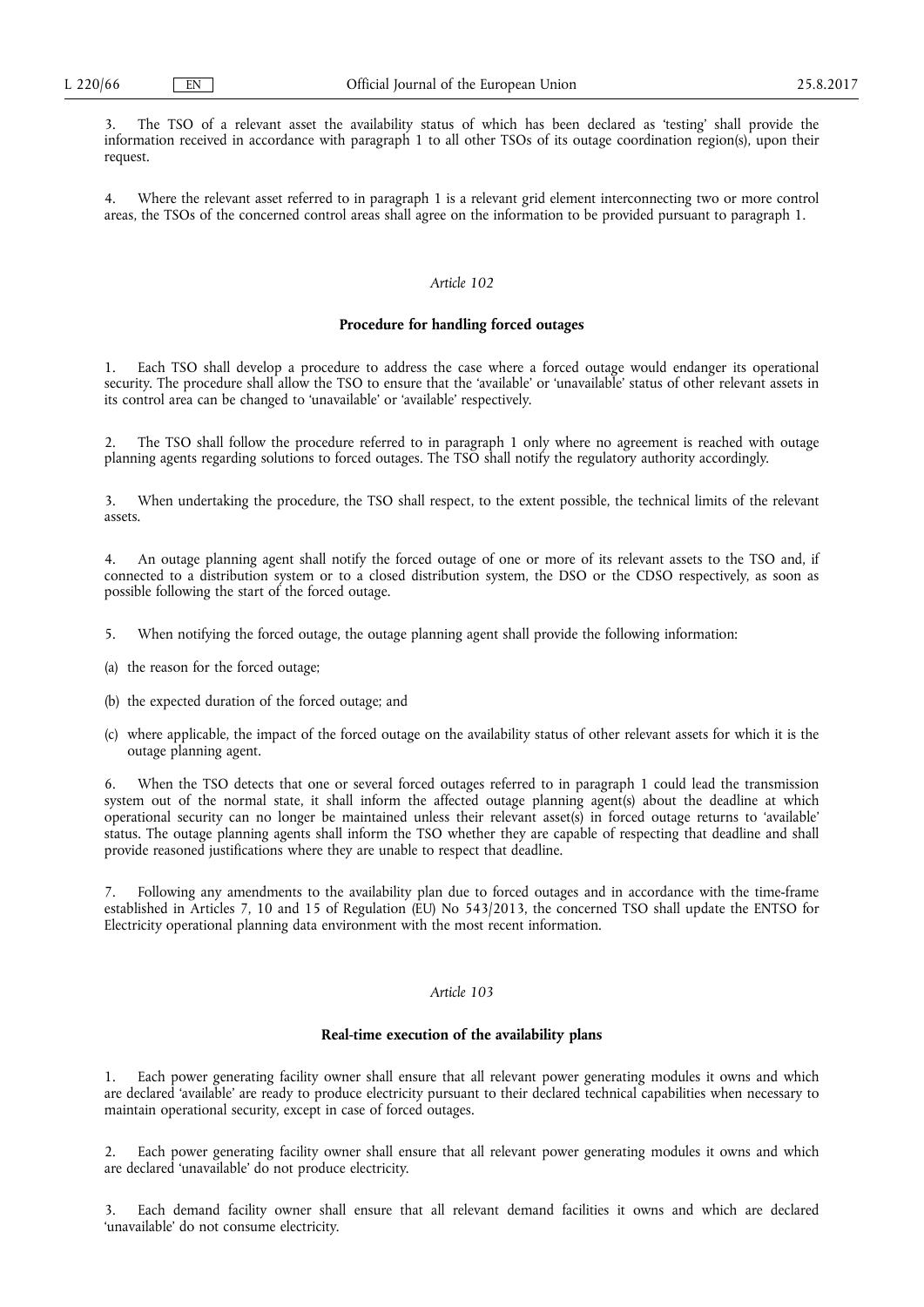3. The TSO of a relevant asset the availability status of which has been declared as 'testing' shall provide the information received in accordance with paragraph 1 to all other TSOs of its outage coordination region(s), upon their request.

4. Where the relevant asset referred to in paragraph 1 is a relevant grid element interconnecting two or more control areas, the TSOs of the concerned control areas shall agree on the information to be provided pursuant to paragraph 1.

# *Article 102*

#### **Procedure for handling forced outages**

1. Each TSO shall develop a procedure to address the case where a forced outage would endanger its operational security. The procedure shall allow the TSO to ensure that the 'available' or 'unavailable' status of other relevant assets in its control area can be changed to 'unavailable' or 'available' respectively.

The TSO shall follow the procedure referred to in paragraph 1 only where no agreement is reached with outage planning agents regarding solutions to forced outages. The TSO shall notify the regulatory authority accordingly.

3. When undertaking the procedure, the TSO shall respect, to the extent possible, the technical limits of the relevant assets.

4. An outage planning agent shall notify the forced outage of one or more of its relevant assets to the TSO and, if connected to a distribution system or to a closed distribution system, the DSO or the CDSO respectively, as soon as possible following the start of the forced outage.

- 5. When notifying the forced outage, the outage planning agent shall provide the following information:
- (a) the reason for the forced outage;
- (b) the expected duration of the forced outage; and
- (c) where applicable, the impact of the forced outage on the availability status of other relevant assets for which it is the outage planning agent.

6. When the TSO detects that one or several forced outages referred to in paragraph 1 could lead the transmission system out of the normal state, it shall inform the affected outage planning agent(s) about the deadline at which operational security can no longer be maintained unless their relevant asset(s) in forced outage returns to 'available' status. The outage planning agents shall inform the TSO whether they are capable of respecting that deadline and shall provide reasoned justifications where they are unable to respect that deadline.

7. Following any amendments to the availability plan due to forced outages and in accordance with the time-frame established in Articles 7, 10 and 15 of Regulation (EU) No 543/2013, the concerned TSO shall update the ENTSO for Electricity operational planning data environment with the most recent information.

## *Article 103*

### **Real-time execution of the availability plans**

Each power generating facility owner shall ensure that all relevant power generating modules it owns and which are declared 'available' are ready to produce electricity pursuant to their declared technical capabilities when necessary to maintain operational security, except in case of forced outages.

2. Each power generating facility owner shall ensure that all relevant power generating modules it owns and which are declared 'unavailable' do not produce electricity.

Each demand facility owner shall ensure that all relevant demand facilities it owns and which are declared 'unavailable' do not consume electricity.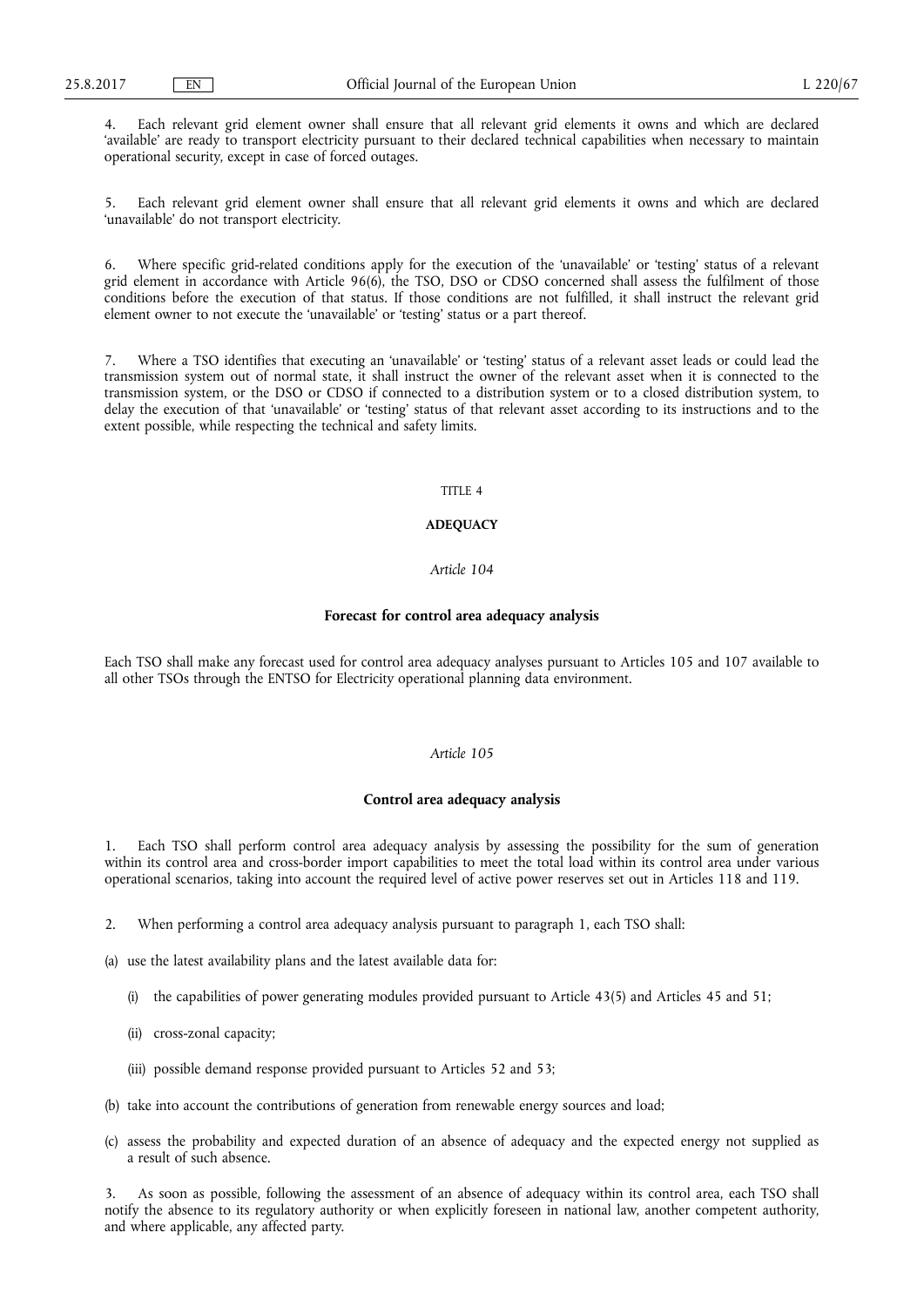4. Each relevant grid element owner shall ensure that all relevant grid elements it owns and which are declared 'available' are ready to transport electricity pursuant to their declared technical capabilities when necessary to maintain operational security, except in case of forced outages.

5. Each relevant grid element owner shall ensure that all relevant grid elements it owns and which are declared 'unavailable' do not transport electricity.

Where specific grid-related conditions apply for the execution of the 'unavailable' or 'testing' status of a relevant grid element in accordance with Article 96(6), the TSO, DSO or CDSO concerned shall assess the fulfilment of those conditions before the execution of that status. If those conditions are not fulfilled, it shall instruct the relevant grid element owner to not execute the 'unavailable' or 'testing' status or a part thereof.

7. Where a TSO identifies that executing an 'unavailable' or 'testing' status of a relevant asset leads or could lead the transmission system out of normal state, it shall instruct the owner of the relevant asset when it is connected to the transmission system, or the DSO or CDSO if connected to a distribution system or to a closed distribution system, to delay the execution of that 'unavailable' or 'testing' status of that relevant asset according to its instructions and to the extent possible, while respecting the technical and safety limits.

## TITLE  $\overline{A}$

## **ADEQUACY**

## *Article 104*

#### **Forecast for control area adequacy analysis**

Each TSO shall make any forecast used for control area adequacy analyses pursuant to Articles 105 and 107 available to all other TSOs through the ENTSO for Electricity operational planning data environment.

# *Article 105*

### **Control area adequacy analysis**

1. Each TSO shall perform control area adequacy analysis by assessing the possibility for the sum of generation within its control area and cross-border import capabilities to meet the total load within its control area under various operational scenarios, taking into account the required level of active power reserves set out in Articles 118 and 119.

- 2. When performing a control area adequacy analysis pursuant to paragraph 1, each TSO shall:
- (a) use the latest availability plans and the latest available data for:
	- (i) the capabilities of power generating modules provided pursuant to Article 43(5) and Articles 45 and 51;
	- (ii) cross-zonal capacity;
	- (iii) possible demand response provided pursuant to Articles 52 and 53;
- (b) take into account the contributions of generation from renewable energy sources and load;
- (c) assess the probability and expected duration of an absence of adequacy and the expected energy not supplied as a result of such absence.

3. As soon as possible, following the assessment of an absence of adequacy within its control area, each TSO shall notify the absence to its regulatory authority or when explicitly foreseen in national law, another competent authority, and where applicable, any affected party.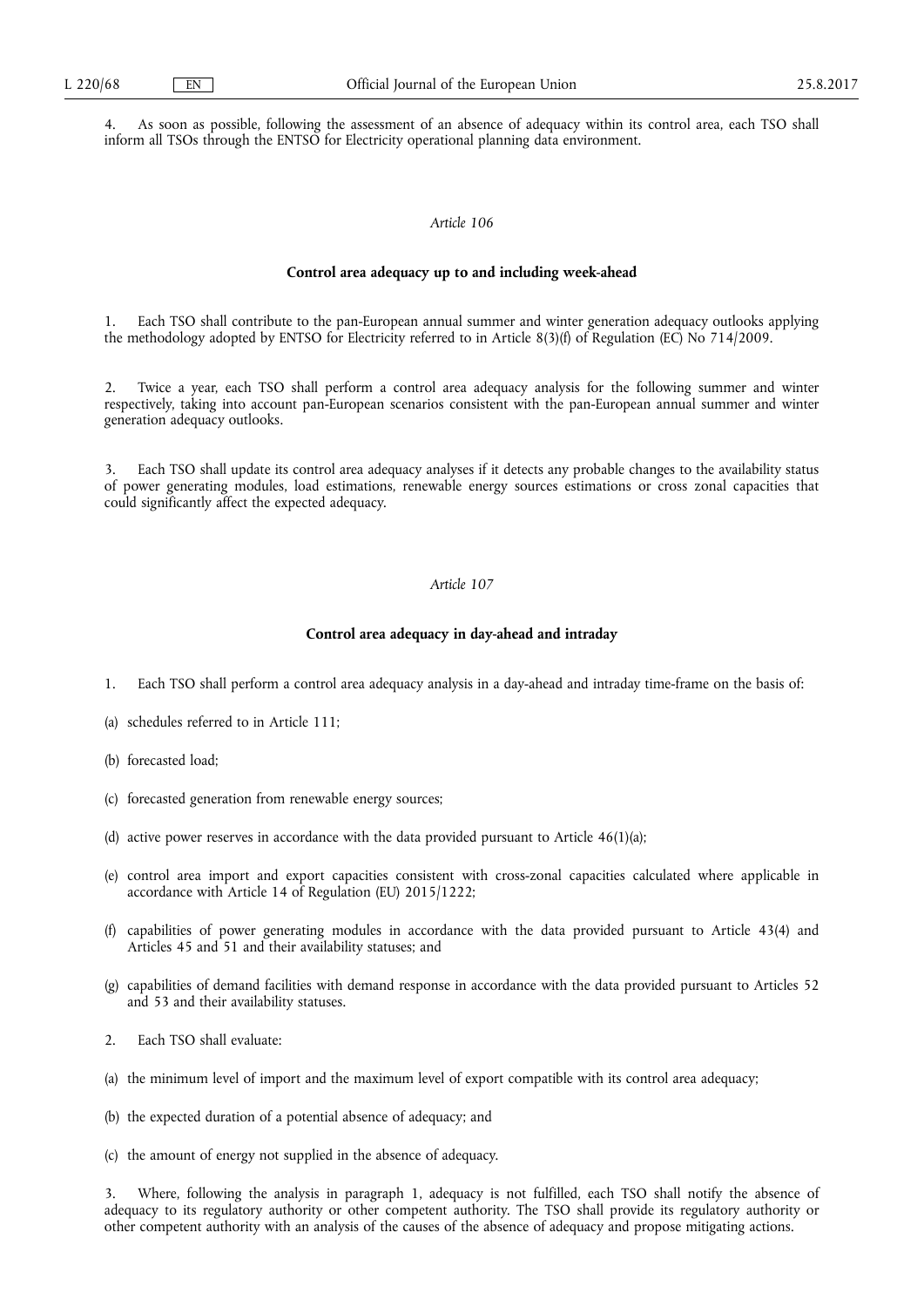4. As soon as possible, following the assessment of an absence of adequacy within its control area, each TSO shall inform all TSOs through the ENTSO for Electricity operational planning data environment.

## *Article 106*

## **Control area adequacy up to and including week-ahead**

1. Each TSO shall contribute to the pan-European annual summer and winter generation adequacy outlooks applying the methodology adopted by ENTSO for Electricity referred to in Article 8(3)(f) of Regulation (EC) No 714/2009.

Twice a year, each TSO shall perform a control area adequacy analysis for the following summer and winter respectively, taking into account pan-European scenarios consistent with the pan-European annual summer and winter generation adequacy outlooks.

Each TSO shall update its control area adequacy analyses if it detects any probable changes to the availability status of power generating modules, load estimations, renewable energy sources estimations or cross zonal capacities that could significantly affect the expected adequacy.

# *Article 107*

### **Control area adequacy in day-ahead and intraday**

- 1. Each TSO shall perform a control area adequacy analysis in a day-ahead and intraday time-frame on the basis of:
- (a) schedules referred to in Article 111;
- (b) forecasted load;
- (c) forecasted generation from renewable energy sources;
- (d) active power reserves in accordance with the data provided pursuant to Article 46(1)(a);
- (e) control area import and export capacities consistent with cross-zonal capacities calculated where applicable in accordance with Article 14 of Regulation (EU) 2015/1222;
- (f) capabilities of power generating modules in accordance with the data provided pursuant to Article 43(4) and Articles 45 and 51 and their availability statuses; and
- (g) capabilities of demand facilities with demand response in accordance with the data provided pursuant to Articles 52 and 53 and their availability statuses.
- 2. Each TSO shall evaluate:
- (a) the minimum level of import and the maximum level of export compatible with its control area adequacy;
- (b) the expected duration of a potential absence of adequacy; and
- (c) the amount of energy not supplied in the absence of adequacy.

3. Where, following the analysis in paragraph 1, adequacy is not fulfilled, each TSO shall notify the absence of adequacy to its regulatory authority or other competent authority. The TSO shall provide its regulatory authority or other competent authority with an analysis of the causes of the absence of adequacy and propose mitigating actions.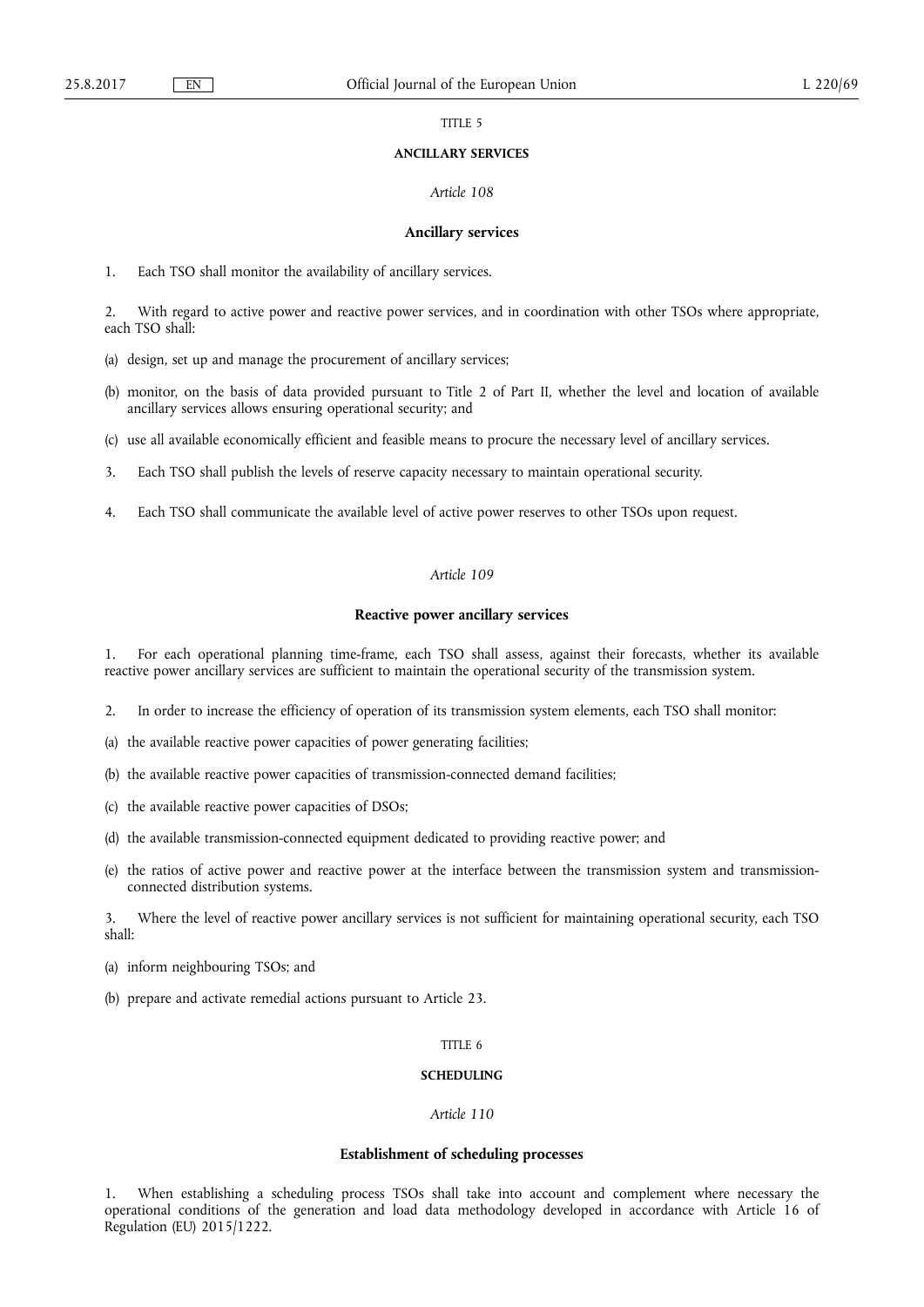TITLE 5

### **ANCILLARY SERVICES**

### *Article 108*

#### **Ancillary services**

1. Each TSO shall monitor the availability of ancillary services.

2. With regard to active power and reactive power services, and in coordination with other TSOs where appropriate, each TSO shall:

- (a) design, set up and manage the procurement of ancillary services;
- (b) monitor, on the basis of data provided pursuant to Title 2 of Part II, whether the level and location of available ancillary services allows ensuring operational security; and
- (c) use all available economically efficient and feasible means to procure the necessary level of ancillary services.
- 3. Each TSO shall publish the levels of reserve capacity necessary to maintain operational security.
- 4. Each TSO shall communicate the available level of active power reserves to other TSOs upon request.

# *Article 109*

### **Reactive power ancillary services**

1. For each operational planning time-frame, each TSO shall assess, against their forecasts, whether its available reactive power ancillary services are sufficient to maintain the operational security of the transmission system.

- 2. In order to increase the efficiency of operation of its transmission system elements, each TSO shall monitor:
- (a) the available reactive power capacities of power generating facilities;
- (b) the available reactive power capacities of transmission-connected demand facilities;
- (c) the available reactive power capacities of DSOs;
- (d) the available transmission-connected equipment dedicated to providing reactive power; and
- (e) the ratios of active power and reactive power at the interface between the transmission system and transmissionconnected distribution systems.

3. Where the level of reactive power ancillary services is not sufficient for maintaining operational security, each TSO shall:

- (a) inform neighbouring TSOs; and
- (b) prepare and activate remedial actions pursuant to Article 23.

## TITLE 6

## **SCHEDULING**

#### *Article 110*

#### **Establishment of scheduling processes**

1. When establishing a scheduling process TSOs shall take into account and complement where necessary the operational conditions of the generation and load data methodology developed in accordance with Article 16 of Regulation (EU) 2015/1222.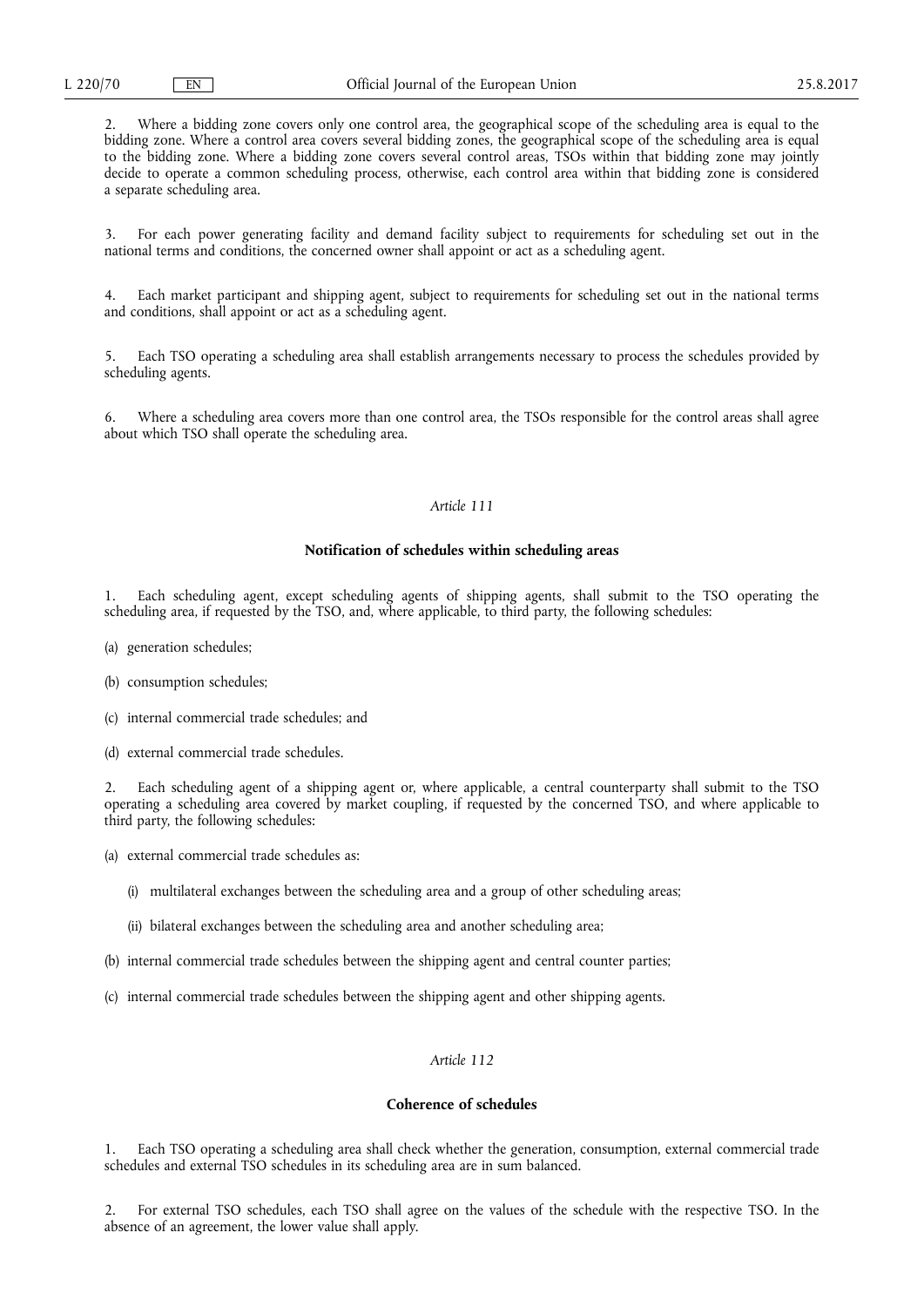2. Where a bidding zone covers only one control area, the geographical scope of the scheduling area is equal to the bidding zone. Where a control area covers several bidding zones, the geographical scope of the scheduling area is equal to the bidding zone. Where a bidding zone covers several control areas, TSOs within that bidding zone may jointly decide to operate a common scheduling process, otherwise, each control area within that bidding zone is considered a separate scheduling area.

3. For each power generating facility and demand facility subject to requirements for scheduling set out in the national terms and conditions, the concerned owner shall appoint or act as a scheduling agent.

4. Each market participant and shipping agent, subject to requirements for scheduling set out in the national terms and conditions, shall appoint or act as a scheduling agent.

5. Each TSO operating a scheduling area shall establish arrangements necessary to process the schedules provided by scheduling agents.

6. Where a scheduling area covers more than one control area, the TSOs responsible for the control areas shall agree about which TSO shall operate the scheduling area.

## *Article 111*

## **Notification of schedules within scheduling areas**

1. Each scheduling agent, except scheduling agents of shipping agents, shall submit to the TSO operating the scheduling area, if requested by the TSO, and, where applicable, to third party, the following schedules:

- (a) generation schedules;
- (b) consumption schedules;
- (c) internal commercial trade schedules; and
- (d) external commercial trade schedules.

2. Each scheduling agent of a shipping agent or, where applicable, a central counterparty shall submit to the TSO operating a scheduling area covered by market coupling, if requested by the concerned TSO, and where applicable to third party, the following schedules:

- (a) external commercial trade schedules as:
	- (i) multilateral exchanges between the scheduling area and a group of other scheduling areas;
	- (ii) bilateral exchanges between the scheduling area and another scheduling area;
- (b) internal commercial trade schedules between the shipping agent and central counter parties;
- (c) internal commercial trade schedules between the shipping agent and other shipping agents.

# *Article 112*

## **Coherence of schedules**

1. Each TSO operating a scheduling area shall check whether the generation, consumption, external commercial trade schedules and external TSO schedules in its scheduling area are in sum balanced.

2. For external TSO schedules, each TSO shall agree on the values of the schedule with the respective TSO. In the absence of an agreement, the lower value shall apply.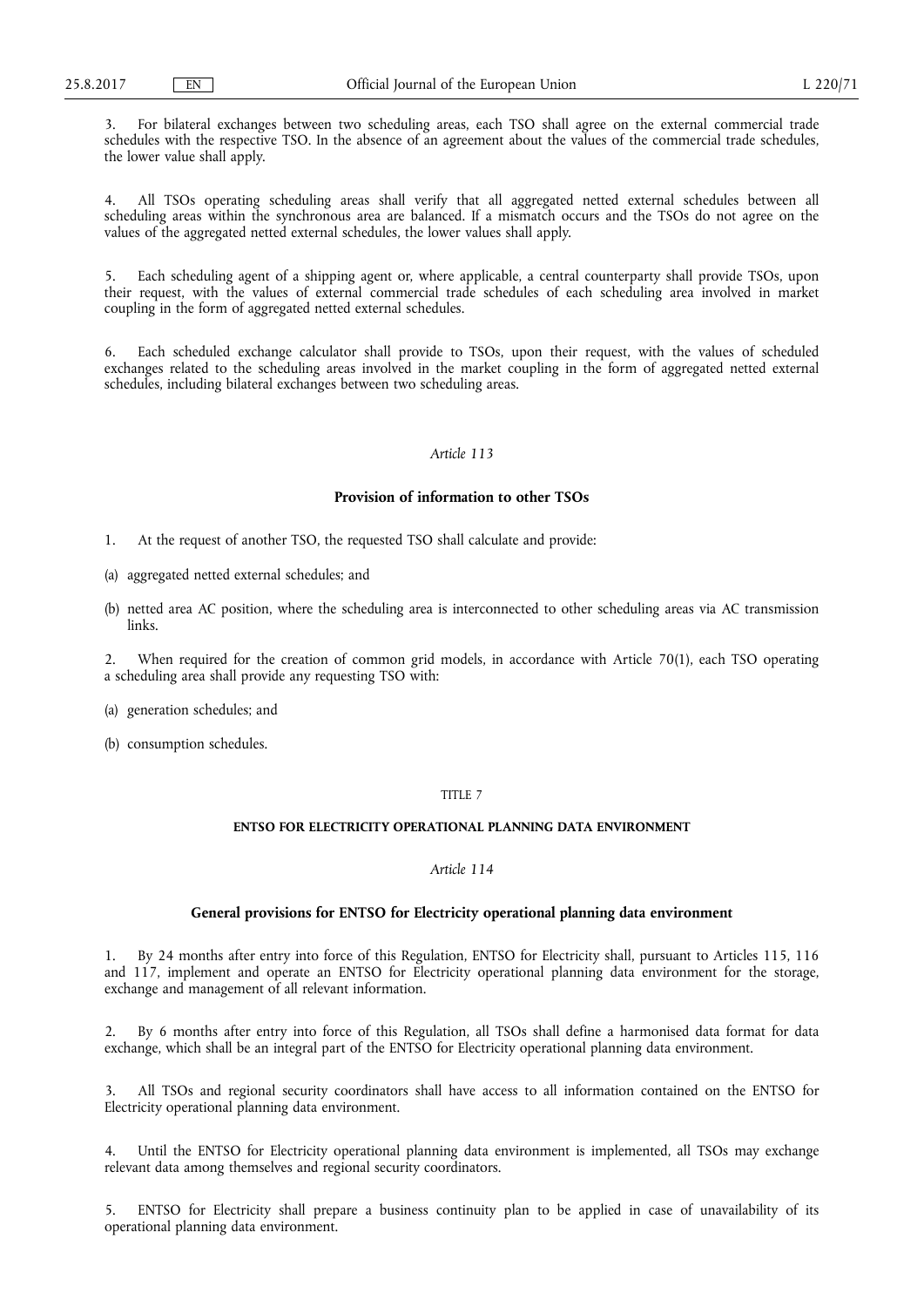3. For bilateral exchanges between two scheduling areas, each TSO shall agree on the external commercial trade schedules with the respective TSO. In the absence of an agreement about the values of the commercial trade schedules, the lower value shall apply.

4. All TSOs operating scheduling areas shall verify that all aggregated netted external schedules between all scheduling areas within the synchronous area are balanced. If a mismatch occurs and the TSOs do not agree on the values of the aggregated netted external schedules, the lower values shall apply.

Each scheduling agent of a shipping agent or, where applicable, a central counterparty shall provide TSOs, upon their request, with the values of external commercial trade schedules of each scheduling area involved in market coupling in the form of aggregated netted external schedules.

6. Each scheduled exchange calculator shall provide to TSOs, upon their request, with the values of scheduled exchanges related to the scheduling areas involved in the market coupling in the form of aggregated netted external schedules, including bilateral exchanges between two scheduling areas.

## *Article 113*

## **Provision of information to other TSOs**

- 1. At the request of another TSO, the requested TSO shall calculate and provide:
- (a) aggregated netted external schedules; and
- (b) netted area AC position, where the scheduling area is interconnected to other scheduling areas via AC transmission links.

2. When required for the creation of common grid models, in accordance with Article 70(1), each TSO operating a scheduling area shall provide any requesting TSO with:

- (a) generation schedules; and
- (b) consumption schedules.

# TITLE 7

## **ENTSO FOR ELECTRICITY OPERATIONAL PLANNING DATA ENVIRONMENT**

# *Article 114*

### **General provisions for ENTSO for Electricity operational planning data environment**

1. By 24 months after entry into force of this Regulation, ENTSO for Electricity shall, pursuant to Articles 115, 116 and 117, implement and operate an ENTSO for Electricity operational planning data environment for the storage, exchange and management of all relevant information.

2. By 6 months after entry into force of this Regulation, all TSOs shall define a harmonised data format for data exchange, which shall be an integral part of the ENTSO for Electricity operational planning data environment.

3. All TSOs and regional security coordinators shall have access to all information contained on the ENTSO for Electricity operational planning data environment.

4. Until the ENTSO for Electricity operational planning data environment is implemented, all TSOs may exchange relevant data among themselves and regional security coordinators.

5. ENTSO for Electricity shall prepare a business continuity plan to be applied in case of unavailability of its operational planning data environment.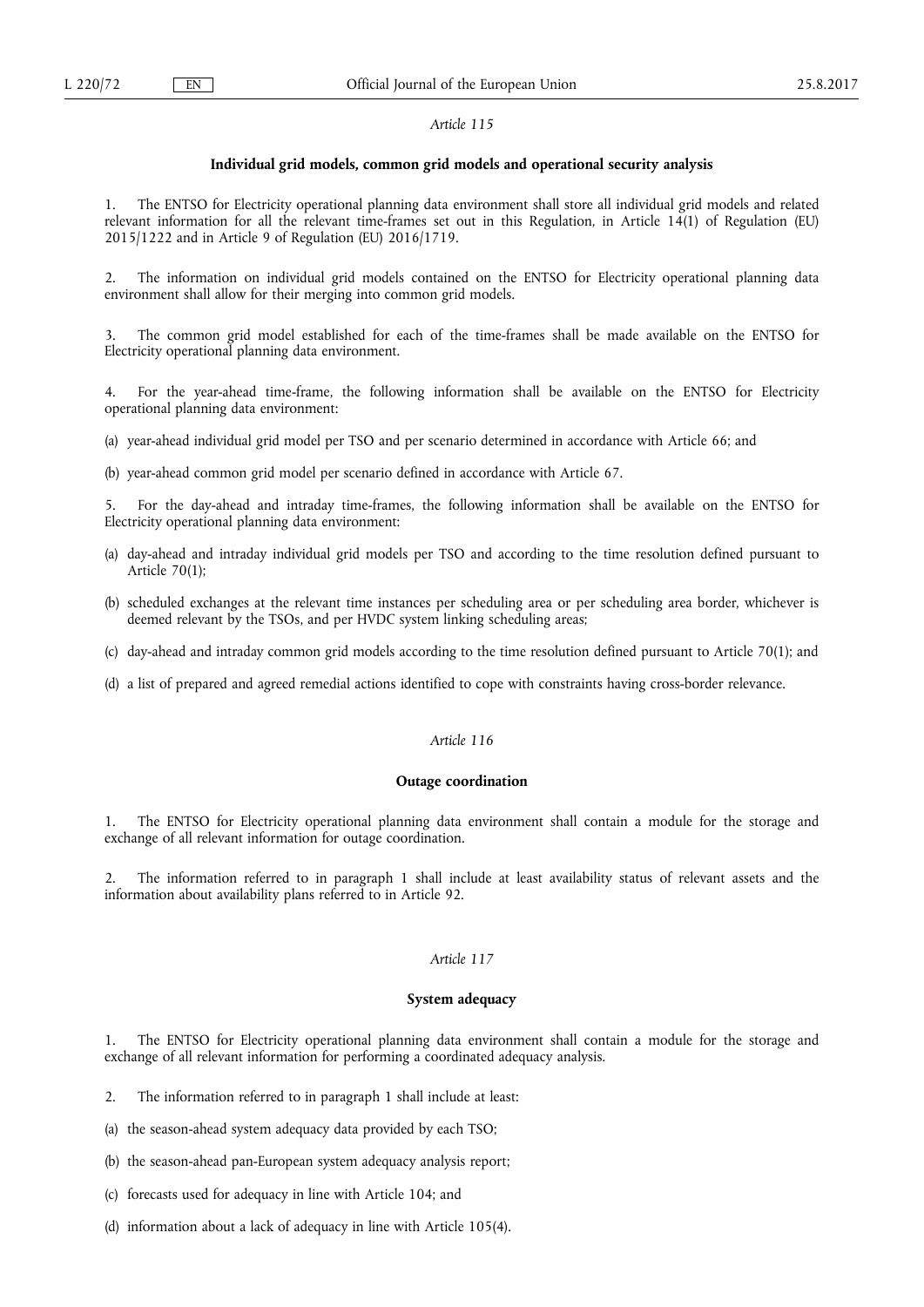## **Individual grid models, common grid models and operational security analysis**

1. The ENTSO for Electricity operational planning data environment shall store all individual grid models and related relevant information for all the relevant time-frames set out in this Regulation, in Article 14(1) of Regulation (EU) 2015/1222 and in Article 9 of Regulation (EU) 2016/1719.

2. The information on individual grid models contained on the ENTSO for Electricity operational planning data environment shall allow for their merging into common grid models.

The common grid model established for each of the time-frames shall be made available on the ENTSO for Electricity operational planning data environment.

4. For the year-ahead time-frame, the following information shall be available on the ENTSO for Electricity operational planning data environment:

(a) year-ahead individual grid model per TSO and per scenario determined in accordance with Article 66; and

(b) year-ahead common grid model per scenario defined in accordance with Article 67.

5. For the day-ahead and intraday time-frames, the following information shall be available on the ENTSO for Electricity operational planning data environment:

- (a) day-ahead and intraday individual grid models per TSO and according to the time resolution defined pursuant to Article 70(1);
- (b) scheduled exchanges at the relevant time instances per scheduling area or per scheduling area border, whichever is deemed relevant by the TSOs, and per HVDC system linking scheduling areas;
- (c) day-ahead and intraday common grid models according to the time resolution defined pursuant to Article 70(1); and
- (d) a list of prepared and agreed remedial actions identified to cope with constraints having cross-border relevance.

# *Article 116*

### **Outage coordination**

1. The ENTSO for Electricity operational planning data environment shall contain a module for the storage and exchange of all relevant information for outage coordination.

2. The information referred to in paragraph 1 shall include at least availability status of relevant assets and the information about availability plans referred to in Article 92.

# *Article 117*

## **System adequacy**

1. The ENTSO for Electricity operational planning data environment shall contain a module for the storage and exchange of all relevant information for performing a coordinated adequacy analysis.

2. The information referred to in paragraph 1 shall include at least:

- (a) the season-ahead system adequacy data provided by each TSO;
- (b) the season-ahead pan-European system adequacy analysis report;
- (c) forecasts used for adequacy in line with Article 104; and
- (d) information about a lack of adequacy in line with Article 105(4).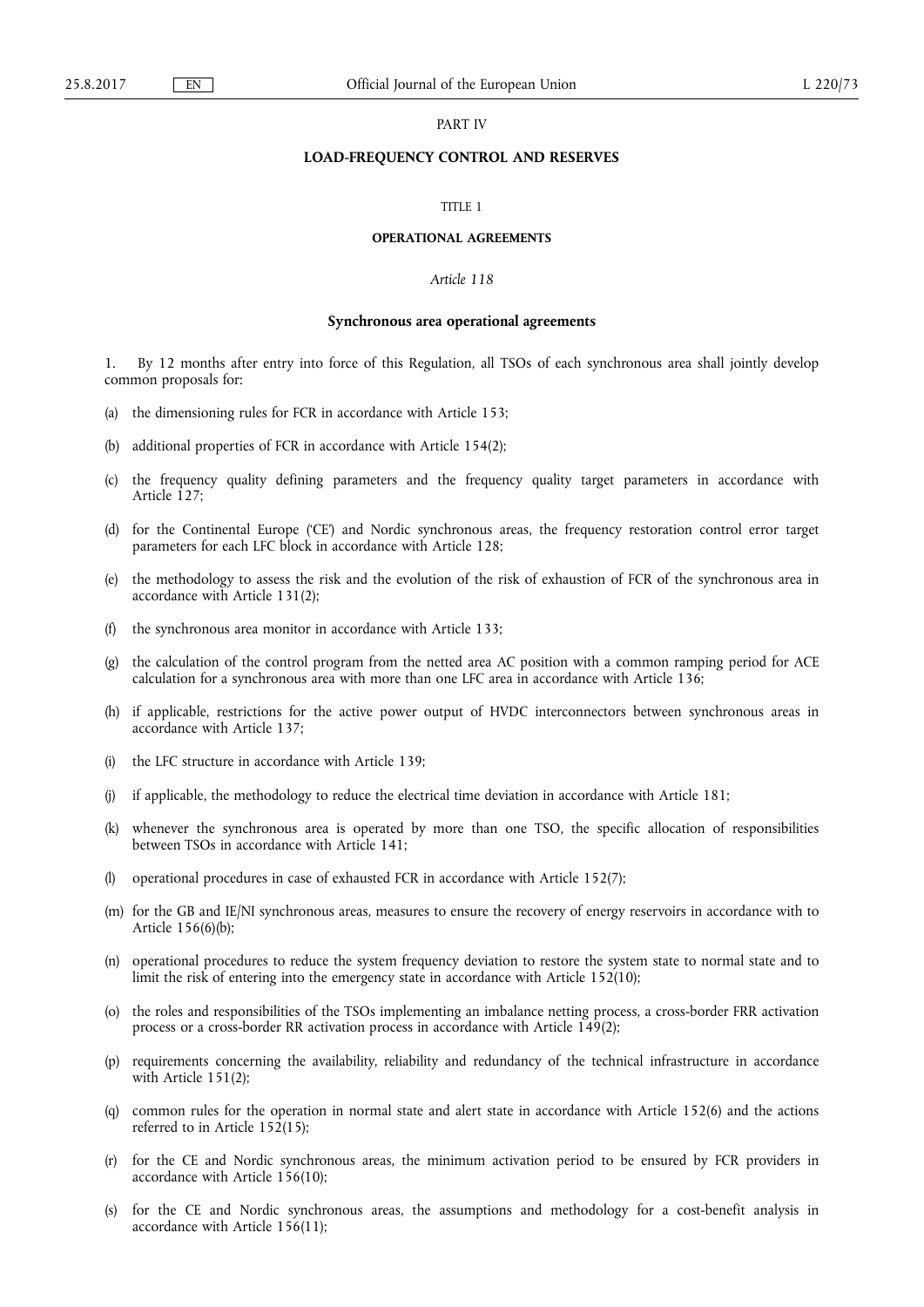## PART IV

# **LOAD-FREQUENCY CONTROL AND RESERVES**

#### TITLE 1

### **OPERATIONAL AGREEMENTS**

# *Article 118*

## **Synchronous area operational agreements**

1. By 12 months after entry into force of this Regulation, all TSOs of each synchronous area shall jointly develop common proposals for:

- (a) the dimensioning rules for FCR in accordance with Article 153;
- (b) additional properties of FCR in accordance with Article 154(2);
- (c) the frequency quality defining parameters and the frequency quality target parameters in accordance with Article 127;
- (d) for the Continental Europe ('CE') and Nordic synchronous areas, the frequency restoration control error target parameters for each LFC block in accordance with Article 128;
- (e) the methodology to assess the risk and the evolution of the risk of exhaustion of FCR of the synchronous area in accordance with Article 131(2);
- (f) the synchronous area monitor in accordance with Article 133;
- (g) the calculation of the control program from the netted area AC position with a common ramping period for ACE calculation for a synchronous area with more than one LFC area in accordance with Article 136;
- (h) if applicable, restrictions for the active power output of HVDC interconnectors between synchronous areas in accordance with Article 137;
- (i) the LFC structure in accordance with Article 139;
- (j) if applicable, the methodology to reduce the electrical time deviation in accordance with Article 181;
- (k) whenever the synchronous area is operated by more than one TSO, the specific allocation of responsibilities between TSOs in accordance with Article 141;
- (l) operational procedures in case of exhausted FCR in accordance with Article 152(7);
- (m) for the GB and IE/NI synchronous areas, measures to ensure the recovery of energy reservoirs in accordance with to Article 156(6)(b);
- (n) operational procedures to reduce the system frequency deviation to restore the system state to normal state and to limit the risk of entering into the emergency state in accordance with Article 152(10);
- (o) the roles and responsibilities of the TSOs implementing an imbalance netting process, a cross-border FRR activation process or a cross-border RR activation process in accordance with Article 149(2);
- (p) requirements concerning the availability, reliability and redundancy of the technical infrastructure in accordance with Article 151(2);
- (q) common rules for the operation in normal state and alert state in accordance with Article 152(6) and the actions referred to in Article 152(15);
- (r) for the CE and Nordic synchronous areas, the minimum activation period to be ensured by FCR providers in accordance with Article 156(10);
- (s) for the CE and Nordic synchronous areas, the assumptions and methodology for a cost-benefit analysis in accordance with Article 156(11);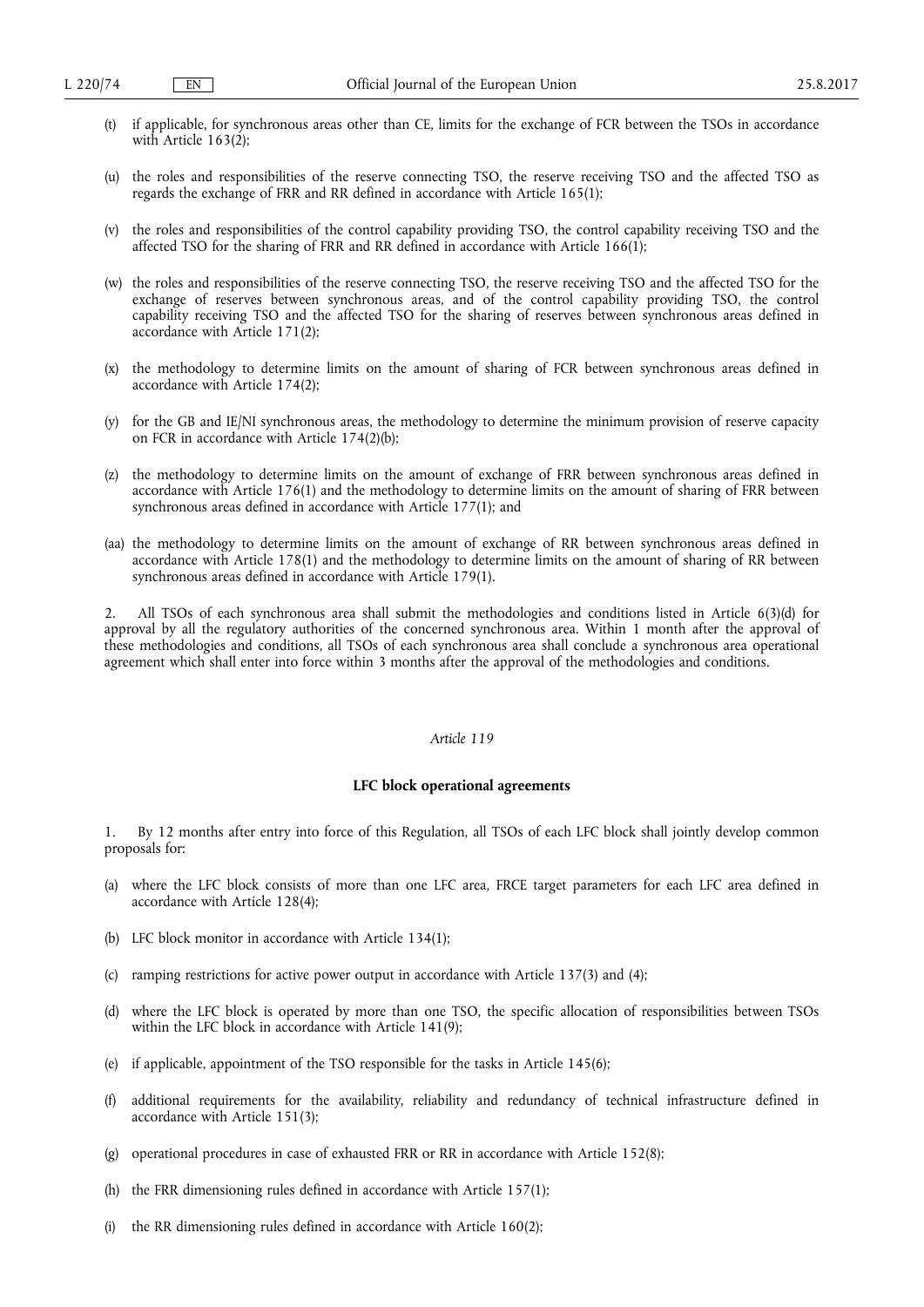- (t) if applicable, for synchronous areas other than CE, limits for the exchange of FCR between the TSOs in accordance with Article  $163(2)$ ;
- (u) the roles and responsibilities of the reserve connecting TSO, the reserve receiving TSO and the affected TSO as regards the exchange of FRR and RR defined in accordance with Article 165(1);
- (v) the roles and responsibilities of the control capability providing TSO, the control capability receiving TSO and the affected TSO for the sharing of FRR and RR defined in accordance with Article 166(1);
- (w) the roles and responsibilities of the reserve connecting TSO, the reserve receiving TSO and the affected TSO for the exchange of reserves between synchronous areas, and of the control capability providing TSO, the control capability receiving TSO and the affected TSO for the sharing of reserves between synchronous areas defined in accordance with Article 171(2);
- (x) the methodology to determine limits on the amount of sharing of FCR between synchronous areas defined in accordance with Article 174(2);
- (y) for the GB and IE/NI synchronous areas, the methodology to determine the minimum provision of reserve capacity on FCR in accordance with Article 174(2)(b);
- (z) the methodology to determine limits on the amount of exchange of FRR between synchronous areas defined in accordance with Article 176(1) and the methodology to determine limits on the amount of sharing of FRR between synchronous areas defined in accordance with Article 177(1); and
- (aa) the methodology to determine limits on the amount of exchange of RR between synchronous areas defined in accordance with Article 178(1) and the methodology to determine limits on the amount of sharing of RR between synchronous areas defined in accordance with Article 179(1).

2. All TSOs of each synchronous area shall submit the methodologies and conditions listed in Article 6(3)(d) for approval by all the regulatory authorities of the concerned synchronous area. Within 1 month after the approval of these methodologies and conditions, all TSOs of each synchronous area shall conclude a synchronous area operational agreement which shall enter into force within 3 months after the approval of the methodologies and conditions.

## *Article 119*

## **LFC block operational agreements**

1. By 12 months after entry into force of this Regulation, all TSOs of each LFC block shall jointly develop common proposals for:

- (a) where the LFC block consists of more than one LFC area, FRCE target parameters for each LFC area defined in accordance with Article 128(4);
- (b) LFC block monitor in accordance with Article 134(1);
- (c) ramping restrictions for active power output in accordance with Article 137(3) and (4);
- (d) where the LFC block is operated by more than one TSO, the specific allocation of responsibilities between TSOs within the LFC block in accordance with Article 141(9);
- (e) if applicable, appointment of the TSO responsible for the tasks in Article 145(6);
- (f) additional requirements for the availability, reliability and redundancy of technical infrastructure defined in accordance with Article 151(3);
- (g) operational procedures in case of exhausted FRR or RR in accordance with Article 152(8);
- (h) the FRR dimensioning rules defined in accordance with Article 157(1);
- (i) the RR dimensioning rules defined in accordance with Article 160(2);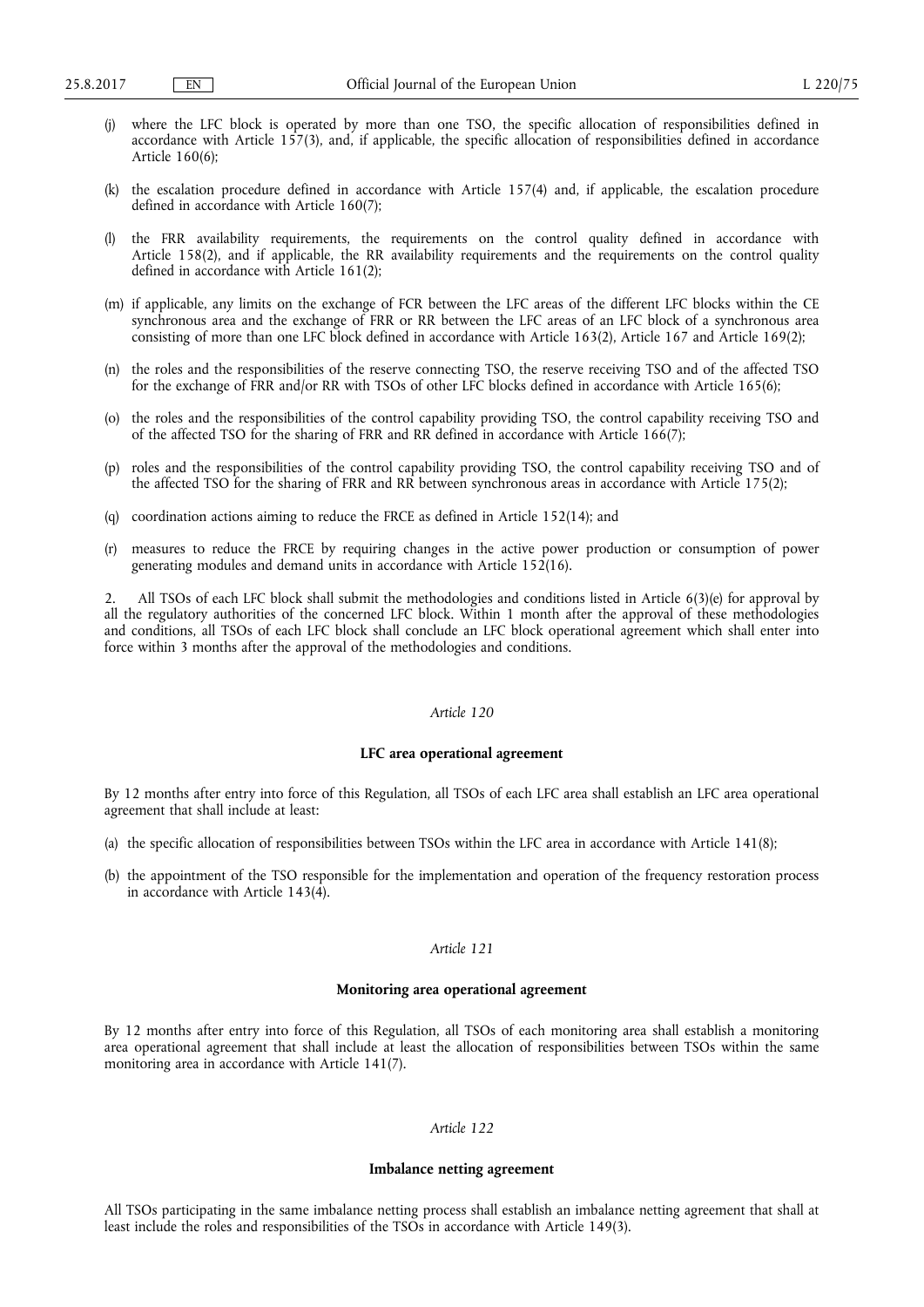- (j) where the LFC block is operated by more than one TSO, the specific allocation of responsibilities defined in accordance with Article 157(3), and, if applicable, the specific allocation of responsibilities defined in accordance Article 160(6);
- (k) the escalation procedure defined in accordance with Article 157(4) and, if applicable, the escalation procedure defined in accordance with Article 160(7);
- the FRR availability requirements, the requirements on the control quality defined in accordance with Article 158(2), and if applicable, the RR availability requirements and the requirements on the control quality defined in accordance with Article 161(2);
- (m) if applicable, any limits on the exchange of FCR between the LFC areas of the different LFC blocks within the CE synchronous area and the exchange of FRR or RR between the LFC areas of an LFC block of a synchronous area consisting of more than one LFC block defined in accordance with Article 163(2), Article 167 and Article 169(2);
- (n) the roles and the responsibilities of the reserve connecting TSO, the reserve receiving TSO and of the affected TSO for the exchange of FRR and/or RR with TSOs of other LFC blocks defined in accordance with Article 165(6);
- (o) the roles and the responsibilities of the control capability providing TSO, the control capability receiving TSO and of the affected TSO for the sharing of FRR and RR defined in accordance with Article 166(7);
- (p) roles and the responsibilities of the control capability providing TSO, the control capability receiving TSO and of the affected TSO for the sharing of FRR and RR between synchronous areas in accordance with Article 175(2);
- (q) coordination actions aiming to reduce the FRCE as defined in Article 152(14); and
- (r) measures to reduce the FRCE by requiring changes in the active power production or consumption of power generating modules and demand units in accordance with Article 152(16).

2. All TSOs of each LFC block shall submit the methodologies and conditions listed in Article 6(3)(e) for approval by all the regulatory authorities of the concerned LFC block. Within 1 month after the approval of these methodologies and conditions, all TSOs of each LFC block shall conclude an LFC block operational agreement which shall enter into force within 3 months after the approval of the methodologies and conditions.

# *Article 120*

## **LFC area operational agreement**

By 12 months after entry into force of this Regulation, all TSOs of each LFC area shall establish an LFC area operational agreement that shall include at least:

- (a) the specific allocation of responsibilities between TSOs within the LFC area in accordance with Article 141(8);
- (b) the appointment of the TSO responsible for the implementation and operation of the frequency restoration process in accordance with Article 143(4).

# *Article 121*

## **Monitoring area operational agreement**

By 12 months after entry into force of this Regulation, all TSOs of each monitoring area shall establish a monitoring area operational agreement that shall include at least the allocation of responsibilities between TSOs within the same monitoring area in accordance with Article 141(7).

# *Article 122*

## **Imbalance netting agreement**

All TSOs participating in the same imbalance netting process shall establish an imbalance netting agreement that shall at least include the roles and responsibilities of the TSOs in accordance with Article 149(3).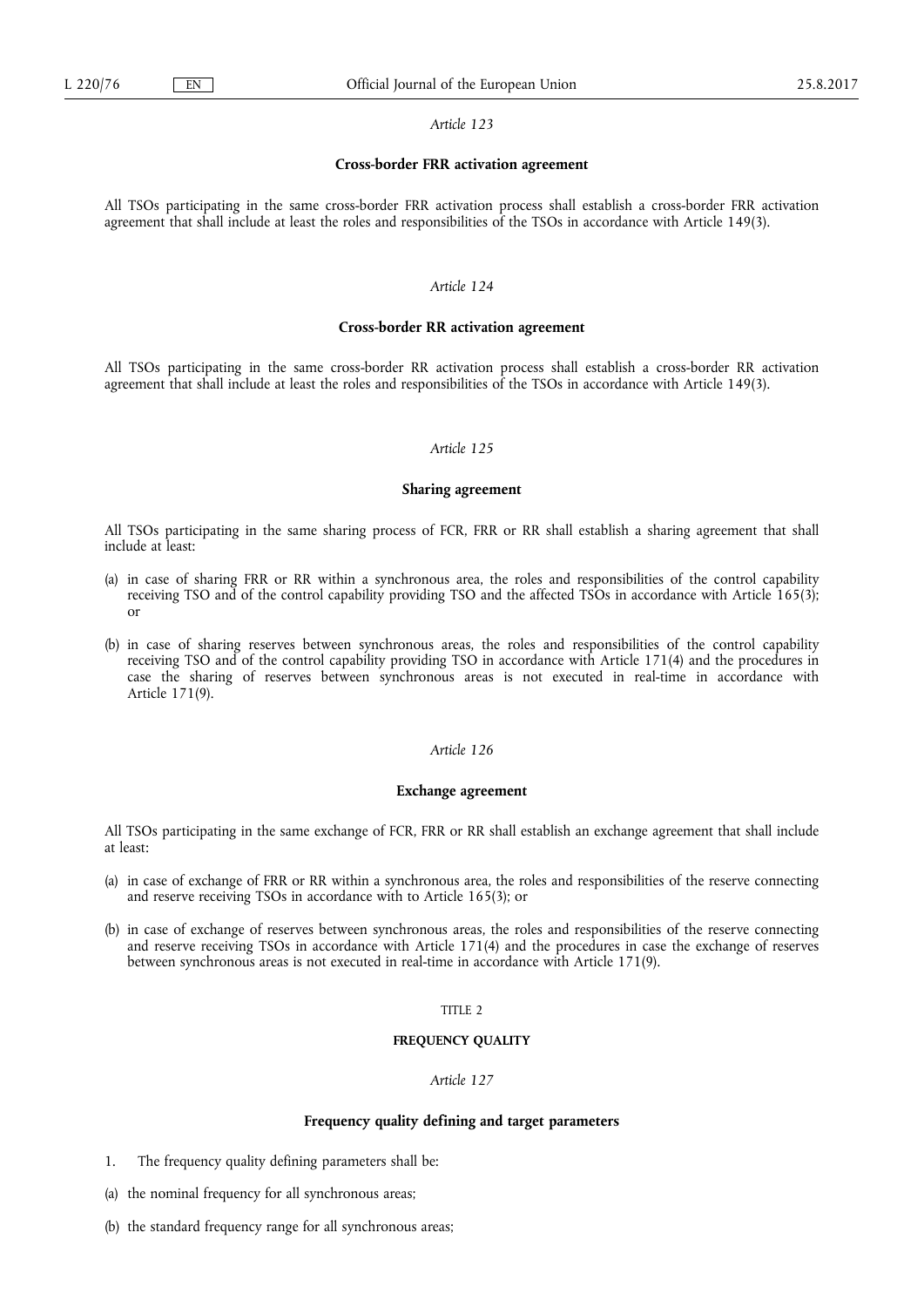## **Cross-border FRR activation agreement**

All TSOs participating in the same cross-border FRR activation process shall establish a cross-border FRR activation agreement that shall include at least the roles and responsibilities of the TSOs in accordance with Article 149(3).

## *Article 124*

## **Cross-border RR activation agreement**

All TSOs participating in the same cross-border RR activation process shall establish a cross-border RR activation agreement that shall include at least the roles and responsibilities of the TSOs in accordance with Article 149(3).

# *Article 125*

#### **Sharing agreement**

All TSOs participating in the same sharing process of FCR, FRR or RR shall establish a sharing agreement that shall include at least:

- (a) in case of sharing FRR or RR within a synchronous area, the roles and responsibilities of the control capability receiving TSO and of the control capability providing TSO and the affected TSOs in accordance with Article 165(3); or
- (b) in case of sharing reserves between synchronous areas, the roles and responsibilities of the control capability receiving TSO and of the control capability providing TSO in accordance with Article 171(4) and the procedures in case the sharing of reserves between synchronous areas is not executed in real-time in accordance with Article 171(9).

# *Article 126*

#### **Exchange agreement**

All TSOs participating in the same exchange of FCR, FRR or RR shall establish an exchange agreement that shall include at least:

- (a) in case of exchange of FRR or RR within a synchronous area, the roles and responsibilities of the reserve connecting and reserve receiving TSOs in accordance with to Article 165(3); or
- (b) in case of exchange of reserves between synchronous areas, the roles and responsibilities of the reserve connecting and reserve receiving TSOs in accordance with Article 171(4) and the procedures in case the exchange of reserves between synchronous areas is not executed in real-time in accordance with Article 171(9).

# TITLE 2

### **FREQUENCY QUALITY**

## *Article 127*

## **Frequency quality defining and target parameters**

- 1. The frequency quality defining parameters shall be:
- (a) the nominal frequency for all synchronous areas;
- (b) the standard frequency range for all synchronous areas;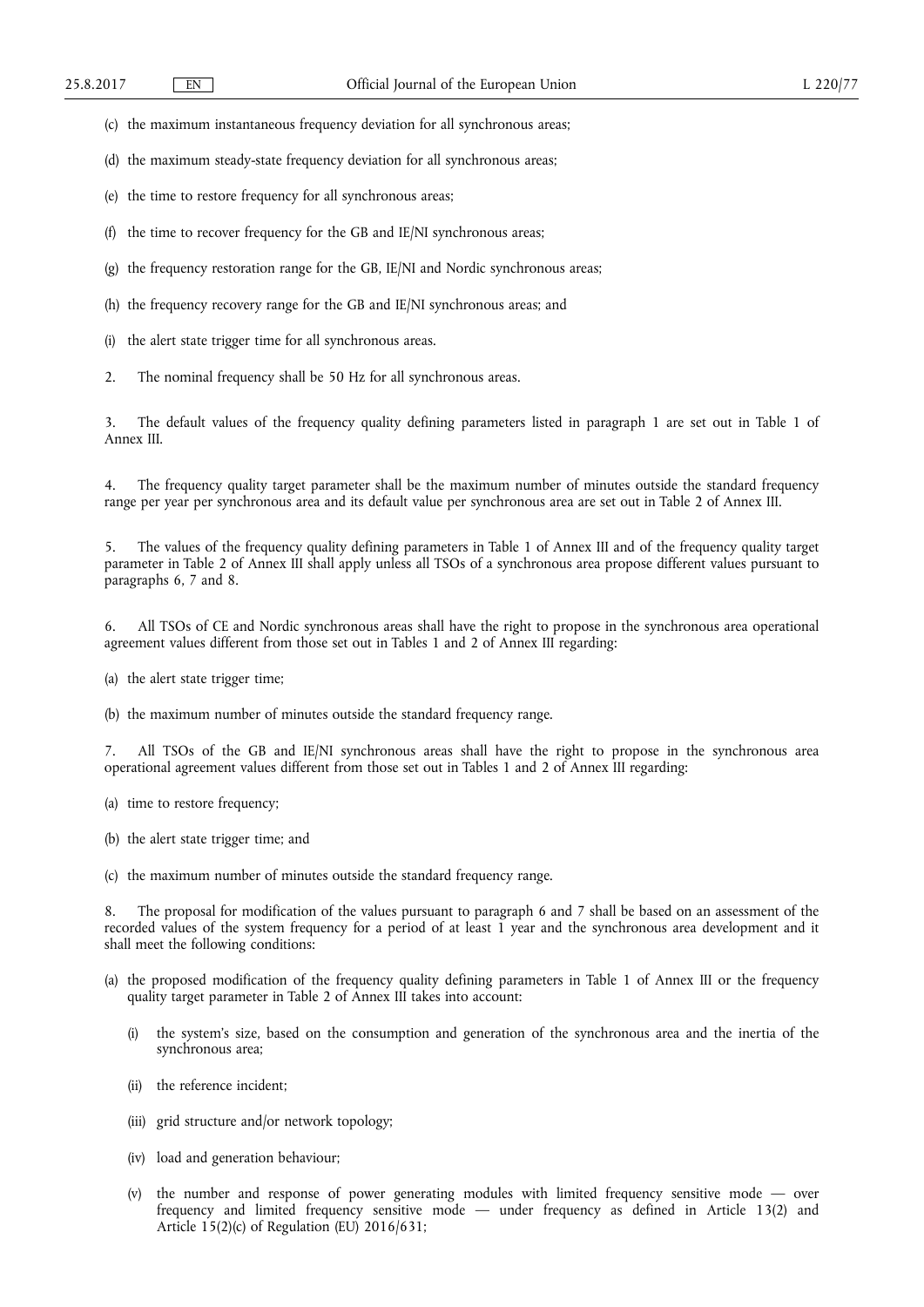- (c) the maximum instantaneous frequency deviation for all synchronous areas;
- (d) the maximum steady-state frequency deviation for all synchronous areas;
- (e) the time to restore frequency for all synchronous areas;
- (f) the time to recover frequency for the GB and IE/NI synchronous areas;
- (g) the frequency restoration range for the GB, IE/NI and Nordic synchronous areas;
- (h) the frequency recovery range for the GB and IE/NI synchronous areas; and
- (i) the alert state trigger time for all synchronous areas.
- 2. The nominal frequency shall be 50 Hz for all synchronous areas.

3. The default values of the frequency quality defining parameters listed in paragraph 1 are set out in Table 1 of Annex III.

4. The frequency quality target parameter shall be the maximum number of minutes outside the standard frequency range per year per synchronous area and its default value per synchronous area are set out in Table 2 of Annex III.

5. The values of the frequency quality defining parameters in Table 1 of Annex III and of the frequency quality target parameter in Table 2 of Annex III shall apply unless all TSOs of a synchronous area propose different values pursuant to paragraphs 6, 7 and 8.

6. All TSOs of CE and Nordic synchronous areas shall have the right to propose in the synchronous area operational agreement values different from those set out in Tables 1 and 2 of Annex III regarding:

- (a) the alert state trigger time;
- (b) the maximum number of minutes outside the standard frequency range.

7. All TSOs of the GB and IE/NI synchronous areas shall have the right to propose in the synchronous area operational agreement values different from those set out in Tables 1 and 2 of Annex III regarding:

- (a) time to restore frequency;
- (b) the alert state trigger time; and
- (c) the maximum number of minutes outside the standard frequency range.

8. The proposal for modification of the values pursuant to paragraph 6 and 7 shall be based on an assessment of the recorded values of the system frequency for a period of at least 1 year and the synchronous area development and it shall meet the following conditions:

- (a) the proposed modification of the frequency quality defining parameters in Table 1 of Annex III or the frequency quality target parameter in Table 2 of Annex III takes into account:
	- (i) the system's size, based on the consumption and generation of the synchronous area and the inertia of the synchronous area;
	- (ii) the reference incident;
	- (iii) grid structure and/or network topology;
	- (iv) load and generation behaviour;
	- (v) the number and response of power generating modules with limited frequency sensitive mode over frequency and limited frequency sensitive mode — under frequency as defined in Article 13(2) and Article 15(2)(c) of Regulation (EU) 2016/631;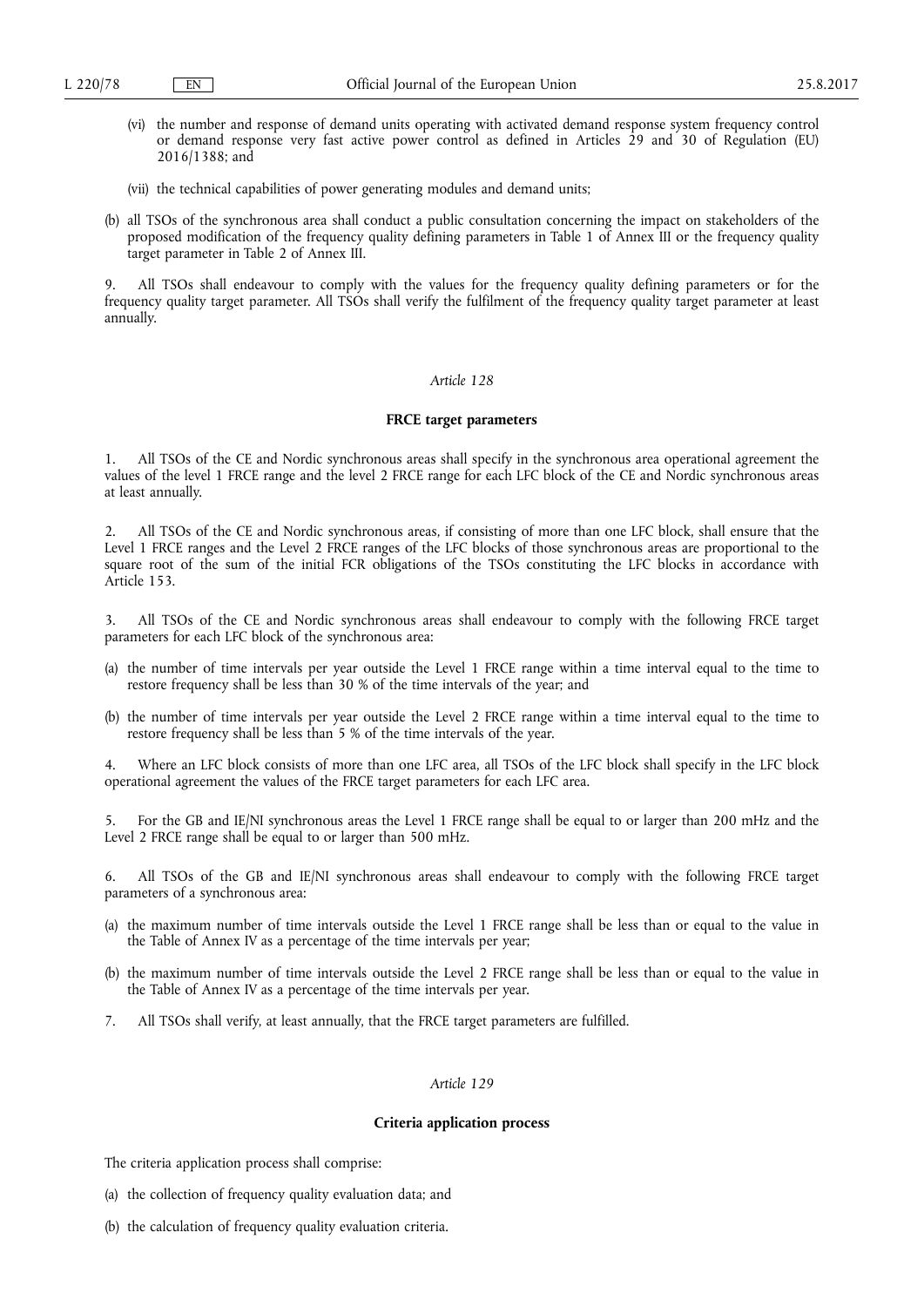- (vi) the number and response of demand units operating with activated demand response system frequency control or demand response very fast active power control as defined in Articles 29 and 30 of Regulation (EU) 2016/1388; and
- (vii) the technical capabilities of power generating modules and demand units;
- (b) all TSOs of the synchronous area shall conduct a public consultation concerning the impact on stakeholders of the proposed modification of the frequency quality defining parameters in Table 1 of Annex III or the frequency quality target parameter in Table 2 of Annex III.

All TSOs shall endeavour to comply with the values for the frequency quality defining parameters or for the frequency quality target parameter. All TSOs shall verify the fulfilment of the frequency quality target parameter at least annually.

# *Article 128*

# **FRCE target parameters**

1. All TSOs of the CE and Nordic synchronous areas shall specify in the synchronous area operational agreement the values of the level 1 FRCE range and the level 2 FRCE range for each LFC block of the CE and Nordic synchronous areas at least annually.

2. All TSOs of the CE and Nordic synchronous areas, if consisting of more than one LFC block, shall ensure that the Level 1 FRCE ranges and the Level 2 FRCE ranges of the LFC blocks of those synchronous areas are proportional to the square root of the sum of the initial FCR obligations of the TSOs constituting the LFC blocks in accordance with Article 153.

- 3. All TSOs of the CE and Nordic synchronous areas shall endeavour to comply with the following FRCE target parameters for each LFC block of the synchronous area:
- (a) the number of time intervals per year outside the Level 1 FRCE range within a time interval equal to the time to restore frequency shall be less than 30 % of the time intervals of the year; and
- (b) the number of time intervals per year outside the Level 2 FRCE range within a time interval equal to the time to restore frequency shall be less than 5 % of the time intervals of the year.

Where an LFC block consists of more than one LFC area, all TSOs of the LFC block shall specify in the LFC block operational agreement the values of the FRCE target parameters for each LFC area.

5. For the GB and IE/NI synchronous areas the Level 1 FRCE range shall be equal to or larger than 200 mHz and the Level 2 FRCE range shall be equal to or larger than 500 mHz.

6. All TSOs of the GB and IE/NI synchronous areas shall endeavour to comply with the following FRCE target parameters of a synchronous area:

- (a) the maximum number of time intervals outside the Level 1 FRCE range shall be less than or equal to the value in the Table of Annex IV as a percentage of the time intervals per year;
- (b) the maximum number of time intervals outside the Level 2 FRCE range shall be less than or equal to the value in the Table of Annex IV as a percentage of the time intervals per year.
- 7. All TSOs shall verify, at least annually, that the FRCE target parameters are fulfilled.

## *Article 129*

#### **Criteria application process**

The criteria application process shall comprise:

- (a) the collection of frequency quality evaluation data; and
- (b) the calculation of frequency quality evaluation criteria.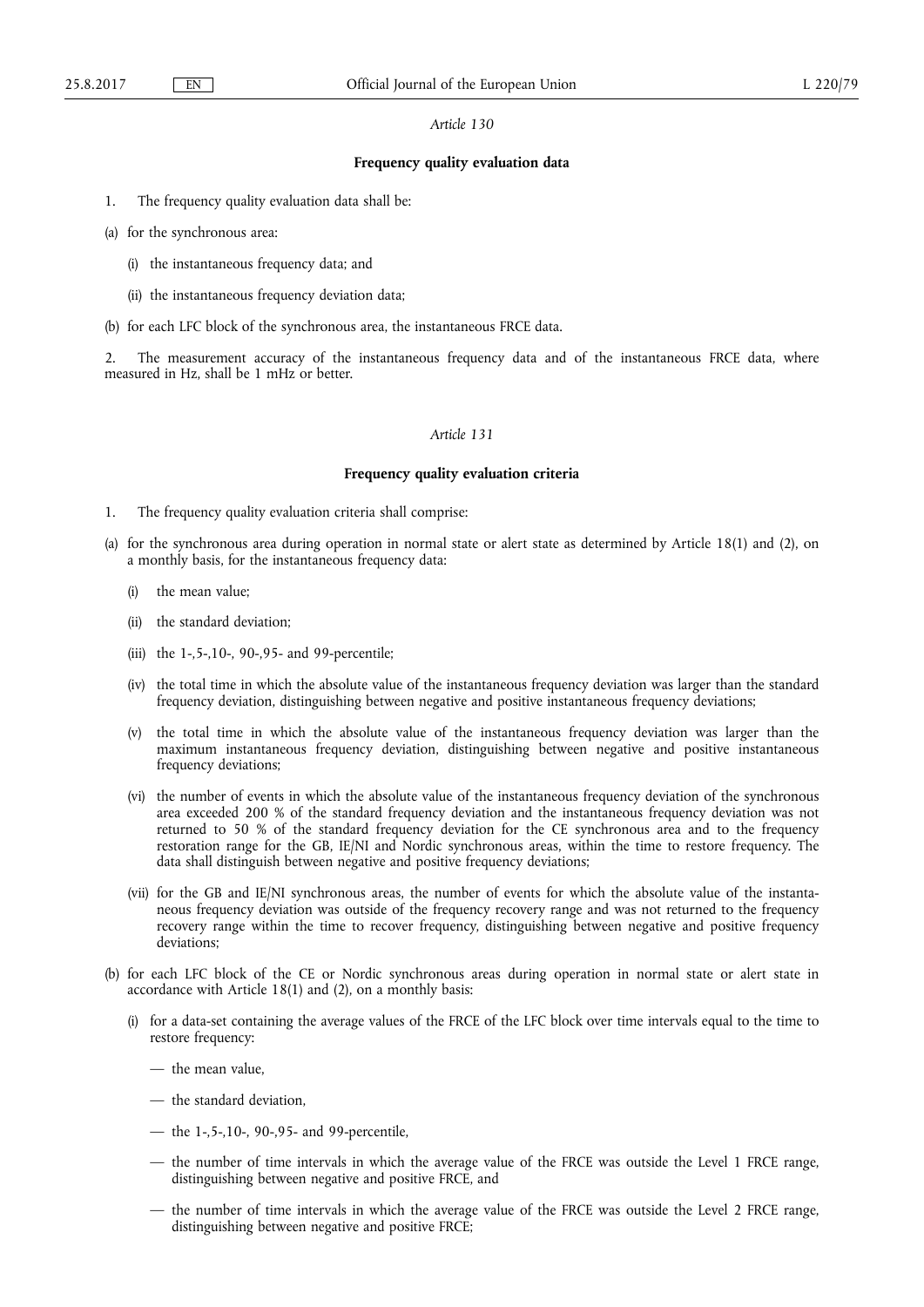# **Frequency quality evaluation data**

- 1. The frequency quality evaluation data shall be:
- (a) for the synchronous area:
	- (i) the instantaneous frequency data; and
	- (ii) the instantaneous frequency deviation data;
- (b) for each LFC block of the synchronous area, the instantaneous FRCE data.

2. The measurement accuracy of the instantaneous frequency data and of the instantaneous FRCE data, where measured in Hz, shall be 1 mHz or better.

# *Article 131*

#### **Frequency quality evaluation criteria**

- 1. The frequency quality evaluation criteria shall comprise:
- (a) for the synchronous area during operation in normal state or alert state as determined by Article 18(1) and (2), on a monthly basis, for the instantaneous frequency data:
	- the mean value;
	- (ii) the standard deviation;
	- (iii) the 1-,5-,10-, 90-,95- and 99-percentile;
	- (iv) the total time in which the absolute value of the instantaneous frequency deviation was larger than the standard frequency deviation, distinguishing between negative and positive instantaneous frequency deviations;
	- (v) the total time in which the absolute value of the instantaneous frequency deviation was larger than the maximum instantaneous frequency deviation, distinguishing between negative and positive instantaneous frequency deviations;
	- (vi) the number of events in which the absolute value of the instantaneous frequency deviation of the synchronous area exceeded 200 % of the standard frequency deviation and the instantaneous frequency deviation was not returned to 50 % of the standard frequency deviation for the CE synchronous area and to the frequency restoration range for the GB, IE/NI and Nordic synchronous areas, within the time to restore frequency. The data shall distinguish between negative and positive frequency deviations;
	- (vii) for the GB and IE/NI synchronous areas, the number of events for which the absolute value of the instantaneous frequency deviation was outside of the frequency recovery range and was not returned to the frequency recovery range within the time to recover frequency, distinguishing between negative and positive frequency deviations;
- (b) for each LFC block of the CE or Nordic synchronous areas during operation in normal state or alert state in accordance with Article 18(1) and (2), on a monthly basis:
	- (i) for a data-set containing the average values of the FRCE of the LFC block over time intervals equal to the time to restore frequency:
		- the mean value,
		- the standard deviation,
		- the 1-,5-,10-, 90-,95- and 99-percentile,
		- the number of time intervals in which the average value of the FRCE was outside the Level 1 FRCE range, distinguishing between negative and positive FRCE, and
		- the number of time intervals in which the average value of the FRCE was outside the Level 2 FRCE range, distinguishing between negative and positive FRCE;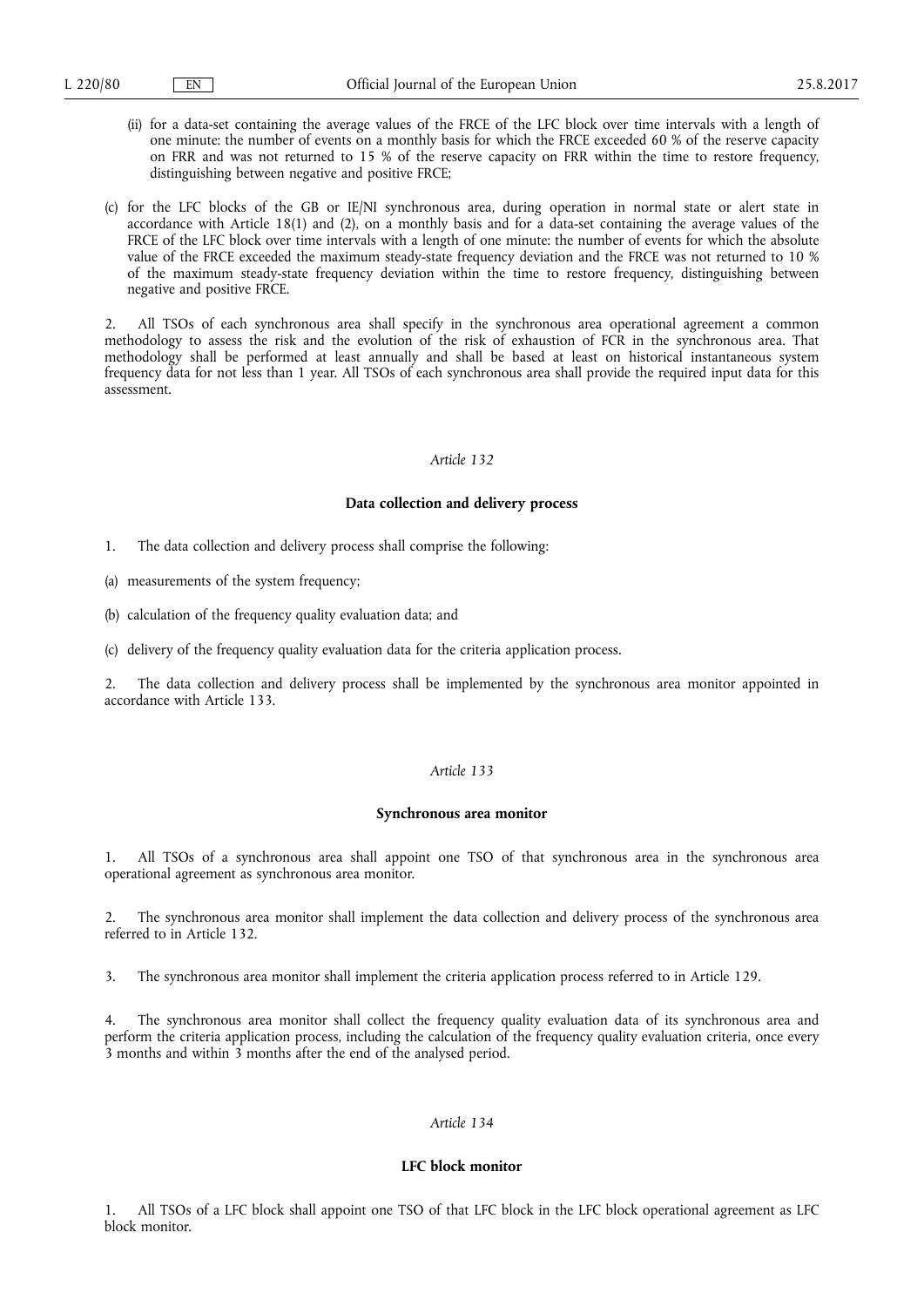- (ii) for a data-set containing the average values of the FRCE of the LFC block over time intervals with a length of one minute: the number of events on a monthly basis for which the FRCE exceeded 60 % of the reserve capacity on FRR and was not returned to 15 % of the reserve capacity on FRR within the time to restore frequency, distinguishing between negative and positive FRCE;
- (c) for the LFC blocks of the GB or IE/NI synchronous area, during operation in normal state or alert state in accordance with Article 18(1) and (2), on a monthly basis and for a data-set containing the average values of the FRCE of the LFC block over time intervals with a length of one minute: the number of events for which the absolute value of the FRCE exceeded the maximum steady-state frequency deviation and the FRCE was not returned to 10 % of the maximum steady-state frequency deviation within the time to restore frequency, distinguishing between negative and positive FRCE.

2. All TSOs of each synchronous area shall specify in the synchronous area operational agreement a common methodology to assess the risk and the evolution of the risk of exhaustion of FCR in the synchronous area. That methodology shall be performed at least annually and shall be based at least on historical instantaneous system frequency data for not less than 1 year. All TSOs of each synchronous area shall provide the required input data for this assessment.

## *Article 132*

## **Data collection and delivery process**

- 1. The data collection and delivery process shall comprise the following:
- (a) measurements of the system frequency;
- (b) calculation of the frequency quality evaluation data; and
- (c) delivery of the frequency quality evaluation data for the criteria application process.

2. The data collection and delivery process shall be implemented by the synchronous area monitor appointed in accordance with Article 133.

## *Article 133*

## **Synchronous area monitor**

1. All TSOs of a synchronous area shall appoint one TSO of that synchronous area in the synchronous area operational agreement as synchronous area monitor.

2. The synchronous area monitor shall implement the data collection and delivery process of the synchronous area referred to in Article 132.

3. The synchronous area monitor shall implement the criteria application process referred to in Article 129.

4. The synchronous area monitor shall collect the frequency quality evaluation data of its synchronous area and perform the criteria application process, including the calculation of the frequency quality evaluation criteria, once every 3 months and within 3 months after the end of the analysed period.

# *Article 134*

## **LFC block monitor**

1. All TSOs of a LFC block shall appoint one TSO of that LFC block in the LFC block operational agreement as LFC block monitor.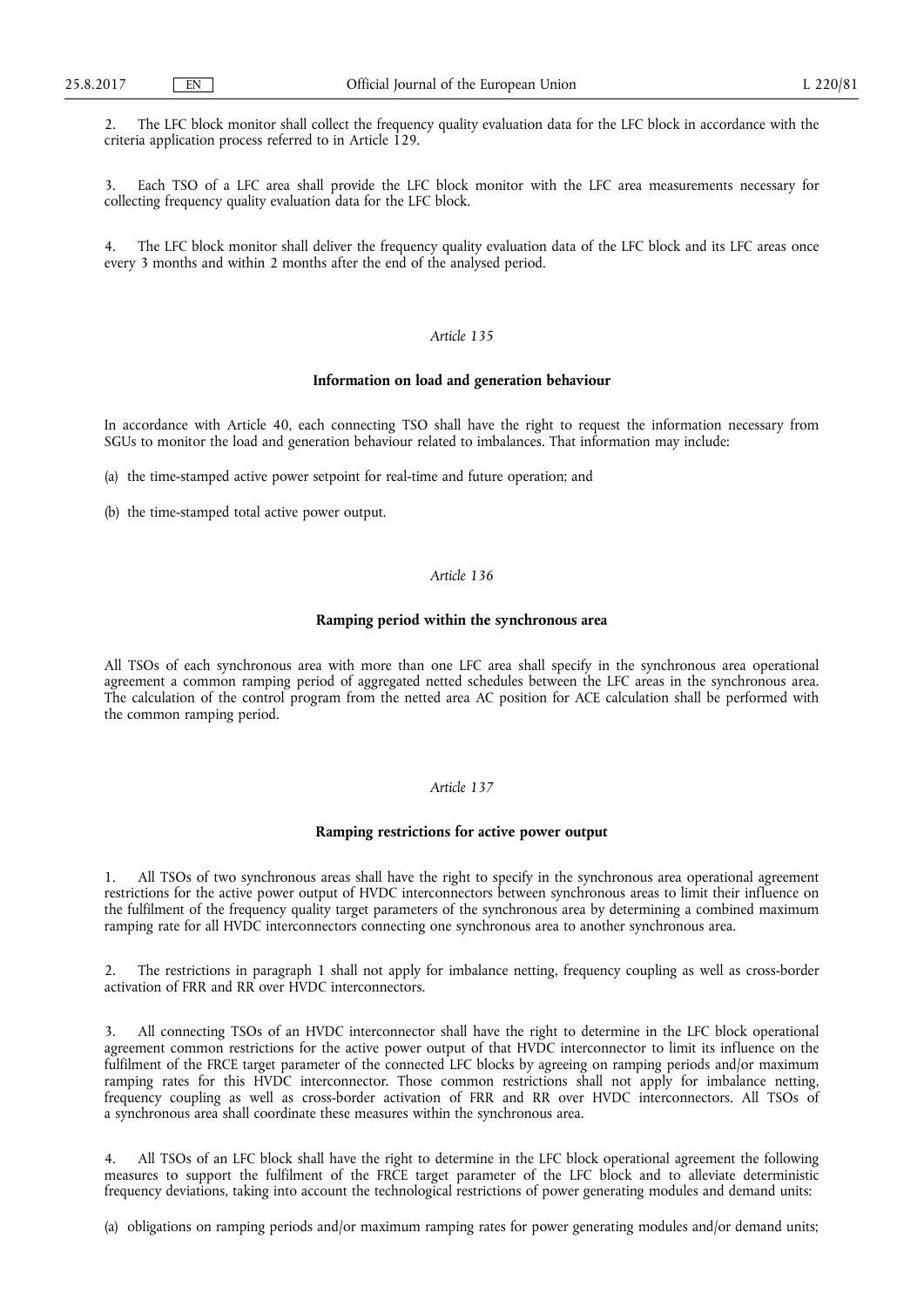2. The LFC block monitor shall collect the frequency quality evaluation data for the LFC block in accordance with the criteria application process referred to in Article 129.

3. Each TSO of a LFC area shall provide the LFC block monitor with the LFC area measurements necessary for collecting frequency quality evaluation data for the LFC block.

4. The LFC block monitor shall deliver the frequency quality evaluation data of the LFC block and its LFC areas once every 3 months and within 2 months after the end of the analysed period.

# *Article 135*

# **Information on load and generation behaviour**

In accordance with Article 40, each connecting TSO shall have the right to request the information necessary from SGUs to monitor the load and generation behaviour related to imbalances. That information may include:

- (a) the time-stamped active power setpoint for real-time and future operation; and
- (b) the time-stamped total active power output.

# *Article 136*

# **Ramping period within the synchronous area**

All TSOs of each synchronous area with more than one LFC area shall specify in the synchronous area operational agreement a common ramping period of aggregated netted schedules between the LFC areas in the synchronous area. The calculation of the control program from the netted area AC position for ACE calculation shall be performed with the common ramping period.

## *Article 137*

## **Ramping restrictions for active power output**

1. All TSOs of two synchronous areas shall have the right to specify in the synchronous area operational agreement restrictions for the active power output of HVDC interconnectors between synchronous areas to limit their influence on the fulfilment of the frequency quality target parameters of the synchronous area by determining a combined maximum ramping rate for all HVDC interconnectors connecting one synchronous area to another synchronous area.

2. The restrictions in paragraph 1 shall not apply for imbalance netting, frequency coupling as well as cross-border activation of FRR and RR over HVDC interconnectors.

3. All connecting TSOs of an HVDC interconnector shall have the right to determine in the LFC block operational agreement common restrictions for the active power output of that HVDC interconnector to limit its influence on the fulfilment of the FRCE target parameter of the connected LFC blocks by agreeing on ramping periods and/or maximum ramping rates for this HVDC interconnector. Those common restrictions shall not apply for imbalance netting, frequency coupling as well as cross-border activation of FRR and RR over HVDC interconnectors. All TSOs of a synchronous area shall coordinate these measures within the synchronous area.

4. All TSOs of an LFC block shall have the right to determine in the LFC block operational agreement the following measures to support the fulfilment of the FRCE target parameter of the LFC block and to alleviate deterministic frequency deviations, taking into account the technological restrictions of power generating modules and demand units:

(a) obligations on ramping periods and/or maximum ramping rates for power generating modules and/or demand units;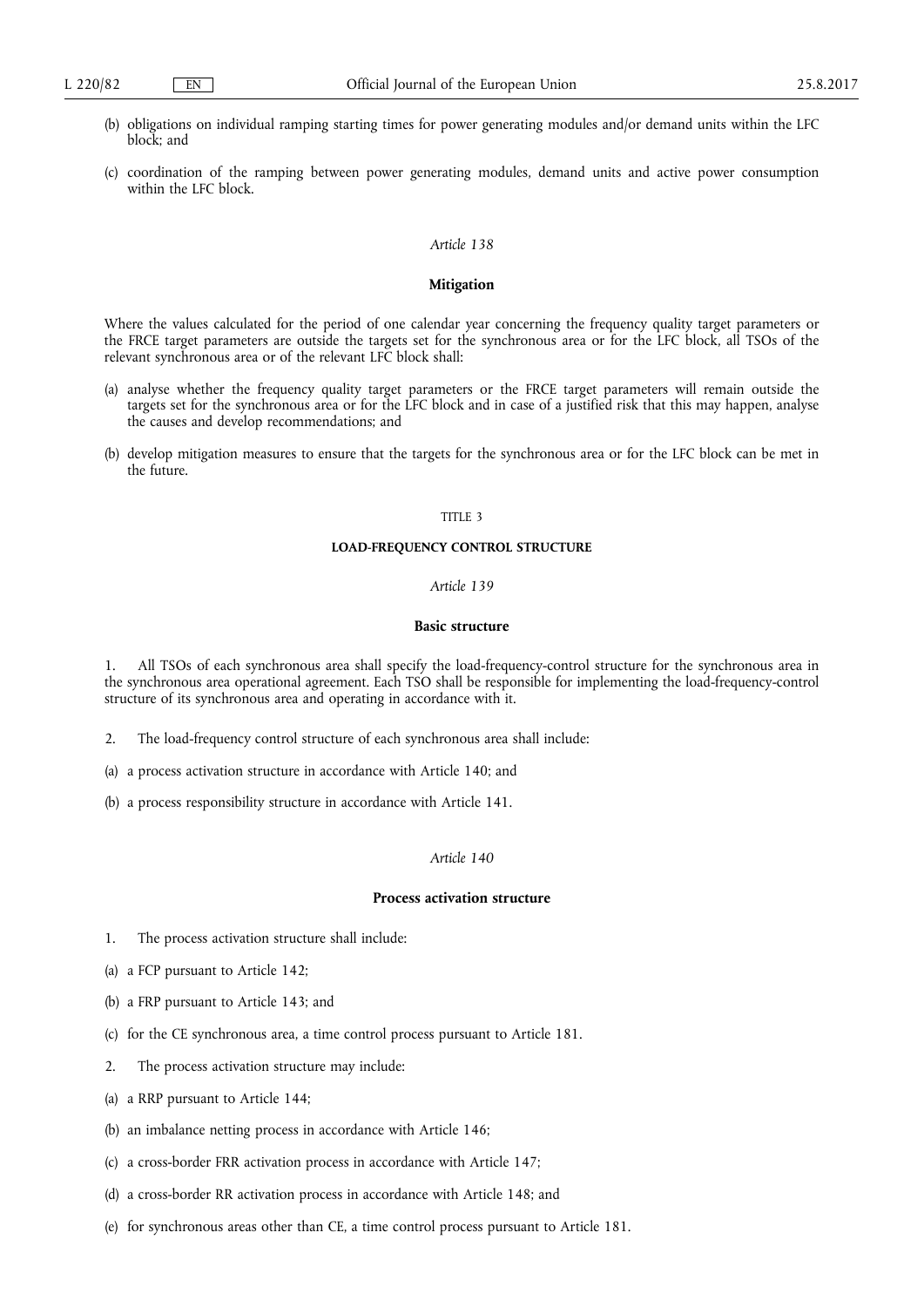- (b) obligations on individual ramping starting times for power generating modules and/or demand units within the LFC block; and
- (c) coordination of the ramping between power generating modules, demand units and active power consumption within the LFC block.

## **Mitigation**

Where the values calculated for the period of one calendar year concerning the frequency quality target parameters or the FRCE target parameters are outside the targets set for the synchronous area or for the LFC block, all TSOs of the relevant synchronous area or of the relevant LFC block shall:

- (a) analyse whether the frequency quality target parameters or the FRCE target parameters will remain outside the targets set for the synchronous area or for the LFC block and in case of a justified risk that this may happen, analyse the causes and develop recommendations; and
- (b) develop mitigation measures to ensure that the targets for the synchronous area or for the LFC block can be met in the future.

## TITLE 3

#### **LOAD-FREQUENCY CONTROL STRUCTURE**

## *Article 139*

# **Basic structure**

1. All TSOs of each synchronous area shall specify the load-frequency-control structure for the synchronous area in the synchronous area operational agreement. Each TSO shall be responsible for implementing the load-frequency-control structure of its synchronous area and operating in accordance with it.

- 2. The load-frequency control structure of each synchronous area shall include:
- (a) a process activation structure in accordance with Article 140; and
- (b) a process responsibility structure in accordance with Article 141.

# *Article 140*

# **Process activation structure**

- 1. The process activation structure shall include:
- (a) a FCP pursuant to Article 142;
- (b) a FRP pursuant to Article 143; and
- (c) for the CE synchronous area, a time control process pursuant to Article 181.
- 2. The process activation structure may include:
- (a) a RRP pursuant to Article 144;
- (b) an imbalance netting process in accordance with Article 146;
- (c) a cross-border FRR activation process in accordance with Article 147;
- (d) a cross-border RR activation process in accordance with Article 148; and
- (e) for synchronous areas other than CE, a time control process pursuant to Article 181.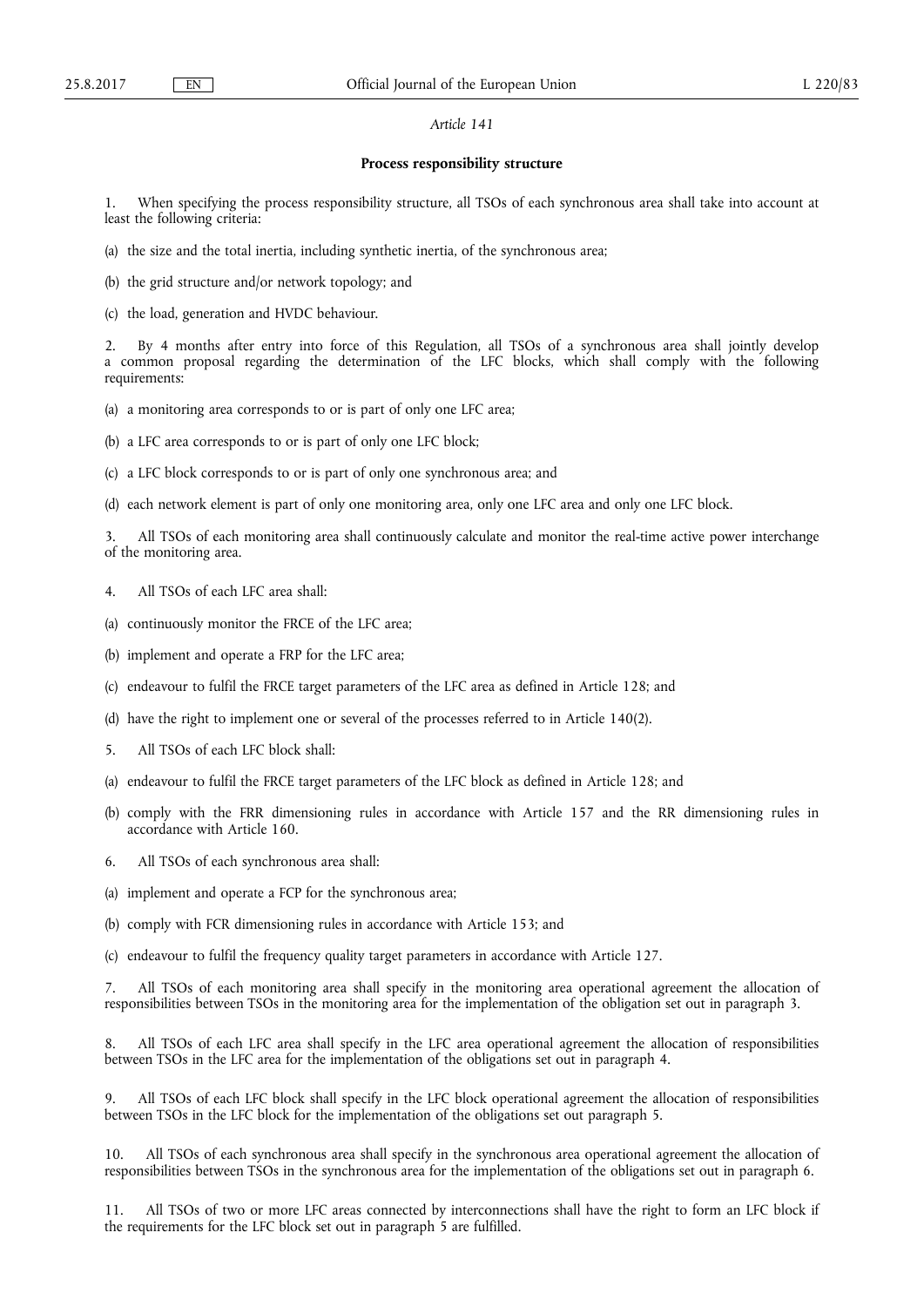## **Process responsibility structure**

1. When specifying the process responsibility structure, all TSOs of each synchronous area shall take into account at least the following criteria:

- (a) the size and the total inertia, including synthetic inertia, of the synchronous area;
- (b) the grid structure and/or network topology; and
- (c) the load, generation and HVDC behaviour.

2. By 4 months after entry into force of this Regulation, all TSOs of a synchronous area shall jointly develop a common proposal regarding the determination of the LFC blocks, which shall comply with the following requirements:

- (a) a monitoring area corresponds to or is part of only one LFC area;
- (b) a LFC area corresponds to or is part of only one LFC block;
- (c) a LFC block corresponds to or is part of only one synchronous area; and

(d) each network element is part of only one monitoring area, only one LFC area and only one LFC block.

All TSOs of each monitoring area shall continuously calculate and monitor the real-time active power interchange of the monitoring area.

- 4. All TSOs of each LFC area shall:
- (a) continuously monitor the FRCE of the LFC area;
- (b) implement and operate a FRP for the LFC area;
- (c) endeavour to fulfil the FRCE target parameters of the LFC area as defined in Article 128; and
- (d) have the right to implement one or several of the processes referred to in Article 140(2).
- 5. All TSOs of each LFC block shall:
- (a) endeavour to fulfil the FRCE target parameters of the LFC block as defined in Article 128; and
- (b) comply with the FRR dimensioning rules in accordance with Article 157 and the RR dimensioning rules in accordance with Article 160.
- 6. All TSOs of each synchronous area shall:
- (a) implement and operate a FCP for the synchronous area;
- (b) comply with FCR dimensioning rules in accordance with Article 153; and
- (c) endeavour to fulfil the frequency quality target parameters in accordance with Article 127.

7. All TSOs of each monitoring area shall specify in the monitoring area operational agreement the allocation of responsibilities between TSOs in the monitoring area for the implementation of the obligation set out in paragraph 3.

8. All TSOs of each LFC area shall specify in the LFC area operational agreement the allocation of responsibilities between TSOs in the LFC area for the implementation of the obligations set out in paragraph 4.

9. All TSOs of each LFC block shall specify in the LFC block operational agreement the allocation of responsibilities between TSOs in the LFC block for the implementation of the obligations set out paragraph 5.

10. All TSOs of each synchronous area shall specify in the synchronous area operational agreement the allocation of responsibilities between TSOs in the synchronous area for the implementation of the obligations set out in paragraph 6.

11. All TSOs of two or more LFC areas connected by interconnections shall have the right to form an LFC block if the requirements for the LFC block set out in paragraph 5 are fulfilled.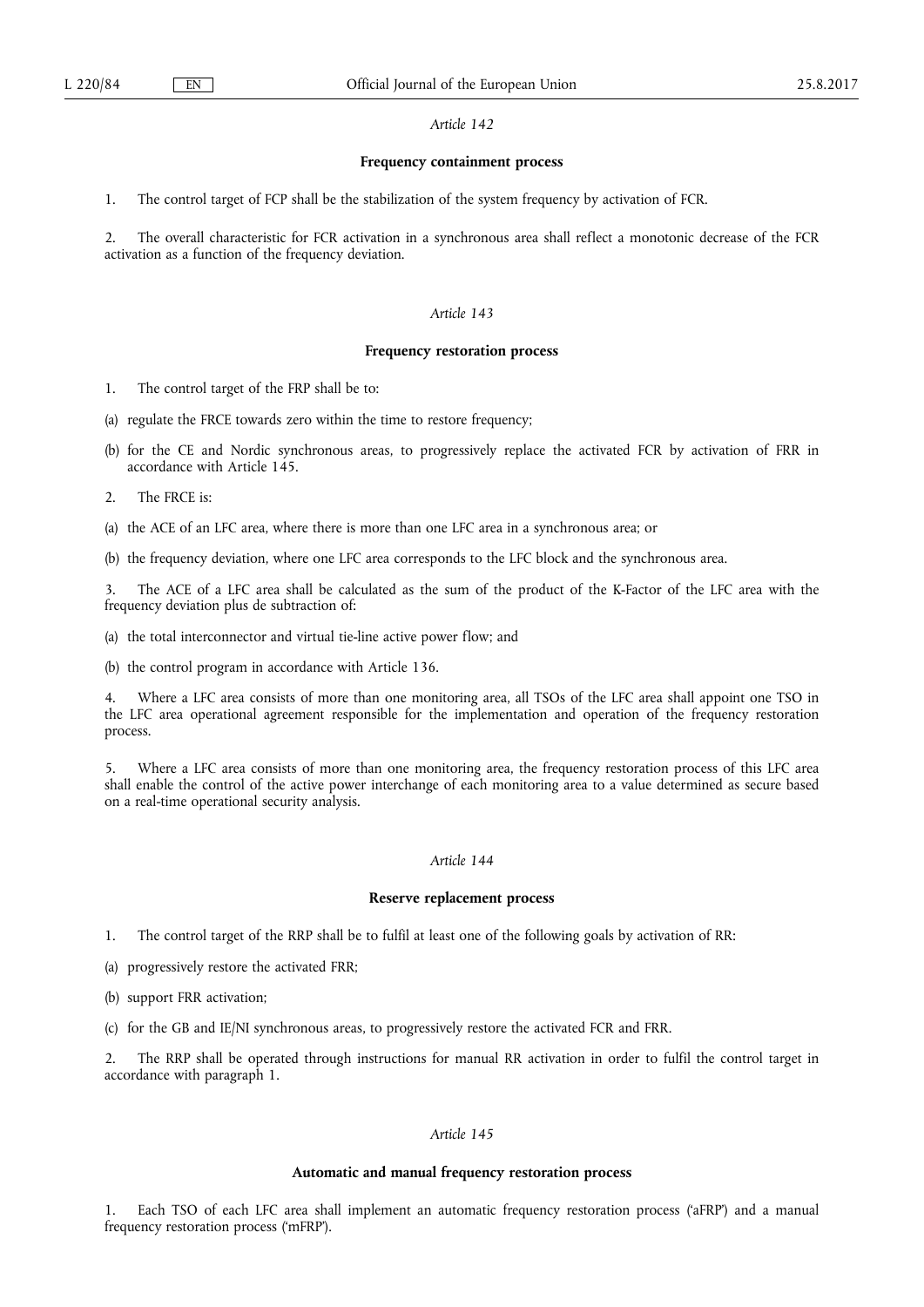# **Frequency containment process**

1. The control target of FCP shall be the stabilization of the system frequency by activation of FCR.

2. The overall characteristic for FCR activation in a synchronous area shall reflect a monotonic decrease of the FCR activation as a function of the frequency deviation.

## *Article 143*

## **Frequency restoration process**

- 1. The control target of the FRP shall be to:
- (a) regulate the FRCE towards zero within the time to restore frequency;
- (b) for the CE and Nordic synchronous areas, to progressively replace the activated FCR by activation of FRR in accordance with Article 145.
- 2. The FRCE is:
- (a) the ACE of an LFC area, where there is more than one LFC area in a synchronous area; or
- (b) the frequency deviation, where one LFC area corresponds to the LFC block and the synchronous area.

The ACE of a LFC area shall be calculated as the sum of the product of the K-Factor of the LFC area with the frequency deviation plus de subtraction of:

- (a) the total interconnector and virtual tie-line active power flow; and
- (b) the control program in accordance with Article 136.

4. Where a LFC area consists of more than one monitoring area, all TSOs of the LFC area shall appoint one TSO in the LFC area operational agreement responsible for the implementation and operation of the frequency restoration process.

5. Where a LFC area consists of more than one monitoring area, the frequency restoration process of this LFC area shall enable the control of the active power interchange of each monitoring area to a value determined as secure based on a real-time operational security analysis.

# *Article 144*

# **Reserve replacement process**

1. The control target of the RRP shall be to fulfil at least one of the following goals by activation of RR:

- (a) progressively restore the activated FRR;
- (b) support FRR activation;
- (c) for the GB and IE/NI synchronous areas, to progressively restore the activated FCR and FRR.

2. The RRP shall be operated through instructions for manual RR activation in order to fulfil the control target in accordance with paragraph 1.

# *Article 145*

## **Automatic and manual frequency restoration process**

1. Each TSO of each LFC area shall implement an automatic frequency restoration process ('aFRP') and a manual frequency restoration process ('mFRP').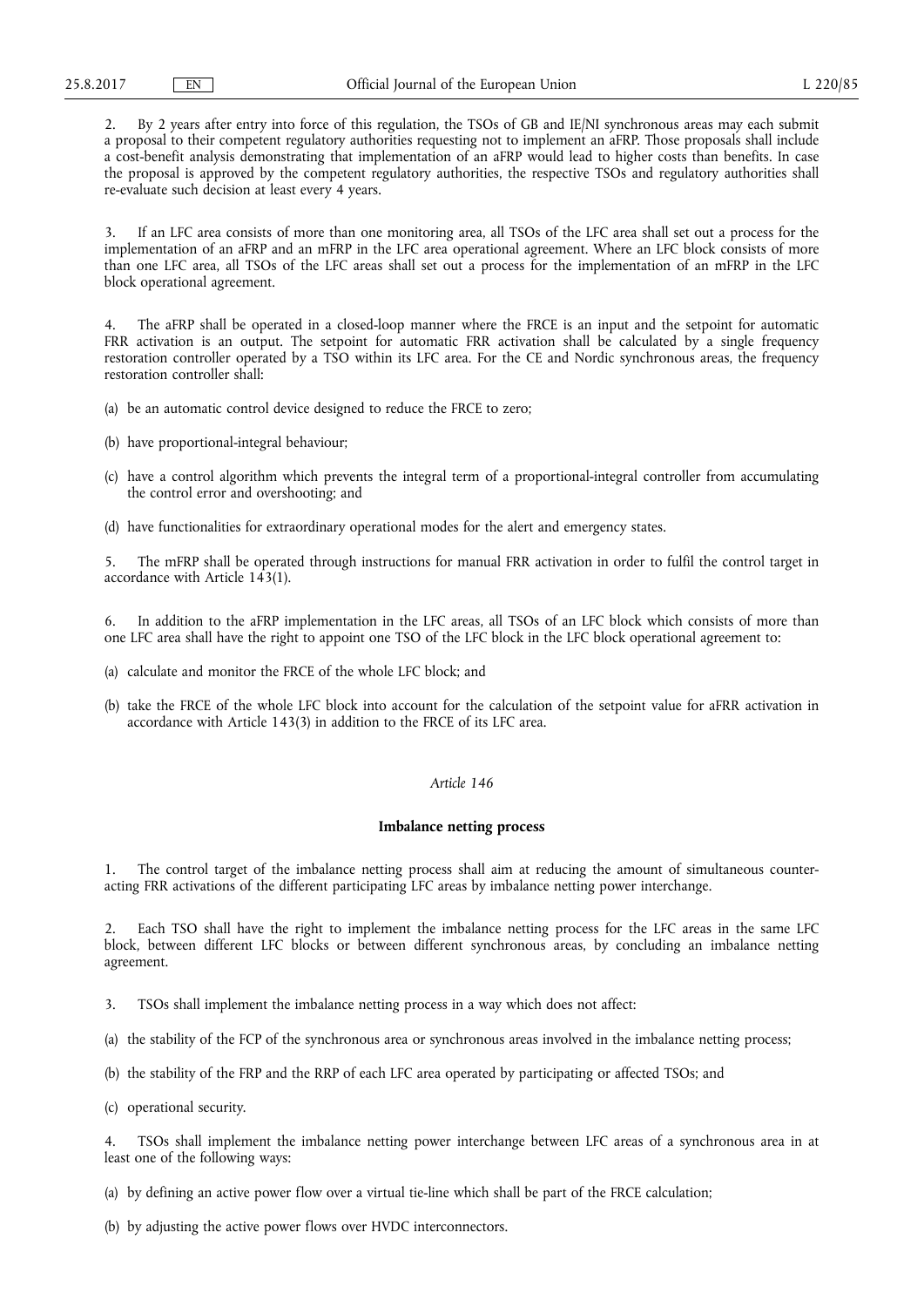2. By 2 years after entry into force of this regulation, the TSOs of GB and IE/NI synchronous areas may each submit a proposal to their competent regulatory authorities requesting not to implement an aFRP. Those proposals shall include a cost-benefit analysis demonstrating that implementation of an aFRP would lead to higher costs than benefits. In case the proposal is approved by the competent regulatory authorities, the respective TSOs and regulatory authorities shall re-evaluate such decision at least every 4 years.

3. If an LFC area consists of more than one monitoring area, all TSOs of the LFC area shall set out a process for the implementation of an aFRP and an mFRP in the LFC area operational agreement. Where an LFC block consists of more than one LFC area, all TSOs of the LFC areas shall set out a process for the implementation of an mFRP in the LFC block operational agreement.

4. The aFRP shall be operated in a closed-loop manner where the FRCE is an input and the setpoint for automatic FRR activation is an output. The setpoint for automatic FRR activation shall be calculated by a single frequency restoration controller operated by a TSO within its LFC area. For the CE and Nordic synchronous areas, the frequency restoration controller shall:

- (a) be an automatic control device designed to reduce the FRCE to zero;
- (b) have proportional-integral behaviour;
- (c) have a control algorithm which prevents the integral term of a proportional-integral controller from accumulating the control error and overshooting; and
- (d) have functionalities for extraordinary operational modes for the alert and emergency states.

5. The mFRP shall be operated through instructions for manual FRR activation in order to fulfil the control target in accordance with Article 143(1).

6. In addition to the aFRP implementation in the LFC areas, all TSOs of an LFC block which consists of more than one LFC area shall have the right to appoint one TSO of the LFC block in the LFC block operational agreement to:

- (a) calculate and monitor the FRCE of the whole LFC block; and
- (b) take the FRCE of the whole LFC block into account for the calculation of the setpoint value for aFRR activation in accordance with Article 143(3) in addition to the FRCE of its LFC area.

#### *Article 146*

## **Imbalance netting process**

The control target of the imbalance netting process shall aim at reducing the amount of simultaneous counteracting FRR activations of the different participating LFC areas by imbalance netting power interchange.

2. Each TSO shall have the right to implement the imbalance netting process for the LFC areas in the same LFC block, between different LFC blocks or between different synchronous areas, by concluding an imbalance netting agreement.

3. TSOs shall implement the imbalance netting process in a way which does not affect:

(a) the stability of the FCP of the synchronous area or synchronous areas involved in the imbalance netting process;

- (b) the stability of the FRP and the RRP of each LFC area operated by participating or affected TSOs; and
- (c) operational security.

4. TSOs shall implement the imbalance netting power interchange between LFC areas of a synchronous area in at least one of the following ways:

- (a) by defining an active power flow over a virtual tie-line which shall be part of the FRCE calculation;
- (b) by adjusting the active power flows over HVDC interconnectors.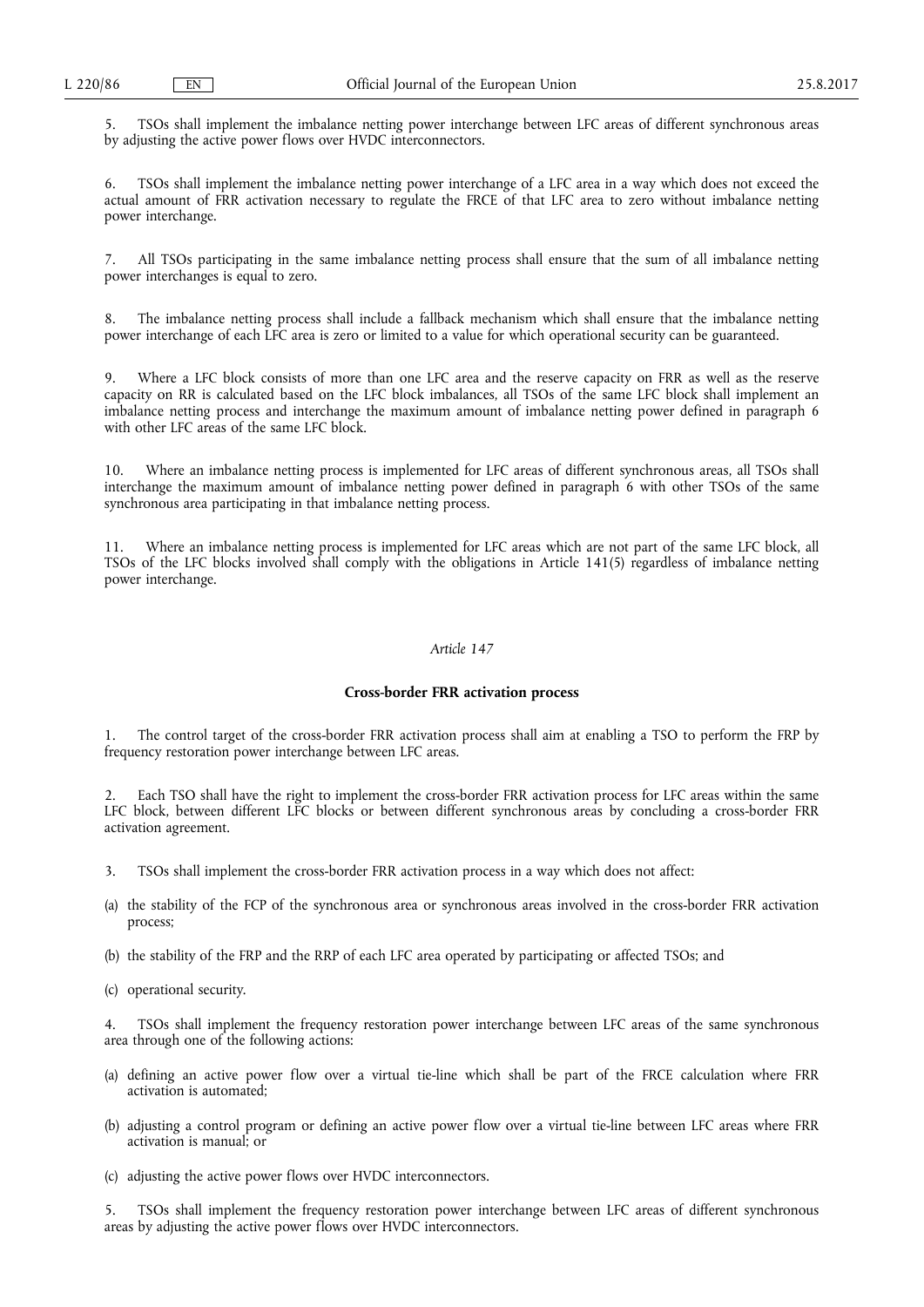5. TSOs shall implement the imbalance netting power interchange between LFC areas of different synchronous areas by adjusting the active power flows over HVDC interconnectors.

6. TSOs shall implement the imbalance netting power interchange of a LFC area in a way which does not exceed the actual amount of FRR activation necessary to regulate the FRCE of that LFC area to zero without imbalance netting power interchange.

7. All TSOs participating in the same imbalance netting process shall ensure that the sum of all imbalance netting power interchanges is equal to zero.

8. The imbalance netting process shall include a fallback mechanism which shall ensure that the imbalance netting power interchange of each LFC area is zero or limited to a value for which operational security can be guaranteed.

9. Where a LFC block consists of more than one LFC area and the reserve capacity on FRR as well as the reserve capacity on RR is calculated based on the LFC block imbalances, all TSOs of the same LFC block shall implement an imbalance netting process and interchange the maximum amount of imbalance netting power defined in paragraph 6 with other LFC areas of the same LFC block.

10. Where an imbalance netting process is implemented for LFC areas of different synchronous areas, all TSOs shall interchange the maximum amount of imbalance netting power defined in paragraph 6 with other TSOs of the same synchronous area participating in that imbalance netting process.

11. Where an imbalance netting process is implemented for LFC areas which are not part of the same LFC block, all TSOs of the LFC blocks involved shall comply with the obligations in Article 141(5) regardless of imbalance netting power interchange.

## *Article 147*

## **Cross-border FRR activation process**

1. The control target of the cross-border FRR activation process shall aim at enabling a TSO to perform the FRP by frequency restoration power interchange between LFC areas.

2. Each TSO shall have the right to implement the cross-border FRR activation process for LFC areas within the same LFC block, between different LFC blocks or between different synchronous areas by concluding a cross-border FRR activation agreement.

- 3. TSOs shall implement the cross-border FRR activation process in a way which does not affect:
- (a) the stability of the FCP of the synchronous area or synchronous areas involved in the cross-border FRR activation process;
- (b) the stability of the FRP and the RRP of each LFC area operated by participating or affected TSOs; and
- (c) operational security.

4. TSOs shall implement the frequency restoration power interchange between LFC areas of the same synchronous area through one of the following actions:

- (a) defining an active power flow over a virtual tie-line which shall be part of the FRCE calculation where FRR activation is automated;
- (b) adjusting a control program or defining an active power flow over a virtual tie-line between LFC areas where FRR activation is manual; or
- (c) adjusting the active power flows over HVDC interconnectors.

5. TSOs shall implement the frequency restoration power interchange between LFC areas of different synchronous areas by adjusting the active power flows over HVDC interconnectors.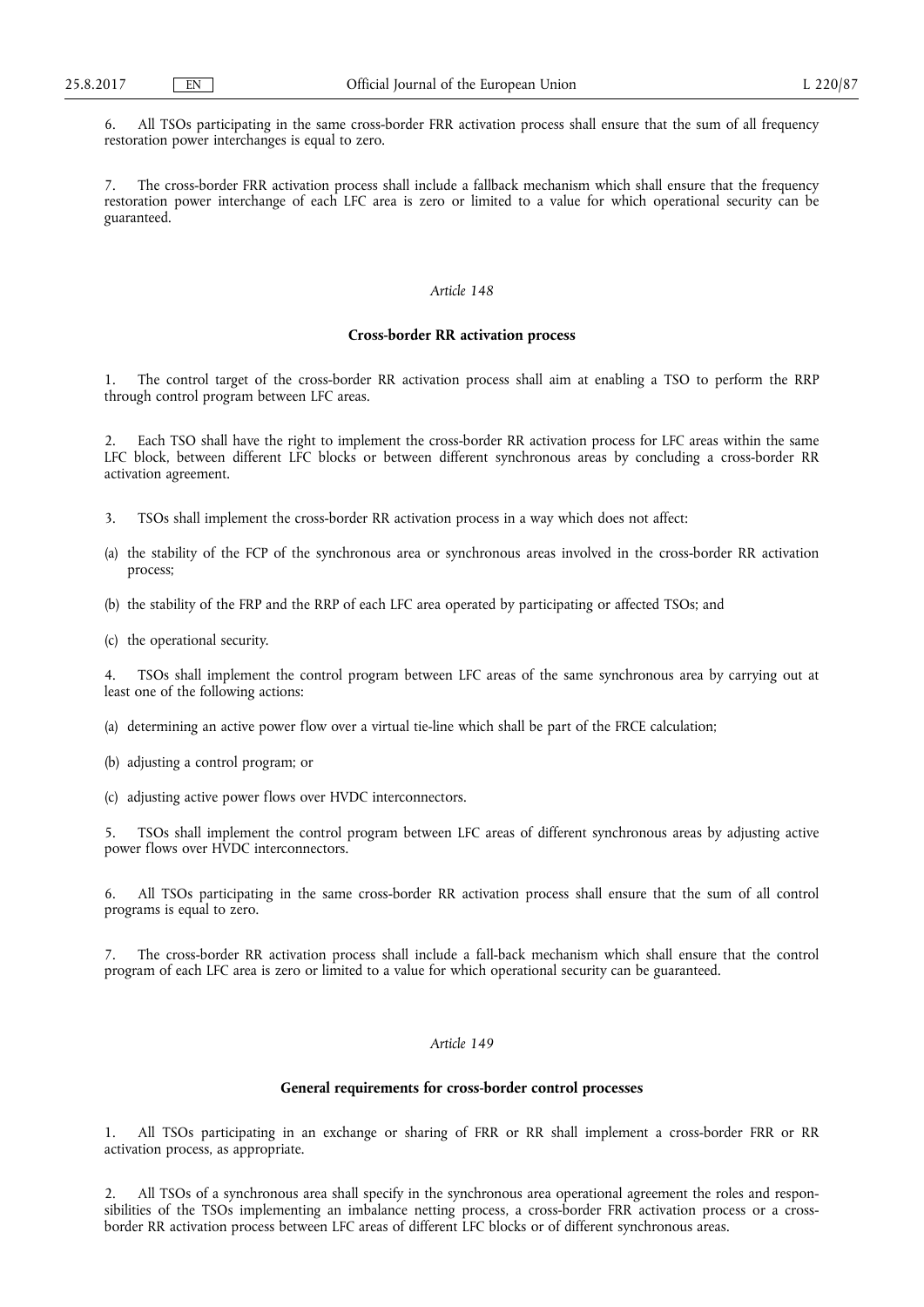6. All TSOs participating in the same cross-border FRR activation process shall ensure that the sum of all frequency restoration power interchanges is equal to zero.

7. The cross-border FRR activation process shall include a fallback mechanism which shall ensure that the frequency restoration power interchange of each LFC area is zero or limited to a value for which operational security can be guaranteed.

## *Article 148*

## **Cross-border RR activation process**

The control target of the cross-border RR activation process shall aim at enabling a TSO to perform the RRP through control program between LFC areas.

Each TSO shall have the right to implement the cross-border RR activation process for LFC areas within the same LFC block, between different LFC blocks or between different synchronous areas by concluding a cross-border RR activation agreement.

- 3. TSOs shall implement the cross-border RR activation process in a way which does not affect:
- (a) the stability of the FCP of the synchronous area or synchronous areas involved in the cross-border RR activation process;
- (b) the stability of the FRP and the RRP of each LFC area operated by participating or affected TSOs; and
- (c) the operational security.

4. TSOs shall implement the control program between LFC areas of the same synchronous area by carrying out at least one of the following actions:

- (a) determining an active power flow over a virtual tie-line which shall be part of the FRCE calculation;
- (b) adjusting a control program; or
- (c) adjusting active power flows over HVDC interconnectors.

5. TSOs shall implement the control program between LFC areas of different synchronous areas by adjusting active power flows over HVDC interconnectors.

6. All TSOs participating in the same cross-border RR activation process shall ensure that the sum of all control programs is equal to zero.

7. The cross-border RR activation process shall include a fall-back mechanism which shall ensure that the control program of each LFC area is zero or limited to a value for which operational security can be guaranteed.

# *Article 149*

## **General requirements for cross-border control processes**

1. All TSOs participating in an exchange or sharing of FRR or RR shall implement a cross-border FRR or RR activation process, as appropriate.

2. All TSOs of a synchronous area shall specify in the synchronous area operational agreement the roles and responsibilities of the TSOs implementing an imbalance netting process, a cross-border FRR activation process or a crossborder RR activation process between LFC areas of different LFC blocks or of different synchronous areas.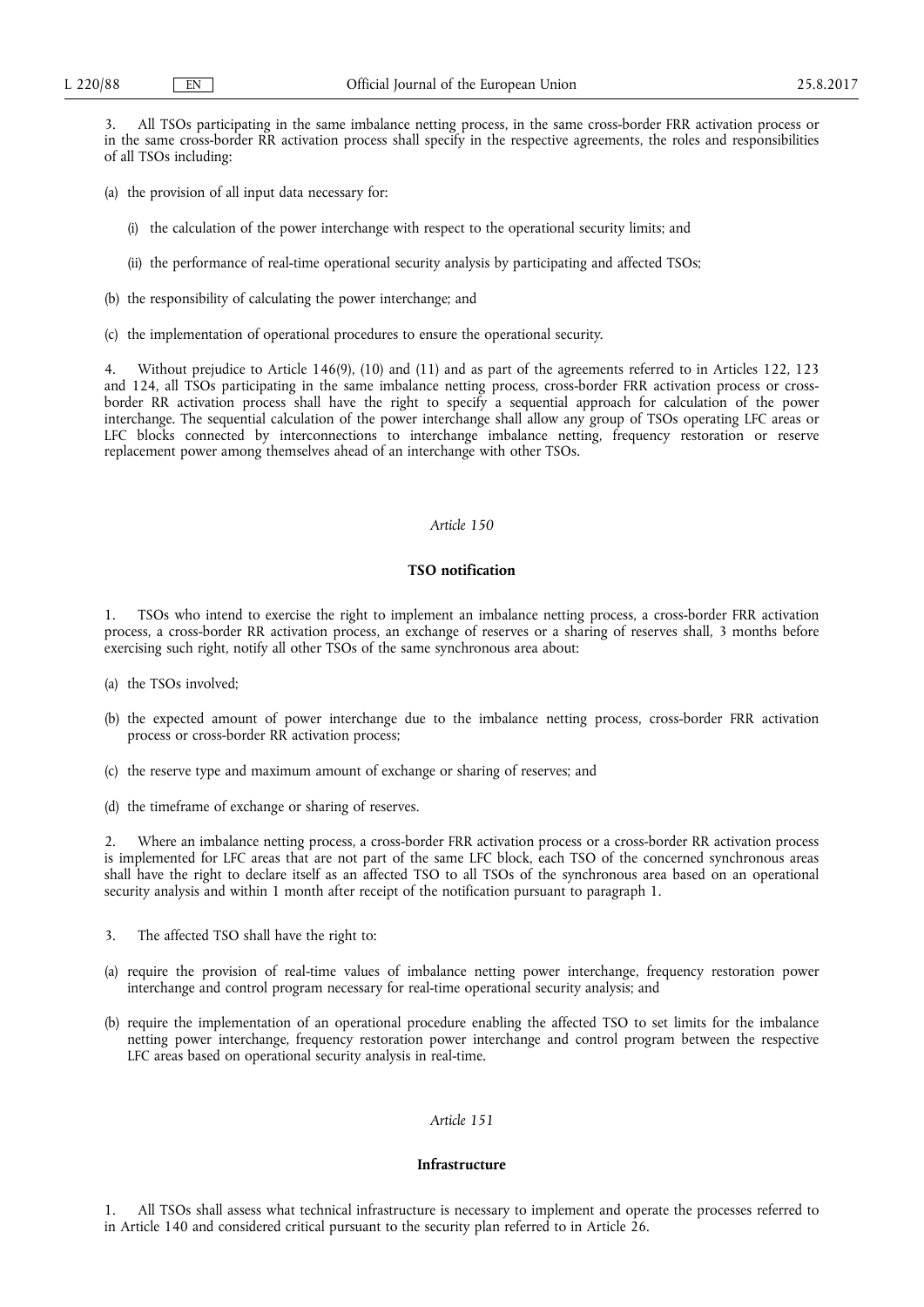3. All TSOs participating in the same imbalance netting process, in the same cross-border FRR activation process or in the same cross-border RR activation process shall specify in the respective agreements, the roles and responsibilities of all TSOs including:

- (a) the provision of all input data necessary for:
	- (i) the calculation of the power interchange with respect to the operational security limits; and
	- (ii) the performance of real-time operational security analysis by participating and affected TSOs;
- (b) the responsibility of calculating the power interchange; and
- (c) the implementation of operational procedures to ensure the operational security.

4. Without prejudice to Article 146(9), (10) and (11) and as part of the agreements referred to in Articles 122, 123 and 124, all TSOs participating in the same imbalance netting process, cross-border FRR activation process or crossborder RR activation process shall have the right to specify a sequential approach for calculation of the power interchange. The sequential calculation of the power interchange shall allow any group of TSOs operating LFC areas or LFC blocks connected by interconnections to interchange imbalance netting, frequency restoration or reserve replacement power among themselves ahead of an interchange with other TSOs.

# *Article 150*

## **TSO notification**

1. TSOs who intend to exercise the right to implement an imbalance netting process, a cross-border FRR activation process, a cross-border RR activation process, an exchange of reserves or a sharing of reserves shall, 3 months before exercising such right, notify all other TSOs of the same synchronous area about:

- (a) the TSOs involved;
- (b) the expected amount of power interchange due to the imbalance netting process, cross-border FRR activation process or cross-border RR activation process;
- (c) the reserve type and maximum amount of exchange or sharing of reserves; and
- (d) the timeframe of exchange or sharing of reserves.

2. Where an imbalance netting process, a cross-border FRR activation process or a cross-border RR activation process is implemented for LFC areas that are not part of the same LFC block, each TSO of the concerned synchronous areas shall have the right to declare itself as an affected TSO to all TSOs of the synchronous area based on an operational security analysis and within 1 month after receipt of the notification pursuant to paragraph 1.

- 3. The affected TSO shall have the right to:
- (a) require the provision of real-time values of imbalance netting power interchange, frequency restoration power interchange and control program necessary for real-time operational security analysis; and
- (b) require the implementation of an operational procedure enabling the affected TSO to set limits for the imbalance netting power interchange, frequency restoration power interchange and control program between the respective LFC areas based on operational security analysis in real-time.

# *Article 151*

# **Infrastructure**

1. All TSOs shall assess what technical infrastructure is necessary to implement and operate the processes referred to in Article 140 and considered critical pursuant to the security plan referred to in Article 26.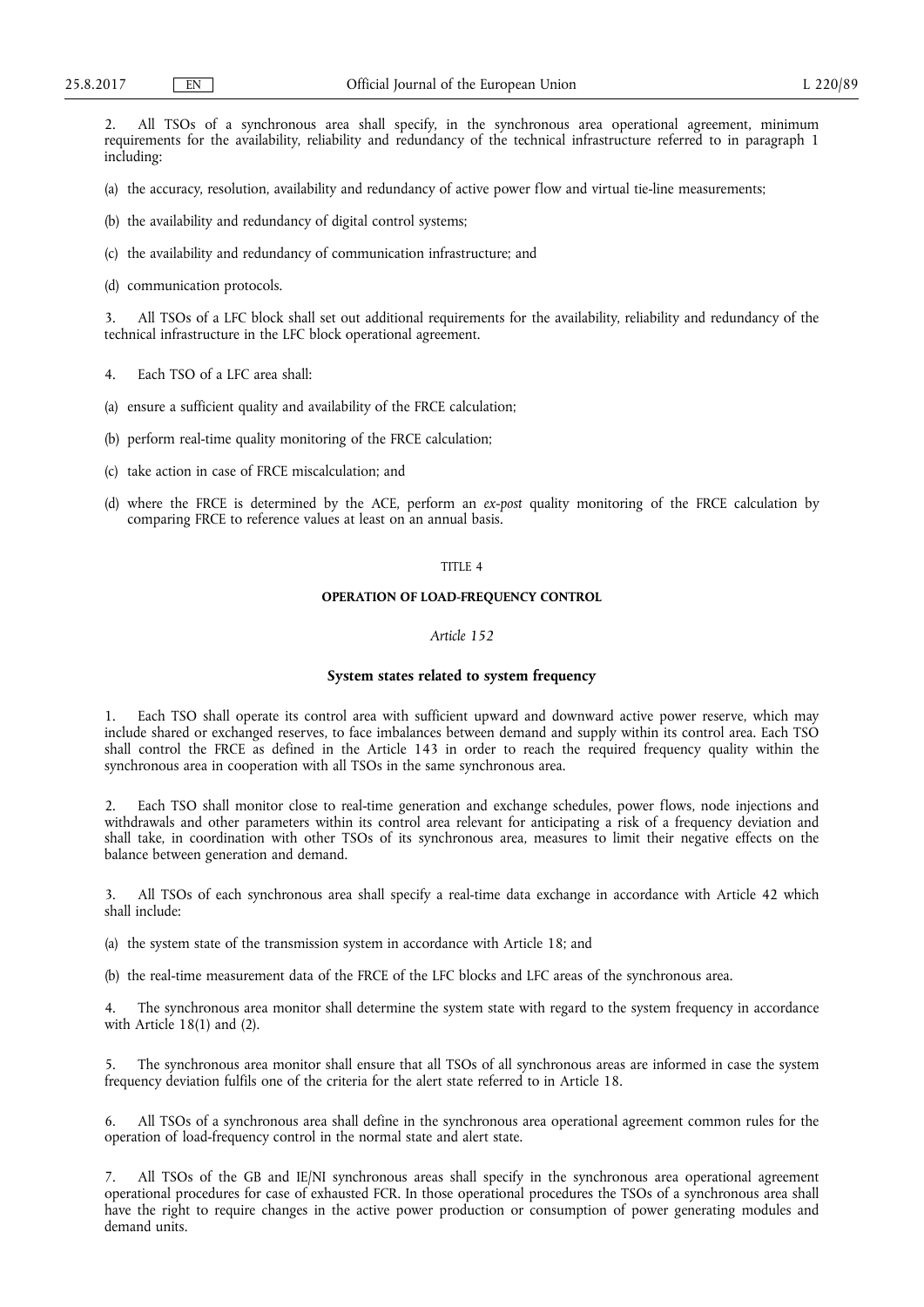2. All TSOs of a synchronous area shall specify, in the synchronous area operational agreement, minimum requirements for the availability, reliability and redundancy of the technical infrastructure referred to in paragraph 1 including:

(a) the accuracy, resolution, availability and redundancy of active power flow and virtual tie-line measurements;

- (b) the availability and redundancy of digital control systems;
- (c) the availability and redundancy of communication infrastructure; and
- (d) communication protocols.

All TSOs of a LFC block shall set out additional requirements for the availability, reliability and redundancy of the technical infrastructure in the LFC block operational agreement.

- 4. Each TSO of a LFC area shall:
- (a) ensure a sufficient quality and availability of the FRCE calculation;
- (b) perform real-time quality monitoring of the FRCE calculation;
- (c) take action in case of FRCE miscalculation; and
- (d) where the FRCE is determined by the ACE, perform an *ex-post* quality monitoring of the FRCE calculation by comparing FRCE to reference values at least on an annual basis.

## TITLE 4

# **OPERATION OF LOAD-FREQUENCY CONTROL**

# *Article 152*

# **System states related to system frequency**

1. Each TSO shall operate its control area with sufficient upward and downward active power reserve, which may include shared or exchanged reserves, to face imbalances between demand and supply within its control area. Each TSO shall control the FRCE as defined in the Article 143 in order to reach the required frequency quality within the synchronous area in cooperation with all TSOs in the same synchronous area.

2. Each TSO shall monitor close to real-time generation and exchange schedules, power flows, node injections and withdrawals and other parameters within its control area relevant for anticipating a risk of a frequency deviation and shall take, in coordination with other TSOs of its synchronous area, measures to limit their negative effects on the balance between generation and demand.

3. All TSOs of each synchronous area shall specify a real-time data exchange in accordance with Article 42 which shall include:

(a) the system state of the transmission system in accordance with Article 18; and

(b) the real-time measurement data of the FRCE of the LFC blocks and LFC areas of the synchronous area.

The synchronous area monitor shall determine the system state with regard to the system frequency in accordance with Article  $18(1)$  and  $(2)$ .

5. The synchronous area monitor shall ensure that all TSOs of all synchronous areas are informed in case the system frequency deviation fulfils one of the criteria for the alert state referred to in Article 18.

6. All TSOs of a synchronous area shall define in the synchronous area operational agreement common rules for the operation of load-frequency control in the normal state and alert state.

7. All TSOs of the GB and IE/NI synchronous areas shall specify in the synchronous area operational agreement operational procedures for case of exhausted FCR. In those operational procedures the TSOs of a synchronous area shall have the right to require changes in the active power production or consumption of power generating modules and demand units.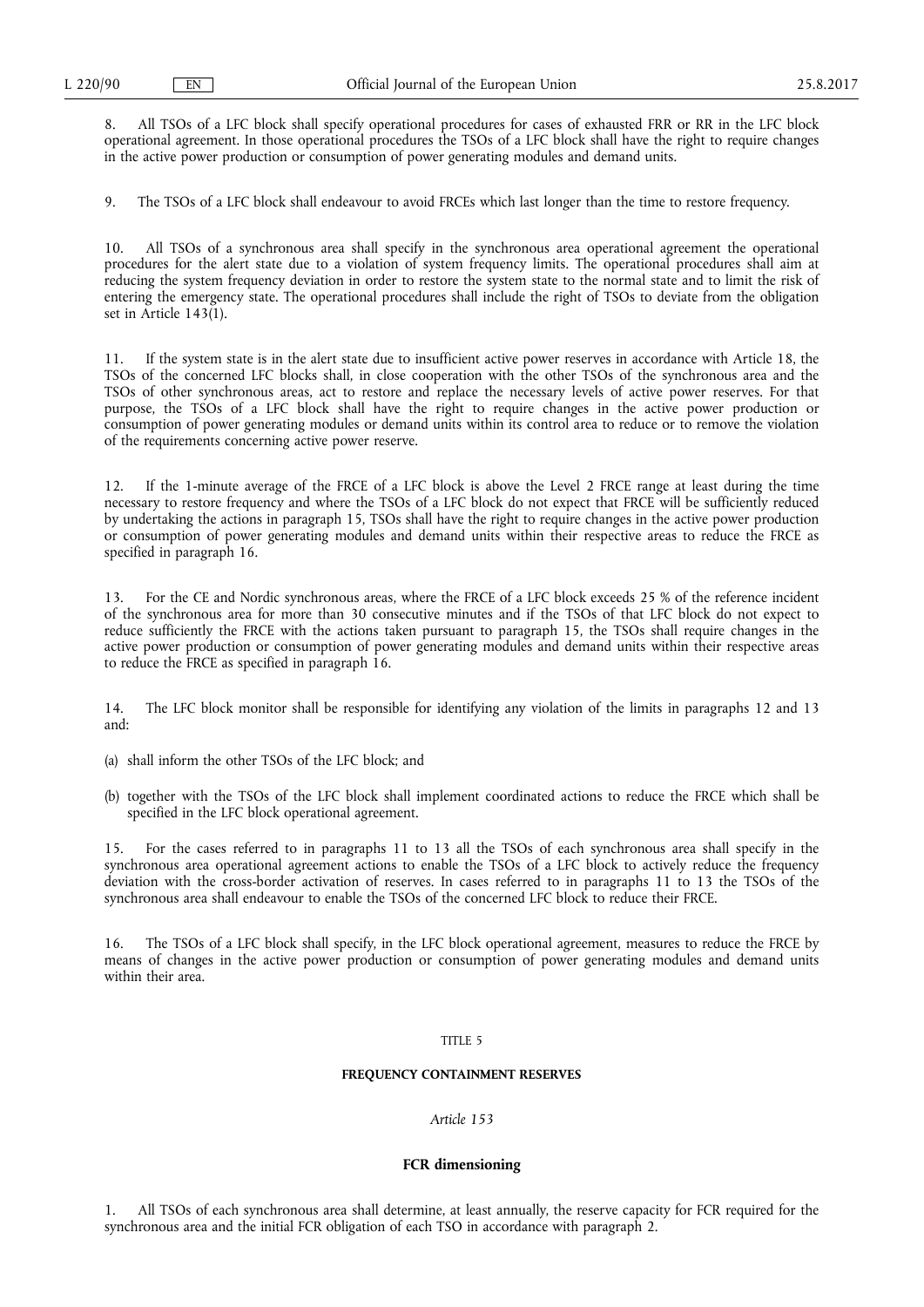8. All TSOs of a LFC block shall specify operational procedures for cases of exhausted FRR or RR in the LFC block operational agreement. In those operational procedures the TSOs of a LFC block shall have the right to require changes in the active power production or consumption of power generating modules and demand units.

9. The TSOs of a LFC block shall endeavour to avoid FRCEs which last longer than the time to restore frequency.

10. All TSOs of a synchronous area shall specify in the synchronous area operational agreement the operational procedures for the alert state due to a violation of system frequency limits. The operational procedures shall aim at reducing the system frequency deviation in order to restore the system state to the normal state and to limit the risk of entering the emergency state. The operational procedures shall include the right of TSOs to deviate from the obligation set in Article 143(1).

11. If the system state is in the alert state due to insufficient active power reserves in accordance with Article 18, the TSOs of the concerned LFC blocks shall, in close cooperation with the other TSOs of the synchronous area and the TSOs of other synchronous areas, act to restore and replace the necessary levels of active power reserves. For that purpose, the TSOs of a LFC block shall have the right to require changes in the active power production or consumption of power generating modules or demand units within its control area to reduce or to remove the violation of the requirements concerning active power reserve.

12. If the 1-minute average of the FRCE of a LFC block is above the Level 2 FRCE range at least during the time necessary to restore frequency and where the TSOs of a LFC block do not expect that FRCE will be sufficiently reduced by undertaking the actions in paragraph 15, TSOs shall have the right to require changes in the active power production or consumption of power generating modules and demand units within their respective areas to reduce the FRCE as specified in paragraph 16.

13. For the CE and Nordic synchronous areas, where the FRCE of a LFC block exceeds 25 % of the reference incident of the synchronous area for more than 30 consecutive minutes and if the TSOs of that LFC block do not expect to reduce sufficiently the FRCE with the actions taken pursuant to paragraph 15, the TSOs shall require changes in the active power production or consumption of power generating modules and demand units within their respective areas to reduce the FRCE as specified in paragraph 16.

14. The LFC block monitor shall be responsible for identifying any violation of the limits in paragraphs 12 and 13 and:

(a) shall inform the other TSOs of the LFC block; and

(b) together with the TSOs of the LFC block shall implement coordinated actions to reduce the FRCE which shall be specified in the LFC block operational agreement.

15. For the cases referred to in paragraphs 11 to 13 all the TSOs of each synchronous area shall specify in the synchronous area operational agreement actions to enable the TSOs of a LFC block to actively reduce the frequency deviation with the cross-border activation of reserves. In cases referred to in paragraphs 11 to 13 the TSOs of the synchronous area shall endeavour to enable the TSOs of the concerned LFC block to reduce their FRCE.

16. The TSOs of a LFC block shall specify, in the LFC block operational agreement, measures to reduce the FRCE by means of changes in the active power production or consumption of power generating modules and demand units within their area.

#### TITLE 5

## **FREQUENCY CONTAINMENT RESERVES**

# *Article 153*

## **FCR dimensioning**

1. All TSOs of each synchronous area shall determine, at least annually, the reserve capacity for FCR required for the synchronous area and the initial FCR obligation of each TSO in accordance with paragraph 2.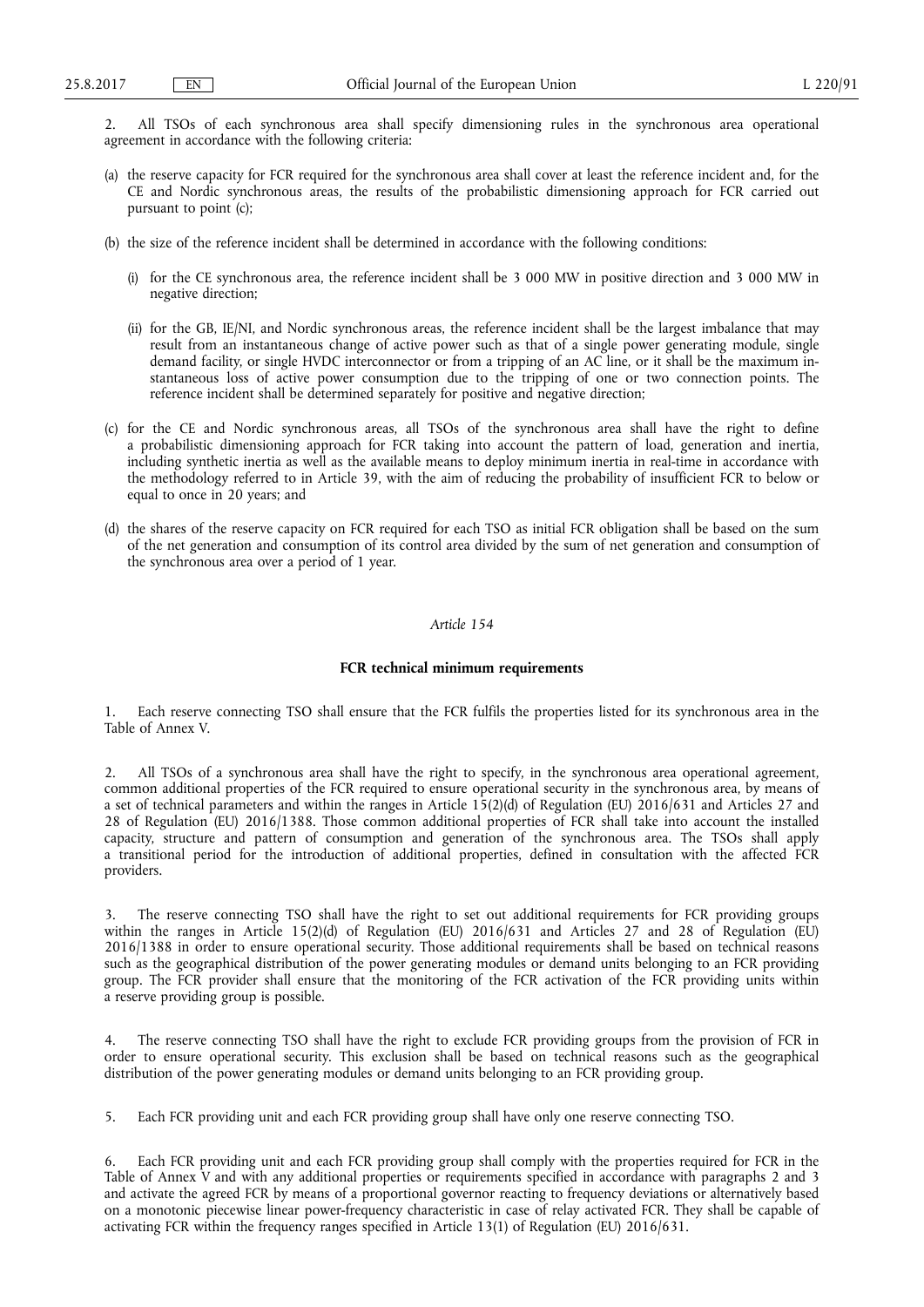2. All TSOs of each synchronous area shall specify dimensioning rules in the synchronous area operational agreement in accordance with the following criteria:

- (a) the reserve capacity for FCR required for the synchronous area shall cover at least the reference incident and, for the CE and Nordic synchronous areas, the results of the probabilistic dimensioning approach for FCR carried out pursuant to point (c);
- (b) the size of the reference incident shall be determined in accordance with the following conditions:
	- (i) for the CE synchronous area, the reference incident shall be 3 000 MW in positive direction and 3 000 MW in negative direction;
	- (ii) for the GB, IE/NI, and Nordic synchronous areas, the reference incident shall be the largest imbalance that may result from an instantaneous change of active power such as that of a single power generating module, single demand facility, or single HVDC interconnector or from a tripping of an AC line, or it shall be the maximum instantaneous loss of active power consumption due to the tripping of one or two connection points. The reference incident shall be determined separately for positive and negative direction;
- (c) for the CE and Nordic synchronous areas, all TSOs of the synchronous area shall have the right to define a probabilistic dimensioning approach for FCR taking into account the pattern of load, generation and inertia, including synthetic inertia as well as the available means to deploy minimum inertia in real-time in accordance with the methodology referred to in Article 39, with the aim of reducing the probability of insufficient FCR to below or equal to once in 20 years; and
- (d) the shares of the reserve capacity on FCR required for each TSO as initial FCR obligation shall be based on the sum of the net generation and consumption of its control area divided by the sum of net generation and consumption of the synchronous area over a period of 1 year.

# *Article 154*

## **FCR technical minimum requirements**

1. Each reserve connecting TSO shall ensure that the FCR fulfils the properties listed for its synchronous area in the Table of Annex V.

2. All TSOs of a synchronous area shall have the right to specify, in the synchronous area operational agreement, common additional properties of the FCR required to ensure operational security in the synchronous area, by means of a set of technical parameters and within the ranges in Article  $15(2)(d)$  of Regulation (EU) 2016/631 and Articles 27 and 28 of Regulation (EU) 2016/1388. Those common additional properties of FCR shall take into account the installed capacity, structure and pattern of consumption and generation of the synchronous area. The TSOs shall apply a transitional period for the introduction of additional properties, defined in consultation with the affected FCR providers.

3. The reserve connecting TSO shall have the right to set out additional requirements for FCR providing groups within the ranges in Article 15(2)(d) of Regulation (EU) 2016/631 and Articles 27 and 28 of Regulation (EU) 2016/1388 in order to ensure operational security. Those additional requirements shall be based on technical reasons such as the geographical distribution of the power generating modules or demand units belonging to an FCR providing group. The FCR provider shall ensure that the monitoring of the FCR activation of the FCR providing units within a reserve providing group is possible.

4. The reserve connecting TSO shall have the right to exclude FCR providing groups from the provision of FCR in order to ensure operational security. This exclusion shall be based on technical reasons such as the geographical distribution of the power generating modules or demand units belonging to an FCR providing group.

5. Each FCR providing unit and each FCR providing group shall have only one reserve connecting TSO.

6. Each FCR providing unit and each FCR providing group shall comply with the properties required for FCR in the Table of Annex V and with any additional properties or requirements specified in accordance with paragraphs 2 and 3 and activate the agreed FCR by means of a proportional governor reacting to frequency deviations or alternatively based on a monotonic piecewise linear power-frequency characteristic in case of relay activated FCR. They shall be capable of activating FCR within the frequency ranges specified in Article 13(1) of Regulation (EU) 2016/631.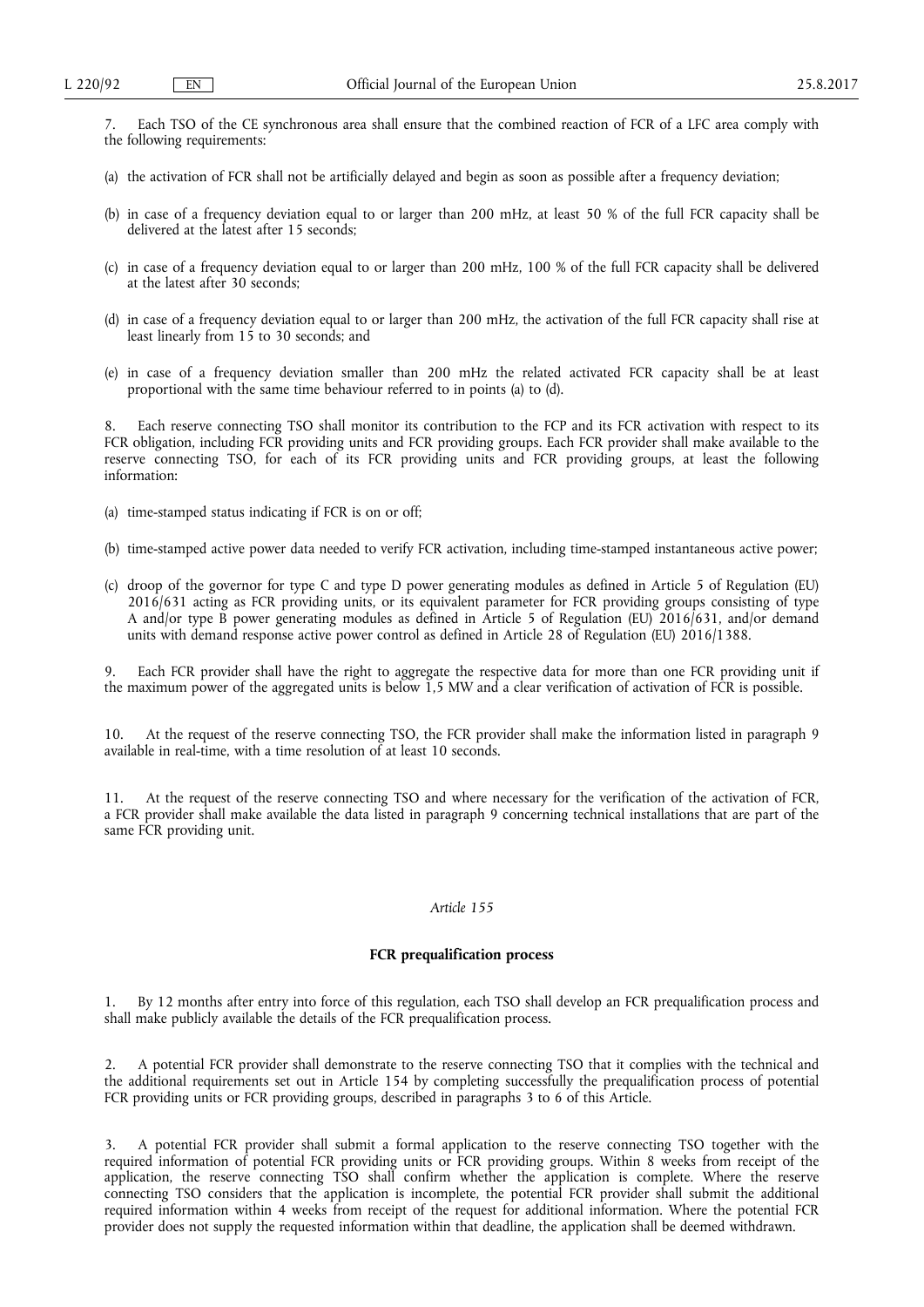7. Each TSO of the CE synchronous area shall ensure that the combined reaction of FCR of a LFC area comply with the following requirements:

- (a) the activation of FCR shall not be artificially delayed and begin as soon as possible after a frequency deviation;
- (b) in case of a frequency deviation equal to or larger than 200 mHz, at least 50 % of the full FCR capacity shall be delivered at the latest after 15 seconds;
- (c) in case of a frequency deviation equal to or larger than 200 mHz, 100 % of the full FCR capacity shall be delivered at the latest after 30 seconds;
- (d) in case of a frequency deviation equal to or larger than 200 mHz, the activation of the full FCR capacity shall rise at least linearly from 15 to 30 seconds; and
- (e) in case of a frequency deviation smaller than 200 mHz the related activated FCR capacity shall be at least proportional with the same time behaviour referred to in points (a) to (d).

Each reserve connecting TSO shall monitor its contribution to the FCP and its FCR activation with respect to its FCR obligation, including FCR providing units and FCR providing groups. Each FCR provider shall make available to the reserve connecting TSO, for each of its FCR providing units and FCR providing groups, at least the following information:

- (a) time-stamped status indicating if FCR is on or off;
- (b) time-stamped active power data needed to verify FCR activation, including time-stamped instantaneous active power;
- (c) droop of the governor for type C and type D power generating modules as defined in Article 5 of Regulation (EU) 2016/631 acting as FCR providing units, or its equivalent parameter for FCR providing groups consisting of type A and/or type B power generating modules as defined in Article 5 of Regulation (EU) 2016/631, and/or demand units with demand response active power control as defined in Article 28 of Regulation (EU) 2016/1388.

9. Each FCR provider shall have the right to aggregate the respective data for more than one FCR providing unit if the maximum power of the aggregated units is below 1,5 MW and a clear verification of activation of FCR is possible.

10. At the request of the reserve connecting TSO, the FCR provider shall make the information listed in paragraph 9 available in real-time, with a time resolution of at least 10 seconds.

At the request of the reserve connecting TSO and where necessary for the verification of the activation of FCR, a FCR provider shall make available the data listed in paragraph 9 concerning technical installations that are part of the same FCR providing unit.

# *Article 155*

## **FCR prequalification process**

1. By 12 months after entry into force of this regulation, each TSO shall develop an FCR prequalification process and shall make publicly available the details of the FCR prequalification process.

2. A potential FCR provider shall demonstrate to the reserve connecting TSO that it complies with the technical and the additional requirements set out in Article 154 by completing successfully the prequalification process of potential FCR providing units or FCR providing groups, described in paragraphs 3 to 6 of this Article.

3. A potential FCR provider shall submit a formal application to the reserve connecting TSO together with the required information of potential FCR providing units or FCR providing groups. Within 8 weeks from receipt of the application, the reserve connecting TSO shall confirm whether the application is complete. Where the reserve connecting TSO considers that the application is incomplete, the potential FCR provider shall submit the additional required information within 4 weeks from receipt of the request for additional information. Where the potential FCR provider does not supply the requested information within that deadline, the application shall be deemed withdrawn.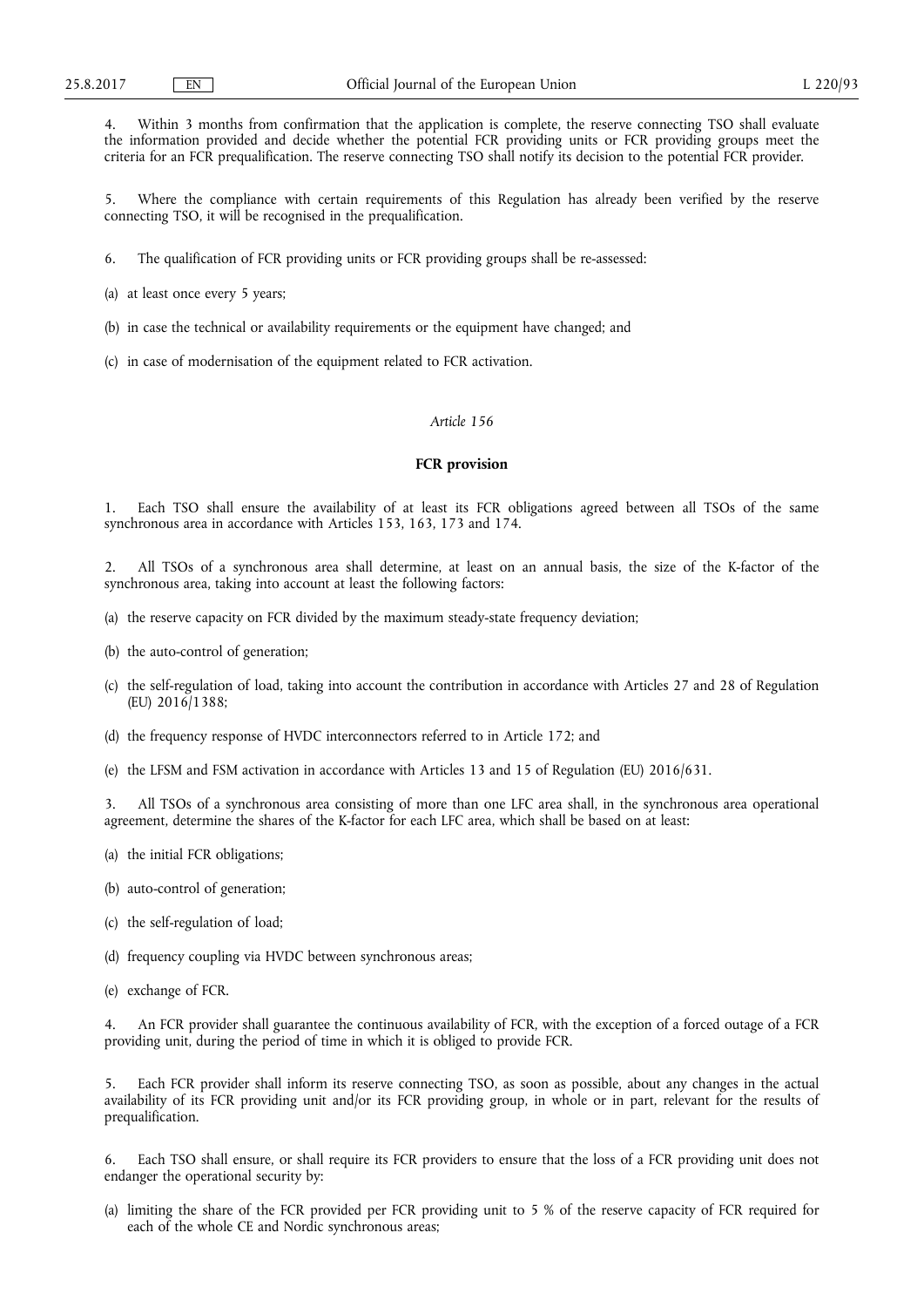4. Within 3 months from confirmation that the application is complete, the reserve connecting TSO shall evaluate the information provided and decide whether the potential FCR providing units or FCR providing groups meet the criteria for an FCR prequalification. The reserve connecting TSO shall notify its decision to the potential FCR provider.

5. Where the compliance with certain requirements of this Regulation has already been verified by the reserve connecting TSO, it will be recognised in the prequalification.

6. The qualification of FCR providing units or FCR providing groups shall be re-assessed:

(a) at least once every 5 years;

- (b) in case the technical or availability requirements or the equipment have changed; and
- (c) in case of modernisation of the equipment related to FCR activation.

## *Article 156*

## **FCR provision**

1. Each TSO shall ensure the availability of at least its FCR obligations agreed between all TSOs of the same synchronous area in accordance with Articles 153, 163, 173 and 174.

2. All TSOs of a synchronous area shall determine, at least on an annual basis, the size of the K-factor of the synchronous area, taking into account at least the following factors:

- (a) the reserve capacity on FCR divided by the maximum steady-state frequency deviation;
- (b) the auto-control of generation;
- (c) the self-regulation of load, taking into account the contribution in accordance with Articles 27 and 28 of Regulation (EU) 2016/1388;
- (d) the frequency response of HVDC interconnectors referred to in Article 172; and
- (e) the LFSM and FSM activation in accordance with Articles 13 and 15 of Regulation (EU) 2016/631.

3. All TSOs of a synchronous area consisting of more than one LFC area shall, in the synchronous area operational agreement, determine the shares of the K-factor for each LFC area, which shall be based on at least:

- (a) the initial FCR obligations;
- (b) auto-control of generation;
- (c) the self-regulation of load;
- (d) frequency coupling via HVDC between synchronous areas;
- (e) exchange of FCR.

An FCR provider shall guarantee the continuous availability of FCR, with the exception of a forced outage of a FCR providing unit, during the period of time in which it is obliged to provide FCR.

Each FCR provider shall inform its reserve connecting TSO, as soon as possible, about any changes in the actual availability of its FCR providing unit and/or its FCR providing group, in whole or in part, relevant for the results of prequalification.

6. Each TSO shall ensure, or shall require its FCR providers to ensure that the loss of a FCR providing unit does not endanger the operational security by:

(a) limiting the share of the FCR provided per FCR providing unit to 5 % of the reserve capacity of FCR required for each of the whole CE and Nordic synchronous areas;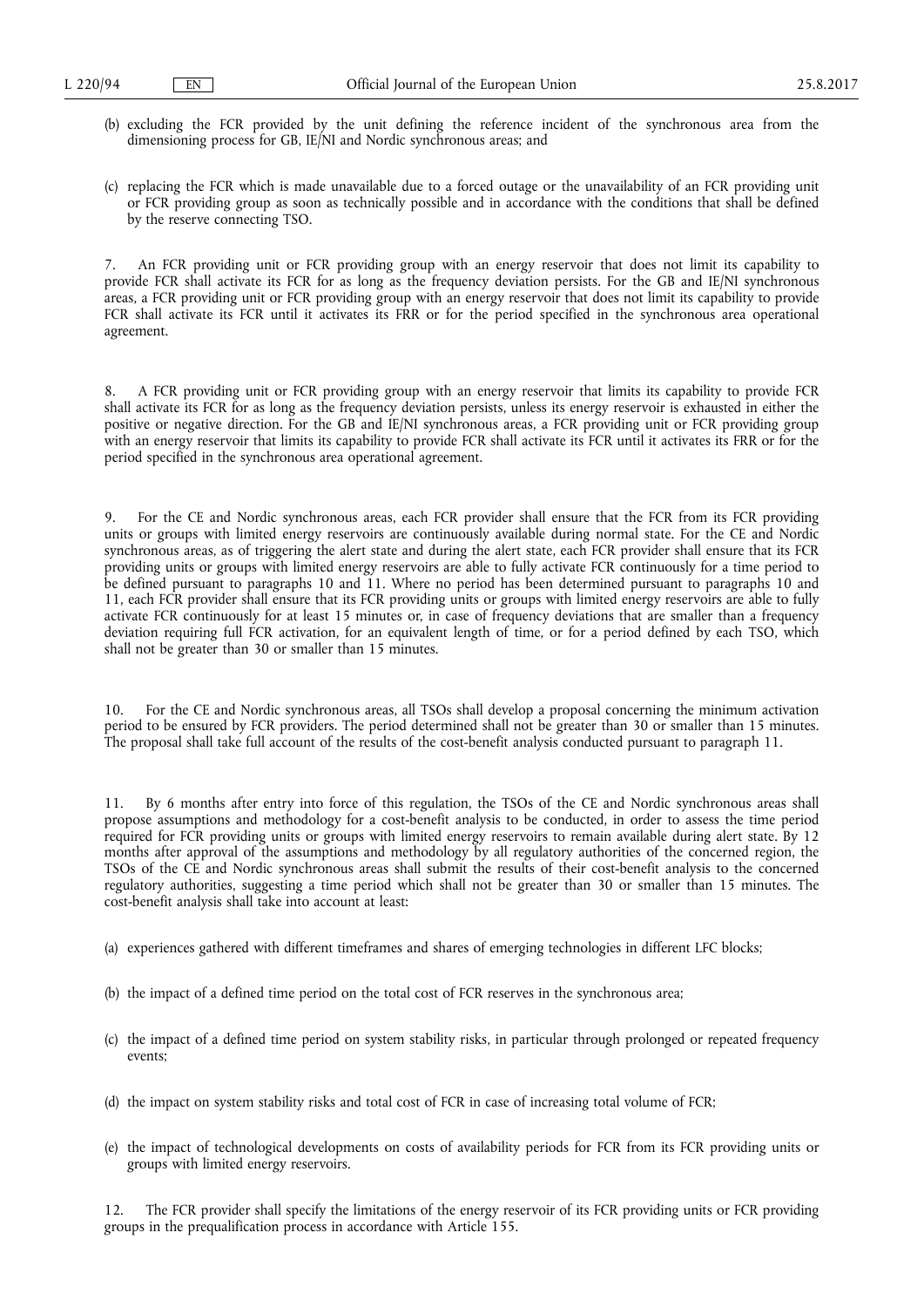- (b) excluding the FCR provided by the unit defining the reference incident of the synchronous area from the dimensioning process for GB, IE/NI and Nordic synchronous areas; and
- (c) replacing the FCR which is made unavailable due to a forced outage or the unavailability of an FCR providing unit or FCR providing group as soon as technically possible and in accordance with the conditions that shall be defined by the reserve connecting TSO.

7. An FCR providing unit or FCR providing group with an energy reservoir that does not limit its capability to provide FCR shall activate its FCR for as long as the frequency deviation persists. For the GB and IE/NI synchronous areas, a FCR providing unit or FCR providing group with an energy reservoir that does not limit its capability to provide FCR shall activate its FCR until it activates its FRR or for the period specified in the synchronous area operational agreement.

8. A FCR providing unit or FCR providing group with an energy reservoir that limits its capability to provide FCR shall activate its FCR for as long as the frequency deviation persists, unless its energy reservoir is exhausted in either the positive or negative direction. For the GB and IE/NI synchronous areas, a FCR providing unit or FCR providing group with an energy reservoir that limits its capability to provide FCR shall activate its FCR until it activates its FRR or for the period specified in the synchronous area operational agreement.

9. For the CE and Nordic synchronous areas, each FCR provider shall ensure that the FCR from its FCR providing units or groups with limited energy reservoirs are continuously available during normal state. For the CE and Nordic synchronous areas, as of triggering the alert state and during the alert state, each FCR provider shall ensure that its FCR providing units or groups with limited energy reservoirs are able to fully activate FCR continuously for a time period to be defined pursuant to paragraphs 10 and 11. Where no period has been determined pursuant to paragraphs 10 and 11, each FCR provider shall ensure that its FCR providing units or groups with limited energy reservoirs are able to fully activate FCR continuously for at least 15 minutes or, in case of frequency deviations that are smaller than a frequency deviation requiring full FCR activation, for an equivalent length of time, or for a period defined by each TSO, which shall not be greater than 30 or smaller than 15 minutes.

10. For the CE and Nordic synchronous areas, all TSOs shall develop a proposal concerning the minimum activation period to be ensured by FCR providers. The period determined shall not be greater than 30 or smaller than 15 minutes. The proposal shall take full account of the results of the cost-benefit analysis conducted pursuant to paragraph 11.

11. By 6 months after entry into force of this regulation, the TSOs of the CE and Nordic synchronous areas shall propose assumptions and methodology for a cost-benefit analysis to be conducted, in order to assess the time period required for FCR providing units or groups with limited energy reservoirs to remain available during alert state. By 12 months after approval of the assumptions and methodology by all regulatory authorities of the concerned region, the TSOs of the CE and Nordic synchronous areas shall submit the results of their cost-benefit analysis to the concerned regulatory authorities, suggesting a time period which shall not be greater than 30 or smaller than 15 minutes. The cost-benefit analysis shall take into account at least:

- (a) experiences gathered with different timeframes and shares of emerging technologies in different LFC blocks;
- (b) the impact of a defined time period on the total cost of FCR reserves in the synchronous area;
- (c) the impact of a defined time period on system stability risks, in particular through prolonged or repeated frequency events;
- (d) the impact on system stability risks and total cost of FCR in case of increasing total volume of FCR;
- (e) the impact of technological developments on costs of availability periods for FCR from its FCR providing units or groups with limited energy reservoirs.

12. The FCR provider shall specify the limitations of the energy reservoir of its FCR providing units or FCR providing groups in the prequalification process in accordance with Article 155.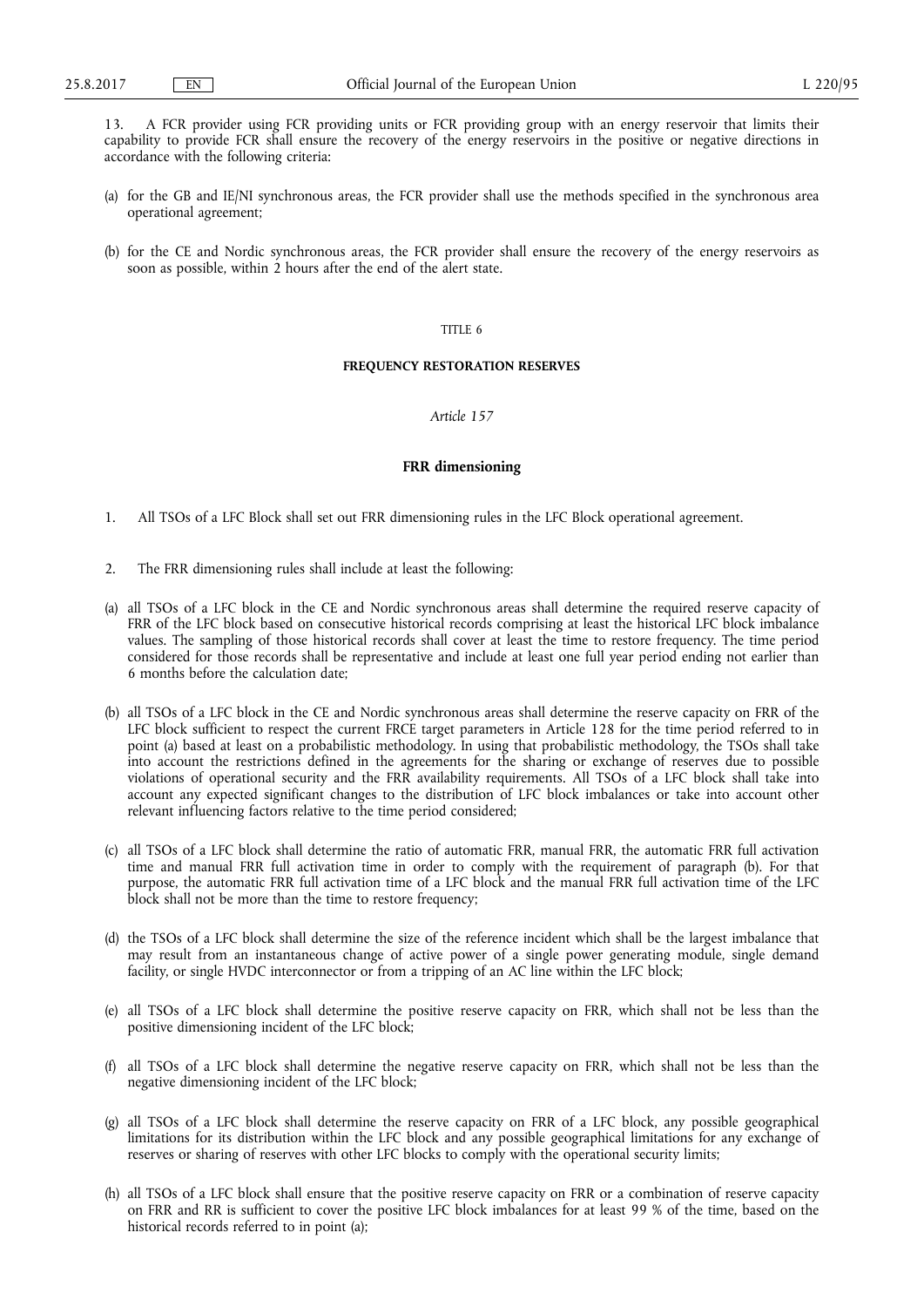13. A FCR provider using FCR providing units or FCR providing group with an energy reservoir that limits their capability to provide FCR shall ensure the recovery of the energy reservoirs in the positive or negative directions in accordance with the following criteria:

- (a) for the GB and IE/NI synchronous areas, the FCR provider shall use the methods specified in the synchronous area operational agreement;
- (b) for the CE and Nordic synchronous areas, the FCR provider shall ensure the recovery of the energy reservoirs as soon as possible, within 2 hours after the end of the alert state.

# TITLE 6

## **FREQUENCY RESTORATION RESERVES**

*Article 157* 

## **FRR dimensioning**

- 1. All TSOs of a LFC Block shall set out FRR dimensioning rules in the LFC Block operational agreement.
- 2. The FRR dimensioning rules shall include at least the following:
- (a) all TSOs of a LFC block in the CE and Nordic synchronous areas shall determine the required reserve capacity of FRR of the LFC block based on consecutive historical records comprising at least the historical LFC block imbalance values. The sampling of those historical records shall cover at least the time to restore frequency. The time period considered for those records shall be representative and include at least one full year period ending not earlier than 6 months before the calculation date;
- (b) all TSOs of a LFC block in the CE and Nordic synchronous areas shall determine the reserve capacity on FRR of the LFC block sufficient to respect the current FRCE target parameters in Article 128 for the time period referred to in point (a) based at least on a probabilistic methodology. In using that probabilistic methodology, the TSOs shall take into account the restrictions defined in the agreements for the sharing or exchange of reserves due to possible violations of operational security and the FRR availability requirements. All TSOs of a LFC block shall take into account any expected significant changes to the distribution of LFC block imbalances or take into account other relevant influencing factors relative to the time period considered;
- (c) all TSOs of a LFC block shall determine the ratio of automatic FRR, manual FRR, the automatic FRR full activation time and manual FRR full activation time in order to comply with the requirement of paragraph (b). For that purpose, the automatic FRR full activation time of a LFC block and the manual FRR full activation time of the LFC block shall not be more than the time to restore frequency;
- (d) the TSOs of a LFC block shall determine the size of the reference incident which shall be the largest imbalance that may result from an instantaneous change of active power of a single power generating module, single demand facility, or single HVDC interconnector or from a tripping of an AC line within the LFC block;
- (e) all TSOs of a LFC block shall determine the positive reserve capacity on FRR, which shall not be less than the positive dimensioning incident of the LFC block;
- (f) all TSOs of a LFC block shall determine the negative reserve capacity on FRR, which shall not be less than the negative dimensioning incident of the LFC block;
- (g) all TSOs of a LFC block shall determine the reserve capacity on FRR of a LFC block, any possible geographical limitations for its distribution within the LFC block and any possible geographical limitations for any exchange of reserves or sharing of reserves with other LFC blocks to comply with the operational security limits;
- (h) all TSOs of a LFC block shall ensure that the positive reserve capacity on FRR or a combination of reserve capacity on FRR and RR is sufficient to cover the positive LFC block imbalances for at least 99 % of the time, based on the historical records referred to in point (a);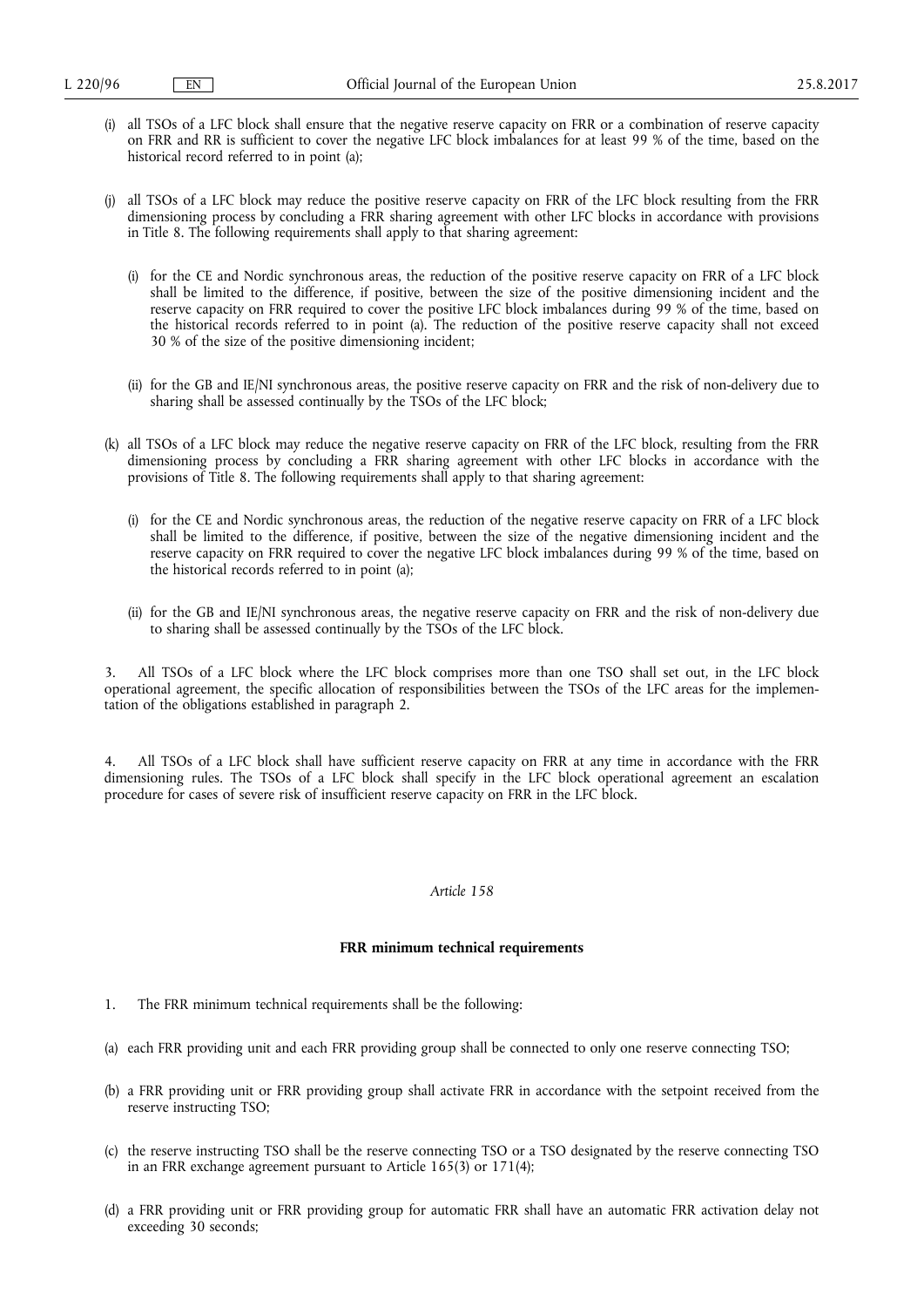- (i) all TSOs of a LFC block shall ensure that the negative reserve capacity on FRR or a combination of reserve capacity on FRR and RR is sufficient to cover the negative LFC block imbalances for at least 99 % of the time, based on the historical record referred to in point (a);
- (j) all TSOs of a LFC block may reduce the positive reserve capacity on FRR of the LFC block resulting from the FRR dimensioning process by concluding a FRR sharing agreement with other LFC blocks in accordance with provisions in Title 8. The following requirements shall apply to that sharing agreement:
	- (i) for the CE and Nordic synchronous areas, the reduction of the positive reserve capacity on FRR of a LFC block shall be limited to the difference, if positive, between the size of the positive dimensioning incident and the reserve capacity on FRR required to cover the positive LFC block imbalances during 99 % of the time, based on the historical records referred to in point (a). The reduction of the positive reserve capacity shall not exceed 30 % of the size of the positive dimensioning incident;
	- (ii) for the GB and IE/NI synchronous areas, the positive reserve capacity on FRR and the risk of non-delivery due to sharing shall be assessed continually by the TSOs of the LFC block;
- (k) all TSOs of a LFC block may reduce the negative reserve capacity on FRR of the LFC block, resulting from the FRR dimensioning process by concluding a FRR sharing agreement with other LFC blocks in accordance with the provisions of Title 8. The following requirements shall apply to that sharing agreement:
	- (i) for the CE and Nordic synchronous areas, the reduction of the negative reserve capacity on FRR of a LFC block shall be limited to the difference, if positive, between the size of the negative dimensioning incident and the reserve capacity on FRR required to cover the negative LFC block imbalances during 99 % of the time, based on the historical records referred to in point (a);
	- (ii) for the GB and IE/NI synchronous areas, the negative reserve capacity on FRR and the risk of non-delivery due to sharing shall be assessed continually by the TSOs of the LFC block.

3. All TSOs of a LFC block where the LFC block comprises more than one TSO shall set out, in the LFC block operational agreement, the specific allocation of responsibilities between the TSOs of the LFC areas for the implementation of the obligations established in paragraph 2.

All TSOs of a LFC block shall have sufficient reserve capacity on FRR at any time in accordance with the FRR dimensioning rules. The TSOs of a LFC block shall specify in the LFC block operational agreement an escalation procedure for cases of severe risk of insufficient reserve capacity on FRR in the LFC block.

## *Article 158*

#### **FRR minimum technical requirements**

- 1. The FRR minimum technical requirements shall be the following:
- (a) each FRR providing unit and each FRR providing group shall be connected to only one reserve connecting TSO;
- (b) a FRR providing unit or FRR providing group shall activate FRR in accordance with the setpoint received from the reserve instructing TSO;
- (c) the reserve instructing TSO shall be the reserve connecting TSO or a TSO designated by the reserve connecting TSO in an FRR exchange agreement pursuant to Article 165(3) or 171(4);
- (d) a FRR providing unit or FRR providing group for automatic FRR shall have an automatic FRR activation delay not exceeding 30 seconds;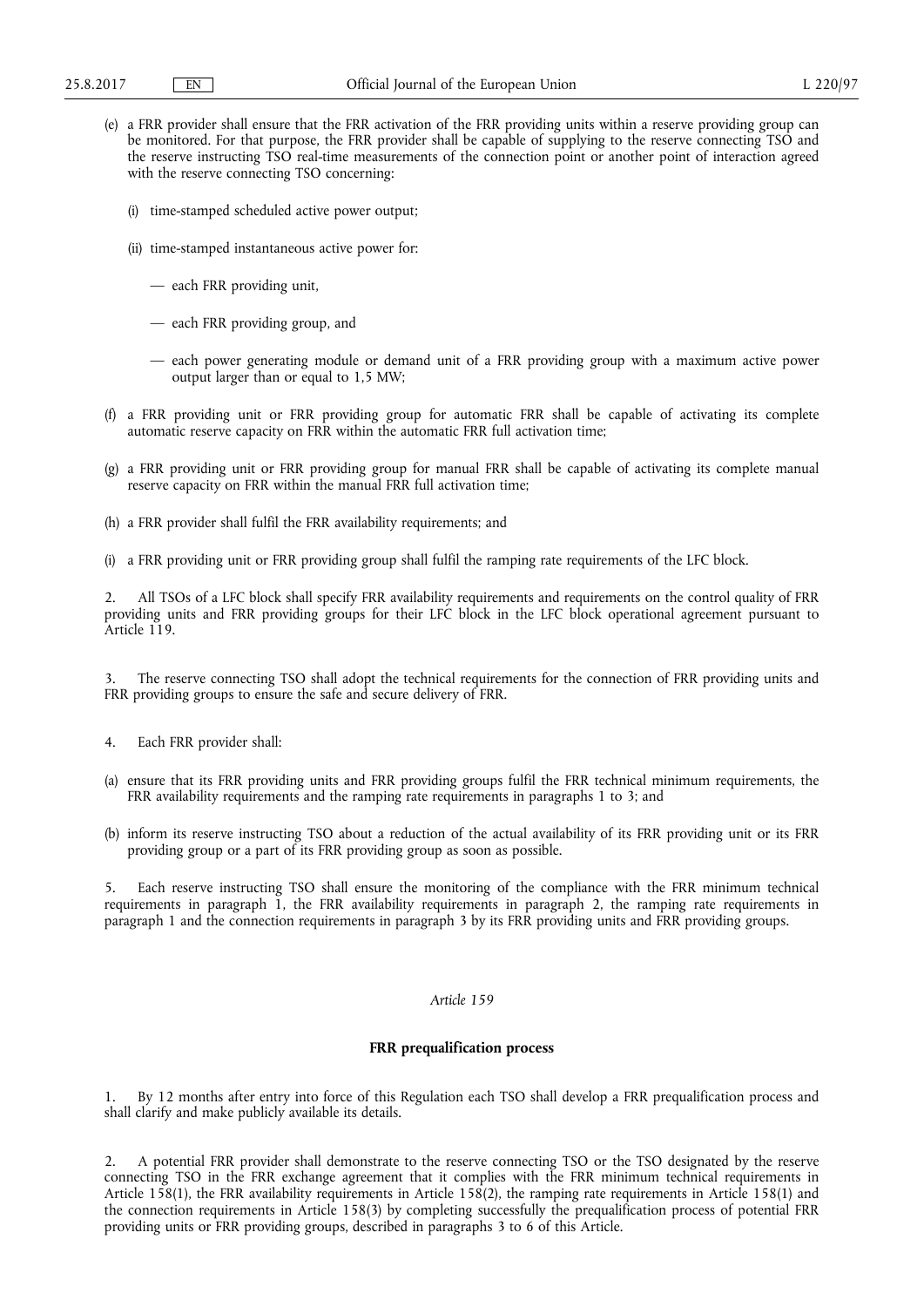- (e) a FRR provider shall ensure that the FRR activation of the FRR providing units within a reserve providing group can be monitored. For that purpose, the FRR provider shall be capable of supplying to the reserve connecting TSO and the reserve instructing TSO real-time measurements of the connection point or another point of interaction agreed with the reserve connecting TSO concerning:
	- (i) time-stamped scheduled active power output;
	- (ii) time-stamped instantaneous active power for:
		- each FRR providing unit,
		- each FRR providing group, and
		- each power generating module or demand unit of a FRR providing group with a maximum active power output larger than or equal to 1,5 MW;
- (f) a FRR providing unit or FRR providing group for automatic FRR shall be capable of activating its complete automatic reserve capacity on FRR within the automatic FRR full activation time;
- (g) a FRR providing unit or FRR providing group for manual FRR shall be capable of activating its complete manual reserve capacity on FRR within the manual FRR full activation time;
- (h) a FRR provider shall fulfil the FRR availability requirements; and
- (i) a FRR providing unit or FRR providing group shall fulfil the ramping rate requirements of the LFC block.

2. All TSOs of a LFC block shall specify FRR availability requirements and requirements on the control quality of FRR providing units and FRR providing groups for their LFC block in the LFC block operational agreement pursuant to Article 119.

3. The reserve connecting TSO shall adopt the technical requirements for the connection of FRR providing units and FRR providing groups to ensure the safe and secure delivery of FRR.

- 4. Each FRR provider shall:
- (a) ensure that its FRR providing units and FRR providing groups fulfil the FRR technical minimum requirements, the FRR availability requirements and the ramping rate requirements in paragraphs 1 to 3; and
- (b) inform its reserve instructing TSO about a reduction of the actual availability of its FRR providing unit or its FRR providing group or a part of its FRR providing group as soon as possible.

5. Each reserve instructing TSO shall ensure the monitoring of the compliance with the FRR minimum technical requirements in paragraph 1, the FRR availability requirements in paragraph 2, the ramping rate requirements in paragraph 1 and the connection requirements in paragraph 3 by its FRR providing units and FRR providing groups.

## *Article 159*

## **FRR prequalification process**

1. By 12 months after entry into force of this Regulation each TSO shall develop a FRR prequalification process and shall clarify and make publicly available its details.

2. A potential FRR provider shall demonstrate to the reserve connecting TSO or the TSO designated by the reserve connecting TSO in the FRR exchange agreement that it complies with the FRR minimum technical requirements in Article 158(1), the FRR availability requirements in Article 158(2), the ramping rate requirements in Article 158(1) and the connection requirements in Article 158(3) by completing successfully the prequalification process of potential FRR providing units or FRR providing groups, described in paragraphs 3 to 6 of this Article.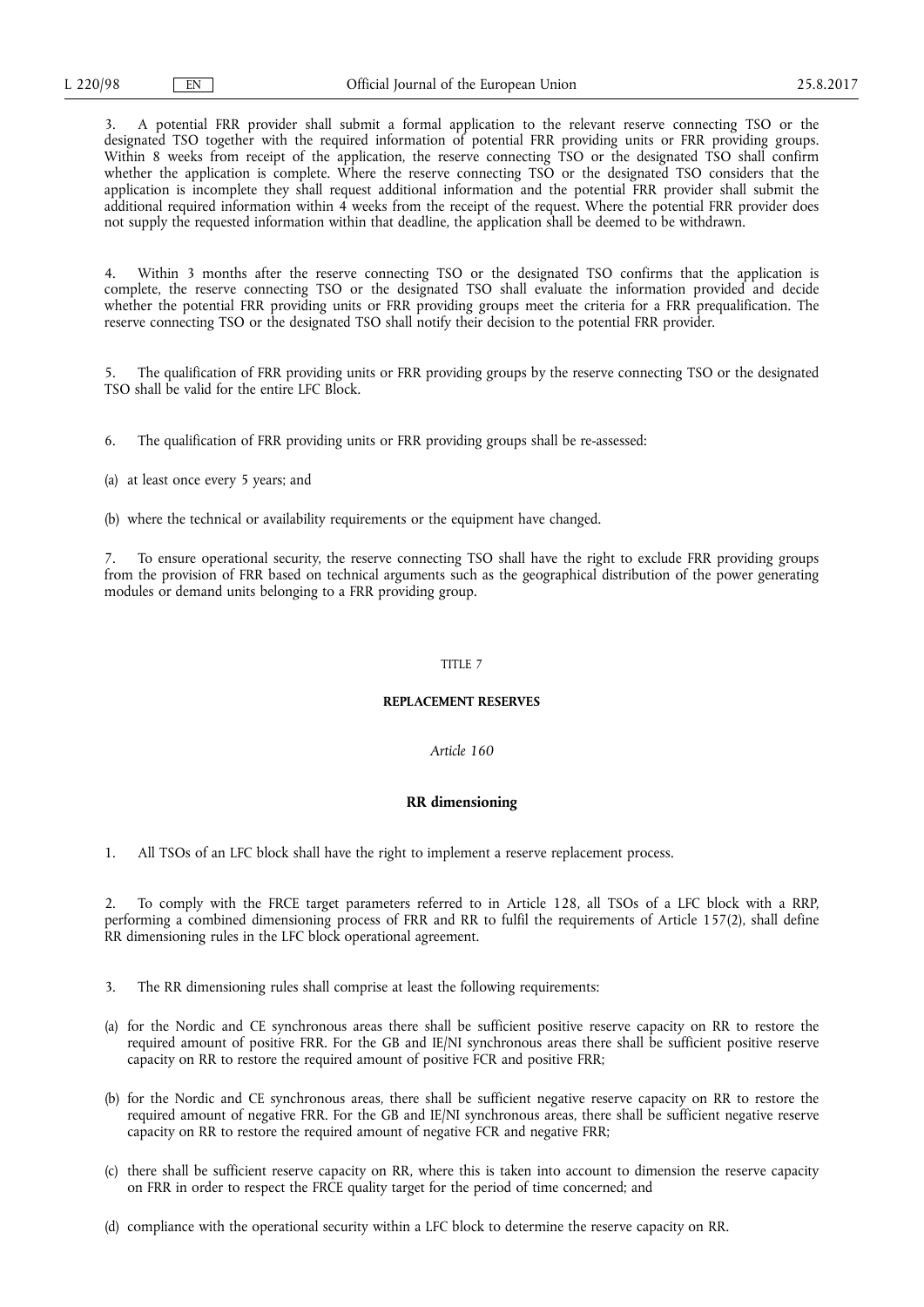3. A potential FRR provider shall submit a formal application to the relevant reserve connecting TSO or the designated TSO together with the required information of potential FRR providing units or FRR providing groups. Within 8 weeks from receipt of the application, the reserve connecting TSO or the designated TSO shall confirm whether the application is complete. Where the reserve connecting TSO or the designated TSO considers that the application is incomplete they shall request additional information and the potential FRR provider shall submit the additional required information within 4 weeks from the receipt of the request. Where the potential FRR provider does not supply the requested information within that deadline, the application shall be deemed to be withdrawn.

4. Within 3 months after the reserve connecting TSO or the designated TSO confirms that the application is complete, the reserve connecting TSO or the designated TSO shall evaluate the information provided and decide whether the potential FRR providing units or FRR providing groups meet the criteria for a FRR prequalification. The reserve connecting TSO or the designated TSO shall notify their decision to the potential FRR provider.

5. The qualification of FRR providing units or FRR providing groups by the reserve connecting TSO or the designated TSO shall be valid for the entire LFC Block.

6. The qualification of FRR providing units or FRR providing groups shall be re-assessed:

(a) at least once every 5 years; and

(b) where the technical or availability requirements or the equipment have changed.

7. To ensure operational security, the reserve connecting TSO shall have the right to exclude FRR providing groups from the provision of FRR based on technical arguments such as the geographical distribution of the power generating modules or demand units belonging to a FRR providing group.

## TITLE 7

#### **REPLACEMENT RESERVES**

#### *Article 160*

#### **RR dimensioning**

1. All TSOs of an LFC block shall have the right to implement a reserve replacement process.

2. To comply with the FRCE target parameters referred to in Article 128, all TSOs of a LFC block with a RRP, performing a combined dimensioning process of FRR and RR to fulfil the requirements of Article 157(2), shall define RR dimensioning rules in the LFC block operational agreement.

- 3. The RR dimensioning rules shall comprise at least the following requirements:
- (a) for the Nordic and CE synchronous areas there shall be sufficient positive reserve capacity on RR to restore the required amount of positive FRR. For the GB and IE/NI synchronous areas there shall be sufficient positive reserve capacity on RR to restore the required amount of positive FCR and positive FRR;
- (b) for the Nordic and CE synchronous areas, there shall be sufficient negative reserve capacity on RR to restore the required amount of negative FRR. For the GB and IE/NI synchronous areas, there shall be sufficient negative reserve capacity on RR to restore the required amount of negative FCR and negative FRR;
- (c) there shall be sufficient reserve capacity on RR, where this is taken into account to dimension the reserve capacity on FRR in order to respect the FRCE quality target for the period of time concerned; and
- (d) compliance with the operational security within a LFC block to determine the reserve capacity on RR.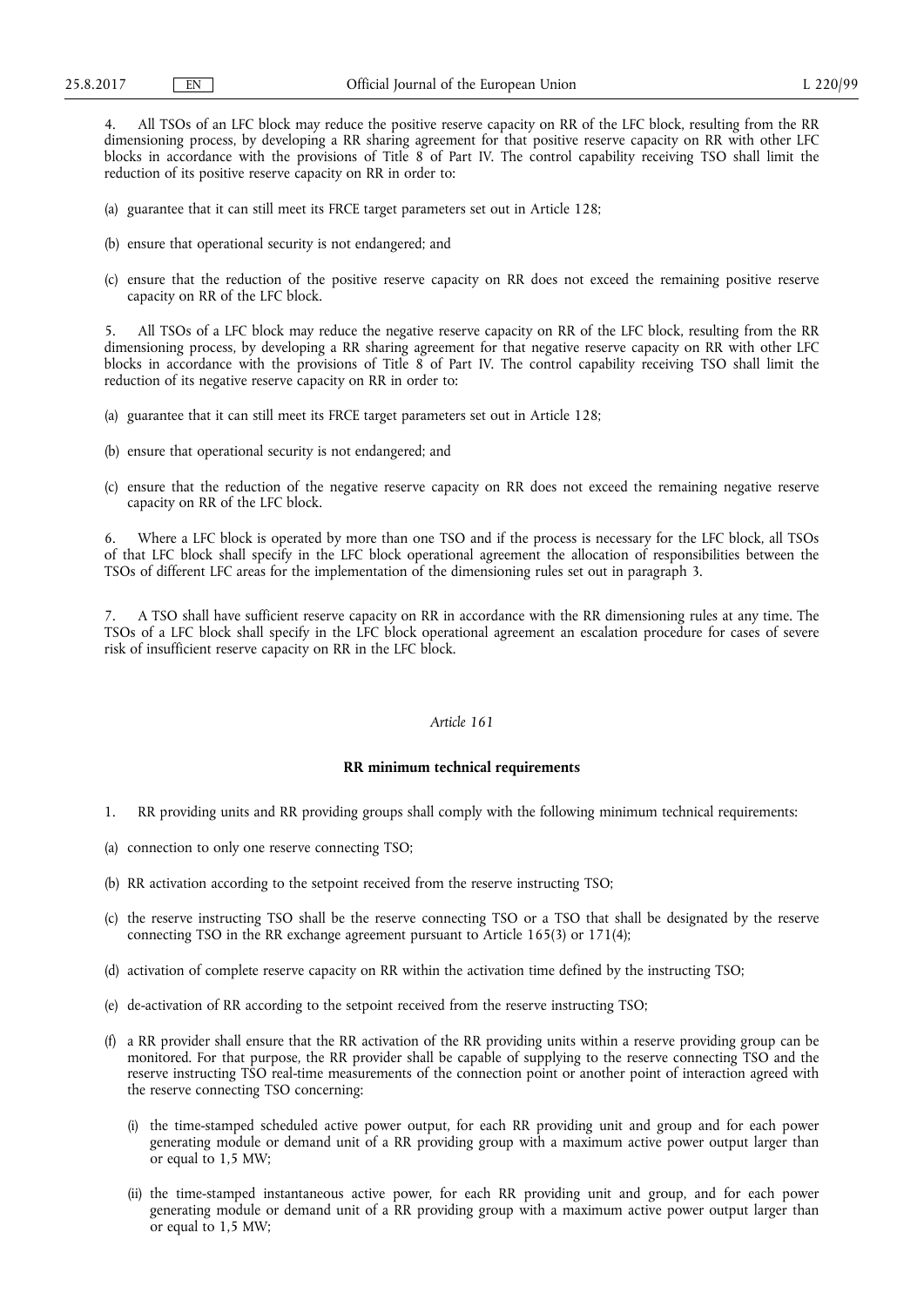4. All TSOs of an LFC block may reduce the positive reserve capacity on RR of the LFC block, resulting from the RR dimensioning process, by developing a RR sharing agreement for that positive reserve capacity on RR with other LFC blocks in accordance with the provisions of Title 8 of Part IV. The control capability receiving TSO shall limit the reduction of its positive reserve capacity on RR in order to:

- (a) guarantee that it can still meet its FRCE target parameters set out in Article 128;
- (b) ensure that operational security is not endangered; and
- (c) ensure that the reduction of the positive reserve capacity on RR does not exceed the remaining positive reserve capacity on RR of the LFC block.

5. All TSOs of a LFC block may reduce the negative reserve capacity on RR of the LFC block, resulting from the RR dimensioning process, by developing a RR sharing agreement for that negative reserve capacity on RR with other LFC blocks in accordance with the provisions of Title 8 of Part IV. The control capability receiving TSO shall limit the reduction of its negative reserve capacity on RR in order to:

- (a) guarantee that it can still meet its FRCE target parameters set out in Article 128;
- (b) ensure that operational security is not endangered; and
- (c) ensure that the reduction of the negative reserve capacity on RR does not exceed the remaining negative reserve capacity on RR of the LFC block.

6. Where a LFC block is operated by more than one TSO and if the process is necessary for the LFC block, all TSOs of that LFC block shall specify in the LFC block operational agreement the allocation of responsibilities between the TSOs of different LFC areas for the implementation of the dimensioning rules set out in paragraph 3.

7. A TSO shall have sufficient reserve capacity on RR in accordance with the RR dimensioning rules at any time. The TSOs of a LFC block shall specify in the LFC block operational agreement an escalation procedure for cases of severe risk of insufficient reserve capacity on RR in the LFC block.

## *Article 161*

## **RR minimum technical requirements**

- 1. RR providing units and RR providing groups shall comply with the following minimum technical requirements:
- (a) connection to only one reserve connecting TSO;
- (b) RR activation according to the setpoint received from the reserve instructing TSO;
- (c) the reserve instructing TSO shall be the reserve connecting TSO or a TSO that shall be designated by the reserve connecting TSO in the RR exchange agreement pursuant to Article  $165(3)$  or  $171(4)$ ;
- (d) activation of complete reserve capacity on RR within the activation time defined by the instructing TSO;
- (e) de-activation of RR according to the setpoint received from the reserve instructing TSO;
- (f) a RR provider shall ensure that the RR activation of the RR providing units within a reserve providing group can be monitored. For that purpose, the RR provider shall be capable of supplying to the reserve connecting TSO and the reserve instructing TSO real-time measurements of the connection point or another point of interaction agreed with the reserve connecting TSO concerning:
	- (i) the time-stamped scheduled active power output, for each RR providing unit and group and for each power generating module or demand unit of a RR providing group with a maximum active power output larger than or equal to 1,5 MW;
	- (ii) the time-stamped instantaneous active power, for each RR providing unit and group, and for each power generating module or demand unit of a RR providing group with a maximum active power output larger than or equal to 1,5 MW;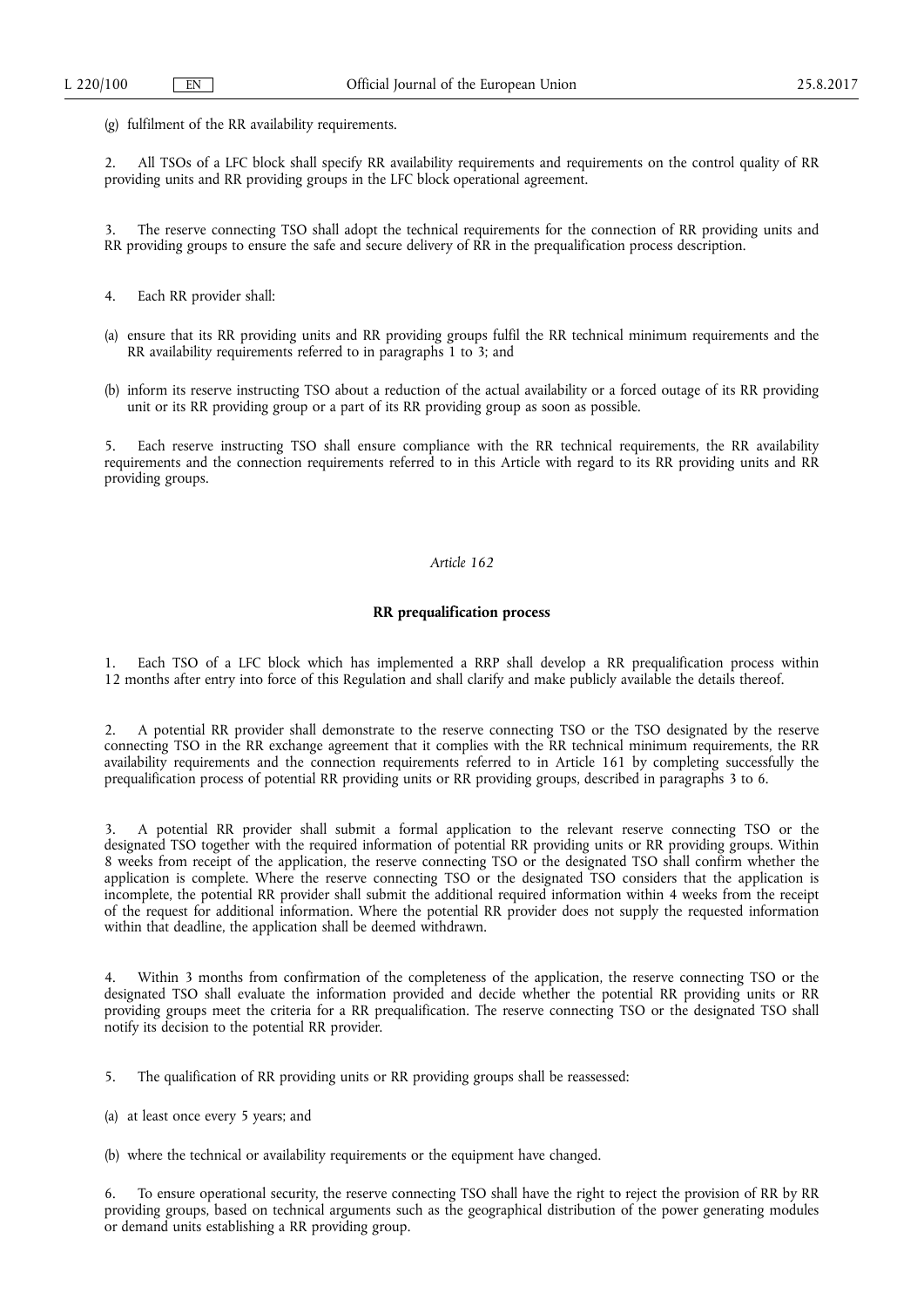(g) fulfilment of the RR availability requirements.

2. All TSOs of a LFC block shall specify RR availability requirements and requirements on the control quality of RR providing units and RR providing groups in the LFC block operational agreement.

3. The reserve connecting TSO shall adopt the technical requirements for the connection of RR providing units and RR providing groups to ensure the safe and secure delivery of RR in the prequalification process description.

- 4. Each RR provider shall:
- (a) ensure that its RR providing units and RR providing groups fulfil the RR technical minimum requirements and the RR availability requirements referred to in paragraphs 1 to 3; and
- (b) inform its reserve instructing TSO about a reduction of the actual availability or a forced outage of its RR providing unit or its RR providing group or a part of its RR providing group as soon as possible.

5. Each reserve instructing TSO shall ensure compliance with the RR technical requirements, the RR availability requirements and the connection requirements referred to in this Article with regard to its RR providing units and RR providing groups.

# *Article 162*

#### **RR prequalification process**

1. Each TSO of a LFC block which has implemented a RRP shall develop a RR prequalification process within 12 months after entry into force of this Regulation and shall clarify and make publicly available the details thereof.

2. A potential RR provider shall demonstrate to the reserve connecting TSO or the TSO designated by the reserve connecting TSO in the RR exchange agreement that it complies with the RR technical minimum requirements, the RR availability requirements and the connection requirements referred to in Article 161 by completing successfully the prequalification process of potential RR providing units or RR providing groups, described in paragraphs 3 to 6.

3. A potential RR provider shall submit a formal application to the relevant reserve connecting TSO or the designated TSO together with the required information of potential RR providing units or RR providing groups. Within 8 weeks from receipt of the application, the reserve connecting TSO or the designated TSO shall confirm whether the application is complete. Where the reserve connecting TSO or the designated TSO considers that the application is incomplete, the potential RR provider shall submit the additional required information within 4 weeks from the receipt of the request for additional information. Where the potential RR provider does not supply the requested information within that deadline, the application shall be deemed withdrawn.

Within 3 months from confirmation of the completeness of the application, the reserve connecting TSO or the designated TSO shall evaluate the information provided and decide whether the potential RR providing units or RR providing groups meet the criteria for a RR prequalification. The reserve connecting TSO or the designated TSO shall notify its decision to the potential RR provider.

5. The qualification of RR providing units or RR providing groups shall be reassessed:

(a) at least once every 5 years; and

```
(b) where the technical or availability requirements or the equipment have changed.
```
6. To ensure operational security, the reserve connecting TSO shall have the right to reject the provision of RR by RR providing groups, based on technical arguments such as the geographical distribution of the power generating modules or demand units establishing a RR providing group.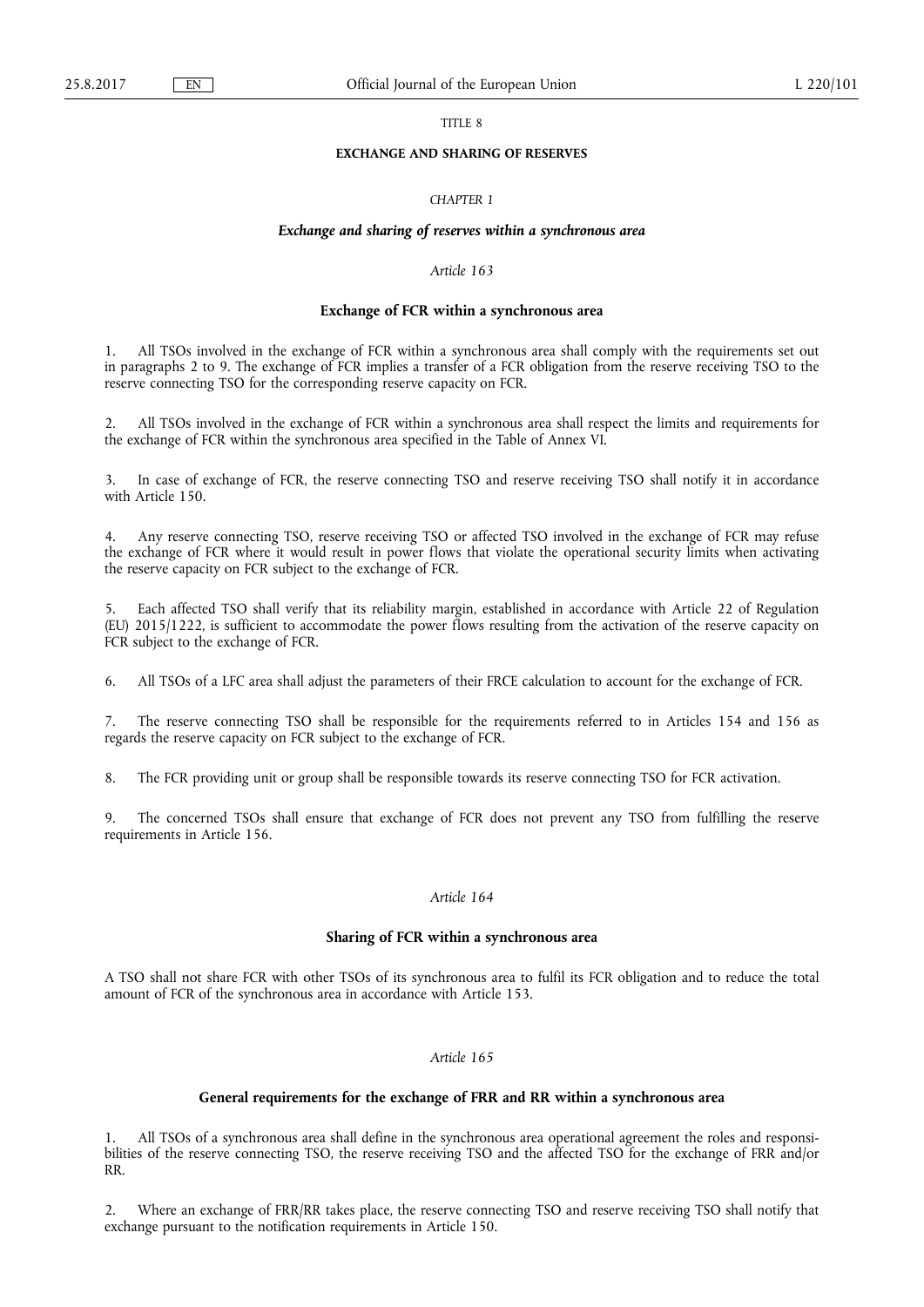## TITLE 8

### **EXCHANGE AND SHARING OF RESERVES**

## *CHAPTER 1*

## *Exchange and sharing of reserves within a synchronous area*

# *Article 163*

## **Exchange of FCR within a synchronous area**

1. All TSOs involved in the exchange of FCR within a synchronous area shall comply with the requirements set out in paragraphs 2 to 9. The exchange of FCR implies a transfer of a FCR obligation from the reserve receiving TSO to the reserve connecting TSO for the corresponding reserve capacity on FCR.

2. All TSOs involved in the exchange of FCR within a synchronous area shall respect the limits and requirements for the exchange of FCR within the synchronous area specified in the Table of Annex VI.

3. In case of exchange of FCR, the reserve connecting TSO and reserve receiving TSO shall notify it in accordance with Article 150.

4. Any reserve connecting TSO, reserve receiving TSO or affected TSO involved in the exchange of FCR may refuse the exchange of FCR where it would result in power flows that violate the operational security limits when activating the reserve capacity on FCR subject to the exchange of FCR.

5. Each affected TSO shall verify that its reliability margin, established in accordance with Article 22 of Regulation (EU) 2015/1222, is sufficient to accommodate the power flows resulting from the activation of the reserve capacity on FCR subject to the exchange of FCR.

6. All TSOs of a LFC area shall adjust the parameters of their FRCE calculation to account for the exchange of FCR.

7. The reserve connecting TSO shall be responsible for the requirements referred to in Articles 154 and 156 as regards the reserve capacity on FCR subject to the exchange of FCR.

8. The FCR providing unit or group shall be responsible towards its reserve connecting TSO for FCR activation.

9. The concerned TSOs shall ensure that exchange of FCR does not prevent any TSO from fulfilling the reserve requirements in Article 156.

# *Article 164*

# **Sharing of FCR within a synchronous area**

A TSO shall not share FCR with other TSOs of its synchronous area to fulfil its FCR obligation and to reduce the total amount of FCR of the synchronous area in accordance with Article 153.

## *Article 165*

## **General requirements for the exchange of FRR and RR within a synchronous area**

1. All TSOs of a synchronous area shall define in the synchronous area operational agreement the roles and responsibilities of the reserve connecting TSO, the reserve receiving TSO and the affected TSO for the exchange of FRR and/or RR.

2. Where an exchange of FRR/RR takes place, the reserve connecting TSO and reserve receiving TSO shall notify that exchange pursuant to the notification requirements in Article 150.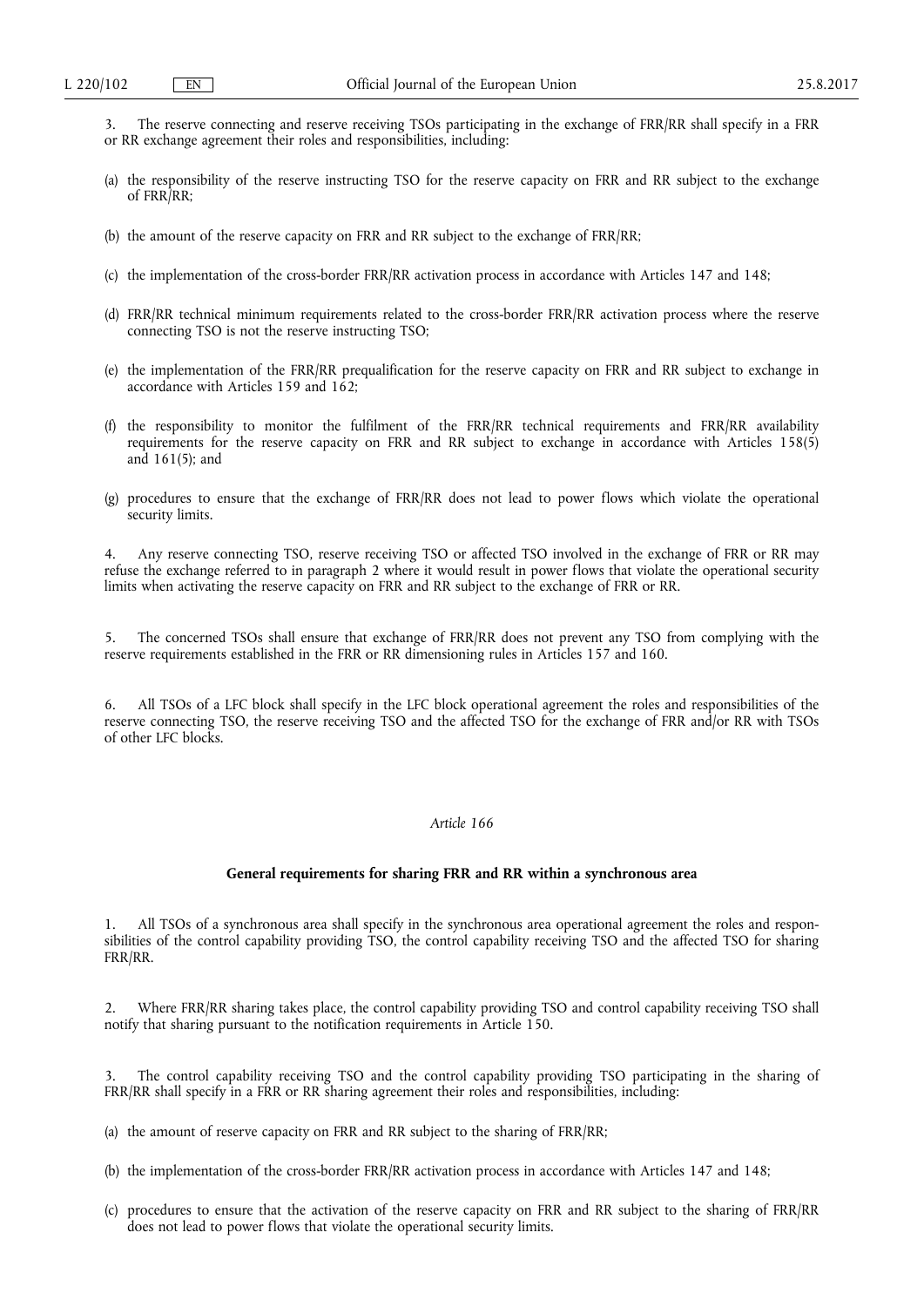- 3. The reserve connecting and reserve receiving TSOs participating in the exchange of FRR/RR shall specify in a FRR or RR exchange agreement their roles and responsibilities, including:
- (a) the responsibility of the reserve instructing TSO for the reserve capacity on FRR and RR subject to the exchange of FRR/RR;
- (b) the amount of the reserve capacity on FRR and RR subject to the exchange of FRR/RR;
- (c) the implementation of the cross-border FRR/RR activation process in accordance with Articles 147 and 148;
- (d) FRR/RR technical minimum requirements related to the cross-border FRR/RR activation process where the reserve connecting TSO is not the reserve instructing TSO;
- (e) the implementation of the FRR/RR prequalification for the reserve capacity on FRR and RR subject to exchange in accordance with Articles 159 and 162;
- (f) the responsibility to monitor the fulfilment of the FRR/RR technical requirements and FRR/RR availability requirements for the reserve capacity on FRR and RR subject to exchange in accordance with Articles 158(5) and 161(5); and
- (g) procedures to ensure that the exchange of FRR/RR does not lead to power flows which violate the operational security limits.

4. Any reserve connecting TSO, reserve receiving TSO or affected TSO involved in the exchange of FRR or RR may refuse the exchange referred to in paragraph 2 where it would result in power flows that violate the operational security limits when activating the reserve capacity on FRR and RR subject to the exchange of FRR or RR.

5. The concerned TSOs shall ensure that exchange of FRR/RR does not prevent any TSO from complying with the reserve requirements established in the FRR or RR dimensioning rules in Articles 157 and 160.

6. All TSOs of a LFC block shall specify in the LFC block operational agreement the roles and responsibilities of the reserve connecting TSO, the reserve receiving TSO and the affected TSO for the exchange of FRR and/or RR with TSOs of other LFC blocks.

# *Article 166*

# **General requirements for sharing FRR and RR within a synchronous area**

1. All TSOs of a synchronous area shall specify in the synchronous area operational agreement the roles and responsibilities of the control capability providing TSO, the control capability receiving TSO and the affected TSO for sharing FRR/RR.

2. Where FRR/RR sharing takes place, the control capability providing TSO and control capability receiving TSO shall notify that sharing pursuant to the notification requirements in Article 150.

3. The control capability receiving TSO and the control capability providing TSO participating in the sharing of FRR/RR shall specify in a FRR or RR sharing agreement their roles and responsibilities, including:

(a) the amount of reserve capacity on FRR and RR subject to the sharing of FRR/RR;

- (b) the implementation of the cross-border FRR/RR activation process in accordance with Articles 147 and 148;
- (c) procedures to ensure that the activation of the reserve capacity on FRR and RR subject to the sharing of FRR/RR does not lead to power flows that violate the operational security limits.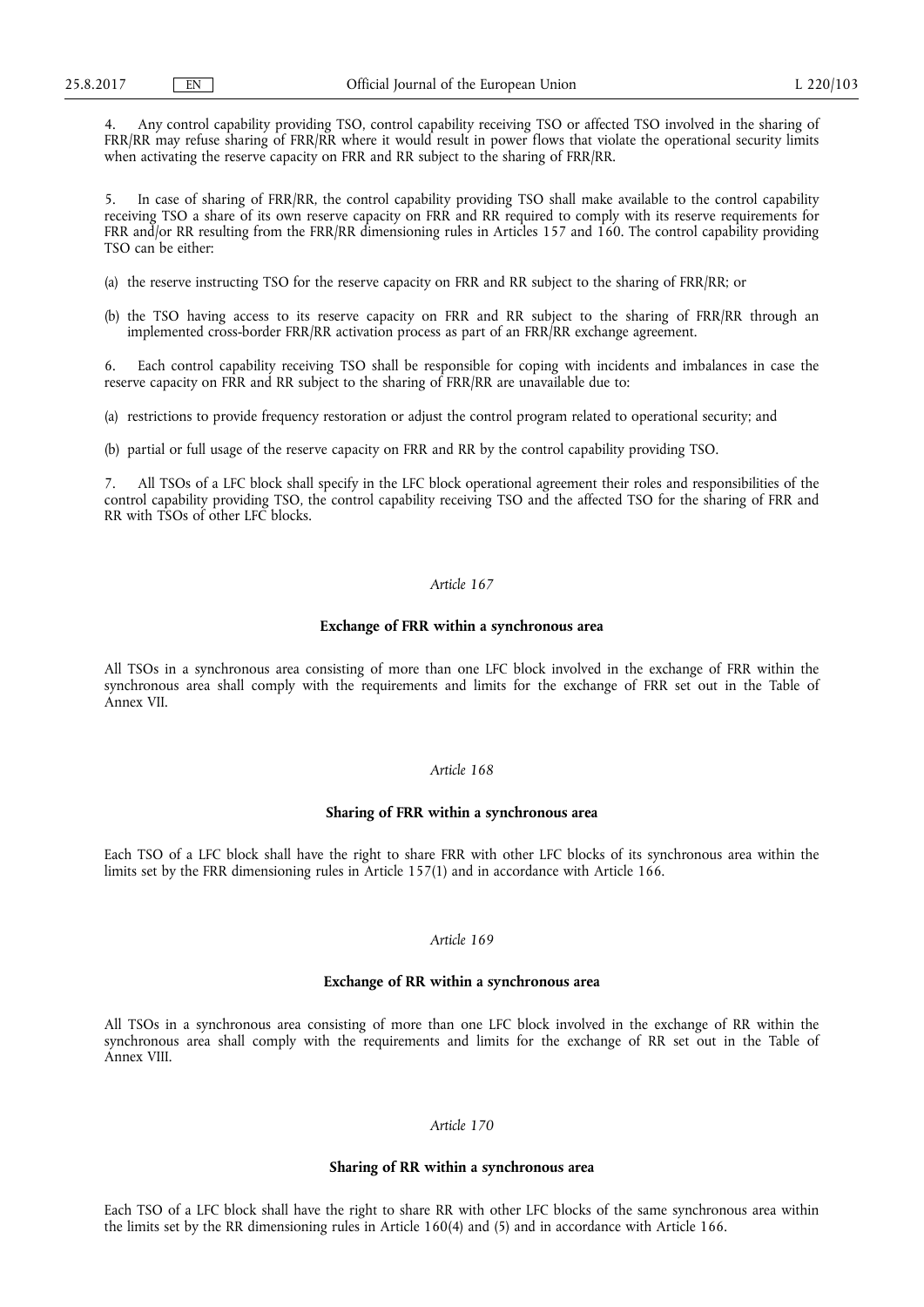4. Any control capability providing TSO, control capability receiving TSO or affected TSO involved in the sharing of FRR/RR may refuse sharing of FRR/RR where it would result in power flows that violate the operational security limits when activating the reserve capacity on FRR and RR subject to the sharing of FRR/RR.

In case of sharing of FRR/RR, the control capability providing TSO shall make available to the control capability receiving TSO a share of its own reserve capacity on FRR and RR required to comply with its reserve requirements for FRR and/or RR resulting from the FRR/RR dimensioning rules in Articles 157 and 160. The control capability providing TSO can be either:

- (a) the reserve instructing TSO for the reserve capacity on FRR and RR subject to the sharing of FRR/RR; or
- (b) the TSO having access to its reserve capacity on FRR and RR subject to the sharing of FRR/RR through an implemented cross-border FRR/RR activation process as part of an FRR/RR exchange agreement.

6. Each control capability receiving TSO shall be responsible for coping with incidents and imbalances in case the reserve capacity on FRR and RR subject to the sharing of FRR/RR are unavailable due to:

(a) restrictions to provide frequency restoration or adjust the control program related to operational security; and

(b) partial or full usage of the reserve capacity on FRR and RR by the control capability providing TSO.

All TSOs of a LFC block shall specify in the LFC block operational agreement their roles and responsibilities of the control capability providing TSO, the control capability receiving TSO and the affected TSO for the sharing of FRR and RR with TSOs of other LFC blocks.

# *Article 167*

## **Exchange of FRR within a synchronous area**

All TSOs in a synchronous area consisting of more than one LFC block involved in the exchange of FRR within the synchronous area shall comply with the requirements and limits for the exchange of FRR set out in the Table of Annex VII.

### *Article 168*

## **Sharing of FRR within a synchronous area**

Each TSO of a LFC block shall have the right to share FRR with other LFC blocks of its synchronous area within the limits set by the FRR dimensioning rules in Article 157(1) and in accordance with Article 166.

## *Article 169*

# **Exchange of RR within a synchronous area**

All TSOs in a synchronous area consisting of more than one LFC block involved in the exchange of RR within the synchronous area shall comply with the requirements and limits for the exchange of RR set out in the Table of Annex VIII.

# *Article 170*

## **Sharing of RR within a synchronous area**

Each TSO of a LFC block shall have the right to share RR with other LFC blocks of the same synchronous area within the limits set by the RR dimensioning rules in Article 160(4) and (5) and in accordance with Article 166.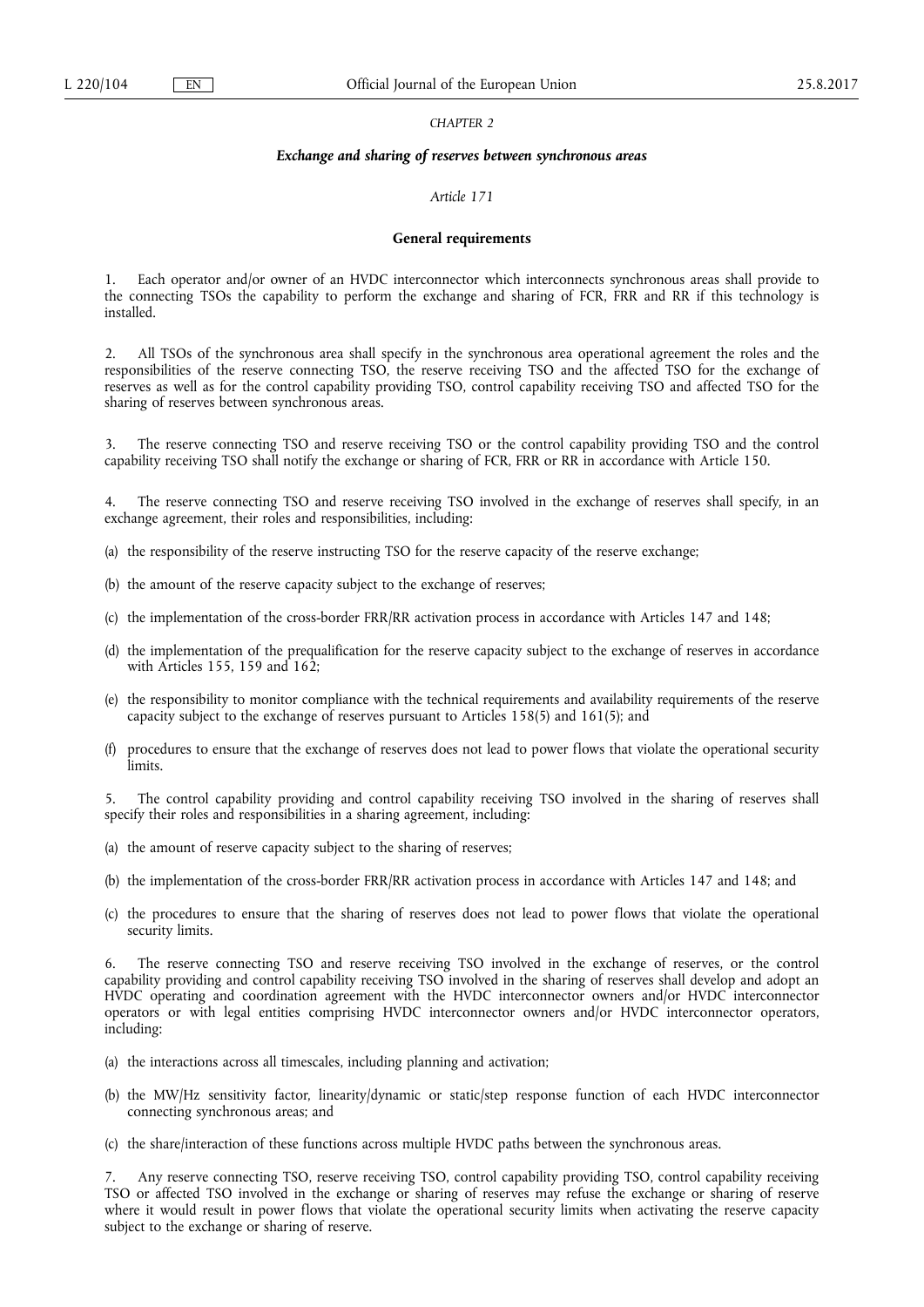## *CHAPTER 2*

## *Exchange and sharing of reserves between synchronous areas*

## *Article 171*

#### **General requirements**

1. Each operator and/or owner of an HVDC interconnector which interconnects synchronous areas shall provide to the connecting TSOs the capability to perform the exchange and sharing of FCR, FRR and RR if this technology is installed.

All TSOs of the synchronous area shall specify in the synchronous area operational agreement the roles and the responsibilities of the reserve connecting TSO, the reserve receiving TSO and the affected TSO for the exchange of reserves as well as for the control capability providing TSO, control capability receiving TSO and affected TSO for the sharing of reserves between synchronous areas.

3. The reserve connecting TSO and reserve receiving TSO or the control capability providing TSO and the control capability receiving TSO shall notify the exchange or sharing of FCR, FRR or RR in accordance with Article 150.

4. The reserve connecting TSO and reserve receiving TSO involved in the exchange of reserves shall specify, in an exchange agreement, their roles and responsibilities, including:

- (a) the responsibility of the reserve instructing TSO for the reserve capacity of the reserve exchange;
- (b) the amount of the reserve capacity subject to the exchange of reserves;
- (c) the implementation of the cross-border FRR/RR activation process in accordance with Articles 147 and 148;
- (d) the implementation of the prequalification for the reserve capacity subject to the exchange of reserves in accordance with Articles 155, 159 and 162;
- (e) the responsibility to monitor compliance with the technical requirements and availability requirements of the reserve capacity subject to the exchange of reserves pursuant to Articles 158(5) and 161(5); and
- (f) procedures to ensure that the exchange of reserves does not lead to power flows that violate the operational security limits.

5. The control capability providing and control capability receiving TSO involved in the sharing of reserves shall specify their roles and responsibilities in a sharing agreement, including:

- (a) the amount of reserve capacity subject to the sharing of reserves;
- (b) the implementation of the cross-border FRR/RR activation process in accordance with Articles 147 and 148; and
- (c) the procedures to ensure that the sharing of reserves does not lead to power flows that violate the operational security limits.

The reserve connecting TSO and reserve receiving TSO involved in the exchange of reserves, or the control capability providing and control capability receiving TSO involved in the sharing of reserves shall develop and adopt an HVDC operating and coordination agreement with the HVDC interconnector owners and/or HVDC interconnector operators or with legal entities comprising HVDC interconnector owners and/or HVDC interconnector operators, including:

- (a) the interactions across all timescales, including planning and activation;
- (b) the MW/Hz sensitivity factor, linearity/dynamic or static/step response function of each HVDC interconnector connecting synchronous areas; and
- (c) the share/interaction of these functions across multiple HVDC paths between the synchronous areas.

7. Any reserve connecting TSO, reserve receiving TSO, control capability providing TSO, control capability receiving TSO or affected TSO involved in the exchange or sharing of reserves may refuse the exchange or sharing of reserve where it would result in power flows that violate the operational security limits when activating the reserve capacity subject to the exchange or sharing of reserve.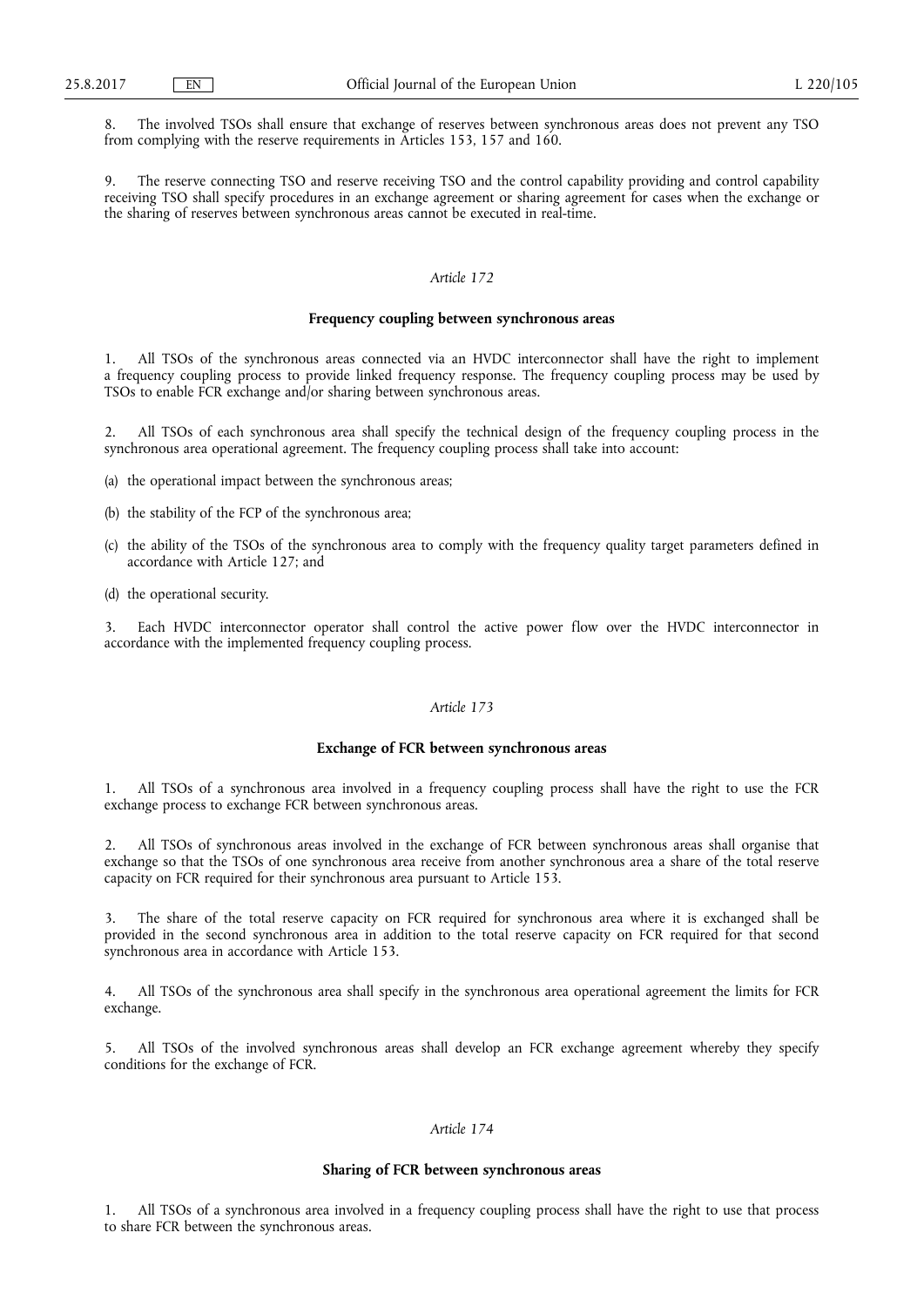8. The involved TSOs shall ensure that exchange of reserves between synchronous areas does not prevent any TSO from complying with the reserve requirements in Articles 153, 157 and 160.

The reserve connecting TSO and reserve receiving TSO and the control capability providing and control capability receiving TSO shall specify procedures in an exchange agreement or sharing agreement for cases when the exchange or the sharing of reserves between synchronous areas cannot be executed in real-time.

# *Article 172*

## **Frequency coupling between synchronous areas**

1. All TSOs of the synchronous areas connected via an HVDC interconnector shall have the right to implement a frequency coupling process to provide linked frequency response. The frequency coupling process may be used by TSOs to enable FCR exchange and/or sharing between synchronous areas.

2. All TSOs of each synchronous area shall specify the technical design of the frequency coupling process in the synchronous area operational agreement. The frequency coupling process shall take into account:

- (a) the operational impact between the synchronous areas;
- (b) the stability of the FCP of the synchronous area;
- (c) the ability of the TSOs of the synchronous area to comply with the frequency quality target parameters defined in accordance with Article 127; and
- (d) the operational security.

3. Each HVDC interconnector operator shall control the active power flow over the HVDC interconnector in accordance with the implemented frequency coupling process.

# *Article 173*

## **Exchange of FCR between synchronous areas**

1. All TSOs of a synchronous area involved in a frequency coupling process shall have the right to use the FCR exchange process to exchange FCR between synchronous areas.

2. All TSOs of synchronous areas involved in the exchange of FCR between synchronous areas shall organise that exchange so that the TSOs of one synchronous area receive from another synchronous area a share of the total reserve capacity on FCR required for their synchronous area pursuant to Article 153.

3. The share of the total reserve capacity on FCR required for synchronous area where it is exchanged shall be provided in the second synchronous area in addition to the total reserve capacity on FCR required for that second synchronous area in accordance with Article 153.

All TSOs of the synchronous area shall specify in the synchronous area operational agreement the limits for FCR exchange.

5. All TSOs of the involved synchronous areas shall develop an FCR exchange agreement whereby they specify conditions for the exchange of FCR.

# *Article 174*

## **Sharing of FCR between synchronous areas**

1. All TSOs of a synchronous area involved in a frequency coupling process shall have the right to use that process to share FCR between the synchronous areas.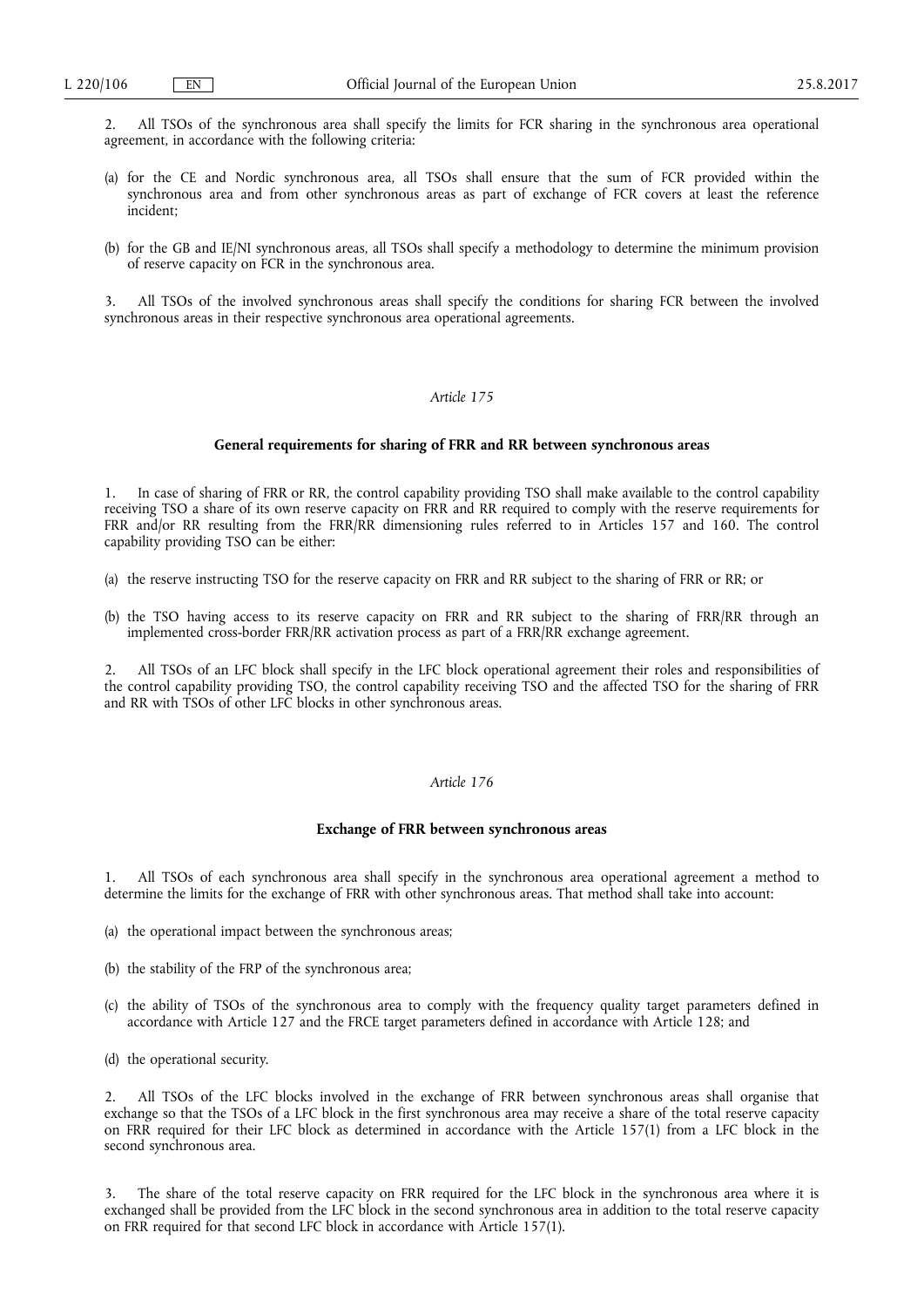2. All TSOs of the synchronous area shall specify the limits for FCR sharing in the synchronous area operational agreement, in accordance with the following criteria:

- (a) for the CE and Nordic synchronous area, all TSOs shall ensure that the sum of FCR provided within the synchronous area and from other synchronous areas as part of exchange of FCR covers at least the reference incident;
- (b) for the GB and IE/NI synchronous areas, all TSOs shall specify a methodology to determine the minimum provision of reserve capacity on FCR in the synchronous area.

3. All TSOs of the involved synchronous areas shall specify the conditions for sharing FCR between the involved synchronous areas in their respective synchronous area operational agreements.

## *Article 175*

## **General requirements for sharing of FRR and RR between synchronous areas**

In case of sharing of FRR or RR, the control capability providing TSO shall make available to the control capability receiving TSO a share of its own reserve capacity on FRR and RR required to comply with the reserve requirements for FRR and/or RR resulting from the FRR/RR dimensioning rules referred to in Articles 157 and 160. The control capability providing TSO can be either:

- (a) the reserve instructing TSO for the reserve capacity on FRR and RR subject to the sharing of FRR or RR; or
- (b) the TSO having access to its reserve capacity on FRR and RR subject to the sharing of FRR/RR through an implemented cross-border FRR/RR activation process as part of a FRR/RR exchange agreement.

2. All TSOs of an LFC block shall specify in the LFC block operational agreement their roles and responsibilities of the control capability providing TSO, the control capability receiving TSO and the affected TSO for the sharing of FRR and RR with TSOs of other LFC blocks in other synchronous areas.

## *Article 176*

## **Exchange of FRR between synchronous areas**

1. All TSOs of each synchronous area shall specify in the synchronous area operational agreement a method to determine the limits for the exchange of FRR with other synchronous areas. That method shall take into account:

- (a) the operational impact between the synchronous areas;
- (b) the stability of the FRP of the synchronous area;
- (c) the ability of TSOs of the synchronous area to comply with the frequency quality target parameters defined in accordance with Article 127 and the FRCE target parameters defined in accordance with Article 128; and
- (d) the operational security.

2. All TSOs of the LFC blocks involved in the exchange of FRR between synchronous areas shall organise that exchange so that the TSOs of a LFC block in the first synchronous area may receive a share of the total reserve capacity on FRR required for their LFC block as determined in accordance with the Article 157(1) from a LFC block in the second synchronous area.

3. The share of the total reserve capacity on FRR required for the LFC block in the synchronous area where it is exchanged shall be provided from the LFC block in the second synchronous area in addition to the total reserve capacity on FRR required for that second LFC block in accordance with Article 157(1).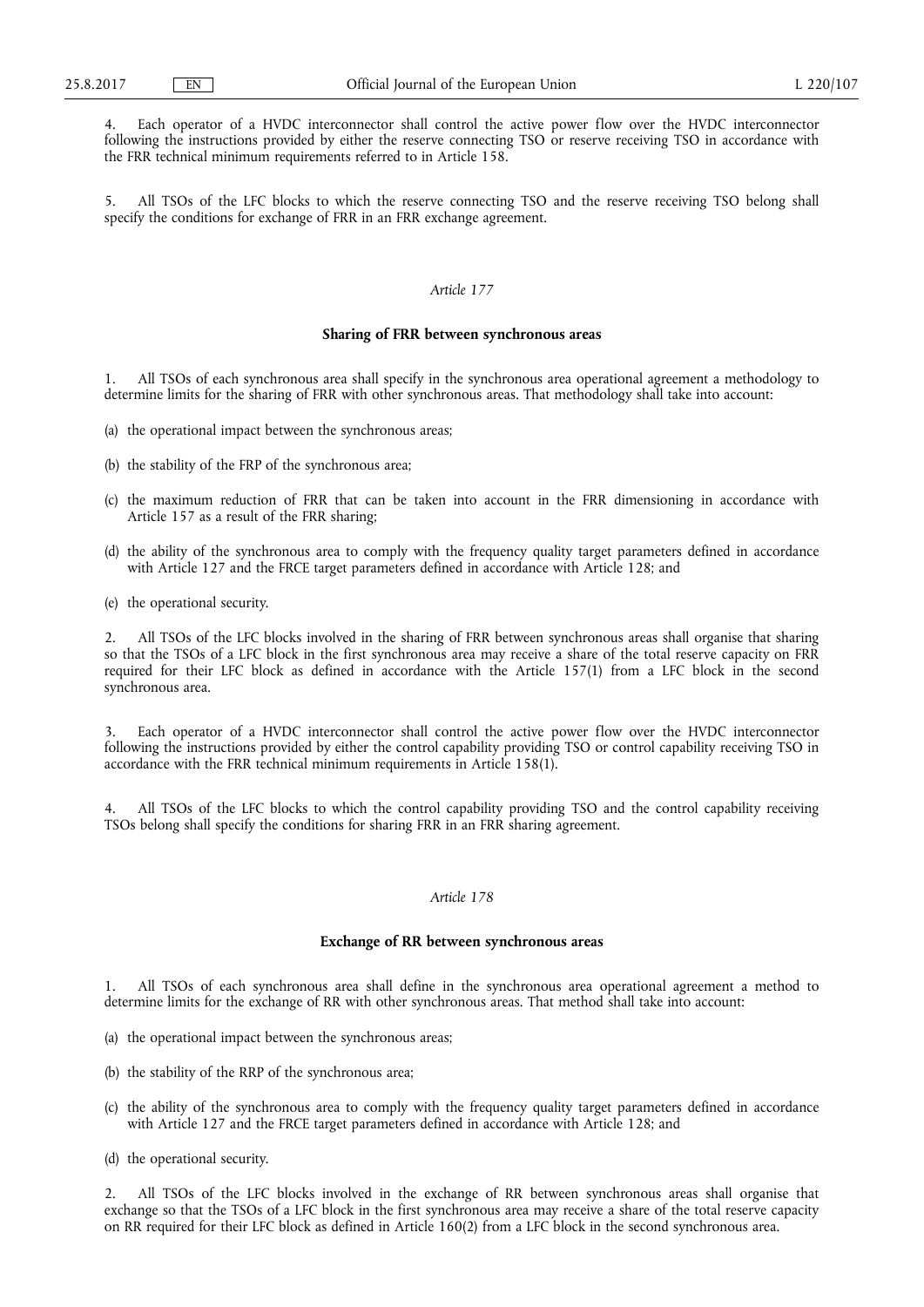4. Each operator of a HVDC interconnector shall control the active power flow over the HVDC interconnector following the instructions provided by either the reserve connecting TSO or reserve receiving TSO in accordance with the FRR technical minimum requirements referred to in Article 158.

5. All TSOs of the LFC blocks to which the reserve connecting TSO and the reserve receiving TSO belong shall specify the conditions for exchange of FRR in an FRR exchange agreement.

# *Article 177*

## **Sharing of FRR between synchronous areas**

1. All TSOs of each synchronous area shall specify in the synchronous area operational agreement a methodology to determine limits for the sharing of FRR with other synchronous areas. That methodology shall take into account:

- (a) the operational impact between the synchronous areas;
- (b) the stability of the FRP of the synchronous area;
- (c) the maximum reduction of FRR that can be taken into account in the FRR dimensioning in accordance with Article 157 as a result of the FRR sharing;
- (d) the ability of the synchronous area to comply with the frequency quality target parameters defined in accordance with Article 127 and the FRCE target parameters defined in accordance with Article 128; and
- (e) the operational security.

2. All TSOs of the LFC blocks involved in the sharing of FRR between synchronous areas shall organise that sharing so that the TSOs of a LFC block in the first synchronous area may receive a share of the total reserve capacity on FRR required for their LFC block as defined in accordance with the Article 157(1) from a LFC block in the second synchronous area.

Each operator of a HVDC interconnector shall control the active power flow over the HVDC interconnector following the instructions provided by either the control capability providing TSO or control capability receiving TSO in accordance with the FRR technical minimum requirements in Article 158(1).

All TSOs of the LFC blocks to which the control capability providing TSO and the control capability receiving TSOs belong shall specify the conditions for sharing FRR in an FRR sharing agreement.

## *Article 178*

## **Exchange of RR between synchronous areas**

1. All TSOs of each synchronous area shall define in the synchronous area operational agreement a method to determine limits for the exchange of RR with other synchronous areas. That method shall take into account:

- (a) the operational impact between the synchronous areas;
- (b) the stability of the RRP of the synchronous area;
- (c) the ability of the synchronous area to comply with the frequency quality target parameters defined in accordance with Article 127 and the FRCE target parameters defined in accordance with Article 128; and
- (d) the operational security.

2. All TSOs of the LFC blocks involved in the exchange of RR between synchronous areas shall organise that exchange so that the TSOs of a LFC block in the first synchronous area may receive a share of the total reserve capacity on RR required for their LFC block as defined in Article 160(2) from a LFC block in the second synchronous area.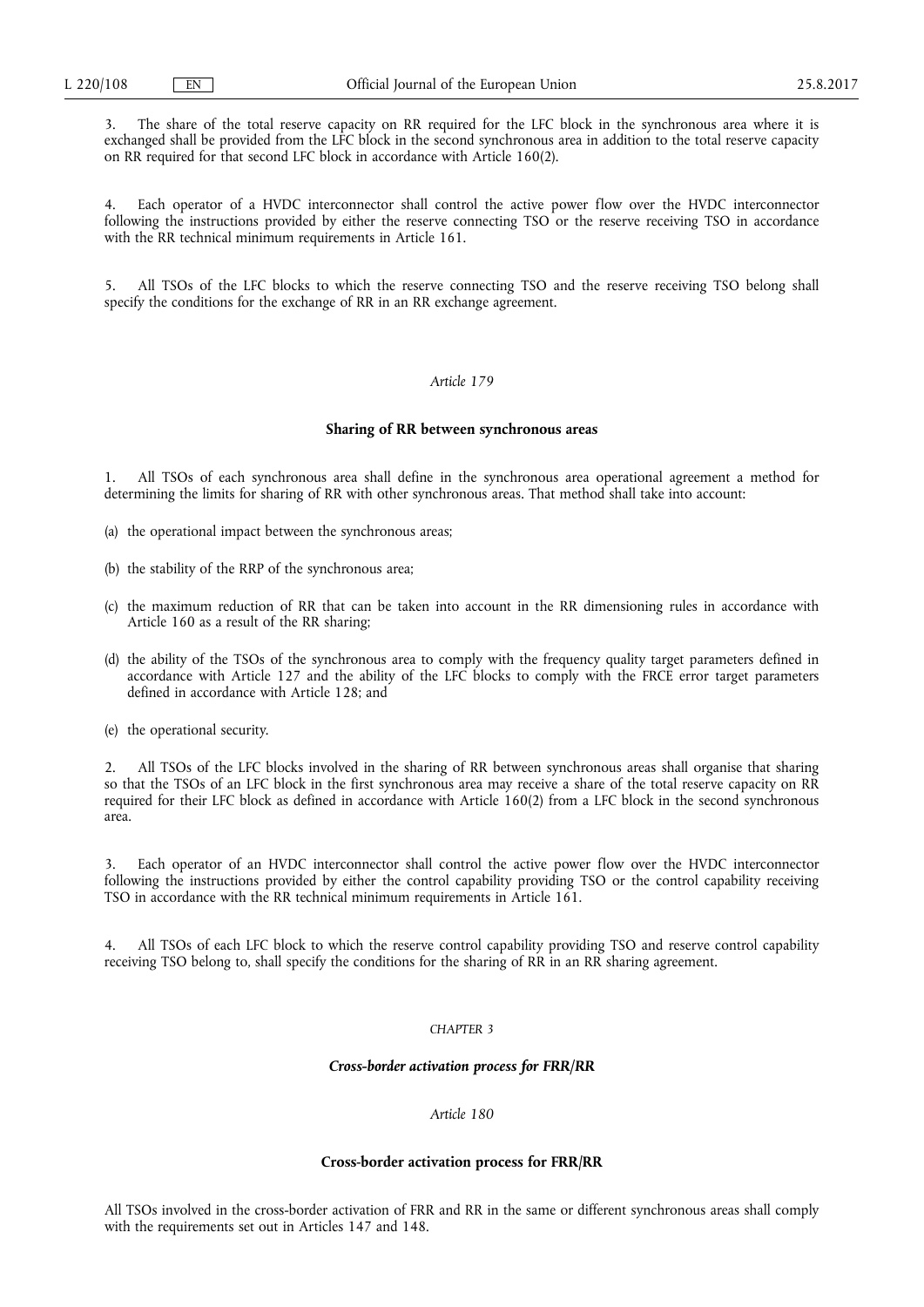3. The share of the total reserve capacity on RR required for the LFC block in the synchronous area where it is exchanged shall be provided from the LFC block in the second synchronous area in addition to the total reserve capacity on RR required for that second LFC block in accordance with Article 160(2).

Each operator of a HVDC interconnector shall control the active power flow over the HVDC interconnector following the instructions provided by either the reserve connecting TSO or the reserve receiving TSO in accordance with the RR technical minimum requirements in Article 161.

5. All TSOs of the LFC blocks to which the reserve connecting TSO and the reserve receiving TSO belong shall specify the conditions for the exchange of RR in an RR exchange agreement.

## *Article 179*

#### **Sharing of RR between synchronous areas**

1. All TSOs of each synchronous area shall define in the synchronous area operational agreement a method for determining the limits for sharing of RR with other synchronous areas. That method shall take into account:

- (a) the operational impact between the synchronous areas;
- (b) the stability of the RRP of the synchronous area;
- (c) the maximum reduction of RR that can be taken into account in the RR dimensioning rules in accordance with Article 160 as a result of the RR sharing;
- (d) the ability of the TSOs of the synchronous area to comply with the frequency quality target parameters defined in accordance with Article 127 and the ability of the LFC blocks to comply with the FRCE error target parameters defined in accordance with Article 128; and

(e) the operational security.

2. All TSOs of the LFC blocks involved in the sharing of RR between synchronous areas shall organise that sharing so that the TSOs of an LFC block in the first synchronous area may receive a share of the total reserve capacity on RR required for their LFC block as defined in accordance with Article 160(2) from a LFC block in the second synchronous area.

3. Each operator of an HVDC interconnector shall control the active power flow over the HVDC interconnector following the instructions provided by either the control capability providing TSO or the control capability receiving TSO in accordance with the RR technical minimum requirements in Article 161.

All TSOs of each LFC block to which the reserve control capability providing TSO and reserve control capability receiving TSO belong to, shall specify the conditions for the sharing of RR in an RR sharing agreement.

# *CHAPTER 3*

## *Cross-border activation process for FRR/RR*

## *Article 180*

## **Cross-border activation process for FRR/RR**

All TSOs involved in the cross-border activation of FRR and RR in the same or different synchronous areas shall comply with the requirements set out in Articles 147 and 148.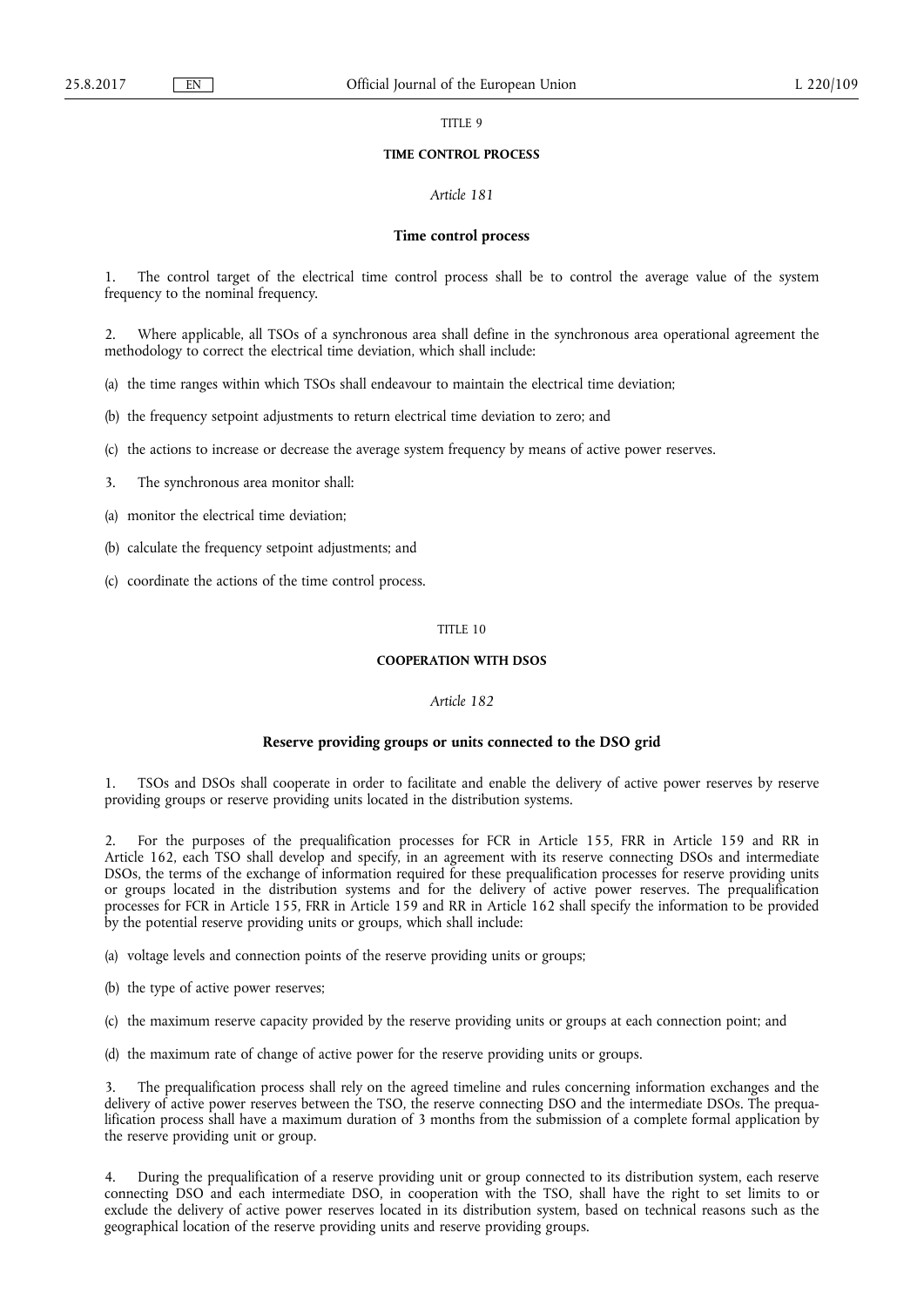TITLE 9

#### **TIME CONTROL PROCESS**

#### *Article 181*

#### **Time control process**

The control target of the electrical time control process shall be to control the average value of the system frequency to the nominal frequency.

2. Where applicable, all TSOs of a synchronous area shall define in the synchronous area operational agreement the methodology to correct the electrical time deviation, which shall include:

(a) the time ranges within which TSOs shall endeavour to maintain the electrical time deviation;

(b) the frequency setpoint adjustments to return electrical time deviation to zero; and

(c) the actions to increase or decrease the average system frequency by means of active power reserves.

3. The synchronous area monitor shall:

(a) monitor the electrical time deviation;

(b) calculate the frequency setpoint adjustments; and

(c) coordinate the actions of the time control process.

### TITLE 10

### **COOPERATION WITH DSOS**

#### *Article 182*

#### **Reserve providing groups or units connected to the DSO grid**

1. TSOs and DSOs shall cooperate in order to facilitate and enable the delivery of active power reserves by reserve providing groups or reserve providing units located in the distribution systems.

2. For the purposes of the prequalification processes for FCR in Article 155, FRR in Article 159 and RR in Article 162, each TSO shall develop and specify, in an agreement with its reserve connecting DSOs and intermediate DSOs, the terms of the exchange of information required for these prequalification processes for reserve providing units or groups located in the distribution systems and for the delivery of active power reserves. The prequalification processes for FCR in Article 155, FRR in Article 159 and RR in Article 162 shall specify the information to be provided by the potential reserve providing units or groups, which shall include:

(a) voltage levels and connection points of the reserve providing units or groups;

(b) the type of active power reserves;

(c) the maximum reserve capacity provided by the reserve providing units or groups at each connection point; and

(d) the maximum rate of change of active power for the reserve providing units or groups.

The prequalification process shall rely on the agreed timeline and rules concerning information exchanges and the delivery of active power reserves between the TSO, the reserve connecting DSO and the intermediate DSOs. The prequalification process shall have a maximum duration of 3 months from the submission of a complete formal application by the reserve providing unit or group.

4. During the prequalification of a reserve providing unit or group connected to its distribution system, each reserve connecting DSO and each intermediate DSO, in cooperation with the TSO, shall have the right to set limits to or exclude the delivery of active power reserves located in its distribution system, based on technical reasons such as the geographical location of the reserve providing units and reserve providing groups.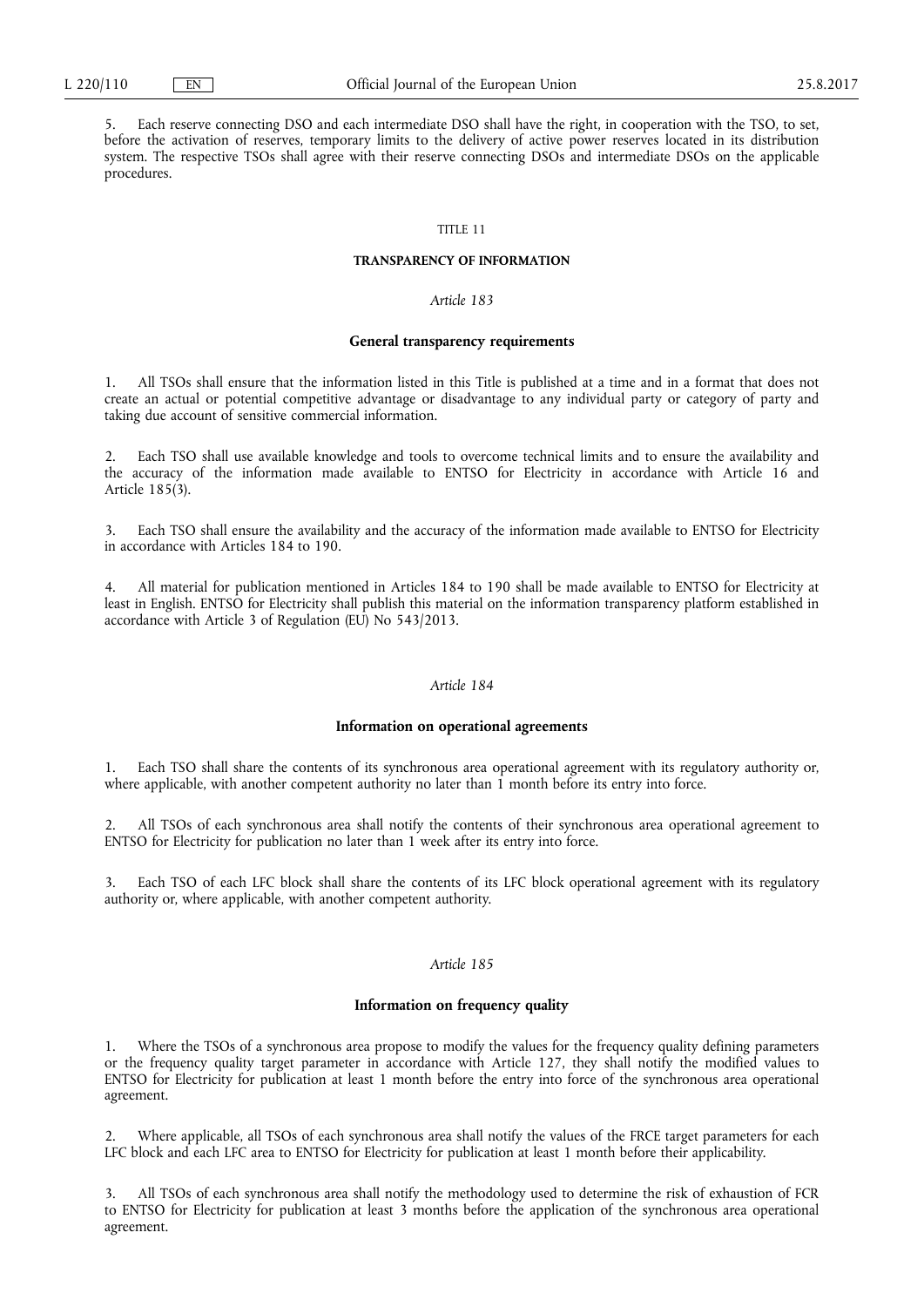5. Each reserve connecting DSO and each intermediate DSO shall have the right, in cooperation with the TSO, to set, before the activation of reserves, temporary limits to the delivery of active power reserves located in its distribution system. The respective TSOs shall agree with their reserve connecting DSOs and intermediate DSOs on the applicable procedures.

### TITLE 11

#### **TRANSPARENCY OF INFORMATION**

### *Article 183*

#### **General transparency requirements**

1. All TSOs shall ensure that the information listed in this Title is published at a time and in a format that does not create an actual or potential competitive advantage or disadvantage to any individual party or category of party and taking due account of sensitive commercial information.

2. Each TSO shall use available knowledge and tools to overcome technical limits and to ensure the availability and the accuracy of the information made available to ENTSO for Electricity in accordance with Article 16 and Article 185(3).

Each TSO shall ensure the availability and the accuracy of the information made available to ENTSO for Electricity in accordance with Articles 184 to 190.

4. All material for publication mentioned in Articles 184 to 190 shall be made available to ENTSO for Electricity at least in English. ENTSO for Electricity shall publish this material on the information transparency platform established in accordance with Article 3 of Regulation (EU) No 543/2013.

#### *Article 184*

#### **Information on operational agreements**

1. Each TSO shall share the contents of its synchronous area operational agreement with its regulatory authority or, where applicable, with another competent authority no later than 1 month before its entry into force.

2. All TSOs of each synchronous area shall notify the contents of their synchronous area operational agreement to ENTSO for Electricity for publication no later than 1 week after its entry into force.

3. Each TSO of each LFC block shall share the contents of its LFC block operational agreement with its regulatory authority or, where applicable, with another competent authority.

### *Article 185*

#### **Information on frequency quality**

1. Where the TSOs of a synchronous area propose to modify the values for the frequency quality defining parameters or the frequency quality target parameter in accordance with Article 127, they shall notify the modified values to ENTSO for Electricity for publication at least 1 month before the entry into force of the synchronous area operational agreement.

2. Where applicable, all TSOs of each synchronous area shall notify the values of the FRCE target parameters for each LFC block and each LFC area to ENTSO for Electricity for publication at least 1 month before their applicability.

3. All TSOs of each synchronous area shall notify the methodology used to determine the risk of exhaustion of FCR to ENTSO for Electricity for publication at least 3 months before the application of the synchronous area operational agreement.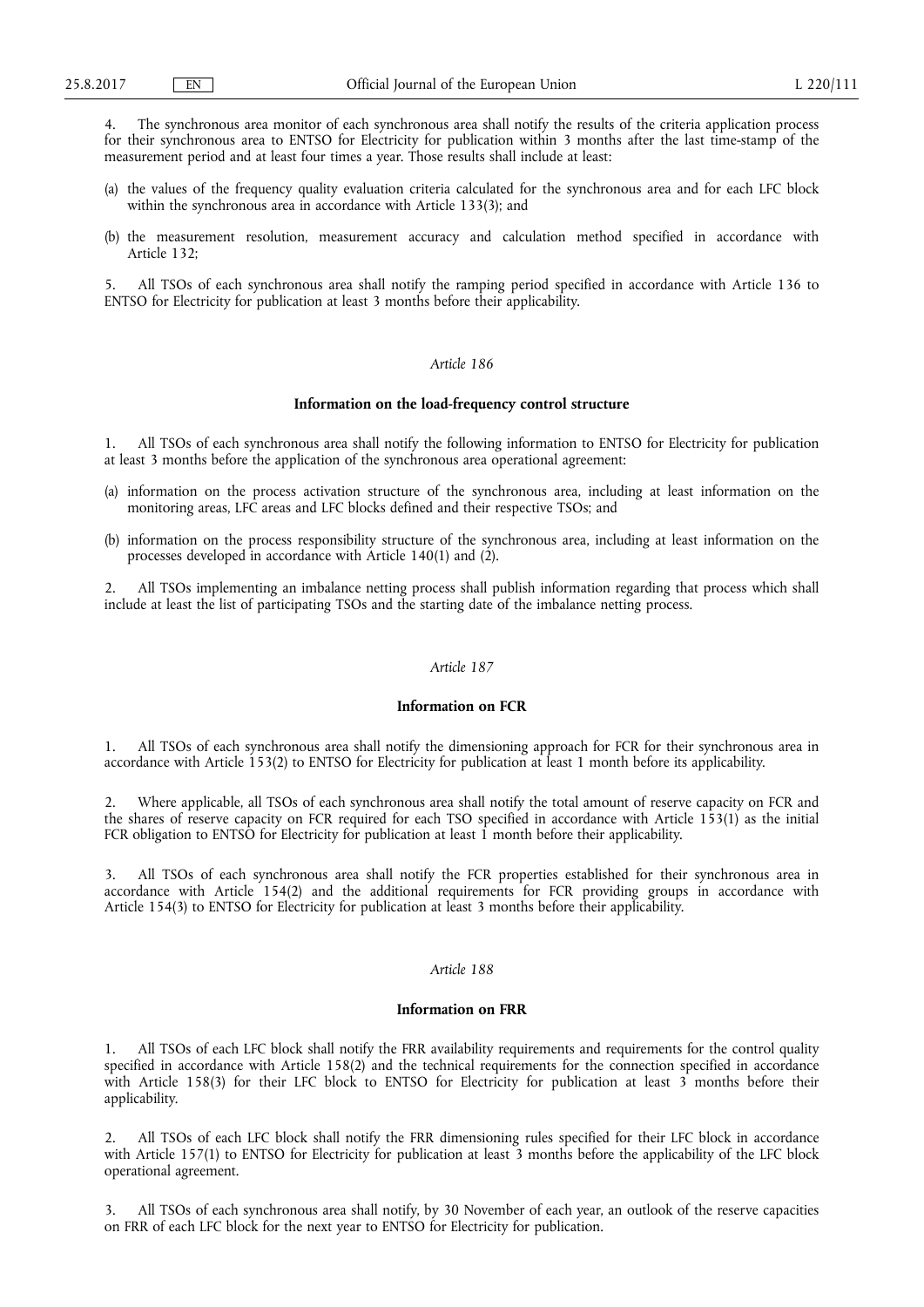4. The synchronous area monitor of each synchronous area shall notify the results of the criteria application process for their synchronous area to ENTSO for Electricity for publication within 3 months after the last time-stamp of the measurement period and at least four times a year. Those results shall include at least:

- (a) the values of the frequency quality evaluation criteria calculated for the synchronous area and for each LFC block within the synchronous area in accordance with Article 133(3); and
- (b) the measurement resolution, measurement accuracy and calculation method specified in accordance with Article 132;

5. All TSOs of each synchronous area shall notify the ramping period specified in accordance with Article 136 to ENTSO for Electricity for publication at least 3 months before their applicability.

### *Article 186*

#### **Information on the load-frequency control structure**

1. All TSOs of each synchronous area shall notify the following information to ENTSO for Electricity for publication at least 3 months before the application of the synchronous area operational agreement:

- (a) information on the process activation structure of the synchronous area, including at least information on the monitoring areas, LFC areas and LFC blocks defined and their respective TSOs; and
- (b) information on the process responsibility structure of the synchronous area, including at least information on the processes developed in accordance with Article 140(1) and (2).

2. All TSOs implementing an imbalance netting process shall publish information regarding that process which shall include at least the list of participating TSOs and the starting date of the imbalance netting process.

### *Article 187*

### **Information on FCR**

1. All TSOs of each synchronous area shall notify the dimensioning approach for FCR for their synchronous area in accordance with Article 153(2) to ENTSO for Electricity for publication at least 1 month before its applicability.

2. Where applicable, all TSOs of each synchronous area shall notify the total amount of reserve capacity on FCR and the shares of reserve capacity on FCR required for each TSO specified in accordance with Article 153(1) as the initial FCR obligation to ENTSO for Electricity for publication at least 1 month before their applicability.

3. All TSOs of each synchronous area shall notify the FCR properties established for their synchronous area in accordance with Article 154(2) and the additional requirements for FCR providing groups in accordance with Article 154(3) to ENTSO for Electricity for publication at least 3 months before their applicability.

#### *Article 188*

#### **Information on FRR**

All TSOs of each LFC block shall notify the FRR availability requirements and requirements for the control quality specified in accordance with Article 158(2) and the technical requirements for the connection specified in accordance with Article 158(3) for their LFC block to ENTSO for Electricity for publication at least 3 months before their applicability.

2. All TSOs of each LFC block shall notify the FRR dimensioning rules specified for their LFC block in accordance with Article 157(1) to ENTSO for Electricity for publication at least 3 months before the applicability of the LFC block operational agreement.

3. All TSOs of each synchronous area shall notify, by 30 November of each year, an outlook of the reserve capacities on FRR of each LFC block for the next year to ENTSO for Electricity for publication.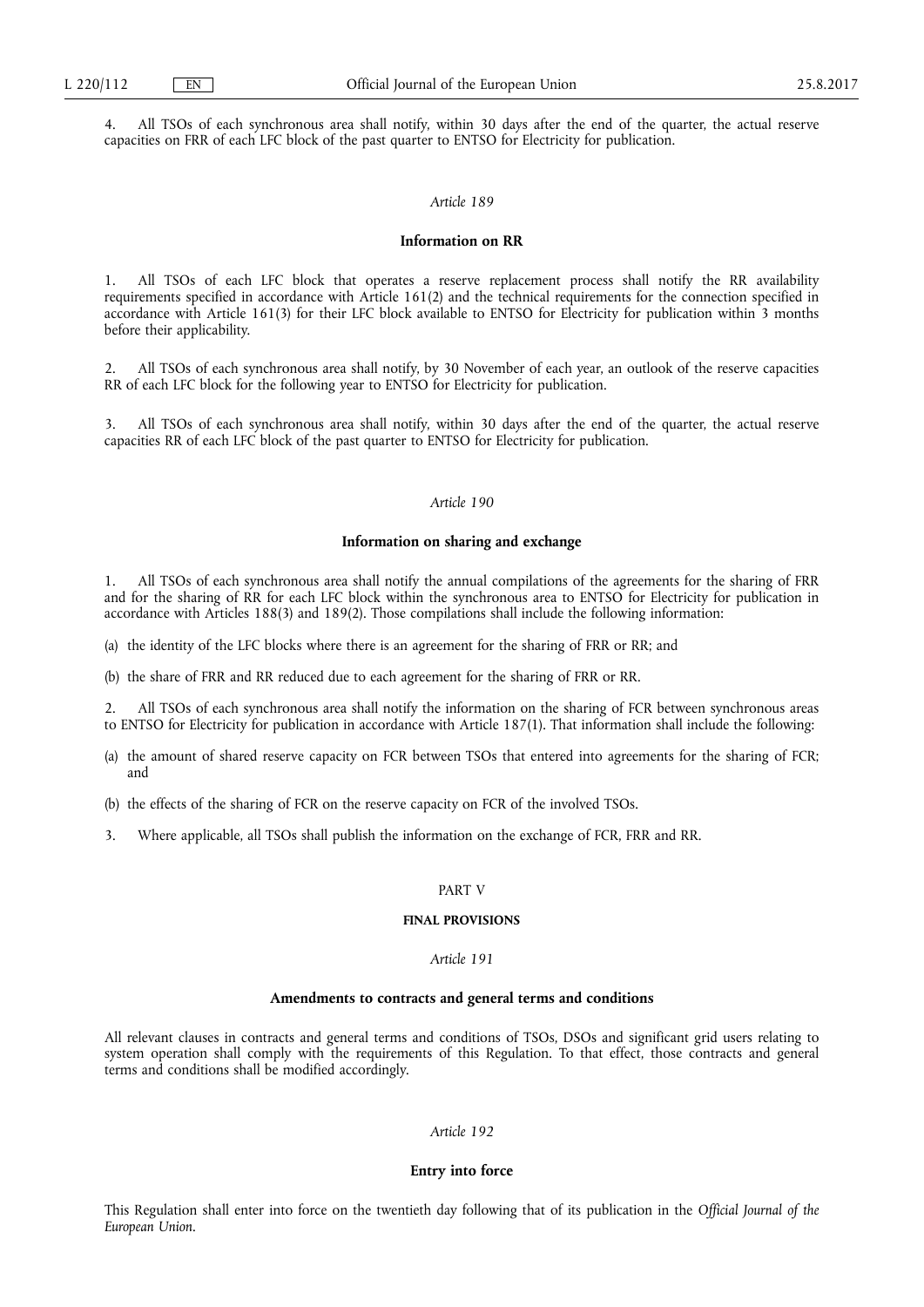4. All TSOs of each synchronous area shall notify, within 30 days after the end of the quarter, the actual reserve capacities on FRR of each LFC block of the past quarter to ENTSO for Electricity for publication.

#### *Article 189*

#### **Information on RR**

1. All TSOs of each LFC block that operates a reserve replacement process shall notify the RR availability requirements specified in accordance with Article 161(2) and the technical requirements for the connection specified in accordance with Article 161(3) for their LFC block available to ENTSO for Electricity for publication within 3 months before their applicability.

2. All TSOs of each synchronous area shall notify, by 30 November of each year, an outlook of the reserve capacities RR of each LFC block for the following year to ENTSO for Electricity for publication.

3. All TSOs of each synchronous area shall notify, within 30 days after the end of the quarter, the actual reserve capacities RR of each LFC block of the past quarter to ENTSO for Electricity for publication.

### *Article 190*

#### **Information on sharing and exchange**

1. All TSOs of each synchronous area shall notify the annual compilations of the agreements for the sharing of FRR and for the sharing of RR for each LFC block within the synchronous area to ENTSO for Electricity for publication in accordance with Articles 188(3) and 189(2). Those compilations shall include the following information:

(a) the identity of the LFC blocks where there is an agreement for the sharing of FRR or RR; and

(b) the share of FRR and RR reduced due to each agreement for the sharing of FRR or RR.

2. All TSOs of each synchronous area shall notify the information on the sharing of FCR between synchronous areas to ENTSO for Electricity for publication in accordance with Article 187(1). That information shall include the following:

- (a) the amount of shared reserve capacity on FCR between TSOs that entered into agreements for the sharing of FCR; and
- (b) the effects of the sharing of FCR on the reserve capacity on FCR of the involved TSOs.
- 3. Where applicable, all TSOs shall publish the information on the exchange of FCR, FRR and RR.

### PART V

#### **FINAL PROVISIONS**

### *Article 191*

#### **Amendments to contracts and general terms and conditions**

All relevant clauses in contracts and general terms and conditions of TSOs, DSOs and significant grid users relating to system operation shall comply with the requirements of this Regulation. To that effect, those contracts and general terms and conditions shall be modified accordingly.

#### *Article 192*

### **Entry into force**

This Regulation shall enter into force on the twentieth day following that of its publication in the *Official Journal of the European Union*.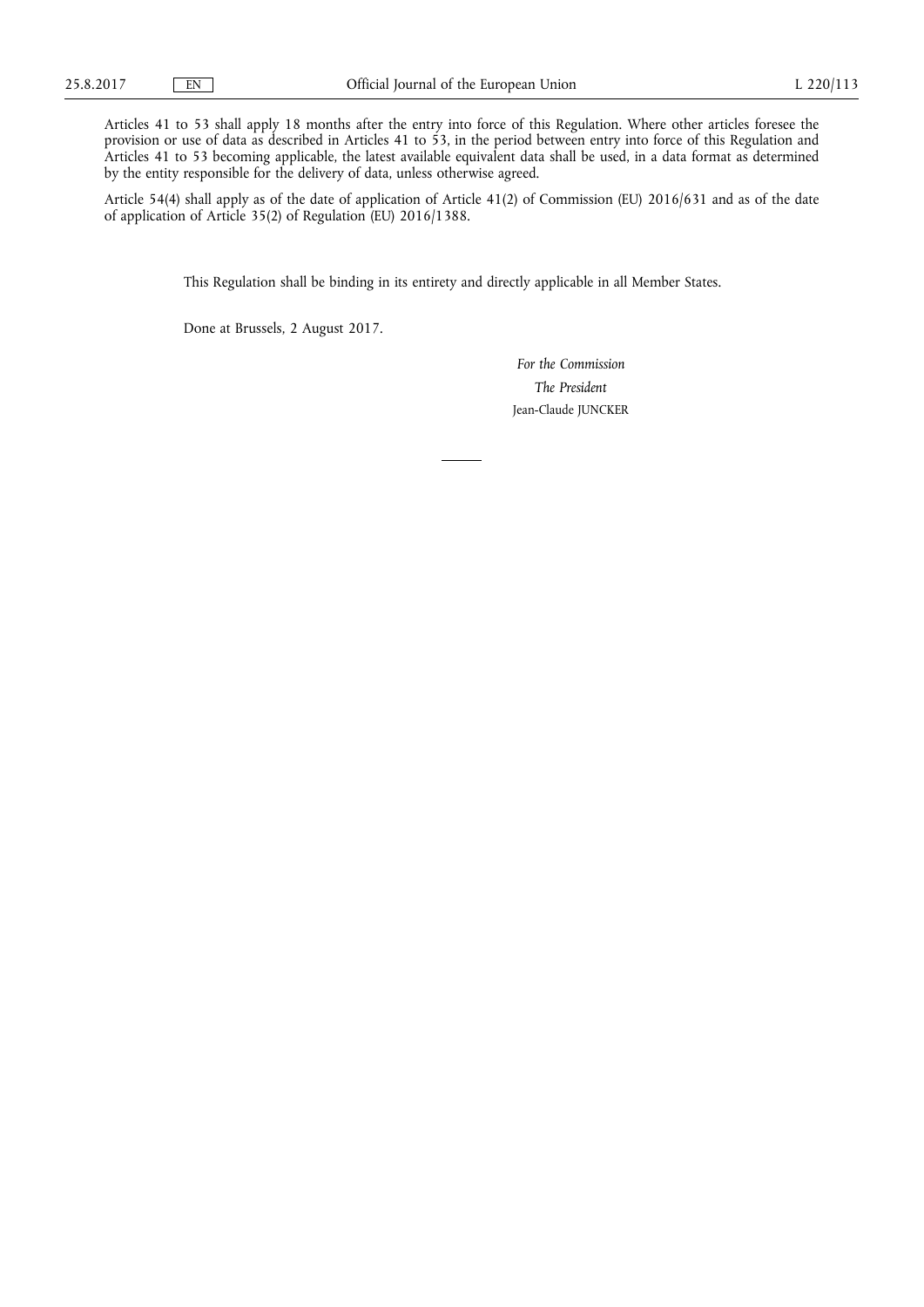Articles 41 to 53 shall apply 18 months after the entry into force of this Regulation. Where other articles foresee the provision or use of data as described in Articles 41 to 53, in the period between entry into force of this Regulation and Articles 41 to 53 becoming applicable, the latest available equivalent data shall be used, in a data format as determined by the entity responsible for the delivery of data, unless otherwise agreed.

Article 54(4) shall apply as of the date of application of Article 41(2) of Commission (EU) 2016/631 and as of the date of application of Article 35(2) of Regulation (EU) 2016/1388.

This Regulation shall be binding in its entirety and directly applicable in all Member States.

Done at Brussels, 2 August 2017.

*For the Commission The President*  Jean-Claude JUNCKER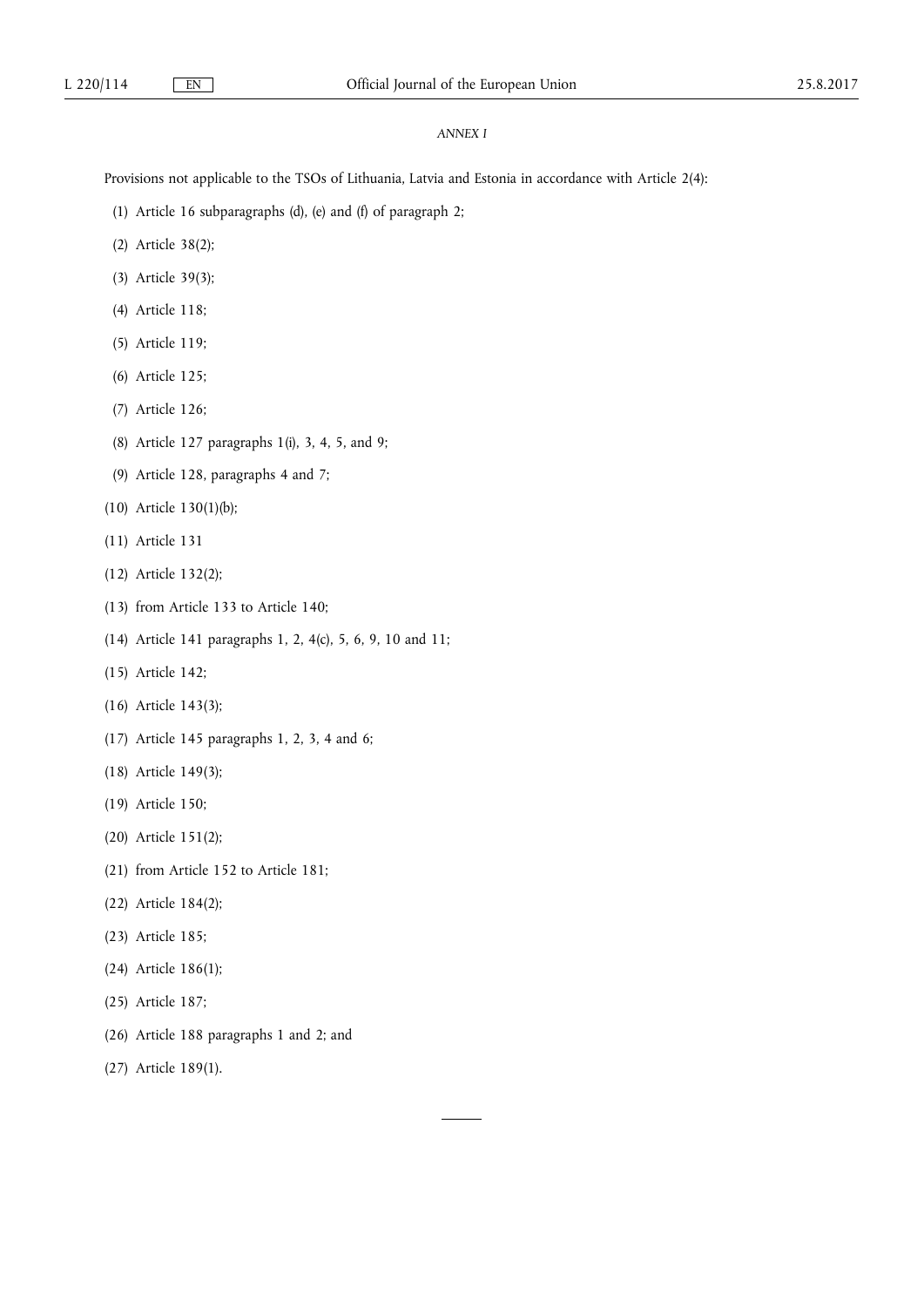### *ANNEX I*

Provisions not applicable to the TSOs of Lithuania, Latvia and Estonia in accordance with Article 2(4):

- (1) Article 16 subparagraphs (d), (e) and (f) of paragraph 2;
- (2) Article 38(2);
- (3) Article 39(3);
- (4) Article 118;
- (5) Article 119;
- (6) Article 125;
- (7) Article 126;
- (8) Article 127 paragraphs 1(i), 3, 4, 5, and 9;
- (9) Article 128, paragraphs 4 and 7;
- (10) Article 130(1)(b);
- (11) Article 131
- (12) Article 132(2);
- (13) from Article 133 to Article 140;
- (14) Article 141 paragraphs 1, 2, 4(c), 5, 6, 9, 10 and 11;
- (15) Article 142;
- (16) Article 143(3);
- (17) Article 145 paragraphs 1, 2, 3, 4 and 6;
- (18) Article 149(3);
- (19) Article 150;
- (20) Article 151(2);
- (21) from Article 152 to Article 181;
- (22) Article 184(2);
- (23) Article 185;
- (24) Article 186(1);
- (25) Article 187;
- (26) Article 188 paragraphs 1 and 2; and
- (27) Article 189(1).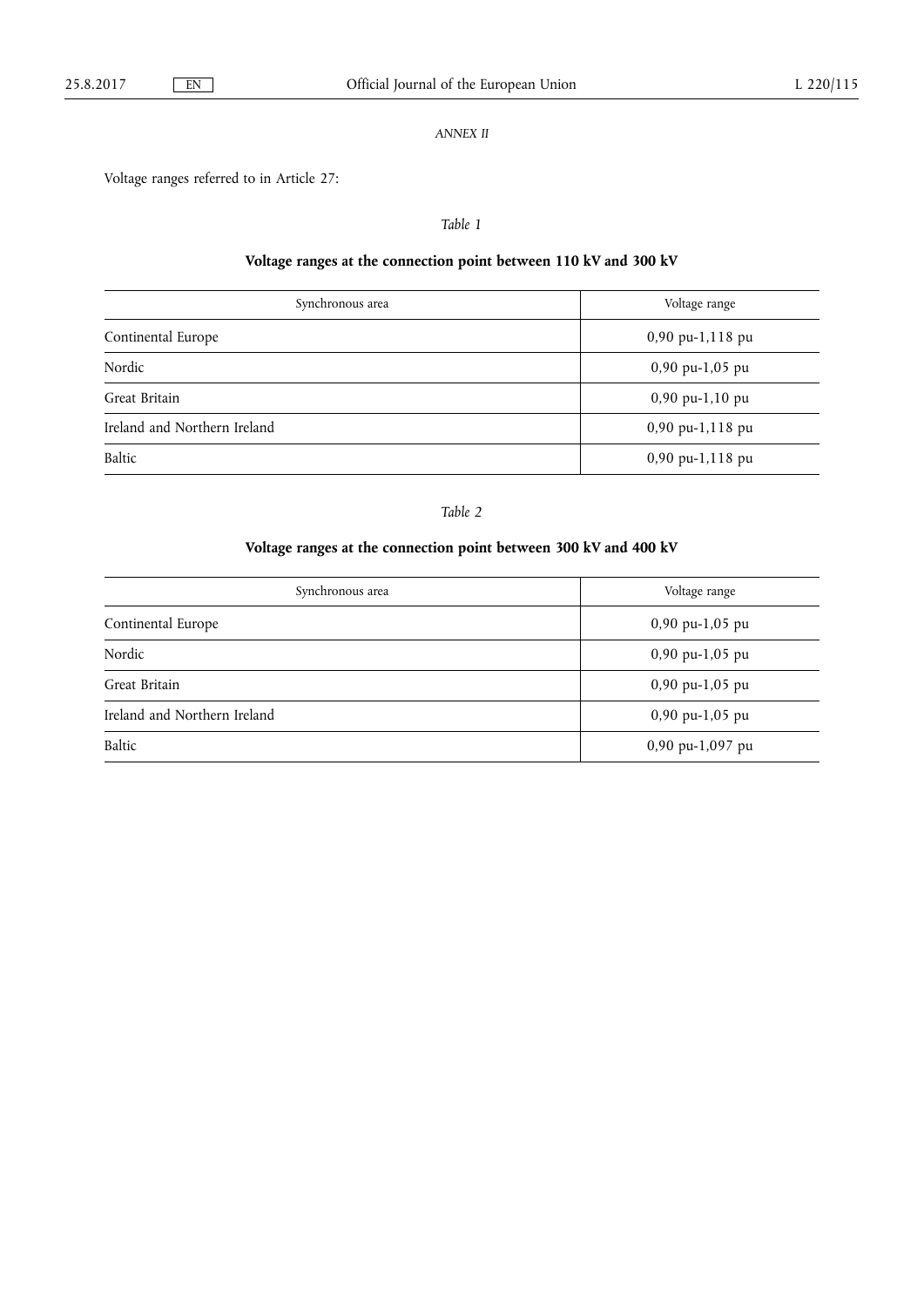## *ANNEX II*

Voltage ranges referred to in Article 27:

## *Table 1*

# **Voltage ranges at the connection point between 110 kV and 300 kV**

| Synchronous area             | Voltage range    |  |
|------------------------------|------------------|--|
| Continental Europe           | 0,90 pu-1,118 pu |  |
| Nordic                       | 0,90 pu-1,05 pu  |  |
| Great Britain                | 0,90 pu-1,10 pu  |  |
| Ireland and Northern Ireland | 0,90 pu-1,118 pu |  |
| Baltic                       | 0,90 pu-1,118 pu |  |

## *Table 2*

# **Voltage ranges at the connection point between 300 kV and 400 kV**

| Synchronous area             | Voltage range     |  |
|------------------------------|-------------------|--|
| Continental Europe           | $0,90$ pu-1,05 pu |  |
| Nordic                       | $0,90$ pu-1,05 pu |  |
| Great Britain                | $0,90$ pu-1,05 pu |  |
| Ireland and Northern Ireland | $0,90$ pu-1,05 pu |  |
| Baltic                       | 0,90 pu-1,097 pu  |  |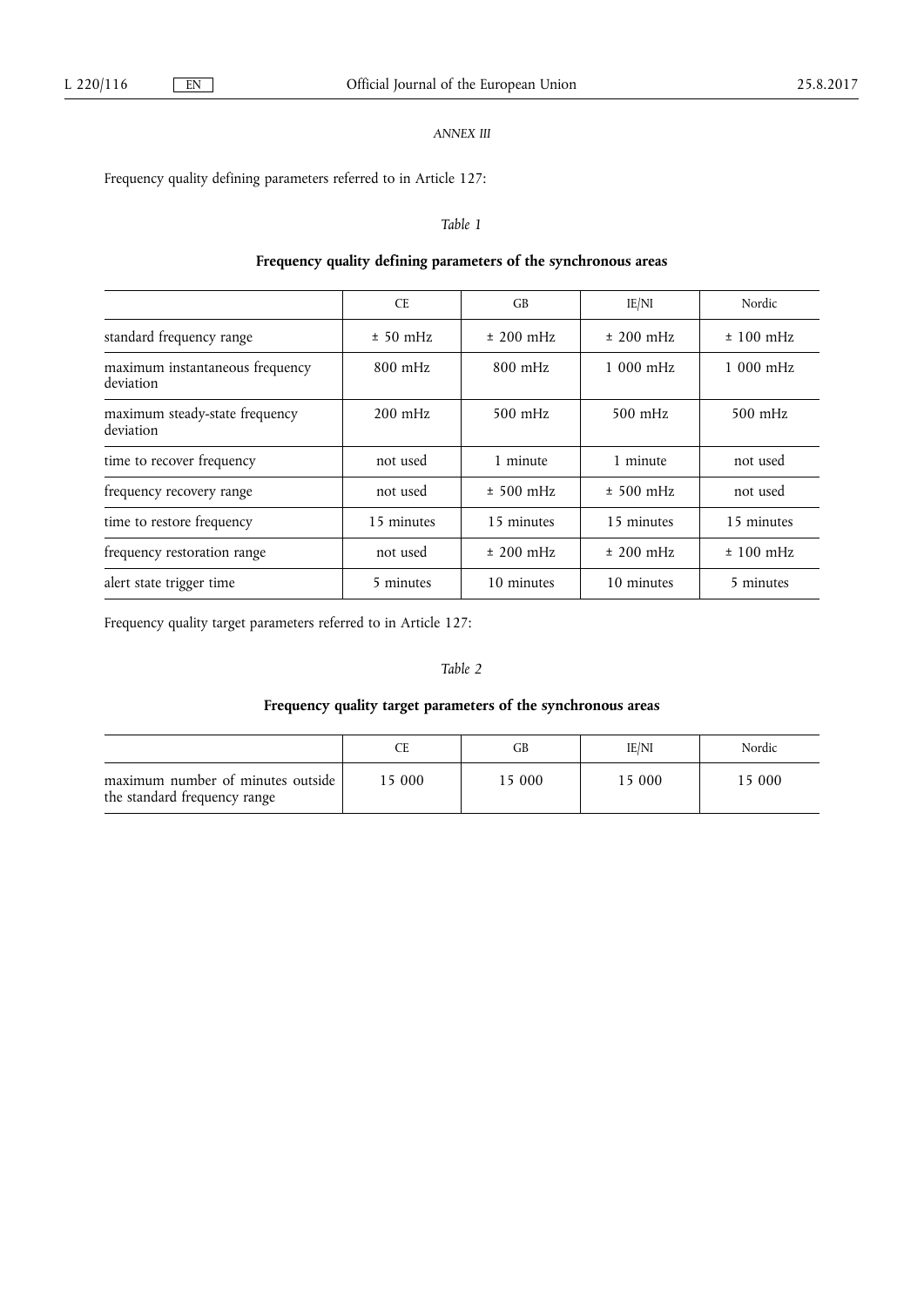## *ANNEX III*

Frequency quality defining parameters referred to in Article 127:

### *Table 1*

## **Frequency quality defining parameters of the synchronous areas**

|                                              | <b>CE</b>  | GB          | IE/NI       | Nordic      |
|----------------------------------------------|------------|-------------|-------------|-------------|
| standard frequency range                     | $± 50$ mHz | $±$ 200 mHz | $±$ 200 mHz | $± 100$ mHz |
| maximum instantaneous frequency<br>deviation | $800$ mHz  | $800$ mHz   | $1000$ mHz  | $1000$ mHz  |
| maximum steady-state frequency<br>deviation  | $200$ mHz  | $500$ mHz   | $500$ mHz   | $500$ mHz   |
| time to recover frequency                    | not used   | 1 minute    | 1 minute    | not used    |
| frequency recovery range                     | not used   | $± 500$ mHz | $± 500$ mHz | not used    |
| time to restore frequency                    | 15 minutes | 15 minutes  | 15 minutes  | 15 minutes  |
| frequency restoration range                  | not used   | $±$ 200 mHz | $±$ 200 mHz | $± 100$ mHz |
| alert state trigger time                     | 5 minutes  | 10 minutes  | 10 minutes  | 5 minutes   |

Frequency quality target parameters referred to in Article 127:

### *Table 2*

# **Frequency quality target parameters of the synchronous areas**

|                                                                   |        | GВ     | IE/NI  | Nordic |
|-------------------------------------------------------------------|--------|--------|--------|--------|
| maximum number of minutes outside<br>the standard frequency range | 15 000 | 15 000 | 15 000 | 5 000  |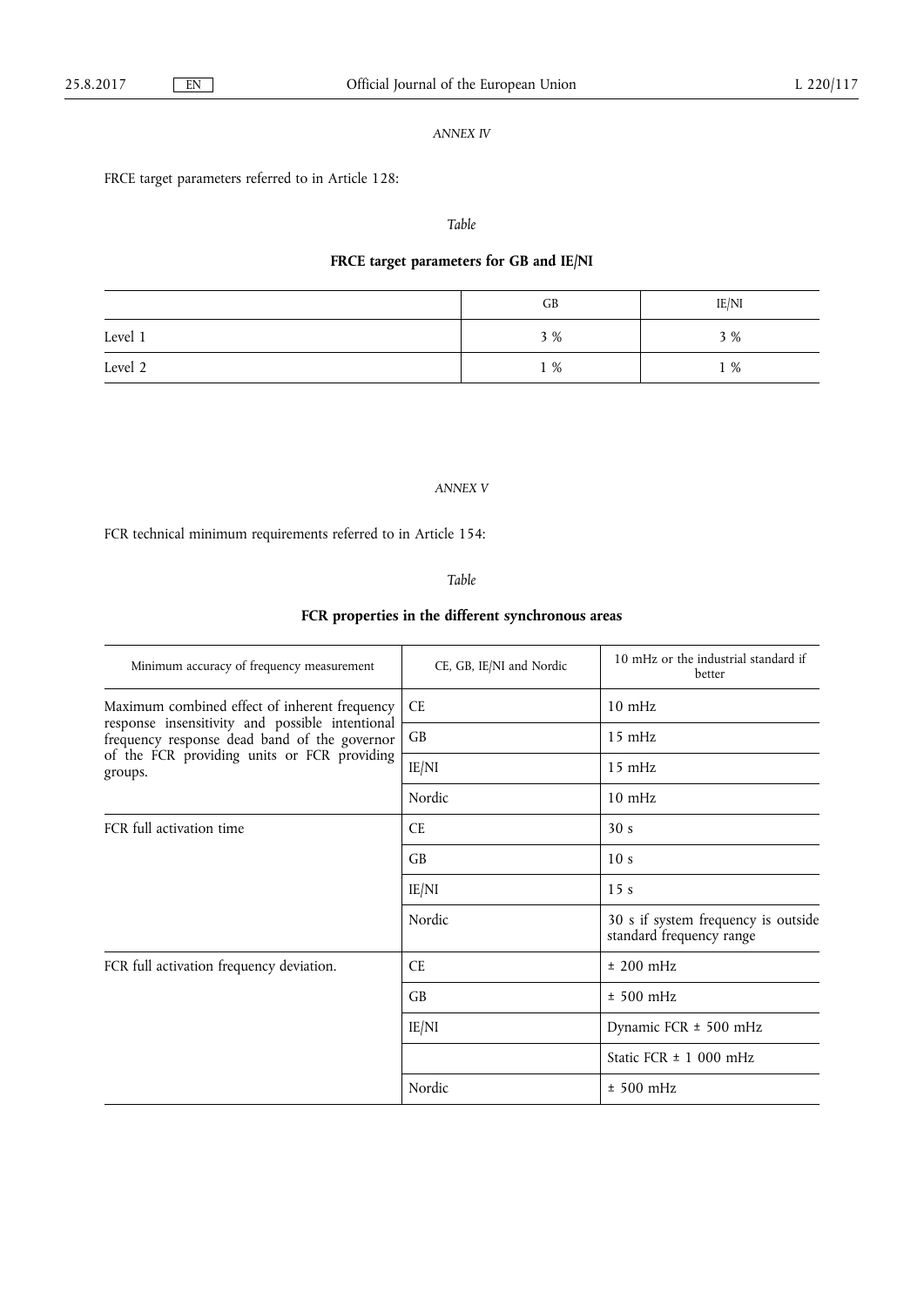### *ANNEX IV*

FRCE target parameters referred to in Article 128:

### *Table*

## **FRCE target parameters for GB and IE/NI**

|         | GB  | IE/NI |
|---------|-----|-------|
| Level 1 | 3 % | 3 %   |
| Level 2 | 1 % | 1 %   |

### *ANNEX V*

FCR technical minimum requirements referred to in Article 154:

*Table* 

# **FCR properties in the different synchronous areas**

| Minimum accuracy of frequency measurement                                                                                                                 | CE, GB, IE/NI and Nordic | 10 mHz or the industrial standard if<br>better                  |
|-----------------------------------------------------------------------------------------------------------------------------------------------------------|--------------------------|-----------------------------------------------------------------|
| Maximum combined effect of inherent frequency                                                                                                             | <b>CE</b>                | $10 \text{ mHz}$                                                |
| response insensitivity and possible intentional<br>frequency response dead band of the governor<br>of the FCR providing units or FCR providing<br>groups. | GB                       | $15 \text{ mHz}$                                                |
|                                                                                                                                                           | IE/NI                    | $15$ mHz                                                        |
|                                                                                                                                                           | Nordic                   | $10 \text{ mHz}$                                                |
| FCR full activation time                                                                                                                                  | <b>CE</b>                | 30 <sub>s</sub>                                                 |
|                                                                                                                                                           | GB                       | 10 <sub>s</sub>                                                 |
|                                                                                                                                                           | IE/NI                    | 15 <sub>s</sub>                                                 |
|                                                                                                                                                           | Nordic                   | 30 s if system frequency is outside<br>standard frequency range |
| FCR full activation frequency deviation.                                                                                                                  | <b>CE</b>                | $±$ 200 mHz                                                     |
|                                                                                                                                                           | GB                       | $± 500$ mHz                                                     |
|                                                                                                                                                           | IE/NI                    | Dynamic FCR ± 500 mHz                                           |
|                                                                                                                                                           |                          | Static FCR $\pm$ 1 000 mHz                                      |
|                                                                                                                                                           | Nordic                   | $± 500$ mHz                                                     |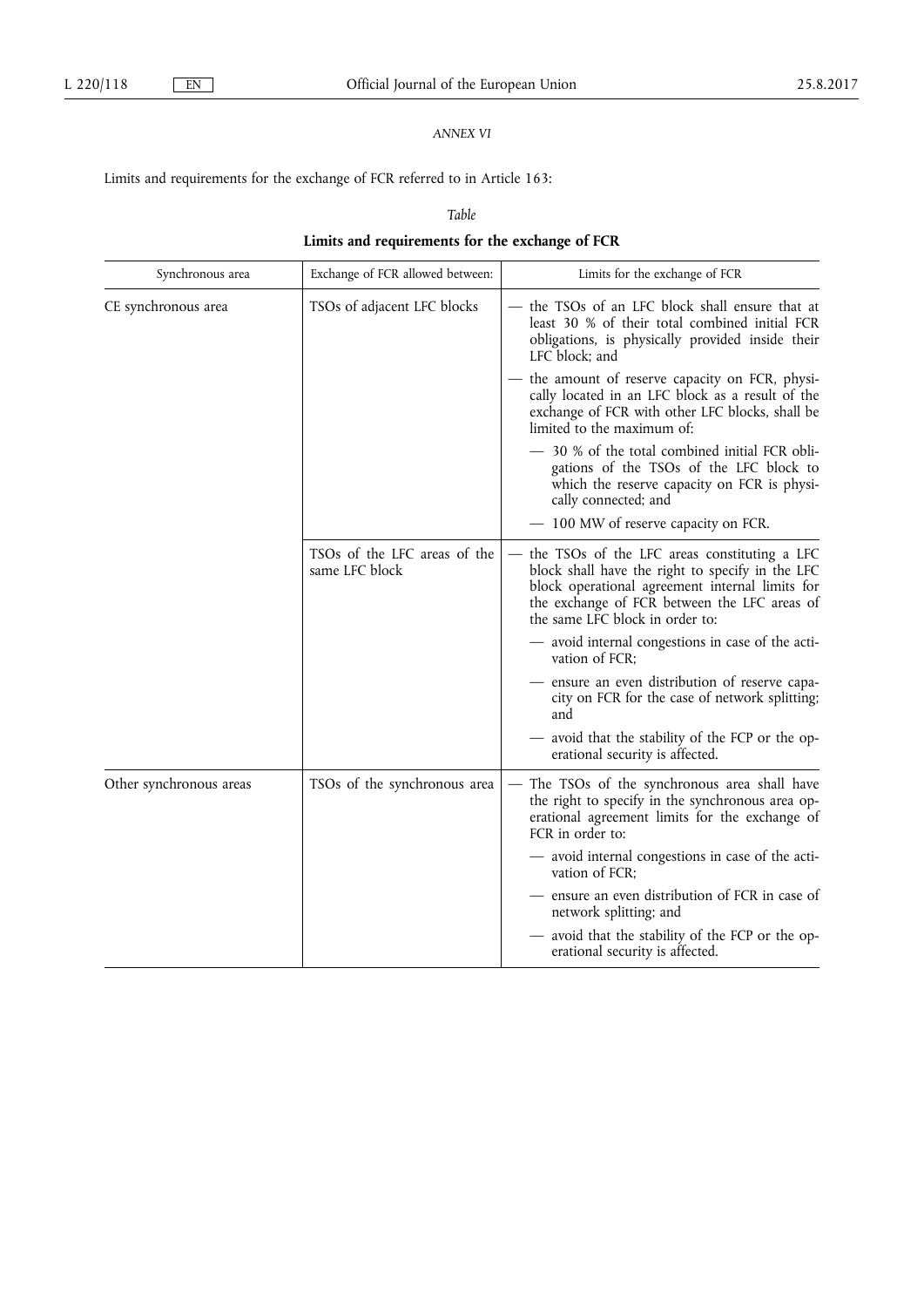## *ANNEX VI*

Limits and requirements for the exchange of FCR referred to in Article 163:

*Table* 

# **Limits and requirements for the exchange of FCR**

| Synchronous area        | Exchange of FCR allowed between:               | Limits for the exchange of FCR                                                                                                                                                                                                           |
|-------------------------|------------------------------------------------|------------------------------------------------------------------------------------------------------------------------------------------------------------------------------------------------------------------------------------------|
| CE synchronous area     | TSOs of adjacent LFC blocks                    | the TSOs of an LFC block shall ensure that at<br>least 30 % of their total combined initial FCR<br>obligations, is physically provided inside their<br>LFC block; and                                                                    |
|                         |                                                | - the amount of reserve capacity on FCR, physi-<br>cally located in an LFC block as a result of the<br>exchange of FCR with other LFC blocks, shall be<br>limited to the maximum of:                                                     |
|                         |                                                | - 30 % of the total combined initial FCR obli-<br>gations of the TSOs of the LFC block to<br>which the reserve capacity on FCR is physi-<br>cally connected; and                                                                         |
|                         |                                                | - 100 MW of reserve capacity on FCR.                                                                                                                                                                                                     |
|                         | TSOs of the LFC areas of the<br>same LFC block | — the TSOs of the LFC areas constituting a LFC<br>block shall have the right to specify in the LFC<br>block operational agreement internal limits for<br>the exchange of FCR between the LFC areas of<br>the same LFC block in order to: |
|                         |                                                | - avoid internal congestions in case of the acti-<br>vation of FCR;                                                                                                                                                                      |
|                         |                                                | - ensure an even distribution of reserve capa-<br>city on FCR for the case of network splitting;<br>and                                                                                                                                  |
|                         |                                                | - avoid that the stability of the FCP or the op-<br>erational security is affected.                                                                                                                                                      |
| Other synchronous areas | TSOs of the synchronous area                   | - The TSOs of the synchronous area shall have<br>the right to specify in the synchronous area op-<br>erational agreement limits for the exchange of<br>FCR in order to:                                                                  |
|                         |                                                | - avoid internal congestions in case of the acti-<br>vation of FCR:                                                                                                                                                                      |
|                         |                                                | ensure an even distribution of FCR in case of<br>network splitting; and                                                                                                                                                                  |
|                         |                                                | avoid that the stability of the FCP or the op-<br>erational security is affected.                                                                                                                                                        |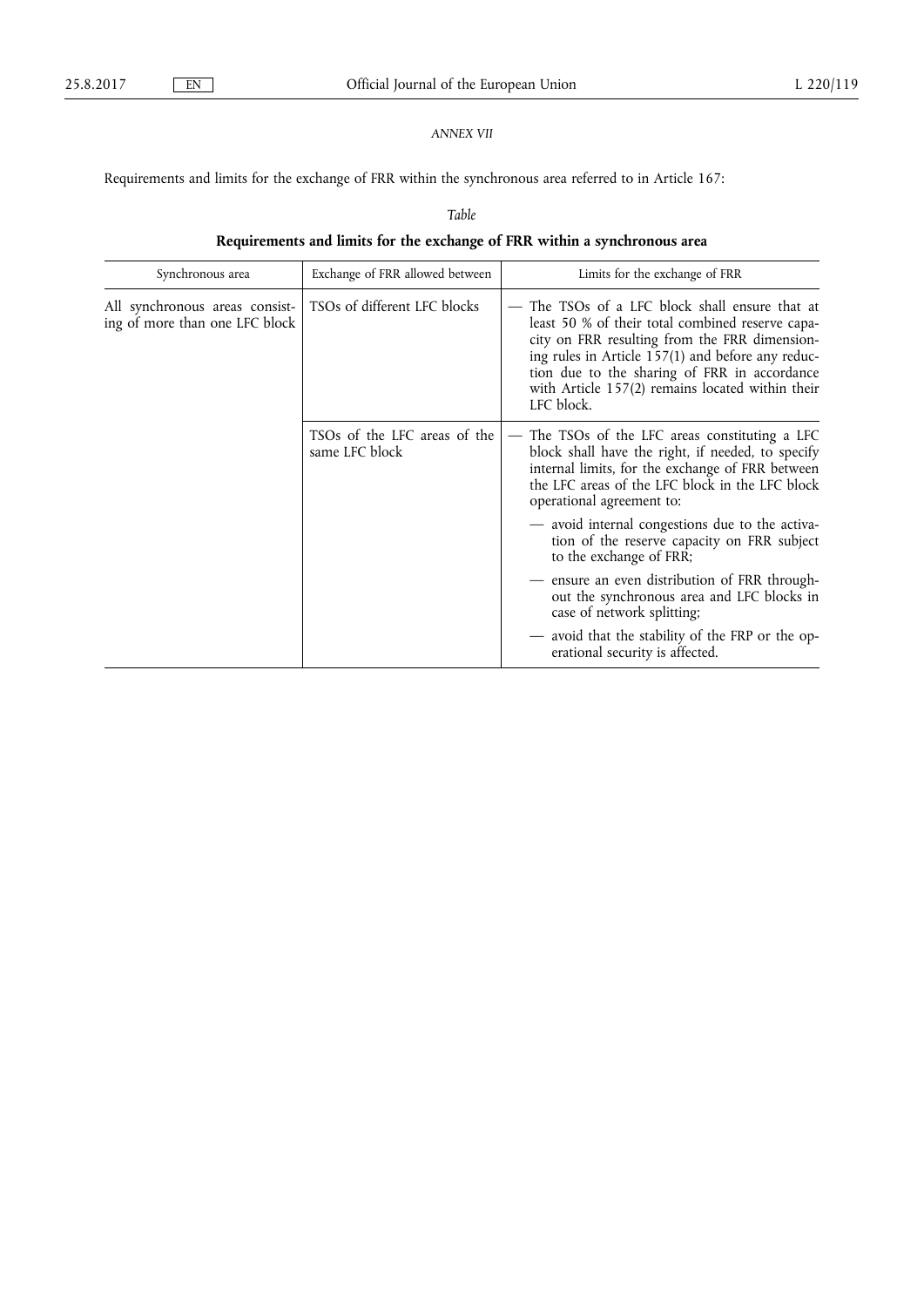## *ANNEX VII*

Requirements and limits for the exchange of FRR within the synchronous area referred to in Article 167:

*Table* 

# **Requirements and limits for the exchange of FRR within a synchronous area**

| Synchronous area                                                 | Exchange of FRR allowed between                                                                                           | Limits for the exchange of FRR                                                                                                                                                                                                                                                                                           |
|------------------------------------------------------------------|---------------------------------------------------------------------------------------------------------------------------|--------------------------------------------------------------------------------------------------------------------------------------------------------------------------------------------------------------------------------------------------------------------------------------------------------------------------|
| All synchronous areas consist-<br>ing of more than one LFC block | TSOs of different LFC blocks                                                                                              | The TSOs of a LFC block shall ensure that at<br>least 50 % of their total combined reserve capa-<br>city on FRR resulting from the FRR dimension-<br>ing rules in Article 157(1) and before any reduc-<br>tion due to the sharing of FRR in accordance<br>with Article 157(2) remains located within their<br>LFC block. |
|                                                                  | TSOs of the LFC areas of the<br>same LFC block                                                                            | The TSOs of the LFC areas constituting a LFC<br>block shall have the right, if needed, to specify<br>internal limits, for the exchange of FRR between<br>the LFC areas of the LFC block in the LFC block<br>operational agreement to:                                                                                    |
|                                                                  | - avoid internal congestions due to the activa-<br>tion of the reserve capacity on FRR subject<br>to the exchange of FRR; |                                                                                                                                                                                                                                                                                                                          |
|                                                                  |                                                                                                                           | - ensure an even distribution of FRR through-<br>out the synchronous area and LFC blocks in<br>case of network splitting;                                                                                                                                                                                                |
|                                                                  |                                                                                                                           | - avoid that the stability of the FRP or the op-<br>erational security is affected.                                                                                                                                                                                                                                      |